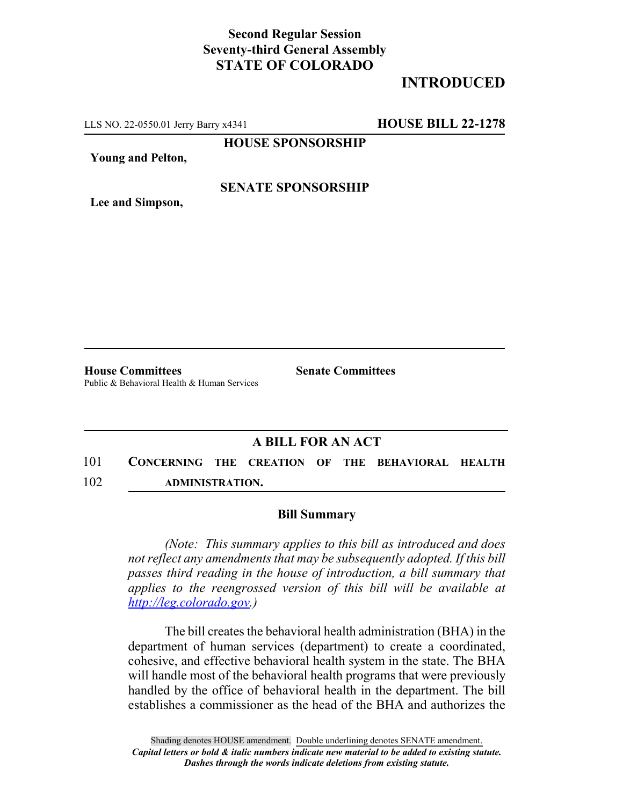## **Second Regular Session Seventy-third General Assembly STATE OF COLORADO**

# **INTRODUCED**

LLS NO. 22-0550.01 Jerry Barry x4341 **HOUSE BILL 22-1278**

**HOUSE SPONSORSHIP**

**Young and Pelton,**

#### **SENATE SPONSORSHIP**

**Lee and Simpson,**

**House Committees Senate Committees** Public & Behavioral Health & Human Services

## **A BILL FOR AN ACT**

101 **CONCERNING THE CREATION OF THE BEHAVIORAL HEALTH** 102 **ADMINISTRATION.**

#### **Bill Summary**

*(Note: This summary applies to this bill as introduced and does not reflect any amendments that may be subsequently adopted. If this bill passes third reading in the house of introduction, a bill summary that applies to the reengrossed version of this bill will be available at http://leg.colorado.gov.)*

The bill creates the behavioral health administration (BHA) in the department of human services (department) to create a coordinated, cohesive, and effective behavioral health system in the state. The BHA will handle most of the behavioral health programs that were previously handled by the office of behavioral health in the department. The bill establishes a commissioner as the head of the BHA and authorizes the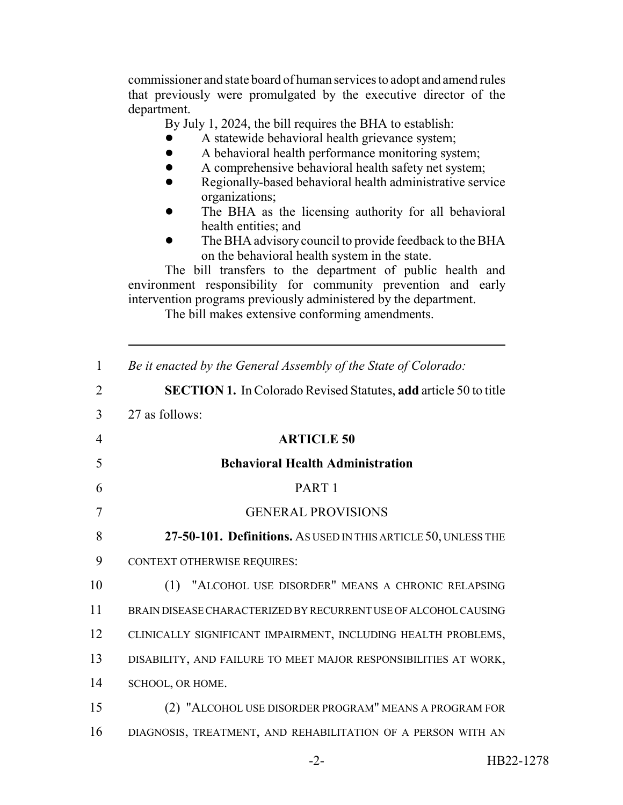commissioner and state board of human services to adopt and amend rules that previously were promulgated by the executive director of the department.

By July 1, 2024, the bill requires the BHA to establish:

- A statewide behavioral health grievance system;
- A behavioral health performance monitoring system;
- A comprehensive behavioral health safety net system;
- Regionally-based behavioral health administrative service organizations;
- The BHA as the licensing authority for all behavioral health entities; and
- The BHA advisory council to provide feedback to the BHA on the behavioral health system in the state.

The bill transfers to the department of public health and environment responsibility for community prevention and early intervention programs previously administered by the department.

The bill makes extensive conforming amendments.

| $\mathbf{1}$   | Be it enacted by the General Assembly of the State of Colorado:         |
|----------------|-------------------------------------------------------------------------|
| $\overline{2}$ | <b>SECTION 1.</b> In Colorado Revised Statutes, add article 50 to title |
| 3              | 27 as follows:                                                          |
| $\overline{4}$ | <b>ARTICLE 50</b>                                                       |
| 5              | <b>Behavioral Health Administration</b>                                 |
| 6              | PART <sub>1</sub>                                                       |
| 7              | <b>GENERAL PROVISIONS</b>                                               |
| 8              | 27-50-101. Definitions. As USED IN THIS ARTICLE 50, UNLESS THE          |
| 9              | CONTEXT OTHERWISE REQUIRES:                                             |
| 10             | (1) "ALCOHOL USE DISORDER" MEANS A CHRONIC RELAPSING                    |
| 11             | BRAIN DISEASE CHARACTERIZED BY RECURRENT USE OF ALCOHOL CAUSING         |
| 12             | CLINICALLY SIGNIFICANT IMPAIRMENT, INCLUDING HEALTH PROBLEMS,           |
| 13             | DISABILITY, AND FAILURE TO MEET MAJOR RESPONSIBILITIES AT WORK,         |
| 14             | SCHOOL, OR HOME.                                                        |
| 15             | (2) "ALCOHOL USE DISORDER PROGRAM" MEANS A PROGRAM FOR                  |
| 16             | DIAGNOSIS, TREATMENT, AND REHABILITATION OF A PERSON WITH AN            |
|                |                                                                         |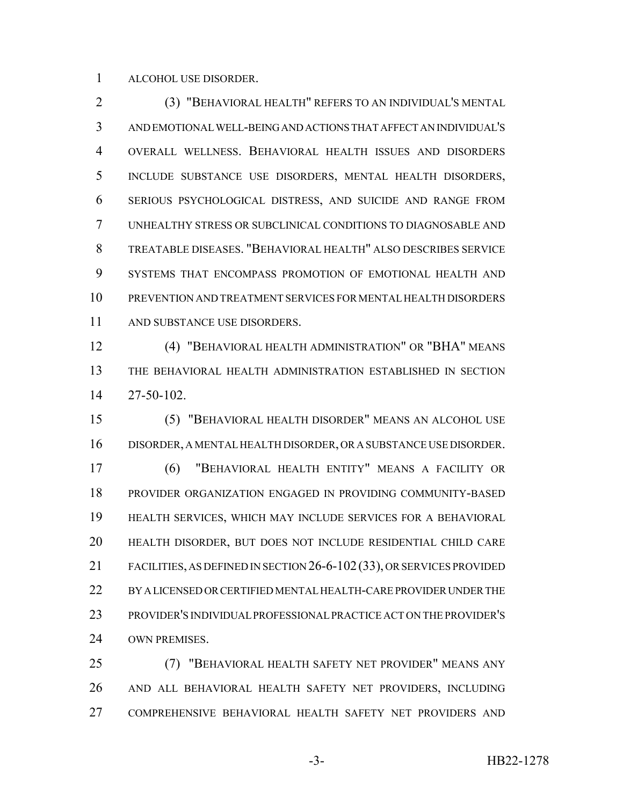ALCOHOL USE DISORDER.

 (3) "BEHAVIORAL HEALTH" REFERS TO AN INDIVIDUAL'S MENTAL AND EMOTIONAL WELL-BEING AND ACTIONS THAT AFFECT AN INDIVIDUAL'S OVERALL WELLNESS. BEHAVIORAL HEALTH ISSUES AND DISORDERS INCLUDE SUBSTANCE USE DISORDERS, MENTAL HEALTH DISORDERS, SERIOUS PSYCHOLOGICAL DISTRESS, AND SUICIDE AND RANGE FROM UNHEALTHY STRESS OR SUBCLINICAL CONDITIONS TO DIAGNOSABLE AND TREATABLE DISEASES. "BEHAVIORAL HEALTH" ALSO DESCRIBES SERVICE SYSTEMS THAT ENCOMPASS PROMOTION OF EMOTIONAL HEALTH AND PREVENTION AND TREATMENT SERVICES FOR MENTAL HEALTH DISORDERS AND SUBSTANCE USE DISORDERS.

 (4) "BEHAVIORAL HEALTH ADMINISTRATION" OR "BHA" MEANS THE BEHAVIORAL HEALTH ADMINISTRATION ESTABLISHED IN SECTION 27-50-102.

 (5) "BEHAVIORAL HEALTH DISORDER" MEANS AN ALCOHOL USE DISORDER, A MENTAL HEALTH DISORDER, OR A SUBSTANCE USE DISORDER. (6) "BEHAVIORAL HEALTH ENTITY" MEANS A FACILITY OR PROVIDER ORGANIZATION ENGAGED IN PROVIDING COMMUNITY-BASED HEALTH SERVICES, WHICH MAY INCLUDE SERVICES FOR A BEHAVIORAL HEALTH DISORDER, BUT DOES NOT INCLUDE RESIDENTIAL CHILD CARE FACILITIES, AS DEFINED IN SECTION 26-6-102(33), OR SERVICES PROVIDED BY A LICENSED OR CERTIFIED MENTAL HEALTH-CARE PROVIDER UNDER THE PROVIDER'S INDIVIDUAL PROFESSIONAL PRACTICE ACT ON THE PROVIDER'S OWN PREMISES.

 (7) "BEHAVIORAL HEALTH SAFETY NET PROVIDER" MEANS ANY AND ALL BEHAVIORAL HEALTH SAFETY NET PROVIDERS, INCLUDING COMPREHENSIVE BEHAVIORAL HEALTH SAFETY NET PROVIDERS AND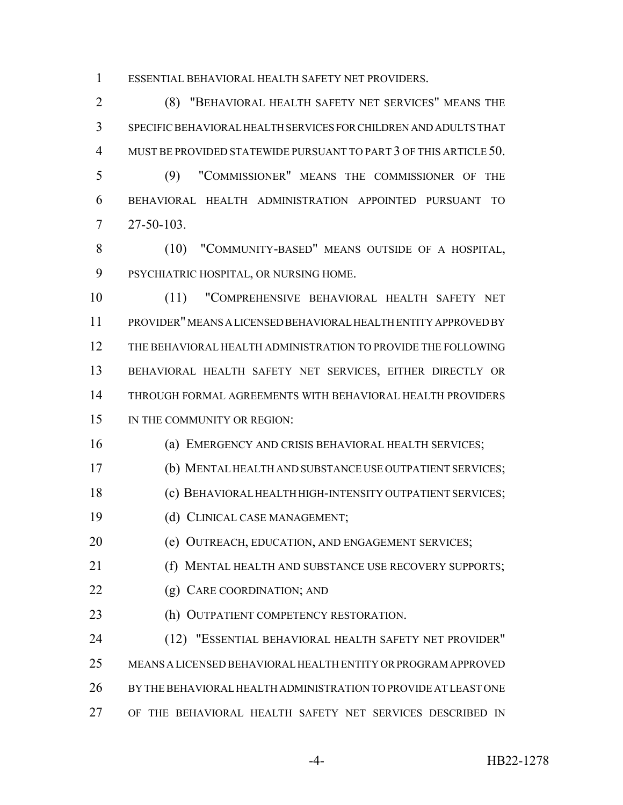ESSENTIAL BEHAVIORAL HEALTH SAFETY NET PROVIDERS.

 (8) "BEHAVIORAL HEALTH SAFETY NET SERVICES" MEANS THE SPECIFIC BEHAVIORAL HEALTH SERVICES FOR CHILDREN AND ADULTS THAT MUST BE PROVIDED STATEWIDE PURSUANT TO PART 3 OF THIS ARTICLE 50.

 (9) "COMMISSIONER" MEANS THE COMMISSIONER OF THE BEHAVIORAL HEALTH ADMINISTRATION APPOINTED PURSUANT TO 27-50-103.

 (10) "COMMUNITY-BASED" MEANS OUTSIDE OF A HOSPITAL, PSYCHIATRIC HOSPITAL, OR NURSING HOME.

 (11) "COMPREHENSIVE BEHAVIORAL HEALTH SAFETY NET PROVIDER" MEANS A LICENSED BEHAVIORAL HEALTH ENTITY APPROVED BY THE BEHAVIORAL HEALTH ADMINISTRATION TO PROVIDE THE FOLLOWING BEHAVIORAL HEALTH SAFETY NET SERVICES, EITHER DIRECTLY OR THROUGH FORMAL AGREEMENTS WITH BEHAVIORAL HEALTH PROVIDERS 15 IN THE COMMUNITY OR REGION:

(a) EMERGENCY AND CRISIS BEHAVIORAL HEALTH SERVICES;

(b) MENTAL HEALTH AND SUBSTANCE USE OUTPATIENT SERVICES;

(c) BEHAVIORAL HEALTH HIGH-INTENSITY OUTPATIENT SERVICES;

(d) CLINICAL CASE MANAGEMENT;

(e) OUTREACH, EDUCATION, AND ENGAGEMENT SERVICES;

(f) MENTAL HEALTH AND SUBSTANCE USE RECOVERY SUPPORTS;

- 22 (g) CARE COORDINATION; AND
- 23 (h) OUTPATIENT COMPETENCY RESTORATION.

 (12) "ESSENTIAL BEHAVIORAL HEALTH SAFETY NET PROVIDER" MEANS A LICENSED BEHAVIORAL HEALTH ENTITY OR PROGRAM APPROVED BY THE BEHAVIORAL HEALTH ADMINISTRATION TO PROVIDE AT LEAST ONE OF THE BEHAVIORAL HEALTH SAFETY NET SERVICES DESCRIBED IN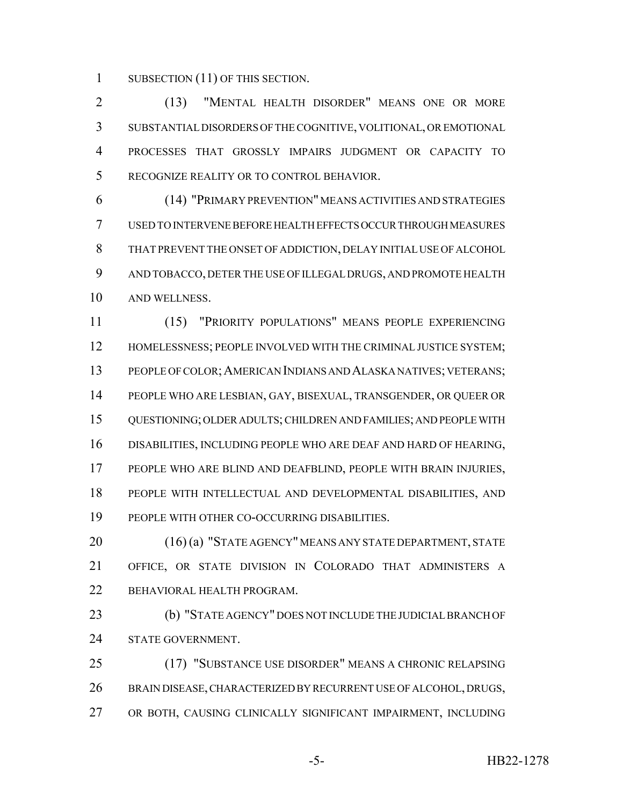1 SUBSECTION (11) OF THIS SECTION.

 (13) "MENTAL HEALTH DISORDER" MEANS ONE OR MORE SUBSTANTIAL DISORDERS OF THE COGNITIVE, VOLITIONAL, OR EMOTIONAL PROCESSES THAT GROSSLY IMPAIRS JUDGMENT OR CAPACITY TO RECOGNIZE REALITY OR TO CONTROL BEHAVIOR.

 (14) "PRIMARY PREVENTION" MEANS ACTIVITIES AND STRATEGIES USED TO INTERVENE BEFORE HEALTH EFFECTS OCCUR THROUGH MEASURES THAT PREVENT THE ONSET OF ADDICTION, DELAY INITIAL USE OF ALCOHOL AND TOBACCO, DETER THE USE OF ILLEGAL DRUGS, AND PROMOTE HEALTH AND WELLNESS.

 (15) "PRIORITY POPULATIONS" MEANS PEOPLE EXPERIENCING 12 HOMELESSNESS; PEOPLE INVOLVED WITH THE CRIMINAL JUSTICE SYSTEM; PEOPLE OF COLOR;AMERICAN INDIANS AND ALASKA NATIVES; VETERANS; PEOPLE WHO ARE LESBIAN, GAY, BISEXUAL, TRANSGENDER, OR QUEER OR QUESTIONING; OLDER ADULTS; CHILDREN AND FAMILIES; AND PEOPLE WITH DISABILITIES, INCLUDING PEOPLE WHO ARE DEAF AND HARD OF HEARING, PEOPLE WHO ARE BLIND AND DEAFBLIND, PEOPLE WITH BRAIN INJURIES, PEOPLE WITH INTELLECTUAL AND DEVELOPMENTAL DISABILITIES, AND PEOPLE WITH OTHER CO-OCCURRING DISABILITIES.

20 (16) (a) "STATE AGENCY" MEANS ANY STATE DEPARTMENT, STATE OFFICE, OR STATE DIVISION IN COLORADO THAT ADMINISTERS A BEHAVIORAL HEALTH PROGRAM.

 (b) "STATE AGENCY" DOES NOT INCLUDE THE JUDICIAL BRANCH OF STATE GOVERNMENT.

 (17) "SUBSTANCE USE DISORDER" MEANS A CHRONIC RELAPSING BRAIN DISEASE, CHARACTERIZED BY RECURRENT USE OF ALCOHOL, DRUGS, OR BOTH, CAUSING CLINICALLY SIGNIFICANT IMPAIRMENT, INCLUDING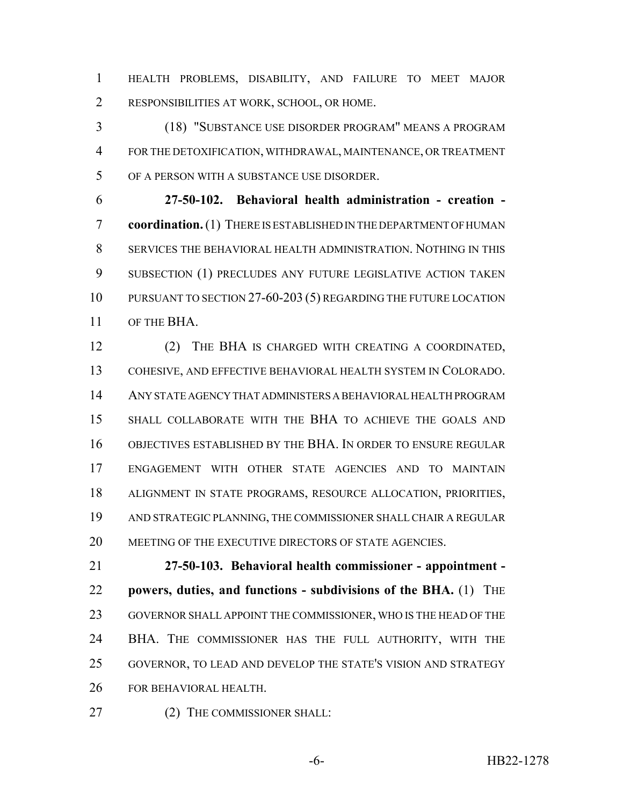HEALTH PROBLEMS, DISABILITY, AND FAILURE TO MEET MAJOR RESPONSIBILITIES AT WORK, SCHOOL, OR HOME.

 (18) "SUBSTANCE USE DISORDER PROGRAM" MEANS A PROGRAM FOR THE DETOXIFICATION, WITHDRAWAL, MAINTENANCE, OR TREATMENT OF A PERSON WITH A SUBSTANCE USE DISORDER.

 **27-50-102. Behavioral health administration - creation - coordination.** (1) THERE IS ESTABLISHED IN THE DEPARTMENT OF HUMAN SERVICES THE BEHAVIORAL HEALTH ADMINISTRATION. NOTHING IN THIS SUBSECTION (1) PRECLUDES ANY FUTURE LEGISLATIVE ACTION TAKEN PURSUANT TO SECTION 27-60-203 (5) REGARDING THE FUTURE LOCATION OF THE BHA.

 (2) THE BHA IS CHARGED WITH CREATING A COORDINATED, COHESIVE, AND EFFECTIVE BEHAVIORAL HEALTH SYSTEM IN COLORADO. ANY STATE AGENCY THAT ADMINISTERS A BEHAVIORAL HEALTH PROGRAM SHALL COLLABORATE WITH THE BHA TO ACHIEVE THE GOALS AND OBJECTIVES ESTABLISHED BY THE BHA. IN ORDER TO ENSURE REGULAR ENGAGEMENT WITH OTHER STATE AGENCIES AND TO MAINTAIN ALIGNMENT IN STATE PROGRAMS, RESOURCE ALLOCATION, PRIORITIES, AND STRATEGIC PLANNING, THE COMMISSIONER SHALL CHAIR A REGULAR 20 MEETING OF THE EXECUTIVE DIRECTORS OF STATE AGENCIES.

 **27-50-103. Behavioral health commissioner - appointment - powers, duties, and functions - subdivisions of the BHA.** (1) THE GOVERNOR SHALL APPOINT THE COMMISSIONER, WHO IS THE HEAD OF THE BHA. THE COMMISSIONER HAS THE FULL AUTHORITY, WITH THE GOVERNOR, TO LEAD AND DEVELOP THE STATE'S VISION AND STRATEGY FOR BEHAVIORAL HEALTH.

27 (2) THE COMMISSIONER SHALL: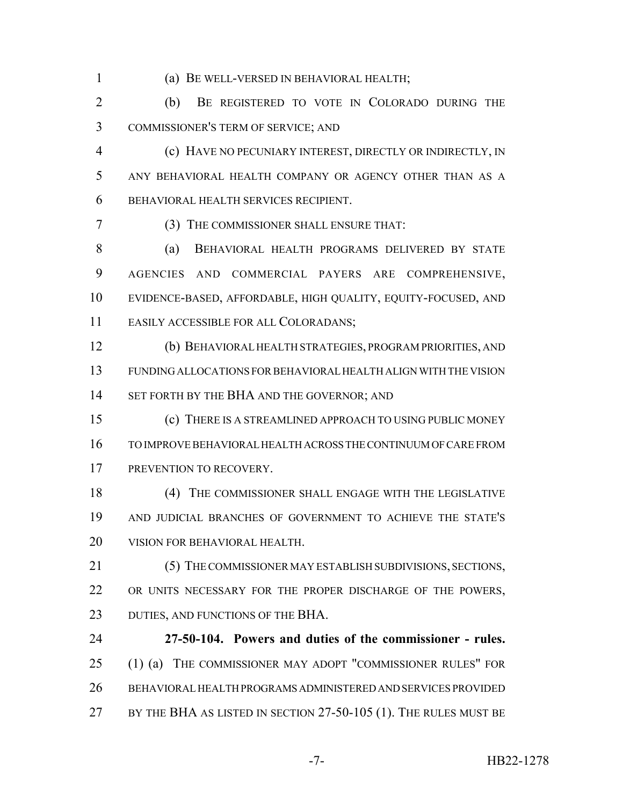(a) BE WELL-VERSED IN BEHAVIORAL HEALTH;

 (b) BE REGISTERED TO VOTE IN COLORADO DURING THE COMMISSIONER'S TERM OF SERVICE; AND

- (c) HAVE NO PECUNIARY INTEREST, DIRECTLY OR INDIRECTLY, IN ANY BEHAVIORAL HEALTH COMPANY OR AGENCY OTHER THAN AS A BEHAVIORAL HEALTH SERVICES RECIPIENT.
- (3) THE COMMISSIONER SHALL ENSURE THAT:

 (a) BEHAVIORAL HEALTH PROGRAMS DELIVERED BY STATE AGENCIES AND COMMERCIAL PAYERS ARE COMPREHENSIVE, EVIDENCE-BASED, AFFORDABLE, HIGH QUALITY, EQUITY-FOCUSED, AND EASILY ACCESSIBLE FOR ALL COLORADANS;

 (b) BEHAVIORAL HEALTH STRATEGIES, PROGRAM PRIORITIES, AND FUNDING ALLOCATIONS FOR BEHAVIORAL HEALTH ALIGN WITH THE VISION 14 SET FORTH BY THE BHA AND THE GOVERNOR; AND

- (c) THERE IS A STREAMLINED APPROACH TO USING PUBLIC MONEY TO IMPROVE BEHAVIORAL HEALTH ACROSS THE CONTINUUM OF CARE FROM 17 PREVENTION TO RECOVERY.
- (4) THE COMMISSIONER SHALL ENGAGE WITH THE LEGISLATIVE AND JUDICIAL BRANCHES OF GOVERNMENT TO ACHIEVE THE STATE'S VISION FOR BEHAVIORAL HEALTH.
- (5) THE COMMISSIONER MAY ESTABLISH SUBDIVISIONS, SECTIONS, 22 OR UNITS NECESSARY FOR THE PROPER DISCHARGE OF THE POWERS, 23 DUTIES, AND FUNCTIONS OF THE BHA.
- **27-50-104. Powers and duties of the commissioner rules.** 25 (1) (a) THE COMMISSIONER MAY ADOPT "COMMISSIONER RULES" FOR BEHAVIORAL HEALTH PROGRAMS ADMINISTERED AND SERVICES PROVIDED 27 BY THE BHA AS LISTED IN SECTION 27-50-105 (1). THE RULES MUST BE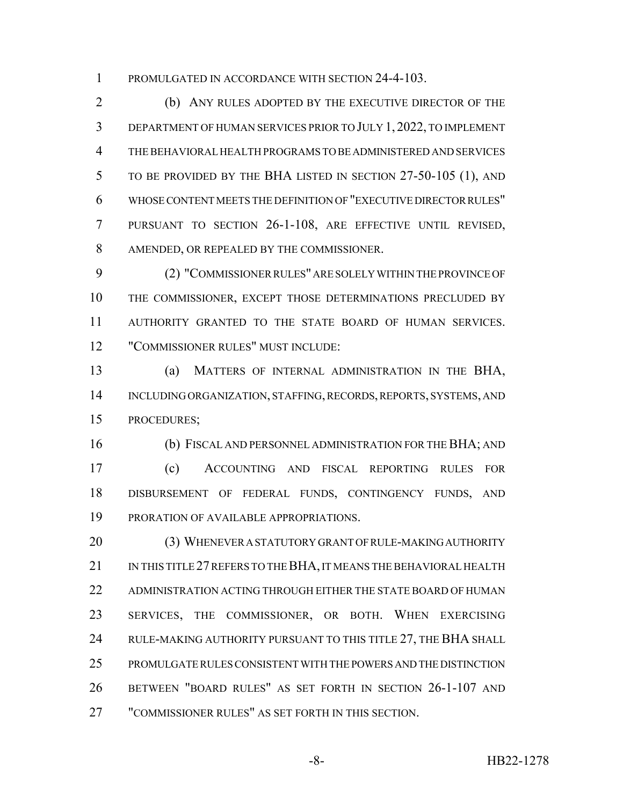PROMULGATED IN ACCORDANCE WITH SECTION 24-4-103.

 (b) ANY RULES ADOPTED BY THE EXECUTIVE DIRECTOR OF THE DEPARTMENT OF HUMAN SERVICES PRIOR TO JULY 1, 2022, TO IMPLEMENT THE BEHAVIORAL HEALTH PROGRAMS TO BE ADMINISTERED AND SERVICES TO BE PROVIDED BY THE BHA LISTED IN SECTION 27-50-105 (1), AND WHOSE CONTENT MEETS THE DEFINITION OF "EXECUTIVE DIRECTOR RULES" PURSUANT TO SECTION 26-1-108, ARE EFFECTIVE UNTIL REVISED, AMENDED, OR REPEALED BY THE COMMISSIONER.

 (2) "COMMISSIONER RULES" ARE SOLELY WITHIN THE PROVINCE OF THE COMMISSIONER, EXCEPT THOSE DETERMINATIONS PRECLUDED BY AUTHORITY GRANTED TO THE STATE BOARD OF HUMAN SERVICES. "COMMISSIONER RULES" MUST INCLUDE:

 (a) MATTERS OF INTERNAL ADMINISTRATION IN THE BHA, INCLUDING ORGANIZATION, STAFFING, RECORDS, REPORTS, SYSTEMS, AND PROCEDURES;

 (b) FISCAL AND PERSONNEL ADMINISTRATION FOR THE BHA; AND (c) ACCOUNTING AND FISCAL REPORTING RULES FOR DISBURSEMENT OF FEDERAL FUNDS, CONTINGENCY FUNDS, AND PRORATION OF AVAILABLE APPROPRIATIONS.

 (3) WHENEVER A STATUTORY GRANT OF RULE-MAKING AUTHORITY IN THIS TITLE 27 REFERS TO THE BHA, IT MEANS THE BEHAVIORAL HEALTH ADMINISTRATION ACTING THROUGH EITHER THE STATE BOARD OF HUMAN SERVICES, THE COMMISSIONER, OR BOTH. WHEN EXERCISING 24 RULE-MAKING AUTHORITY PURSUANT TO THIS TITLE 27, THE BHA SHALL PROMULGATE RULES CONSISTENT WITH THE POWERS AND THE DISTINCTION BETWEEN "BOARD RULES" AS SET FORTH IN SECTION 26-1-107 AND "COMMISSIONER RULES" AS SET FORTH IN THIS SECTION.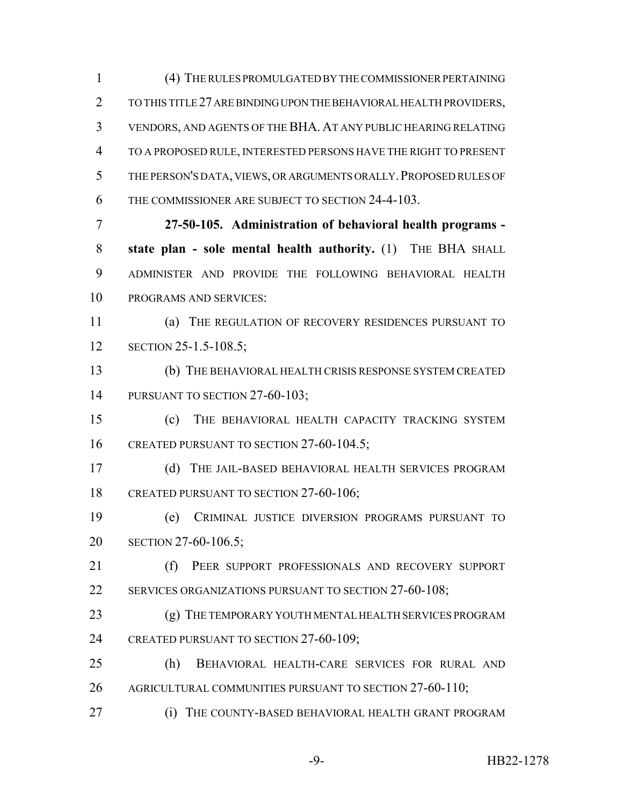(4) THE RULES PROMULGATED BY THE COMMISSIONER PERTAINING TO THIS TITLE 27 ARE BINDING UPON THE BEHAVIORAL HEALTH PROVIDERS, VENDORS, AND AGENTS OF THE BHA. AT ANY PUBLIC HEARING RELATING TO A PROPOSED RULE, INTERESTED PERSONS HAVE THE RIGHT TO PRESENT THE PERSON'S DATA, VIEWS, OR ARGUMENTS ORALLY.PROPOSED RULES OF THE COMMISSIONER ARE SUBJECT TO SECTION 24-4-103. **27-50-105. Administration of behavioral health programs - state plan - sole mental health authority.** (1) THE BHA SHALL ADMINISTER AND PROVIDE THE FOLLOWING BEHAVIORAL HEALTH

PROGRAMS AND SERVICES:

 (a) THE REGULATION OF RECOVERY RESIDENCES PURSUANT TO **SECTION 25-1.5-108.5;** 

 (b) THE BEHAVIORAL HEALTH CRISIS RESPONSE SYSTEM CREATED 14 PURSUANT TO SECTION 27-60-103;

 (c) THE BEHAVIORAL HEALTH CAPACITY TRACKING SYSTEM 16 CREATED PURSUANT TO SECTION 27-60-104.5;

 (d) THE JAIL-BASED BEHAVIORAL HEALTH SERVICES PROGRAM 18 CREATED PURSUANT TO SECTION 27-60-106;

 (e) CRIMINAL JUSTICE DIVERSION PROGRAMS PURSUANT TO SECTION 27-60-106.5;

21 (f) PEER SUPPORT PROFESSIONALS AND RECOVERY SUPPORT 22 SERVICES ORGANIZATIONS PURSUANT TO SECTION 27-60-108;

23 (g) THE TEMPORARY YOUTH MENTAL HEALTH SERVICES PROGRAM 24 CREATED PURSUANT TO SECTION 27-60-109;

 (h) BEHAVIORAL HEALTH-CARE SERVICES FOR RURAL AND AGRICULTURAL COMMUNITIES PURSUANT TO SECTION 27-60-110;

**(i) THE COUNTY-BASED BEHAVIORAL HEALTH GRANT PROGRAM**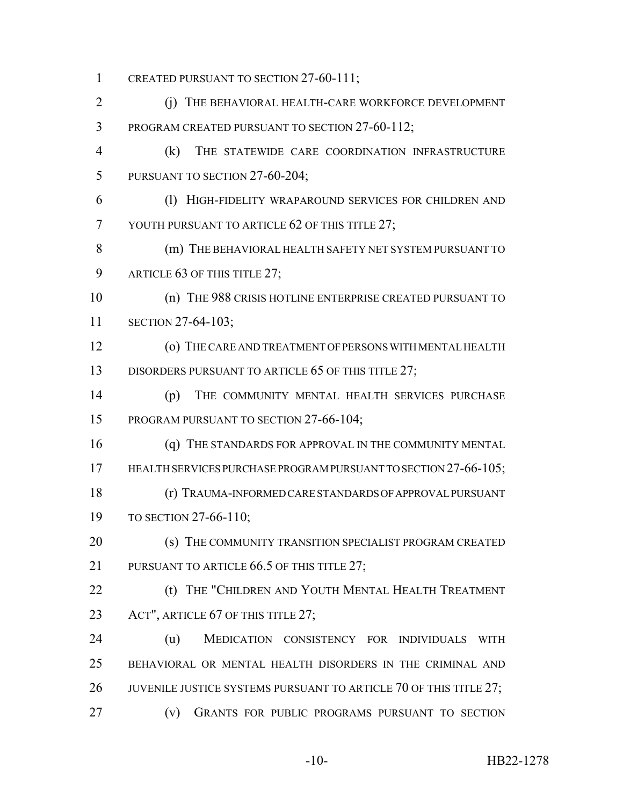1 CREATED PURSUANT TO SECTION 27-60-111; 2 (j) THE BEHAVIORAL HEALTH-CARE WORKFORCE DEVELOPMENT 3 PROGRAM CREATED PURSUANT TO SECTION 27-60-112; 4 (k) THE STATEWIDE CARE COORDINATION INFRASTRUCTURE 5 PURSUANT TO SECTION 27-60-204; 6 (l) HIGH-FIDELITY WRAPAROUND SERVICES FOR CHILDREN AND 7 YOUTH PURSUANT TO ARTICLE 62 OF THIS TITLE 27; 8 (m) THE BEHAVIORAL HEALTH SAFETY NET SYSTEM PURSUANT TO 9 ARTICLE 63 OF THIS TITLE 27; 10 (n) THE 988 CRISIS HOTLINE ENTERPRISE CREATED PURSUANT TO 11 SECTION 27-64-103; 12 (o) THE CARE AND TREATMENT OF PERSONS WITH MENTAL HEALTH 13 DISORDERS PURSUANT TO ARTICLE 65 OF THIS TITLE 27; 14 (p) THE COMMUNITY MENTAL HEALTH SERVICES PURCHASE 15 PROGRAM PURSUANT TO SECTION 27-66-104; 16 (q) THE STANDARDS FOR APPROVAL IN THE COMMUNITY MENTAL 17 HEALTH SERVICES PURCHASE PROGRAM PURSUANT TO SECTION 27-66-105; 18 (r) TRAUMA-INFORMED CARE STANDARDS OF APPROVAL PURSUANT 19 TO SECTION 27-66-110; 20 (s) THE COMMUNITY TRANSITION SPECIALIST PROGRAM CREATED 21 PURSUANT TO ARTICLE 66.5 OF THIS TITLE 27: 22 **(t) THE "CHILDREN AND YOUTH MENTAL HEALTH TREATMENT** 23 ACT", ARTICLE 67 OF THIS TITLE 27; 24 (u) MEDICATION CONSISTENCY FOR INDIVIDUALS WITH 25 BEHAVIORAL OR MENTAL HEALTH DISORDERS IN THE CRIMINAL AND 26 JUVENILE JUSTICE SYSTEMS PURSUANT TO ARTICLE 70 OF THIS TITLE 27; 27 (v) GRANTS FOR PUBLIC PROGRAMS PURSUANT TO SECTION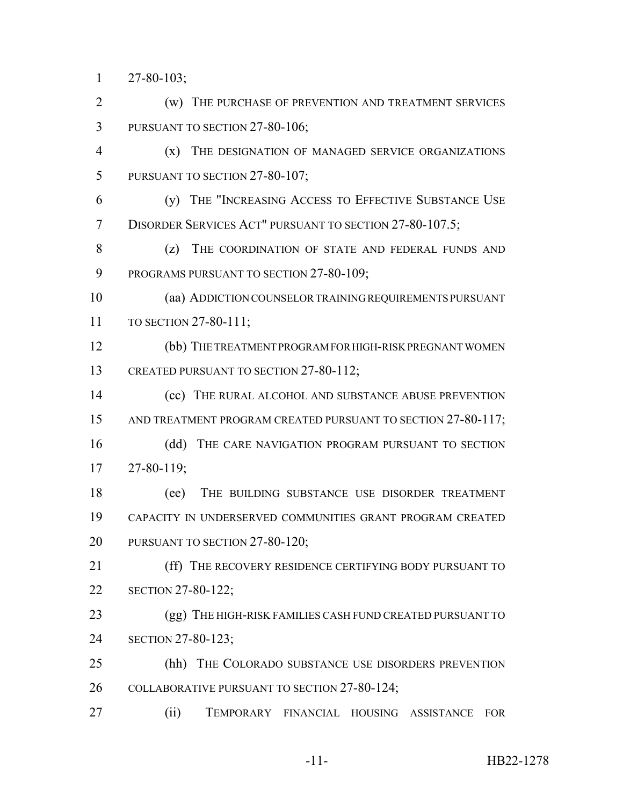27-80-103;

 (w) THE PURCHASE OF PREVENTION AND TREATMENT SERVICES 3 PURSUANT TO SECTION 27-80-106;

 (x) THE DESIGNATION OF MANAGED SERVICE ORGANIZATIONS 5 PURSUANT TO SECTION 27-80-107;

 (y) THE "INCREASING ACCESS TO EFFECTIVE SUBSTANCE USE DISORDER SERVICES ACT" PURSUANT TO SECTION 27-80-107.5;

8 (z) THE COORDINATION OF STATE AND FEDERAL FUNDS AND 9 PROGRAMS PURSUANT TO SECTION 27-80-109;

 (aa) ADDICTION COUNSELOR TRAINING REQUIREMENTS PURSUANT TO SECTION 27-80-111;

 (bb) THE TREATMENT PROGRAM FOR HIGH-RISK PREGNANT WOMEN 13 CREATED PURSUANT TO SECTION 27-80-112;

14 (cc) THE RURAL ALCOHOL AND SUBSTANCE ABUSE PREVENTION 15 AND TREATMENT PROGRAM CREATED PURSUANT TO SECTION 27-80-117;

16 (dd) THE CARE NAVIGATION PROGRAM PURSUANT TO SECTION 27-80-119;

 (ee) THE BUILDING SUBSTANCE USE DISORDER TREATMENT CAPACITY IN UNDERSERVED COMMUNITIES GRANT PROGRAM CREATED PURSUANT TO SECTION 27-80-120;

21 (ff) THE RECOVERY RESIDENCE CERTIFYING BODY PURSUANT TO SECTION 27-80-122;

23 (gg) THE HIGH-RISK FAMILIES CASH FUND CREATED PURSUANT TO SECTION 27-80-123;

 (hh) THE COLORADO SUBSTANCE USE DISORDERS PREVENTION COLLABORATIVE PURSUANT TO SECTION 27-80-124;

(ii) TEMPORARY FINANCIAL HOUSING ASSISTANCE FOR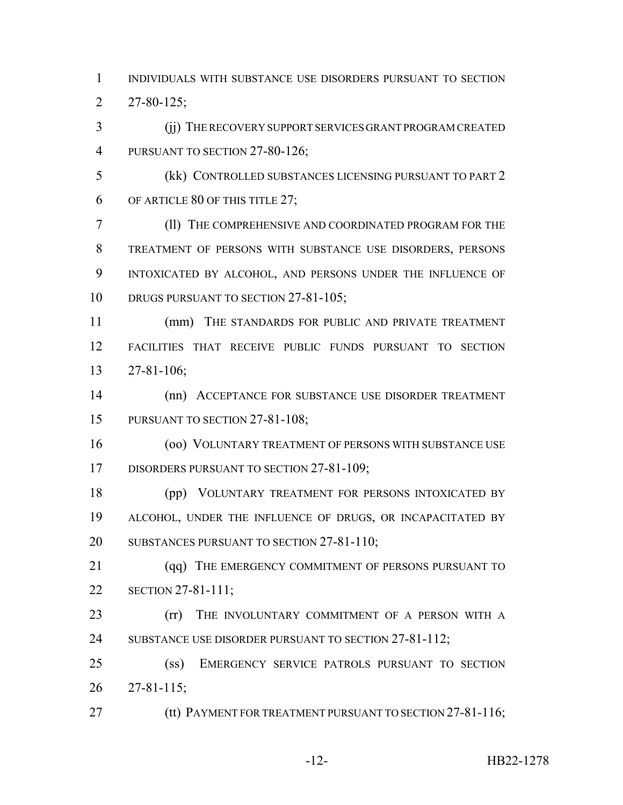INDIVIDUALS WITH SUBSTANCE USE DISORDERS PURSUANT TO SECTION 27-80-125;

 (jj) THE RECOVERY SUPPORT SERVICES GRANT PROGRAM CREATED 4 PURSUANT TO SECTION 27-80-126;

 (kk) CONTROLLED SUBSTANCES LICENSING PURSUANT TO PART 2 OF ARTICLE 80 OF THIS TITLE 27;

 (ll) THE COMPREHENSIVE AND COORDINATED PROGRAM FOR THE TREATMENT OF PERSONS WITH SUBSTANCE USE DISORDERS, PERSONS INTOXICATED BY ALCOHOL, AND PERSONS UNDER THE INFLUENCE OF 10 DRUGS PURSUANT TO SECTION 27-81-105;

 (mm) THE STANDARDS FOR PUBLIC AND PRIVATE TREATMENT FACILITIES THAT RECEIVE PUBLIC FUNDS PURSUANT TO SECTION 27-81-106;

 (nn) ACCEPTANCE FOR SUBSTANCE USE DISORDER TREATMENT 15 PURSUANT TO SECTION 27-81-108;

 (oo) VOLUNTARY TREATMENT OF PERSONS WITH SUBSTANCE USE 17 DISORDERS PURSUANT TO SECTION 27-81-109;

 (pp) VOLUNTARY TREATMENT FOR PERSONS INTOXICATED BY ALCOHOL, UNDER THE INFLUENCE OF DRUGS, OR INCAPACITATED BY SUBSTANCES PURSUANT TO SECTION 27-81-110;

21 (qq) THE EMERGENCY COMMITMENT OF PERSONS PURSUANT TO SECTION 27-81-111;

**(rr)** THE INVOLUNTARY COMMITMENT OF A PERSON WITH A 24 SUBSTANCE USE DISORDER PURSUANT TO SECTION 27-81-112;

 (ss) EMERGENCY SERVICE PATROLS PURSUANT TO SECTION 27-81-115;

**(tt) PAYMENT FOR TREATMENT PURSUANT TO SECTION 27-81-116;**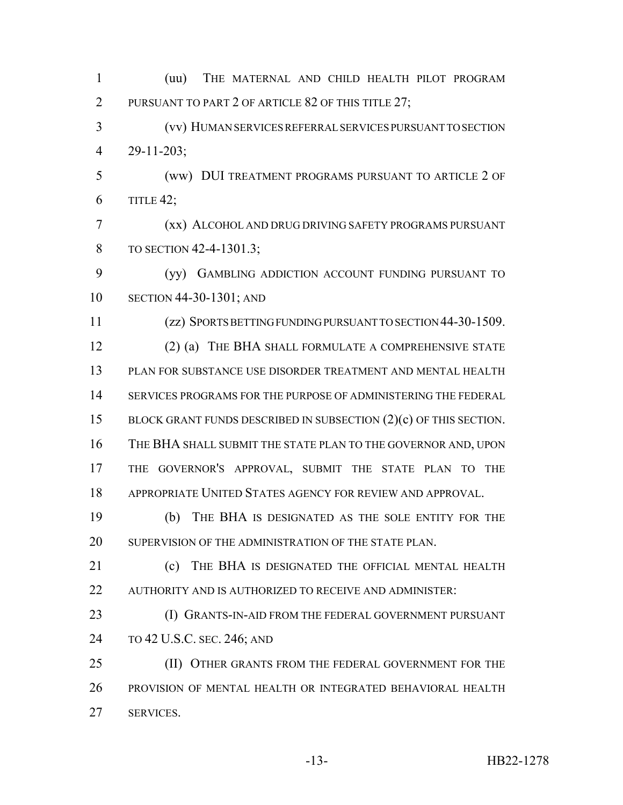(uu) THE MATERNAL AND CHILD HEALTH PILOT PROGRAM 2 PURSUANT TO PART 2 OF ARTICLE 82 OF THIS TITLE 27; (vv) HUMAN SERVICES REFERRAL SERVICES PURSUANT TO SECTION 29-11-203; (ww) DUI TREATMENT PROGRAMS PURSUANT TO ARTICLE 2 OF TITLE 42; (xx) ALCOHOL AND DRUG DRIVING SAFETY PROGRAMS PURSUANT 8 TO SECTION 42-4-1301.3: (yy) GAMBLING ADDICTION ACCOUNT FUNDING PURSUANT TO SECTION 44-30-1301; AND (zz) SPORTS BETTING FUNDING PURSUANT TO SECTION 44-30-1509. (2) (a) THE BHA SHALL FORMULATE A COMPREHENSIVE STATE PLAN FOR SUBSTANCE USE DISORDER TREATMENT AND MENTAL HEALTH SERVICES PROGRAMS FOR THE PURPOSE OF ADMINISTERING THE FEDERAL 15 BLOCK GRANT FUNDS DESCRIBED IN SUBSECTION (2)(c) OF THIS SECTION. THE BHA SHALL SUBMIT THE STATE PLAN TO THE GOVERNOR AND, UPON THE GOVERNOR'S APPROVAL, SUBMIT THE STATE PLAN TO THE APPROPRIATE UNITED STATES AGENCY FOR REVIEW AND APPROVAL. (b) THE BHA IS DESIGNATED AS THE SOLE ENTITY FOR THE 20 SUPERVISION OF THE ADMINISTRATION OF THE STATE PLAN. **(c)** THE BHA IS DESIGNATED THE OFFICIAL MENTAL HEALTH 22 AUTHORITY AND IS AUTHORIZED TO RECEIVE AND ADMINISTER: 23 (I) GRANTS-IN-AID FROM THE FEDERAL GOVERNMENT PURSUANT TO 42 U.S.C. SEC. 246; AND 25 (II) OTHER GRANTS FROM THE FEDERAL GOVERNMENT FOR THE PROVISION OF MENTAL HEALTH OR INTEGRATED BEHAVIORAL HEALTH SERVICES.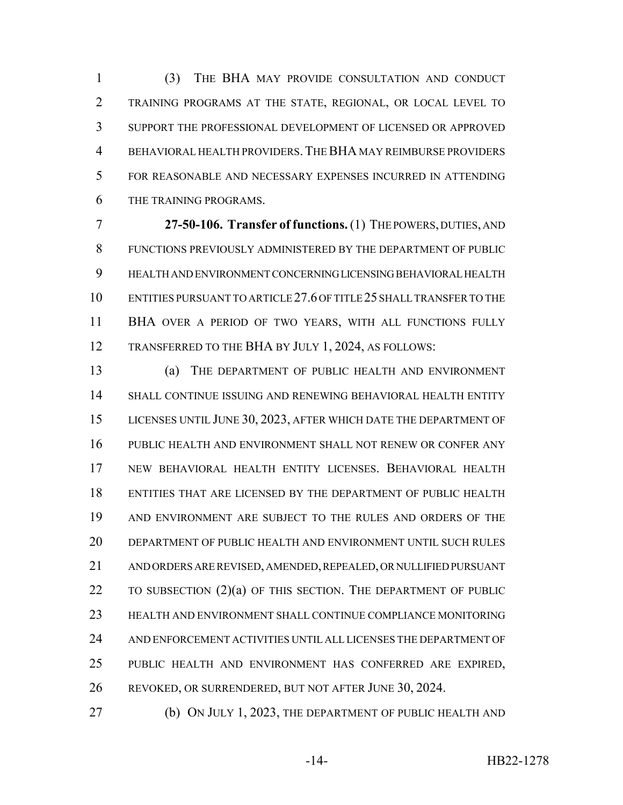(3) THE BHA MAY PROVIDE CONSULTATION AND CONDUCT TRAINING PROGRAMS AT THE STATE, REGIONAL, OR LOCAL LEVEL TO SUPPORT THE PROFESSIONAL DEVELOPMENT OF LICENSED OR APPROVED BEHAVIORAL HEALTH PROVIDERS.THE BHA MAY REIMBURSE PROVIDERS FOR REASONABLE AND NECESSARY EXPENSES INCURRED IN ATTENDING THE TRAINING PROGRAMS.

 **27-50-106. Transfer of functions.** (1) THE POWERS, DUTIES, AND FUNCTIONS PREVIOUSLY ADMINISTERED BY THE DEPARTMENT OF PUBLIC HEALTH AND ENVIRONMENT CONCERNING LICENSING BEHAVIORAL HEALTH ENTITIES PURSUANT TO ARTICLE 27.6 OF TITLE 25 SHALL TRANSFER TO THE BHA OVER A PERIOD OF TWO YEARS, WITH ALL FUNCTIONS FULLY 12 TRANSFERRED TO THE BHA BY JULY 1, 2024, AS FOLLOWS:

 (a) THE DEPARTMENT OF PUBLIC HEALTH AND ENVIRONMENT SHALL CONTINUE ISSUING AND RENEWING BEHAVIORAL HEALTH ENTITY LICENSES UNTIL JUNE 30, 2023, AFTER WHICH DATE THE DEPARTMENT OF PUBLIC HEALTH AND ENVIRONMENT SHALL NOT RENEW OR CONFER ANY NEW BEHAVIORAL HEALTH ENTITY LICENSES. BEHAVIORAL HEALTH ENTITIES THAT ARE LICENSED BY THE DEPARTMENT OF PUBLIC HEALTH AND ENVIRONMENT ARE SUBJECT TO THE RULES AND ORDERS OF THE DEPARTMENT OF PUBLIC HEALTH AND ENVIRONMENT UNTIL SUCH RULES AND ORDERS ARE REVISED, AMENDED, REPEALED, OR NULLIFIED PURSUANT 22 TO SUBSECTION (2)(a) OF THIS SECTION. THE DEPARTMENT OF PUBLIC HEALTH AND ENVIRONMENT SHALL CONTINUE COMPLIANCE MONITORING AND ENFORCEMENT ACTIVITIES UNTIL ALL LICENSES THE DEPARTMENT OF PUBLIC HEALTH AND ENVIRONMENT HAS CONFERRED ARE EXPIRED, REVOKED, OR SURRENDERED, BUT NOT AFTER JUNE 30, 2024.

(b) ON JULY 1, 2023, THE DEPARTMENT OF PUBLIC HEALTH AND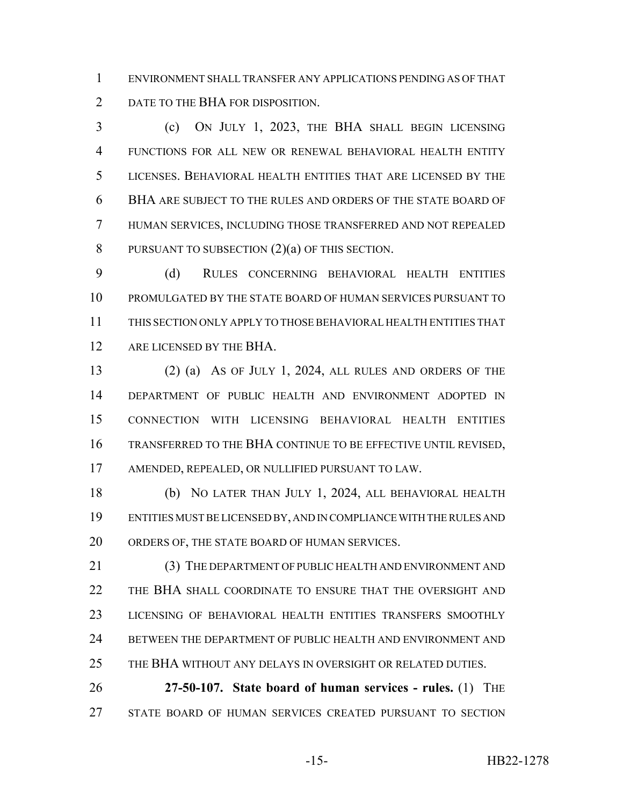ENVIRONMENT SHALL TRANSFER ANY APPLICATIONS PENDING AS OF THAT 2 DATE TO THE BHA FOR DISPOSITION.

 (c) ON JULY 1, 2023, THE BHA SHALL BEGIN LICENSING FUNCTIONS FOR ALL NEW OR RENEWAL BEHAVIORAL HEALTH ENTITY LICENSES. BEHAVIORAL HEALTH ENTITIES THAT ARE LICENSED BY THE BHA ARE SUBJECT TO THE RULES AND ORDERS OF THE STATE BOARD OF HUMAN SERVICES, INCLUDING THOSE TRANSFERRED AND NOT REPEALED 8 PURSUANT TO SUBSECTION  $(2)(a)$  OF THIS SECTION.

 (d) RULES CONCERNING BEHAVIORAL HEALTH ENTITIES PROMULGATED BY THE STATE BOARD OF HUMAN SERVICES PURSUANT TO THIS SECTION ONLY APPLY TO THOSE BEHAVIORAL HEALTH ENTITIES THAT 12 ARE LICENSED BY THE BHA.

 (2) (a) AS OF JULY 1, 2024, ALL RULES AND ORDERS OF THE DEPARTMENT OF PUBLIC HEALTH AND ENVIRONMENT ADOPTED IN CONNECTION WITH LICENSING BEHAVIORAL HEALTH ENTITIES TRANSFERRED TO THE BHA CONTINUE TO BE EFFECTIVE UNTIL REVISED, AMENDED, REPEALED, OR NULLIFIED PURSUANT TO LAW.

 (b) NO LATER THAN JULY 1, 2024, ALL BEHAVIORAL HEALTH ENTITIES MUST BE LICENSED BY, AND IN COMPLIANCE WITH THE RULES AND ORDERS OF, THE STATE BOARD OF HUMAN SERVICES.

 (3) THE DEPARTMENT OF PUBLIC HEALTH AND ENVIRONMENT AND THE BHA SHALL COORDINATE TO ENSURE THAT THE OVERSIGHT AND LICENSING OF BEHAVIORAL HEALTH ENTITIES TRANSFERS SMOOTHLY BETWEEN THE DEPARTMENT OF PUBLIC HEALTH AND ENVIRONMENT AND THE BHA WITHOUT ANY DELAYS IN OVERSIGHT OR RELATED DUTIES.

 **27-50-107. State board of human services - rules.** (1) THE STATE BOARD OF HUMAN SERVICES CREATED PURSUANT TO SECTION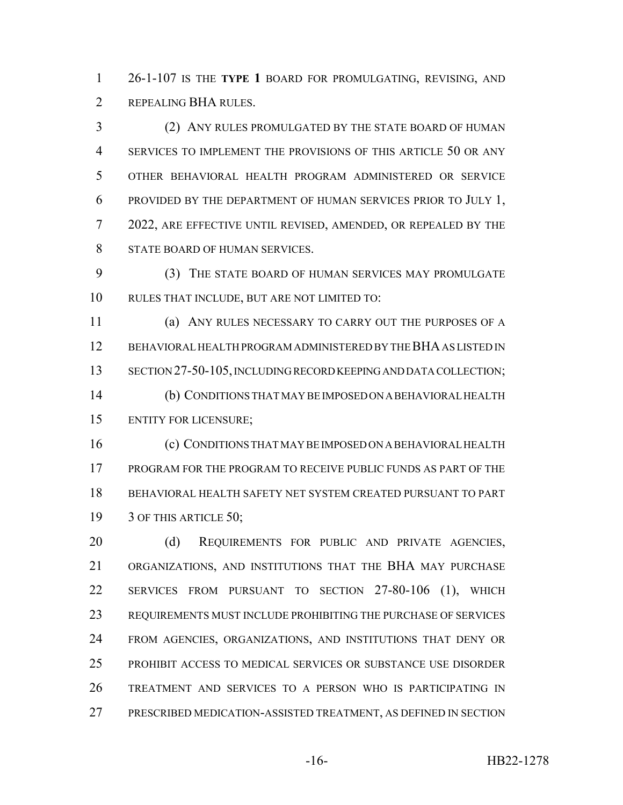26-1-107 IS THE **TYPE 1** BOARD FOR PROMULGATING, REVISING, AND 2 REPEALING BHA RULES.

 (2) ANY RULES PROMULGATED BY THE STATE BOARD OF HUMAN SERVICES TO IMPLEMENT THE PROVISIONS OF THIS ARTICLE 50 OR ANY OTHER BEHAVIORAL HEALTH PROGRAM ADMINISTERED OR SERVICE PROVIDED BY THE DEPARTMENT OF HUMAN SERVICES PRIOR TO JULY 1, 2022, ARE EFFECTIVE UNTIL REVISED, AMENDED, OR REPEALED BY THE STATE BOARD OF HUMAN SERVICES.

 (3) THE STATE BOARD OF HUMAN SERVICES MAY PROMULGATE RULES THAT INCLUDE, BUT ARE NOT LIMITED TO:

 (a) ANY RULES NECESSARY TO CARRY OUT THE PURPOSES OF A BEHAVIORAL HEALTH PROGRAM ADMINISTERED BY THE BHA AS LISTED IN 13 SECTION 27-50-105, INCLUDING RECORD KEEPING AND DATA COLLECTION; (b) CONDITIONS THAT MAY BE IMPOSED ON A BEHAVIORAL HEALTH ENTITY FOR LICENSURE;

 (c) CONDITIONS THAT MAY BE IMPOSED ON A BEHAVIORAL HEALTH PROGRAM FOR THE PROGRAM TO RECEIVE PUBLIC FUNDS AS PART OF THE BEHAVIORAL HEALTH SAFETY NET SYSTEM CREATED PURSUANT TO PART 3 OF THIS ARTICLE 50;

20 (d) REQUIREMENTS FOR PUBLIC AND PRIVATE AGENCIES, ORGANIZATIONS, AND INSTITUTIONS THAT THE BHA MAY PURCHASE SERVICES FROM PURSUANT TO SECTION 27-80-106 (1), WHICH REQUIREMENTS MUST INCLUDE PROHIBITING THE PURCHASE OF SERVICES FROM AGENCIES, ORGANIZATIONS, AND INSTITUTIONS THAT DENY OR PROHIBIT ACCESS TO MEDICAL SERVICES OR SUBSTANCE USE DISORDER TREATMENT AND SERVICES TO A PERSON WHO IS PARTICIPATING IN PRESCRIBED MEDICATION-ASSISTED TREATMENT, AS DEFINED IN SECTION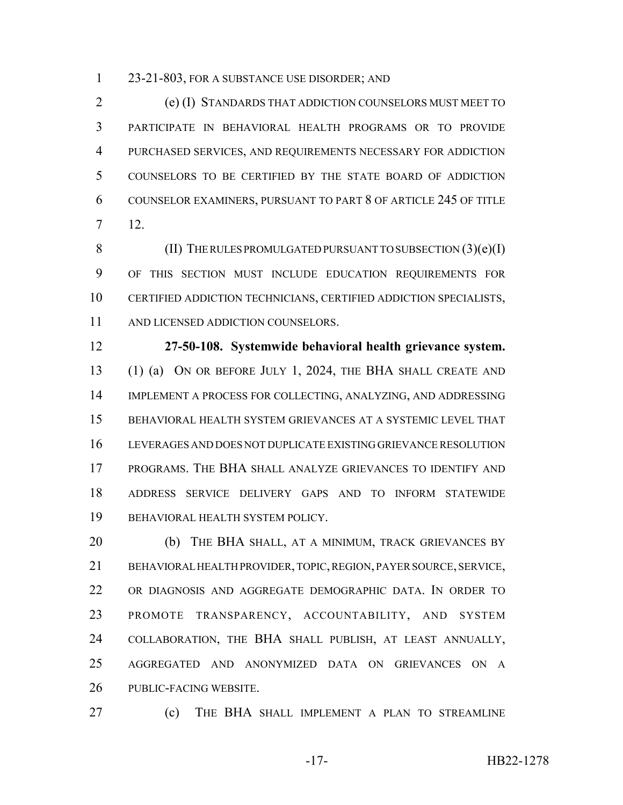23-21-803, FOR A SUBSTANCE USE DISORDER; AND

 (e) (I) STANDARDS THAT ADDICTION COUNSELORS MUST MEET TO PARTICIPATE IN BEHAVIORAL HEALTH PROGRAMS OR TO PROVIDE PURCHASED SERVICES, AND REQUIREMENTS NECESSARY FOR ADDICTION COUNSELORS TO BE CERTIFIED BY THE STATE BOARD OF ADDICTION COUNSELOR EXAMINERS, PURSUANT TO PART 8 OF ARTICLE 245 OF TITLE 12.

8 (II) THE RULES PROMULGATED PURSUANT TO SUBSECTION (3)(e)(I) OF THIS SECTION MUST INCLUDE EDUCATION REQUIREMENTS FOR CERTIFIED ADDICTION TECHNICIANS, CERTIFIED ADDICTION SPECIALISTS, 11 AND LICENSED ADDICTION COUNSELORS.

 **27-50-108. Systemwide behavioral health grievance system.** (1) (a) ON OR BEFORE JULY 1, 2024, THE BHA SHALL CREATE AND IMPLEMENT A PROCESS FOR COLLECTING, ANALYZING, AND ADDRESSING BEHAVIORAL HEALTH SYSTEM GRIEVANCES AT A SYSTEMIC LEVEL THAT LEVERAGES AND DOES NOT DUPLICATE EXISTING GRIEVANCE RESOLUTION PROGRAMS. THE BHA SHALL ANALYZE GRIEVANCES TO IDENTIFY AND ADDRESS SERVICE DELIVERY GAPS AND TO INFORM STATEWIDE BEHAVIORAL HEALTH SYSTEM POLICY.

20 (b) THE BHA SHALL, AT A MINIMUM, TRACK GRIEVANCES BY BEHAVIORAL HEALTH PROVIDER, TOPIC, REGION, PAYER SOURCE, SERVICE, OR DIAGNOSIS AND AGGREGATE DEMOGRAPHIC DATA. IN ORDER TO PROMOTE TRANSPARENCY, ACCOUNTABILITY, AND SYSTEM COLLABORATION, THE BHA SHALL PUBLISH, AT LEAST ANNUALLY, AGGREGATED AND ANONYMIZED DATA ON GRIEVANCES ON A PUBLIC-FACING WEBSITE.

(c) THE BHA SHALL IMPLEMENT A PLAN TO STREAMLINE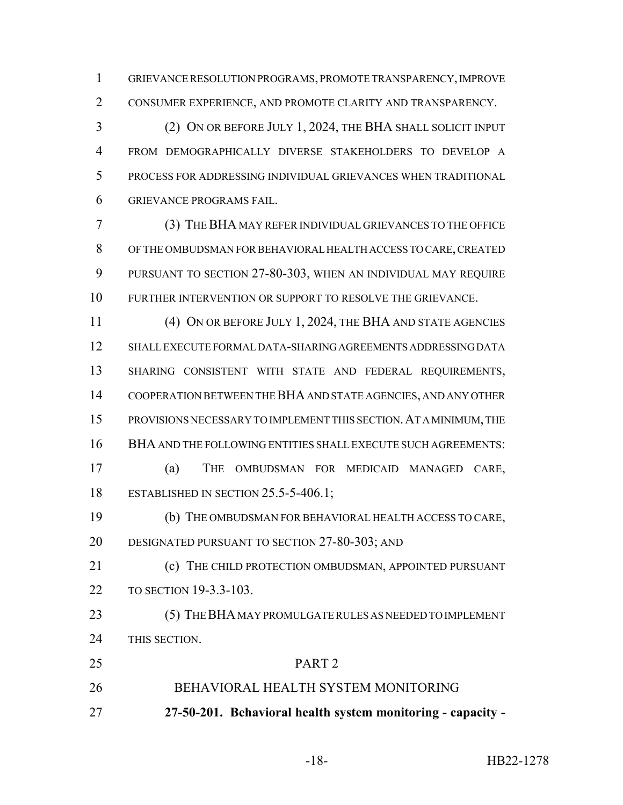GRIEVANCE RESOLUTION PROGRAMS, PROMOTE TRANSPARENCY, IMPROVE CONSUMER EXPERIENCE, AND PROMOTE CLARITY AND TRANSPARENCY.

 (2) ON OR BEFORE JULY 1, 2024, THE BHA SHALL SOLICIT INPUT FROM DEMOGRAPHICALLY DIVERSE STAKEHOLDERS TO DEVELOP A PROCESS FOR ADDRESSING INDIVIDUAL GRIEVANCES WHEN TRADITIONAL GRIEVANCE PROGRAMS FAIL.

 (3) THE BHA MAY REFER INDIVIDUAL GRIEVANCES TO THE OFFICE OF THE OMBUDSMAN FOR BEHAVIORAL HEALTH ACCESS TO CARE, CREATED PURSUANT TO SECTION 27-80-303, WHEN AN INDIVIDUAL MAY REQUIRE FURTHER INTERVENTION OR SUPPORT TO RESOLVE THE GRIEVANCE.

 (4) ON OR BEFORE JULY 1, 2024, THE BHA AND STATE AGENCIES SHALL EXECUTE FORMAL DATA-SHARING AGREEMENTS ADDRESSING DATA SHARING CONSISTENT WITH STATE AND FEDERAL REQUIREMENTS, COOPERATION BETWEEN THE BHA AND STATE AGENCIES, AND ANY OTHER PROVISIONS NECESSARY TO IMPLEMENT THIS SECTION.AT A MINIMUM, THE BHA AND THE FOLLOWING ENTITIES SHALL EXECUTE SUCH AGREEMENTS: (a) THE OMBUDSMAN FOR MEDICAID MANAGED CARE, 18 ESTABLISHED IN SECTION 25.5-5-406.1;

 (b) THE OMBUDSMAN FOR BEHAVIORAL HEALTH ACCESS TO CARE, DESIGNATED PURSUANT TO SECTION 27-80-303; AND

**(c)** THE CHILD PROTECTION OMBUDSMAN, APPOINTED PURSUANT TO SECTION 19-3.3-103.

 (5) THE BHA MAY PROMULGATE RULES AS NEEDED TO IMPLEMENT THIS SECTION.

- PART 2
- BEHAVIORAL HEALTH SYSTEM MONITORING
- **27-50-201. Behavioral health system monitoring capacity -**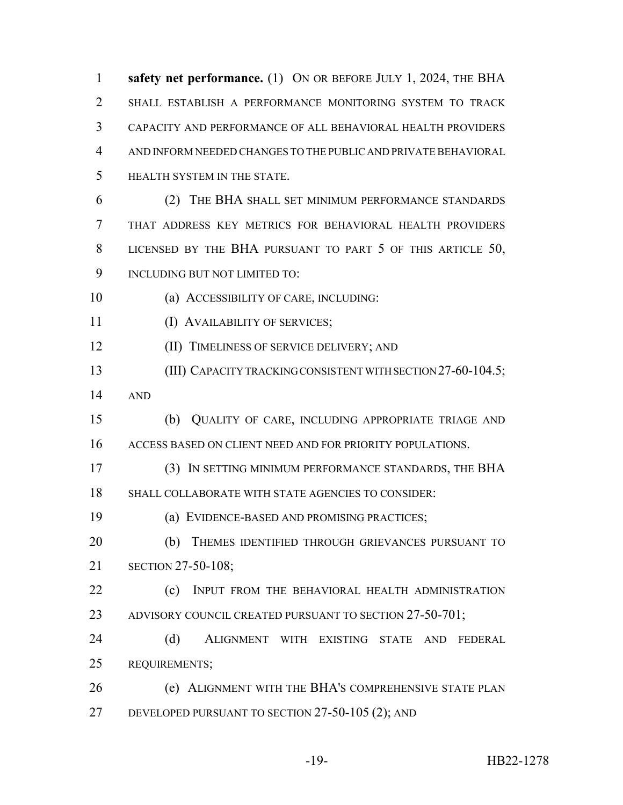**safety net performance.** (1) ON OR BEFORE JULY 1, 2024, THE BHA SHALL ESTABLISH A PERFORMANCE MONITORING SYSTEM TO TRACK CAPACITY AND PERFORMANCE OF ALL BEHAVIORAL HEALTH PROVIDERS AND INFORM NEEDED CHANGES TO THE PUBLIC AND PRIVATE BEHAVIORAL HEALTH SYSTEM IN THE STATE. (2) THE BHA SHALL SET MINIMUM PERFORMANCE STANDARDS THAT ADDRESS KEY METRICS FOR BEHAVIORAL HEALTH PROVIDERS

LICENSED BY THE BHA PURSUANT TO PART 5 OF THIS ARTICLE 50,

- INCLUDING BUT NOT LIMITED TO:
- (a) ACCESSIBILITY OF CARE, INCLUDING:
- 11 (I) AVAILABILITY OF SERVICES;
- (II) TIMELINESS OF SERVICE DELIVERY; AND
- (III) CAPACITY TRACKING CONSISTENT WITH SECTION 27-60-104.5;
- AND
- (b) QUALITY OF CARE, INCLUDING APPROPRIATE TRIAGE AND ACCESS BASED ON CLIENT NEED AND FOR PRIORITY POPULATIONS.
- (3) IN SETTING MINIMUM PERFORMANCE STANDARDS, THE BHA SHALL COLLABORATE WITH STATE AGENCIES TO CONSIDER:
- (a) EVIDENCE-BASED AND PROMISING PRACTICES;
- (b) THEMES IDENTIFIED THROUGH GRIEVANCES PURSUANT TO SECTION 27-50-108;
- **(c)** INPUT FROM THE BEHAVIORAL HEALTH ADMINISTRATION 23 ADVISORY COUNCIL CREATED PURSUANT TO SECTION 27-50-701;
- (d) ALIGNMENT WITH EXISTING STATE AND FEDERAL REQUIREMENTS;
- (e) ALIGNMENT WITH THE BHA'S COMPREHENSIVE STATE PLAN DEVELOPED PURSUANT TO SECTION 27-50-105 (2); AND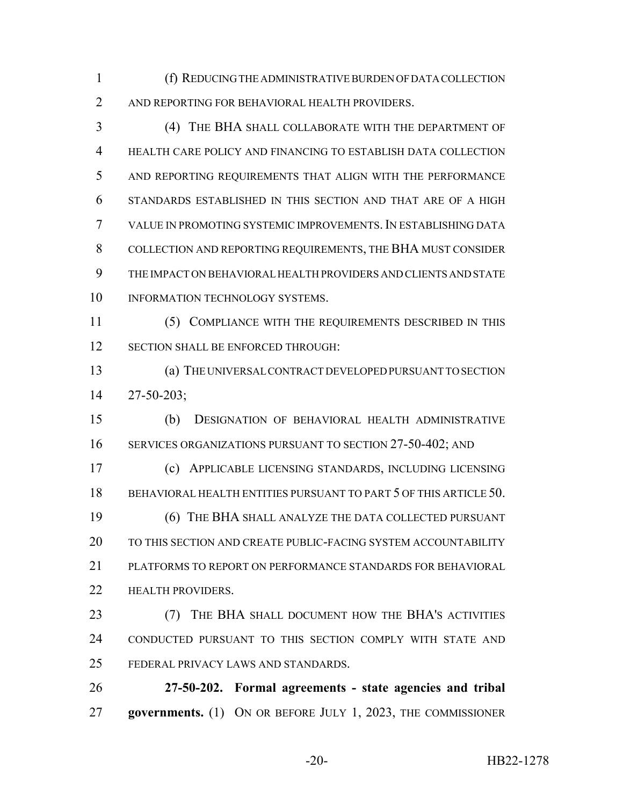(f) REDUCING THE ADMINISTRATIVE BURDEN OF DATA COLLECTION AND REPORTING FOR BEHAVIORAL HEALTH PROVIDERS.

 (4) THE BHA SHALL COLLABORATE WITH THE DEPARTMENT OF HEALTH CARE POLICY AND FINANCING TO ESTABLISH DATA COLLECTION AND REPORTING REQUIREMENTS THAT ALIGN WITH THE PERFORMANCE STANDARDS ESTABLISHED IN THIS SECTION AND THAT ARE OF A HIGH VALUE IN PROMOTING SYSTEMIC IMPROVEMENTS.IN ESTABLISHING DATA COLLECTION AND REPORTING REQUIREMENTS, THE BHA MUST CONSIDER THE IMPACT ON BEHAVIORAL HEALTH PROVIDERS AND CLIENTS AND STATE 10 INFORMATION TECHNOLOGY SYSTEMS.

 (5) COMPLIANCE WITH THE REQUIREMENTS DESCRIBED IN THIS 12 SECTION SHALL BE ENFORCED THROUGH:

 (a) THE UNIVERSAL CONTRACT DEVELOPED PURSUANT TO SECTION 27-50-203;

 (b) DESIGNATION OF BEHAVIORAL HEALTH ADMINISTRATIVE 16 SERVICES ORGANIZATIONS PURSUANT TO SECTION 27-50-402; AND (c) APPLICABLE LICENSING STANDARDS, INCLUDING LICENSING 18 BEHAVIORAL HEALTH ENTITIES PURSUANT TO PART 5 OF THIS ARTICLE 50.

 (6) THE BHA SHALL ANALYZE THE DATA COLLECTED PURSUANT TO THIS SECTION AND CREATE PUBLIC-FACING SYSTEM ACCOUNTABILITY PLATFORMS TO REPORT ON PERFORMANCE STANDARDS FOR BEHAVIORAL **HEALTH PROVIDERS.** 

 (7) THE BHA SHALL DOCUMENT HOW THE BHA'S ACTIVITIES CONDUCTED PURSUANT TO THIS SECTION COMPLY WITH STATE AND FEDERAL PRIVACY LAWS AND STANDARDS.

 **27-50-202. Formal agreements - state agencies and tribal governments.** (1) ON OR BEFORE JULY 1, 2023, THE COMMISSIONER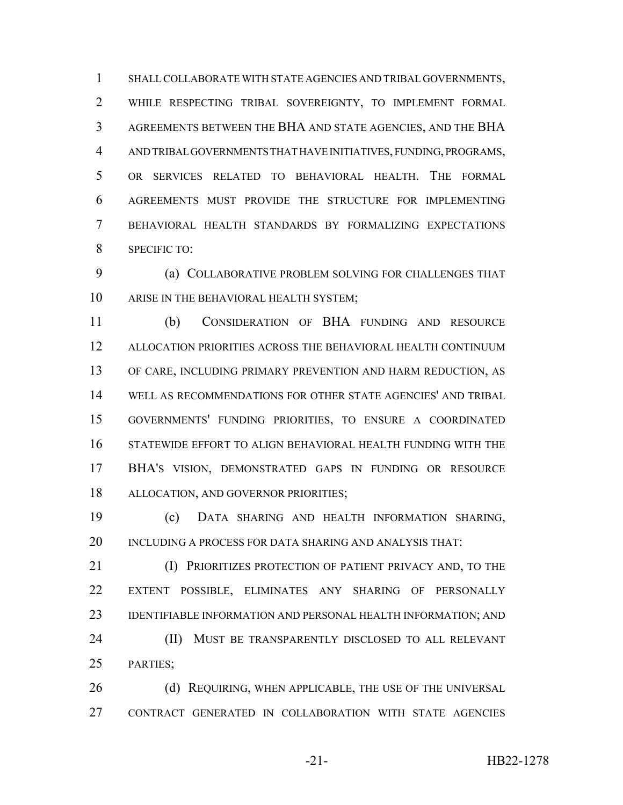SHALL COLLABORATE WITH STATE AGENCIES AND TRIBAL GOVERNMENTS, WHILE RESPECTING TRIBAL SOVEREIGNTY, TO IMPLEMENT FORMAL AGREEMENTS BETWEEN THE BHA AND STATE AGENCIES, AND THE BHA AND TRIBAL GOVERNMENTS THAT HAVE INITIATIVES, FUNDING, PROGRAMS, OR SERVICES RELATED TO BEHAVIORAL HEALTH. THE FORMAL AGREEMENTS MUST PROVIDE THE STRUCTURE FOR IMPLEMENTING BEHAVIORAL HEALTH STANDARDS BY FORMALIZING EXPECTATIONS SPECIFIC TO:

 (a) COLLABORATIVE PROBLEM SOLVING FOR CHALLENGES THAT ARISE IN THE BEHAVIORAL HEALTH SYSTEM;

 (b) CONSIDERATION OF BHA FUNDING AND RESOURCE ALLOCATION PRIORITIES ACROSS THE BEHAVIORAL HEALTH CONTINUUM OF CARE, INCLUDING PRIMARY PREVENTION AND HARM REDUCTION, AS WELL AS RECOMMENDATIONS FOR OTHER STATE AGENCIES' AND TRIBAL GOVERNMENTS' FUNDING PRIORITIES, TO ENSURE A COORDINATED STATEWIDE EFFORT TO ALIGN BEHAVIORAL HEALTH FUNDING WITH THE BHA'S VISION, DEMONSTRATED GAPS IN FUNDING OR RESOURCE ALLOCATION, AND GOVERNOR PRIORITIES;

 (c) DATA SHARING AND HEALTH INFORMATION SHARING, 20 INCLUDING A PROCESS FOR DATA SHARING AND ANALYSIS THAT:

**(I) PRIORITIZES PROTECTION OF PATIENT PRIVACY AND, TO THE**  EXTENT POSSIBLE, ELIMINATES ANY SHARING OF PERSONALLY 23 IDENTIFIABLE INFORMATION AND PERSONAL HEALTH INFORMATION; AND (II) MUST BE TRANSPARENTLY DISCLOSED TO ALL RELEVANT PARTIES;

26 (d) REQUIRING, WHEN APPLICABLE, THE USE OF THE UNIVERSAL CONTRACT GENERATED IN COLLABORATION WITH STATE AGENCIES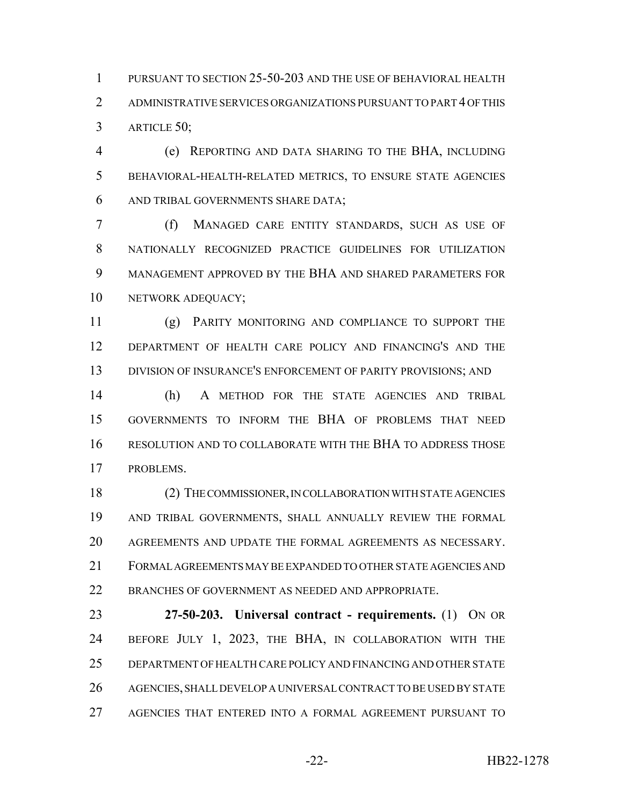PURSUANT TO SECTION 25-50-203 AND THE USE OF BEHAVIORAL HEALTH ADMINISTRATIVE SERVICES ORGANIZATIONS PURSUANT TO PART 4 OF THIS ARTICLE 50;

 (e) REPORTING AND DATA SHARING TO THE BHA, INCLUDING BEHAVIORAL-HEALTH-RELATED METRICS, TO ENSURE STATE AGENCIES AND TRIBAL GOVERNMENTS SHARE DATA;

 (f) MANAGED CARE ENTITY STANDARDS, SUCH AS USE OF NATIONALLY RECOGNIZED PRACTICE GUIDELINES FOR UTILIZATION MANAGEMENT APPROVED BY THE BHA AND SHARED PARAMETERS FOR 10 NETWORK ADEQUACY;

 (g) PARITY MONITORING AND COMPLIANCE TO SUPPORT THE DEPARTMENT OF HEALTH CARE POLICY AND FINANCING'S AND THE DIVISION OF INSURANCE'S ENFORCEMENT OF PARITY PROVISIONS; AND

 (h) A METHOD FOR THE STATE AGENCIES AND TRIBAL GOVERNMENTS TO INFORM THE BHA OF PROBLEMS THAT NEED RESOLUTION AND TO COLLABORATE WITH THE BHA TO ADDRESS THOSE PROBLEMS.

 (2) THE COMMISSIONER, IN COLLABORATION WITH STATE AGENCIES AND TRIBAL GOVERNMENTS, SHALL ANNUALLY REVIEW THE FORMAL AGREEMENTS AND UPDATE THE FORMAL AGREEMENTS AS NECESSARY. FORMAL AGREEMENTS MAY BE EXPANDED TO OTHER STATE AGENCIES AND BRANCHES OF GOVERNMENT AS NEEDED AND APPROPRIATE.

 **27-50-203. Universal contract - requirements.** (1) ON OR BEFORE JULY 1, 2023, THE BHA, IN COLLABORATION WITH THE DEPARTMENT OF HEALTH CARE POLICY AND FINANCING AND OTHER STATE AGENCIES, SHALL DEVELOP A UNIVERSAL CONTRACT TO BE USED BY STATE AGENCIES THAT ENTERED INTO A FORMAL AGREEMENT PURSUANT TO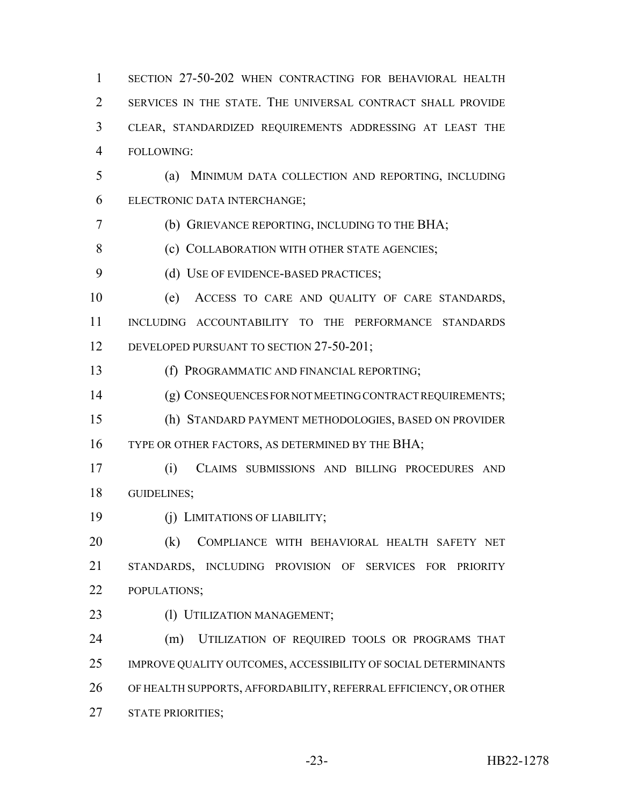SECTION 27-50-202 WHEN CONTRACTING FOR BEHAVIORAL HEALTH SERVICES IN THE STATE. THE UNIVERSAL CONTRACT SHALL PROVIDE CLEAR, STANDARDIZED REQUIREMENTS ADDRESSING AT LEAST THE FOLLOWING:

 (a) MINIMUM DATA COLLECTION AND REPORTING, INCLUDING ELECTRONIC DATA INTERCHANGE;

(b) GRIEVANCE REPORTING, INCLUDING TO THE BHA;

8 (c) COLLABORATION WITH OTHER STATE AGENCIES;

9 (d) USE OF EVIDENCE-BASED PRACTICES;

 (e) ACCESS TO CARE AND QUALITY OF CARE STANDARDS, INCLUDING ACCOUNTABILITY TO THE PERFORMANCE STANDARDS 12 DEVELOPED PURSUANT TO SECTION 27-50-201;

(f) PROGRAMMATIC AND FINANCIAL REPORTING;

(g) CONSEQUENCES FOR NOT MEETING CONTRACT REQUIREMENTS;

 (h) STANDARD PAYMENT METHODOLOGIES, BASED ON PROVIDER 16 TYPE OR OTHER FACTORS, AS DETERMINED BY THE BHA;

 (i) CLAIMS SUBMISSIONS AND BILLING PROCEDURES AND GUIDELINES;

(j) LIMITATIONS OF LIABILITY;

 (k) COMPLIANCE WITH BEHAVIORAL HEALTH SAFETY NET STANDARDS, INCLUDING PROVISION OF SERVICES FOR PRIORITY POPULATIONS;

23 (1) UTILIZATION MANAGEMENT;

 (m) UTILIZATION OF REQUIRED TOOLS OR PROGRAMS THAT IMPROVE QUALITY OUTCOMES, ACCESSIBILITY OF SOCIAL DETERMINANTS OF HEALTH SUPPORTS, AFFORDABILITY, REFERRAL EFFICIENCY, OR OTHER STATE PRIORITIES;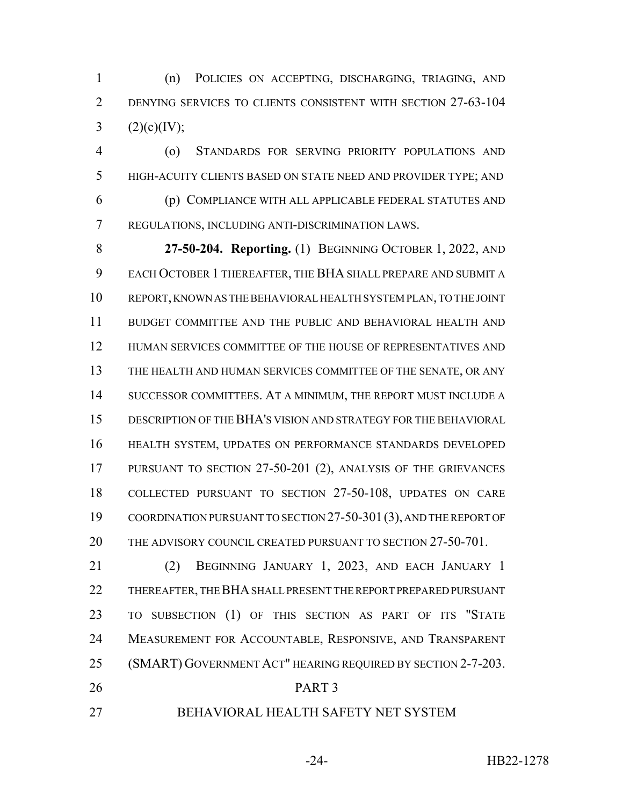(n) POLICIES ON ACCEPTING, DISCHARGING, TRIAGING, AND DENYING SERVICES TO CLIENTS CONSISTENT WITH SECTION 27-63-104 3  $(2)(c)(IV);$ 

 (o) STANDARDS FOR SERVING PRIORITY POPULATIONS AND HIGH-ACUITY CLIENTS BASED ON STATE NEED AND PROVIDER TYPE; AND (p) COMPLIANCE WITH ALL APPLICABLE FEDERAL STATUTES AND REGULATIONS, INCLUDING ANTI-DISCRIMINATION LAWS.

 **27-50-204. Reporting.** (1) BEGINNING OCTOBER 1, 2022, AND EACH OCTOBER 1 THEREAFTER, THE BHA SHALL PREPARE AND SUBMIT A REPORT, KNOWN AS THE BEHAVIORAL HEALTH SYSTEM PLAN, TO THE JOINT BUDGET COMMITTEE AND THE PUBLIC AND BEHAVIORAL HEALTH AND HUMAN SERVICES COMMITTEE OF THE HOUSE OF REPRESENTATIVES AND THE HEALTH AND HUMAN SERVICES COMMITTEE OF THE SENATE, OR ANY SUCCESSOR COMMITTEES. AT A MINIMUM, THE REPORT MUST INCLUDE A DESCRIPTION OF THE BHA'S VISION AND STRATEGY FOR THE BEHAVIORAL HEALTH SYSTEM, UPDATES ON PERFORMANCE STANDARDS DEVELOPED PURSUANT TO SECTION 27-50-201 (2), ANALYSIS OF THE GRIEVANCES COLLECTED PURSUANT TO SECTION 27-50-108, UPDATES ON CARE COORDINATION PURSUANT TO SECTION 27-50-301(3), AND THE REPORT OF 20 THE ADVISORY COUNCIL CREATED PURSUANT TO SECTION 27-50-701.

 (2) BEGINNING JANUARY 1, 2023, AND EACH JANUARY 1 THEREAFTER, THE BHA SHALL PRESENT THE REPORT PREPARED PURSUANT TO SUBSECTION (1) OF THIS SECTION AS PART OF ITS "STATE MEASUREMENT FOR ACCOUNTABLE, RESPONSIVE, AND TRANSPARENT (SMART) GOVERNMENT ACT" HEARING REQUIRED BY SECTION 2-7-203. PART 3

BEHAVIORAL HEALTH SAFETY NET SYSTEM

-24- HB22-1278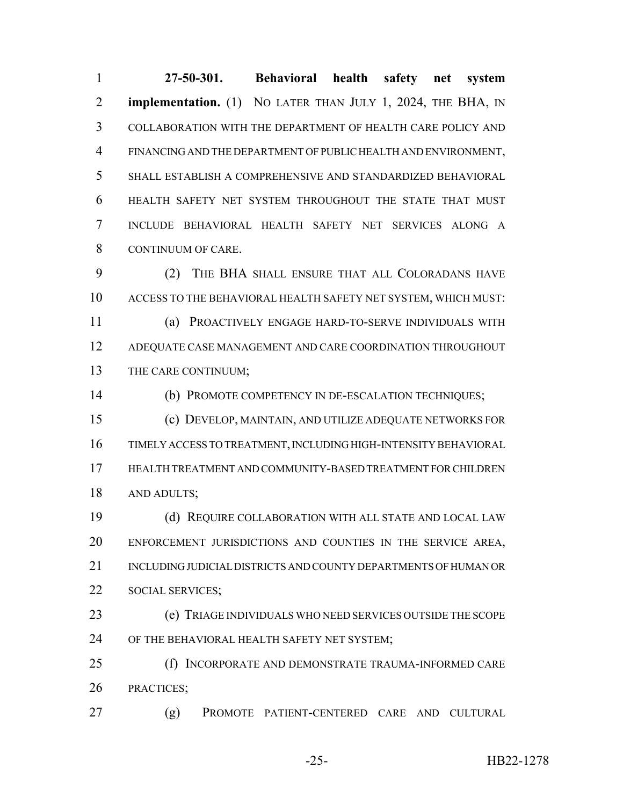**27-50-301. Behavioral health safety net system implementation.** (1) NO LATER THAN JULY 1, 2024, THE BHA, IN COLLABORATION WITH THE DEPARTMENT OF HEALTH CARE POLICY AND FINANCING AND THE DEPARTMENT OF PUBLIC HEALTH AND ENVIRONMENT, SHALL ESTABLISH A COMPREHENSIVE AND STANDARDIZED BEHAVIORAL HEALTH SAFETY NET SYSTEM THROUGHOUT THE STATE THAT MUST INCLUDE BEHAVIORAL HEALTH SAFETY NET SERVICES ALONG A CONTINUUM OF CARE.

 (2) THE BHA SHALL ENSURE THAT ALL COLORADANS HAVE ACCESS TO THE BEHAVIORAL HEALTH SAFETY NET SYSTEM, WHICH MUST: (a) PROACTIVELY ENGAGE HARD-TO-SERVE INDIVIDUALS WITH ADEQUATE CASE MANAGEMENT AND CARE COORDINATION THROUGHOUT THE CARE CONTINUUM;

(b) PROMOTE COMPETENCY IN DE-ESCALATION TECHNIQUES;

 (c) DEVELOP, MAINTAIN, AND UTILIZE ADEQUATE NETWORKS FOR TIMELY ACCESS TO TREATMENT, INCLUDING HIGH-INTENSITY BEHAVIORAL HEALTH TREATMENT AND COMMUNITY-BASED TREATMENT FOR CHILDREN AND ADULTS;

 (d) REQUIRE COLLABORATION WITH ALL STATE AND LOCAL LAW ENFORCEMENT JURISDICTIONS AND COUNTIES IN THE SERVICE AREA, INCLUDING JUDICIAL DISTRICTS AND COUNTY DEPARTMENTS OF HUMAN OR 22 SOCIAL SERVICES:

 (e) TRIAGE INDIVIDUALS WHO NEED SERVICES OUTSIDE THE SCOPE OF THE BEHAVIORAL HEALTH SAFETY NET SYSTEM;

 (f) INCORPORATE AND DEMONSTRATE TRAUMA-INFORMED CARE PRACTICES;

(g) PROMOTE PATIENT-CENTERED CARE AND CULTURAL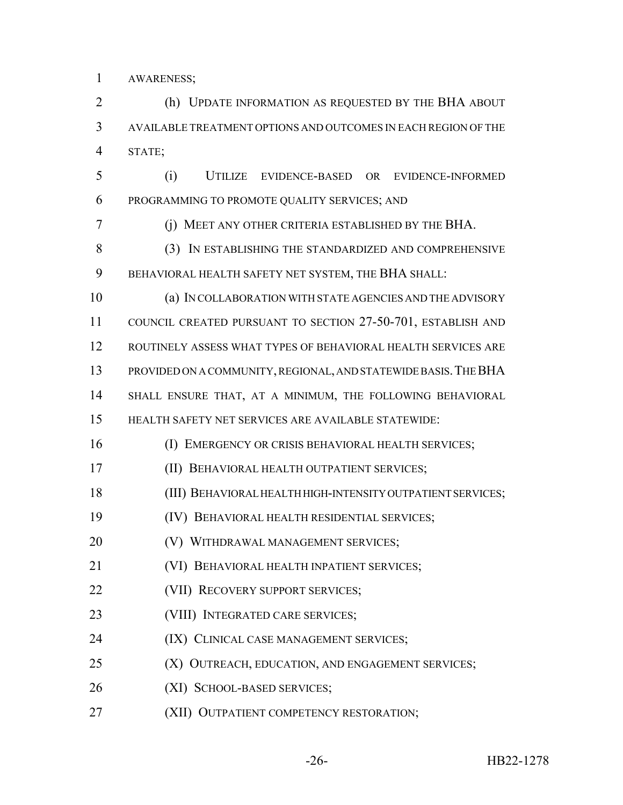AWARENESS;

 (h) UPDATE INFORMATION AS REQUESTED BY THE BHA ABOUT AVAILABLE TREATMENT OPTIONS AND OUTCOMES IN EACH REGION OF THE STATE;

 (i) UTILIZE EVIDENCE-BASED OR EVIDENCE-INFORMED PROGRAMMING TO PROMOTE QUALITY SERVICES; AND

(j) MEET ANY OTHER CRITERIA ESTABLISHED BY THE BHA.

8 (3) IN ESTABLISHING THE STANDARDIZED AND COMPREHENSIVE BEHAVIORAL HEALTH SAFETY NET SYSTEM, THE BHA SHALL:

 (a) IN COLLABORATION WITH STATE AGENCIES AND THE ADVISORY COUNCIL CREATED PURSUANT TO SECTION 27-50-701, ESTABLISH AND ROUTINELY ASSESS WHAT TYPES OF BEHAVIORAL HEALTH SERVICES ARE PROVIDED ON A COMMUNITY, REGIONAL, AND STATEWIDE BASIS.THE BHA SHALL ENSURE THAT, AT A MINIMUM, THE FOLLOWING BEHAVIORAL

HEALTH SAFETY NET SERVICES ARE AVAILABLE STATEWIDE:

(I) EMERGENCY OR CRISIS BEHAVIORAL HEALTH SERVICES;

- (II) BEHAVIORAL HEALTH OUTPATIENT SERVICES;
- (III) BEHAVIORAL HEALTH HIGH-INTENSITY OUTPATIENT SERVICES;
- (IV) BEHAVIORAL HEALTH RESIDENTIAL SERVICES;
- (V) WITHDRAWAL MANAGEMENT SERVICES;
- (VI) BEHAVIORAL HEALTH INPATIENT SERVICES;
- **(VII) RECOVERY SUPPORT SERVICES;**
- 23 (VIII) INTEGRATED CARE SERVICES;
- 24 (IX) CLINICAL CASE MANAGEMENT SERVICES;
- **(X) OUTREACH, EDUCATION, AND ENGAGEMENT SERVICES;**
- (XI) SCHOOL-BASED SERVICES;
- **(XII) OUTPATIENT COMPETENCY RESTORATION;**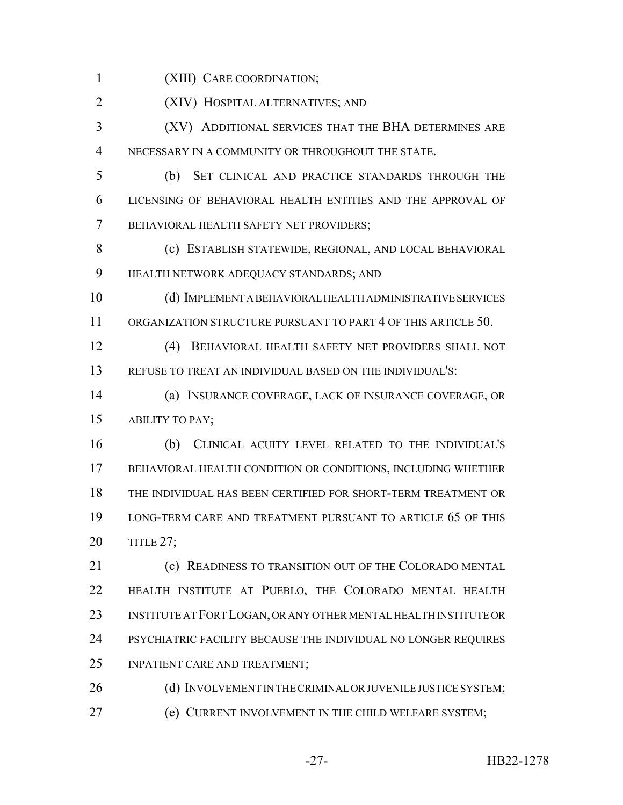(XIII) CARE COORDINATION;

(XIV) HOSPITAL ALTERNATIVES; AND

 (XV) ADDITIONAL SERVICES THAT THE BHA DETERMINES ARE NECESSARY IN A COMMUNITY OR THROUGHOUT THE STATE.

 (b) SET CLINICAL AND PRACTICE STANDARDS THROUGH THE LICENSING OF BEHAVIORAL HEALTH ENTITIES AND THE APPROVAL OF BEHAVIORAL HEALTH SAFETY NET PROVIDERS;

 (c) ESTABLISH STATEWIDE, REGIONAL, AND LOCAL BEHAVIORAL HEALTH NETWORK ADEQUACY STANDARDS; AND

 (d) IMPLEMENT A BEHAVIORAL HEALTH ADMINISTRATIVE SERVICES ORGANIZATION STRUCTURE PURSUANT TO PART 4 OF THIS ARTICLE 50.

 (4) BEHAVIORAL HEALTH SAFETY NET PROVIDERS SHALL NOT REFUSE TO TREAT AN INDIVIDUAL BASED ON THE INDIVIDUAL'S:

 (a) INSURANCE COVERAGE, LACK OF INSURANCE COVERAGE, OR ABILITY TO PAY;

 (b) CLINICAL ACUITY LEVEL RELATED TO THE INDIVIDUAL'S BEHAVIORAL HEALTH CONDITION OR CONDITIONS, INCLUDING WHETHER THE INDIVIDUAL HAS BEEN CERTIFIED FOR SHORT-TERM TREATMENT OR LONG-TERM CARE AND TREATMENT PURSUANT TO ARTICLE 65 OF THIS TITLE 27;

**(c) READINESS TO TRANSITION OUT OF THE COLORADO MENTAL**  HEALTH INSTITUTE AT PUEBLO, THE COLORADO MENTAL HEALTH INSTITUTE AT FORT LOGAN, OR ANY OTHER MENTAL HEALTH INSTITUTE OR PSYCHIATRIC FACILITY BECAUSE THE INDIVIDUAL NO LONGER REQUIRES INPATIENT CARE AND TREATMENT;

26 (d) INVOLVEMENT IN THE CRIMINAL OR JUVENILE JUSTICE SYSTEM; (e) CURRENT INVOLVEMENT IN THE CHILD WELFARE SYSTEM;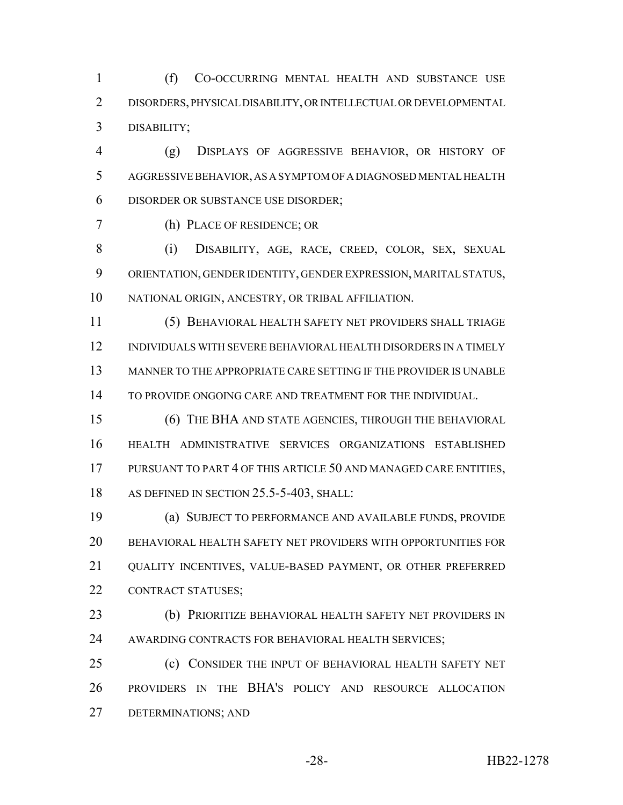(f) CO-OCCURRING MENTAL HEALTH AND SUBSTANCE USE DISORDERS, PHYSICAL DISABILITY, OR INTELLECTUAL OR DEVELOPMENTAL DISABILITY;

 (g) DISPLAYS OF AGGRESSIVE BEHAVIOR, OR HISTORY OF AGGRESSIVE BEHAVIOR, AS A SYMPTOM OF A DIAGNOSED MENTAL HEALTH DISORDER OR SUBSTANCE USE DISORDER;

(h) PLACE OF RESIDENCE; OR

 (i) DISABILITY, AGE, RACE, CREED, COLOR, SEX, SEXUAL ORIENTATION, GENDER IDENTITY, GENDER EXPRESSION, MARITAL STATUS, NATIONAL ORIGIN, ANCESTRY, OR TRIBAL AFFILIATION.

 (5) BEHAVIORAL HEALTH SAFETY NET PROVIDERS SHALL TRIAGE INDIVIDUALS WITH SEVERE BEHAVIORAL HEALTH DISORDERS IN A TIMELY MANNER TO THE APPROPRIATE CARE SETTING IF THE PROVIDER IS UNABLE TO PROVIDE ONGOING CARE AND TREATMENT FOR THE INDIVIDUAL.

 (6) THE BHA AND STATE AGENCIES, THROUGH THE BEHAVIORAL HEALTH ADMINISTRATIVE SERVICES ORGANIZATIONS ESTABLISHED PURSUANT TO PART 4 OF THIS ARTICLE 50 AND MANAGED CARE ENTITIES, 18 AS DEFINED IN SECTION 25.5-5-403, SHALL:

 (a) SUBJECT TO PERFORMANCE AND AVAILABLE FUNDS, PROVIDE BEHAVIORAL HEALTH SAFETY NET PROVIDERS WITH OPPORTUNITIES FOR QUALITY INCENTIVES, VALUE-BASED PAYMENT, OR OTHER PREFERRED CONTRACT STATUSES;

 (b) PRIORITIZE BEHAVIORAL HEALTH SAFETY NET PROVIDERS IN AWARDING CONTRACTS FOR BEHAVIORAL HEALTH SERVICES;

 (c) CONSIDER THE INPUT OF BEHAVIORAL HEALTH SAFETY NET PROVIDERS IN THE BHA'S POLICY AND RESOURCE ALLOCATION DETERMINATIONS; AND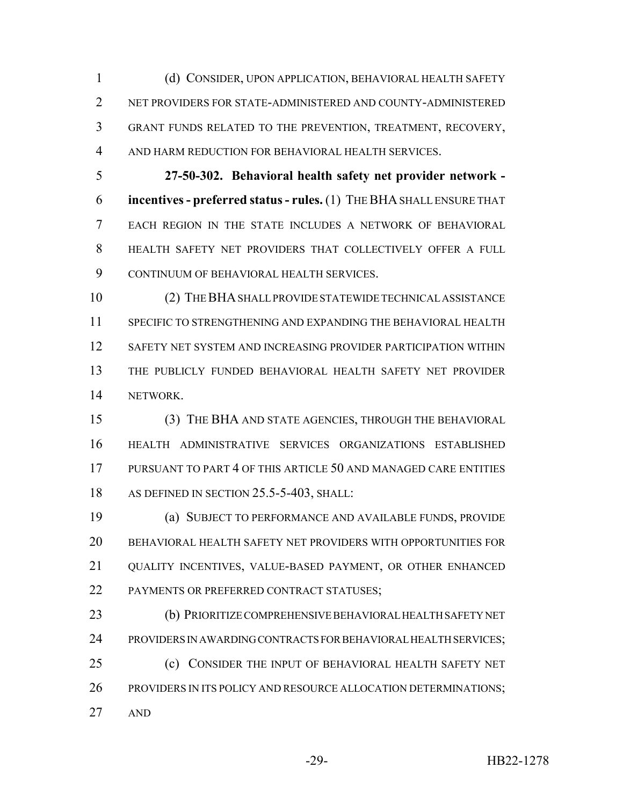(d) CONSIDER, UPON APPLICATION, BEHAVIORAL HEALTH SAFETY NET PROVIDERS FOR STATE-ADMINISTERED AND COUNTY-ADMINISTERED GRANT FUNDS RELATED TO THE PREVENTION, TREATMENT, RECOVERY, AND HARM REDUCTION FOR BEHAVIORAL HEALTH SERVICES.

 **27-50-302. Behavioral health safety net provider network - incentives - preferred status - rules.** (1) THE BHA SHALL ENSURE THAT EACH REGION IN THE STATE INCLUDES A NETWORK OF BEHAVIORAL HEALTH SAFETY NET PROVIDERS THAT COLLECTIVELY OFFER A FULL CONTINUUM OF BEHAVIORAL HEALTH SERVICES.

 (2) THE BHA SHALL PROVIDE STATEWIDE TECHNICAL ASSISTANCE SPECIFIC TO STRENGTHENING AND EXPANDING THE BEHAVIORAL HEALTH SAFETY NET SYSTEM AND INCREASING PROVIDER PARTICIPATION WITHIN THE PUBLICLY FUNDED BEHAVIORAL HEALTH SAFETY NET PROVIDER NETWORK.

 (3) THE BHA AND STATE AGENCIES, THROUGH THE BEHAVIORAL HEALTH ADMINISTRATIVE SERVICES ORGANIZATIONS ESTABLISHED PURSUANT TO PART 4 OF THIS ARTICLE 50 AND MANAGED CARE ENTITIES 18 AS DEFINED IN SECTION 25.5-5-403, SHALL:

 (a) SUBJECT TO PERFORMANCE AND AVAILABLE FUNDS, PROVIDE BEHAVIORAL HEALTH SAFETY NET PROVIDERS WITH OPPORTUNITIES FOR QUALITY INCENTIVES, VALUE-BASED PAYMENT, OR OTHER ENHANCED 22 PAYMENTS OR PREFERRED CONTRACT STATUSES;

 (b) PRIORITIZE COMPREHENSIVE BEHAVIORAL HEALTH SAFETY NET PROVIDERS IN AWARDING CONTRACTS FOR BEHAVIORAL HEALTH SERVICES; (c) CONSIDER THE INPUT OF BEHAVIORAL HEALTH SAFETY NET 26 PROVIDERS IN ITS POLICY AND RESOURCE ALLOCATION DETERMINATIONS; AND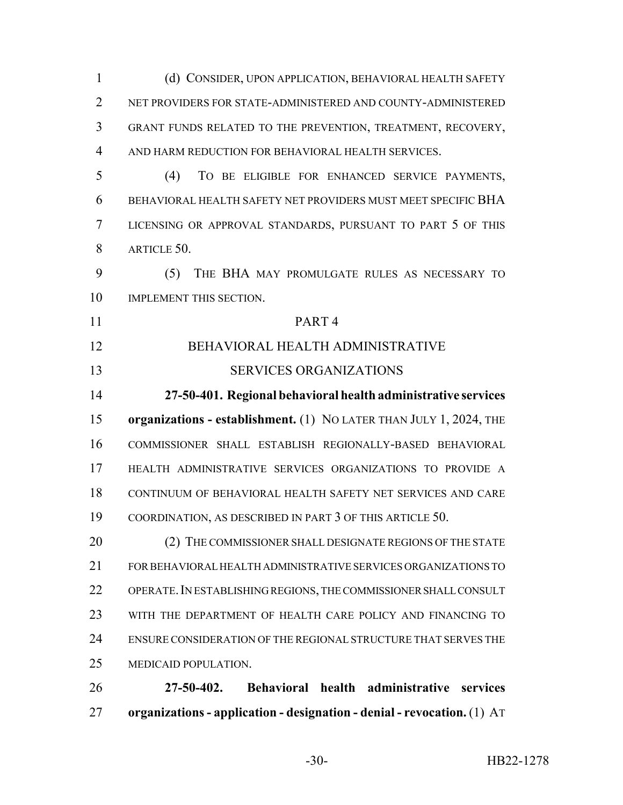(d) CONSIDER, UPON APPLICATION, BEHAVIORAL HEALTH SAFETY NET PROVIDERS FOR STATE-ADMINISTERED AND COUNTY-ADMINISTERED GRANT FUNDS RELATED TO THE PREVENTION, TREATMENT, RECOVERY, AND HARM REDUCTION FOR BEHAVIORAL HEALTH SERVICES. (4) TO BE ELIGIBLE FOR ENHANCED SERVICE PAYMENTS, BEHAVIORAL HEALTH SAFETY NET PROVIDERS MUST MEET SPECIFIC BHA LICENSING OR APPROVAL STANDARDS, PURSUANT TO PART 5 OF THIS 8 ARTICLE 50. (5) THE BHA MAY PROMULGATE RULES AS NECESSARY TO IMPLEMENT THIS SECTION. PART 4 BEHAVIORAL HEALTH ADMINISTRATIVE SERVICES ORGANIZATIONS **27-50-401. Regional behavioral health administrative services organizations - establishment.** (1) NO LATER THAN JULY 1, 2024, THE COMMISSIONER SHALL ESTABLISH REGIONALLY-BASED BEHAVIORAL HEALTH ADMINISTRATIVE SERVICES ORGANIZATIONS TO PROVIDE A CONTINUUM OF BEHAVIORAL HEALTH SAFETY NET SERVICES AND CARE COORDINATION, AS DESCRIBED IN PART 3 OF THIS ARTICLE 50. 20 (2) THE COMMISSIONER SHALL DESIGNATE REGIONS OF THE STATE FOR BEHAVIORAL HEALTH ADMINISTRATIVE SERVICES ORGANIZATIONS TO 22 OPERATE. IN ESTABLISHING REGIONS, THE COMMISSIONER SHALL CONSULT WITH THE DEPARTMENT OF HEALTH CARE POLICY AND FINANCING TO ENSURE CONSIDERATION OF THE REGIONAL STRUCTURE THAT SERVES THE MEDICAID POPULATION. **27-50-402. Behavioral health administrative services organizations - application - designation - denial - revocation.** (1) AT

-30- HB22-1278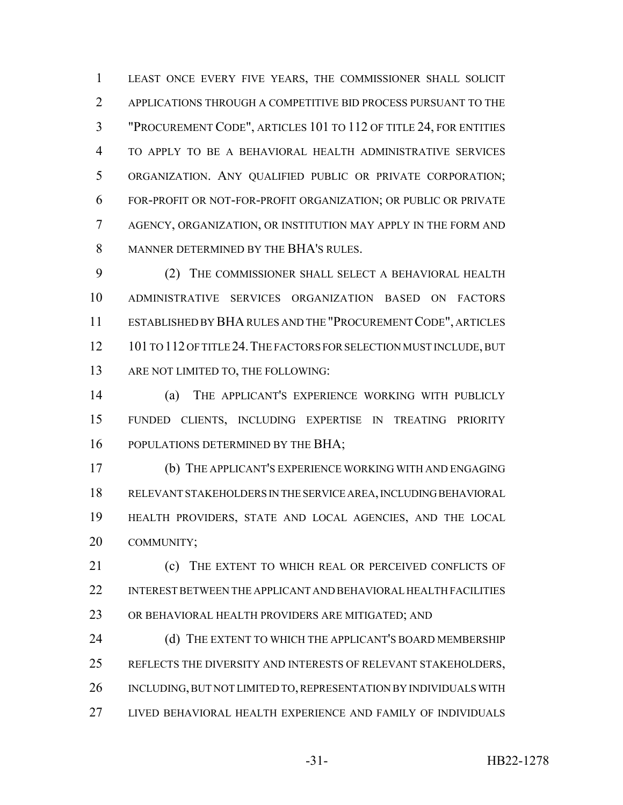LEAST ONCE EVERY FIVE YEARS, THE COMMISSIONER SHALL SOLICIT APPLICATIONS THROUGH A COMPETITIVE BID PROCESS PURSUANT TO THE "PROCUREMENT CODE", ARTICLES 101 TO 112 OF TITLE 24, FOR ENTITIES TO APPLY TO BE A BEHAVIORAL HEALTH ADMINISTRATIVE SERVICES ORGANIZATION. ANY QUALIFIED PUBLIC OR PRIVATE CORPORATION; FOR-PROFIT OR NOT-FOR-PROFIT ORGANIZATION; OR PUBLIC OR PRIVATE AGENCY, ORGANIZATION, OR INSTITUTION MAY APPLY IN THE FORM AND MANNER DETERMINED BY THE BHA'S RULES.

 (2) THE COMMISSIONER SHALL SELECT A BEHAVIORAL HEALTH ADMINISTRATIVE SERVICES ORGANIZATION BASED ON FACTORS ESTABLISHED BY BHA RULES AND THE "PROCUREMENT CODE", ARTICLES 12 101 TO 112 OF TITLE 24. THE FACTORS FOR SELECTION MUST INCLUDE, BUT 13 ARE NOT LIMITED TO, THE FOLLOWING:

 (a) THE APPLICANT'S EXPERIENCE WORKING WITH PUBLICLY FUNDED CLIENTS, INCLUDING EXPERTISE IN TREATING PRIORITY 16 POPULATIONS DETERMINED BY THE BHA;

 (b) THE APPLICANT'S EXPERIENCE WORKING WITH AND ENGAGING RELEVANT STAKEHOLDERS IN THE SERVICE AREA, INCLUDING BEHAVIORAL HEALTH PROVIDERS, STATE AND LOCAL AGENCIES, AND THE LOCAL COMMUNITY;

21 (c) THE EXTENT TO WHICH REAL OR PERCEIVED CONFLICTS OF INTEREST BETWEEN THE APPLICANT AND BEHAVIORAL HEALTH FACILITIES OR BEHAVIORAL HEALTH PROVIDERS ARE MITIGATED; AND

24 (d) THE EXTENT TO WHICH THE APPLICANT'S BOARD MEMBERSHIP REFLECTS THE DIVERSITY AND INTERESTS OF RELEVANT STAKEHOLDERS, INCLUDING, BUT NOT LIMITED TO, REPRESENTATION BY INDIVIDUALS WITH LIVED BEHAVIORAL HEALTH EXPERIENCE AND FAMILY OF INDIVIDUALS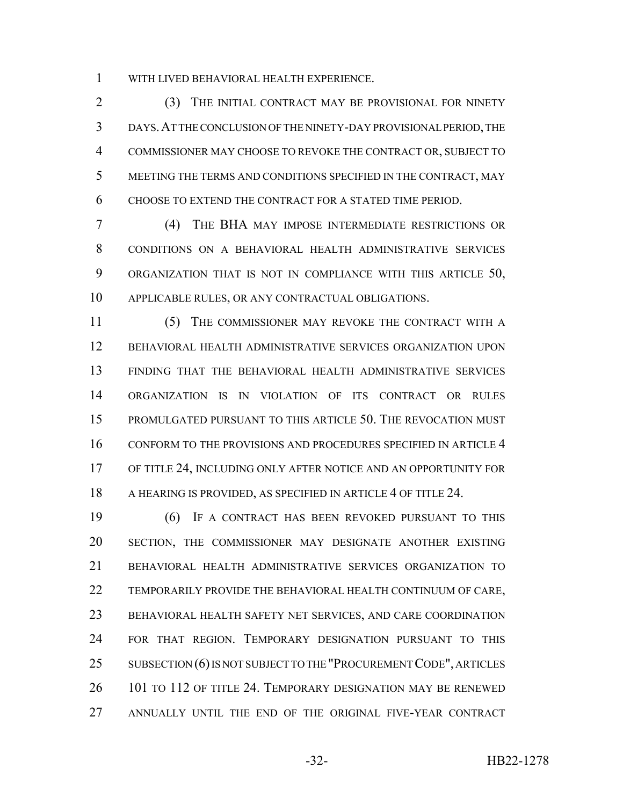WITH LIVED BEHAVIORAL HEALTH EXPERIENCE.

2 (3) THE INITIAL CONTRACT MAY BE PROVISIONAL FOR NINETY DAYS.AT THE CONCLUSION OF THE NINETY-DAY PROVISIONAL PERIOD, THE COMMISSIONER MAY CHOOSE TO REVOKE THE CONTRACT OR, SUBJECT TO MEETING THE TERMS AND CONDITIONS SPECIFIED IN THE CONTRACT, MAY CHOOSE TO EXTEND THE CONTRACT FOR A STATED TIME PERIOD.

 (4) THE BHA MAY IMPOSE INTERMEDIATE RESTRICTIONS OR CONDITIONS ON A BEHAVIORAL HEALTH ADMINISTRATIVE SERVICES 9 ORGANIZATION THAT IS NOT IN COMPLIANCE WITH THIS ARTICLE 50, APPLICABLE RULES, OR ANY CONTRACTUAL OBLIGATIONS.

 (5) THE COMMISSIONER MAY REVOKE THE CONTRACT WITH A BEHAVIORAL HEALTH ADMINISTRATIVE SERVICES ORGANIZATION UPON FINDING THAT THE BEHAVIORAL HEALTH ADMINISTRATIVE SERVICES ORGANIZATION IS IN VIOLATION OF ITS CONTRACT OR RULES PROMULGATED PURSUANT TO THIS ARTICLE 50. THE REVOCATION MUST CONFORM TO THE PROVISIONS AND PROCEDURES SPECIFIED IN ARTICLE 4 OF TITLE 24, INCLUDING ONLY AFTER NOTICE AND AN OPPORTUNITY FOR 18 A HEARING IS PROVIDED, AS SPECIFIED IN ARTICLE 4 OF TITLE 24.

 (6) IF A CONTRACT HAS BEEN REVOKED PURSUANT TO THIS SECTION, THE COMMISSIONER MAY DESIGNATE ANOTHER EXISTING BEHAVIORAL HEALTH ADMINISTRATIVE SERVICES ORGANIZATION TO TEMPORARILY PROVIDE THE BEHAVIORAL HEALTH CONTINUUM OF CARE, BEHAVIORAL HEALTH SAFETY NET SERVICES, AND CARE COORDINATION FOR THAT REGION. TEMPORARY DESIGNATION PURSUANT TO THIS 25 SUBSECTION (6) IS NOT SUBJECT TO THE "PROCUREMENT CODE", ARTICLES 26 101 TO 112 OF TITLE 24. TEMPORARY DESIGNATION MAY BE RENEWED ANNUALLY UNTIL THE END OF THE ORIGINAL FIVE-YEAR CONTRACT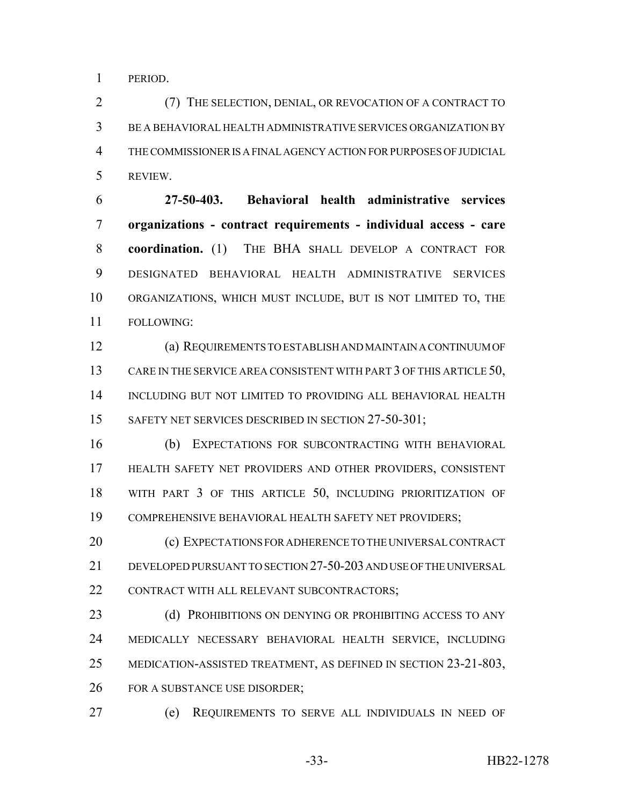PERIOD.

 (7) THE SELECTION, DENIAL, OR REVOCATION OF A CONTRACT TO BE A BEHAVIORAL HEALTH ADMINISTRATIVE SERVICES ORGANIZATION BY THE COMMISSIONER IS A FINAL AGENCY ACTION FOR PURPOSES OF JUDICIAL REVIEW.

 **27-50-403. Behavioral health administrative services organizations - contract requirements - individual access - care coordination.** (1) THE BHA SHALL DEVELOP A CONTRACT FOR DESIGNATED BEHAVIORAL HEALTH ADMINISTRATIVE SERVICES ORGANIZATIONS, WHICH MUST INCLUDE, BUT IS NOT LIMITED TO, THE FOLLOWING:

 (a) REQUIREMENTS TO ESTABLISH AND MAINTAIN A CONTINUUM OF 13 CARE IN THE SERVICE AREA CONSISTENT WITH PART 3 OF THIS ARTICLE 50, INCLUDING BUT NOT LIMITED TO PROVIDING ALL BEHAVIORAL HEALTH 15 SAFETY NET SERVICES DESCRIBED IN SECTION 27-50-301;

 (b) EXPECTATIONS FOR SUBCONTRACTING WITH BEHAVIORAL HEALTH SAFETY NET PROVIDERS AND OTHER PROVIDERS, CONSISTENT WITH PART 3 OF THIS ARTICLE 50, INCLUDING PRIORITIZATION OF COMPREHENSIVE BEHAVIORAL HEALTH SAFETY NET PROVIDERS;

20 (c) EXPECTATIONS FOR ADHERENCE TO THE UNIVERSAL CONTRACT DEVELOPED PURSUANT TO SECTION 27-50-203 AND USE OF THE UNIVERSAL 22 CONTRACT WITH ALL RELEVANT SUBCONTRACTORS;

23 (d) PROHIBITIONS ON DENYING OR PROHIBITING ACCESS TO ANY MEDICALLY NECESSARY BEHAVIORAL HEALTH SERVICE, INCLUDING MEDICATION-ASSISTED TREATMENT, AS DEFINED IN SECTION 23-21-803, 26 FOR A SUBSTANCE USE DISORDER;

(e) REQUIREMENTS TO SERVE ALL INDIVIDUALS IN NEED OF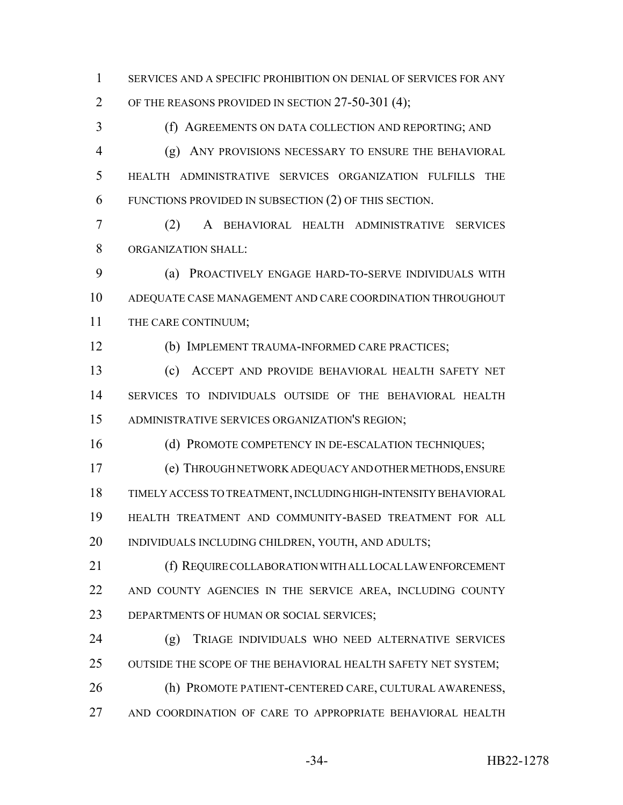SERVICES AND A SPECIFIC PROHIBITION ON DENIAL OF SERVICES FOR ANY OF THE REASONS PROVIDED IN SECTION 27-50-301 (4);

 (f) AGREEMENTS ON DATA COLLECTION AND REPORTING; AND (g) ANY PROVISIONS NECESSARY TO ENSURE THE BEHAVIORAL HEALTH ADMINISTRATIVE SERVICES ORGANIZATION FULFILLS THE FUNCTIONS PROVIDED IN SUBSECTION (2) OF THIS SECTION.

 (2) A BEHAVIORAL HEALTH ADMINISTRATIVE SERVICES ORGANIZATION SHALL:

 (a) PROACTIVELY ENGAGE HARD-TO-SERVE INDIVIDUALS WITH ADEQUATE CASE MANAGEMENT AND CARE COORDINATION THROUGHOUT THE CARE CONTINUUM;

(b) IMPLEMENT TRAUMA-INFORMED CARE PRACTICES;

 (c) ACCEPT AND PROVIDE BEHAVIORAL HEALTH SAFETY NET SERVICES TO INDIVIDUALS OUTSIDE OF THE BEHAVIORAL HEALTH ADMINISTRATIVE SERVICES ORGANIZATION'S REGION;

16 (d) PROMOTE COMPETENCY IN DE-ESCALATION TECHNIQUES;

 (e) THROUGH NETWORK ADEQUACY AND OTHER METHODS, ENSURE TIMELY ACCESS TO TREATMENT, INCLUDING HIGH-INTENSITY BEHAVIORAL HEALTH TREATMENT AND COMMUNITY-BASED TREATMENT FOR ALL INDIVIDUALS INCLUDING CHILDREN, YOUTH, AND ADULTS;

 (f) REQUIRE COLLABORATION WITH ALL LOCAL LAW ENFORCEMENT AND COUNTY AGENCIES IN THE SERVICE AREA, INCLUDING COUNTY DEPARTMENTS OF HUMAN OR SOCIAL SERVICES;

 (g) TRIAGE INDIVIDUALS WHO NEED ALTERNATIVE SERVICES 25 OUTSIDE THE SCOPE OF THE BEHAVIORAL HEALTH SAFETY NET SYSTEM; (h) PROMOTE PATIENT-CENTERED CARE, CULTURAL AWARENESS, AND COORDINATION OF CARE TO APPROPRIATE BEHAVIORAL HEALTH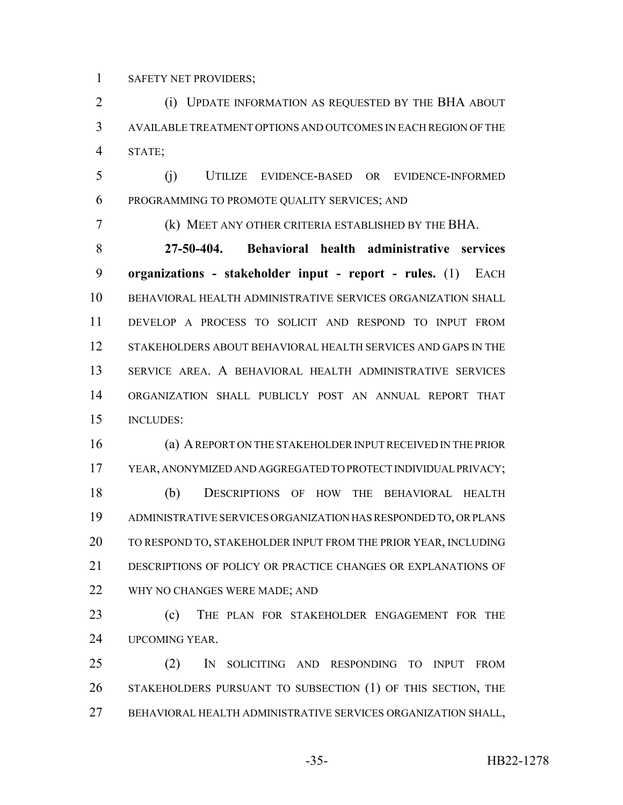SAFETY NET PROVIDERS;

**(i) UPDATE INFORMATION AS REQUESTED BY THE BHA ABOUT**  AVAILABLE TREATMENT OPTIONS AND OUTCOMES IN EACH REGION OF THE STATE;

 (j) UTILIZE EVIDENCE-BASED OR EVIDENCE-INFORMED PROGRAMMING TO PROMOTE QUALITY SERVICES; AND

(k) MEET ANY OTHER CRITERIA ESTABLISHED BY THE BHA.

 **27-50-404. Behavioral health administrative services organizations - stakeholder input - report - rules.** (1) EACH BEHAVIORAL HEALTH ADMINISTRATIVE SERVICES ORGANIZATION SHALL DEVELOP A PROCESS TO SOLICIT AND RESPOND TO INPUT FROM STAKEHOLDERS ABOUT BEHAVIORAL HEALTH SERVICES AND GAPS IN THE SERVICE AREA. A BEHAVIORAL HEALTH ADMINISTRATIVE SERVICES ORGANIZATION SHALL PUBLICLY POST AN ANNUAL REPORT THAT INCLUDES:

 (a) A REPORT ON THE STAKEHOLDER INPUT RECEIVED IN THE PRIOR YEAR, ANONYMIZED AND AGGREGATED TO PROTECT INDIVIDUAL PRIVACY; (b) DESCRIPTIONS OF HOW THE BEHAVIORAL HEALTH ADMINISTRATIVE SERVICES ORGANIZATION HAS RESPONDED TO, OR PLANS TO RESPOND TO, STAKEHOLDER INPUT FROM THE PRIOR YEAR, INCLUDING DESCRIPTIONS OF POLICY OR PRACTICE CHANGES OR EXPLANATIONS OF WHY NO CHANGES WERE MADE; AND

 (c) THE PLAN FOR STAKEHOLDER ENGAGEMENT FOR THE UPCOMING YEAR.

 (2) IN SOLICITING AND RESPONDING TO INPUT FROM STAKEHOLDERS PURSUANT TO SUBSECTION (1) OF THIS SECTION, THE BEHAVIORAL HEALTH ADMINISTRATIVE SERVICES ORGANIZATION SHALL,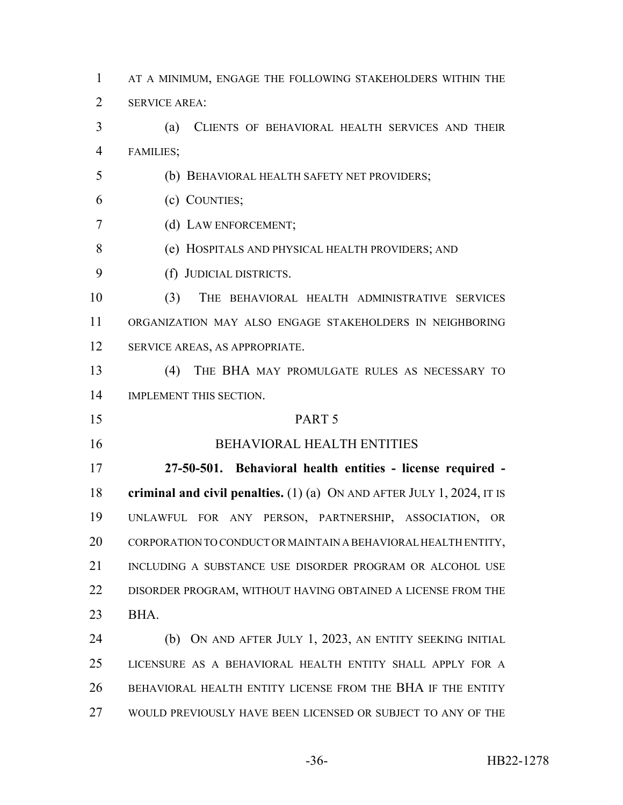AT A MINIMUM, ENGAGE THE FOLLOWING STAKEHOLDERS WITHIN THE SERVICE AREA: (a) CLIENTS OF BEHAVIORAL HEALTH SERVICES AND THEIR FAMILIES; (b) BEHAVIORAL HEALTH SAFETY NET PROVIDERS; (c) COUNTIES;

- (d) LAW ENFORCEMENT;
- (e) HOSPITALS AND PHYSICAL HEALTH PROVIDERS; AND
- (f) JUDICIAL DISTRICTS.

 (3) THE BEHAVIORAL HEALTH ADMINISTRATIVE SERVICES ORGANIZATION MAY ALSO ENGAGE STAKEHOLDERS IN NEIGHBORING SERVICE AREAS, AS APPROPRIATE.

 (4) THE BHA MAY PROMULGATE RULES AS NECESSARY TO IMPLEMENT THIS SECTION.

## PART 5

#### BEHAVIORAL HEALTH ENTITIES

 **27-50-501. Behavioral health entities - license required - criminal and civil penalties.** (1) (a) ON AND AFTER JULY 1, 2024, IT IS UNLAWFUL FOR ANY PERSON, PARTNERSHIP, ASSOCIATION, OR CORPORATION TO CONDUCT OR MAINTAIN A BEHAVIORAL HEALTH ENTITY, 21 INCLUDING A SUBSTANCE USE DISORDER PROGRAM OR ALCOHOL USE DISORDER PROGRAM, WITHOUT HAVING OBTAINED A LICENSE FROM THE BHA.

 (b) ON AND AFTER JULY 1, 2023, AN ENTITY SEEKING INITIAL LICENSURE AS A BEHAVIORAL HEALTH ENTITY SHALL APPLY FOR A BEHAVIORAL HEALTH ENTITY LICENSE FROM THE BHA IF THE ENTITY WOULD PREVIOUSLY HAVE BEEN LICENSED OR SUBJECT TO ANY OF THE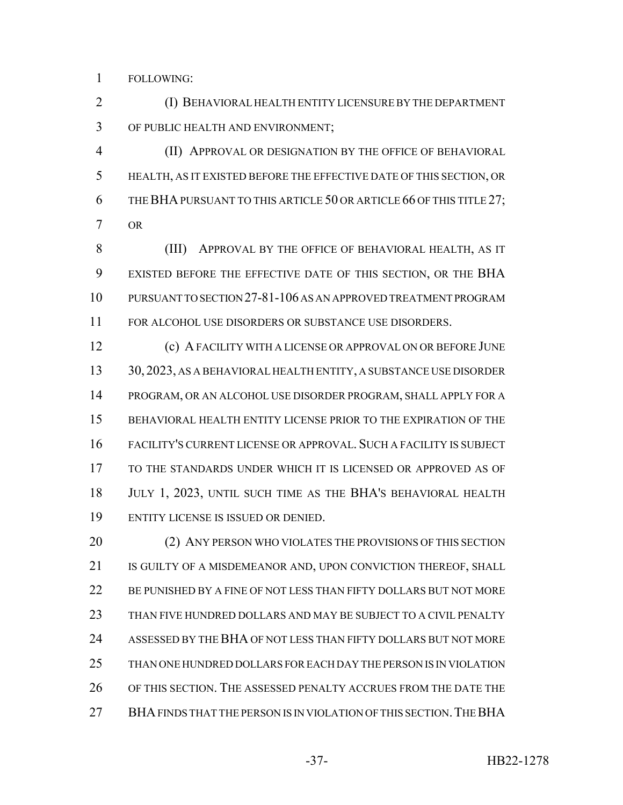FOLLOWING:

 (I) BEHAVIORAL HEALTH ENTITY LICENSURE BY THE DEPARTMENT OF PUBLIC HEALTH AND ENVIRONMENT;

 (II) APPROVAL OR DESIGNATION BY THE OFFICE OF BEHAVIORAL HEALTH, AS IT EXISTED BEFORE THE EFFECTIVE DATE OF THIS SECTION, OR 6 THE BHA PURSUANT TO THIS ARTICLE 50 OR ARTICLE 66 OF THIS TITLE 27; OR

 (III) APPROVAL BY THE OFFICE OF BEHAVIORAL HEALTH, AS IT EXISTED BEFORE THE EFFECTIVE DATE OF THIS SECTION, OR THE BHA PURSUANT TO SECTION 27-81-106 AS AN APPROVED TREATMENT PROGRAM FOR ALCOHOL USE DISORDERS OR SUBSTANCE USE DISORDERS.

 (c) A FACILITY WITH A LICENSE OR APPROVAL ON OR BEFORE JUNE 30, 2023, AS A BEHAVIORAL HEALTH ENTITY, A SUBSTANCE USE DISORDER PROGRAM, OR AN ALCOHOL USE DISORDER PROGRAM, SHALL APPLY FOR A BEHAVIORAL HEALTH ENTITY LICENSE PRIOR TO THE EXPIRATION OF THE FACILITY'S CURRENT LICENSE OR APPROVAL. SUCH A FACILITY IS SUBJECT TO THE STANDARDS UNDER WHICH IT IS LICENSED OR APPROVED AS OF JULY 1, 2023, UNTIL SUCH TIME AS THE BHA'S BEHAVIORAL HEALTH ENTITY LICENSE IS ISSUED OR DENIED.

20 (2) ANY PERSON WHO VIOLATES THE PROVISIONS OF THIS SECTION 21 IS GUILTY OF A MISDEMEANOR AND, UPON CONVICTION THEREOF, SHALL BE PUNISHED BY A FINE OF NOT LESS THAN FIFTY DOLLARS BUT NOT MORE THAN FIVE HUNDRED DOLLARS AND MAY BE SUBJECT TO A CIVIL PENALTY ASSESSED BY THE BHA OF NOT LESS THAN FIFTY DOLLARS BUT NOT MORE THAN ONE HUNDRED DOLLARS FOR EACH DAY THE PERSON IS IN VIOLATION OF THIS SECTION. THE ASSESSED PENALTY ACCRUES FROM THE DATE THE 27 BHA FINDS THAT THE PERSON IS IN VIOLATION OF THIS SECTION. THE BHA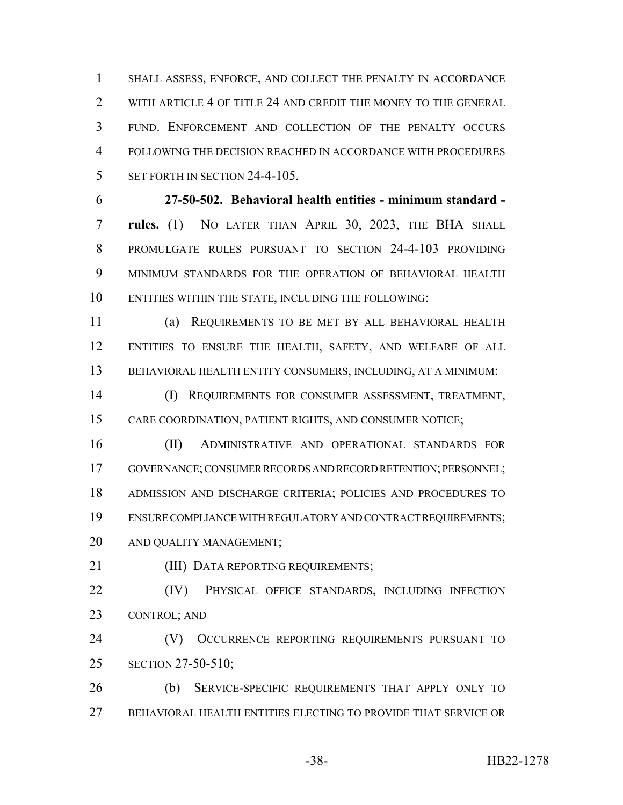SHALL ASSESS, ENFORCE, AND COLLECT THE PENALTY IN ACCORDANCE 2 WITH ARTICLE 4 OF TITLE 24 AND CREDIT THE MONEY TO THE GENERAL FUND. ENFORCEMENT AND COLLECTION OF THE PENALTY OCCURS FOLLOWING THE DECISION REACHED IN ACCORDANCE WITH PROCEDURES 5 SET FORTH IN SECTION 24-4-105.

 **27-50-502. Behavioral health entities - minimum standard - rules.** (1) NO LATER THAN APRIL 30, 2023, THE BHA SHALL PROMULGATE RULES PURSUANT TO SECTION 24-4-103 PROVIDING MINIMUM STANDARDS FOR THE OPERATION OF BEHAVIORAL HEALTH ENTITIES WITHIN THE STATE, INCLUDING THE FOLLOWING:

 (a) REQUIREMENTS TO BE MET BY ALL BEHAVIORAL HEALTH ENTITIES TO ENSURE THE HEALTH, SAFETY, AND WELFARE OF ALL BEHAVIORAL HEALTH ENTITY CONSUMERS, INCLUDING, AT A MINIMUM:

 (I) REQUIREMENTS FOR CONSUMER ASSESSMENT, TREATMENT, CARE COORDINATION, PATIENT RIGHTS, AND CONSUMER NOTICE;

 (II) ADMINISTRATIVE AND OPERATIONAL STANDARDS FOR GOVERNANCE; CONSUMER RECORDS AND RECORD RETENTION; PERSONNEL; ADMISSION AND DISCHARGE CRITERIA; POLICIES AND PROCEDURES TO ENSURE COMPLIANCE WITH REGULATORY AND CONTRACT REQUIREMENTS; AND QUALITY MANAGEMENT;

**(III) DATA REPORTING REQUIREMENTS:** 

 (IV) PHYSICAL OFFICE STANDARDS, INCLUDING INFECTION CONTROL; AND

 (V) OCCURRENCE REPORTING REQUIREMENTS PURSUANT TO SECTION 27-50-510;

 (b) SERVICE-SPECIFIC REQUIREMENTS THAT APPLY ONLY TO BEHAVIORAL HEALTH ENTITIES ELECTING TO PROVIDE THAT SERVICE OR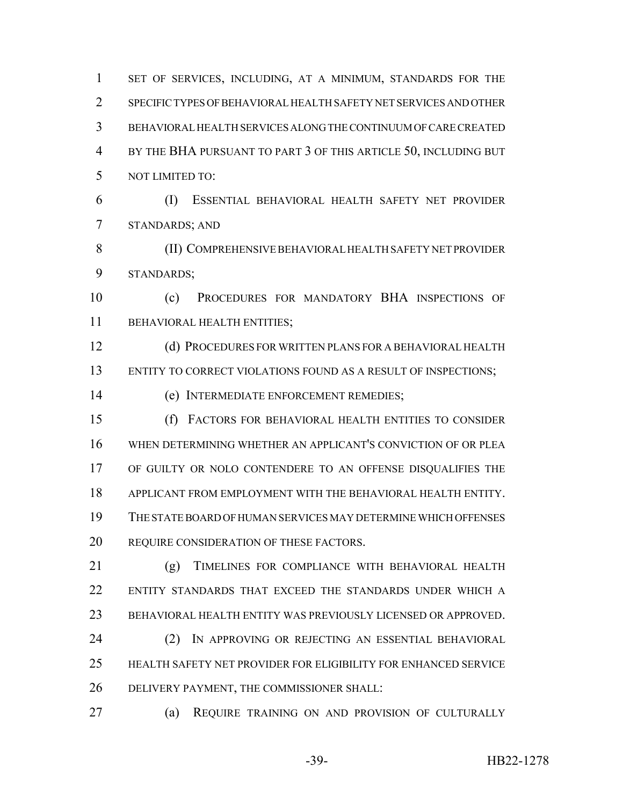1 SET OF SERVICES, INCLUDING, AT A MINIMUM, STANDARDS FOR THE SPECIFIC TYPES OF BEHAVIORAL HEALTH SAFETY NET SERVICES AND OTHER BEHAVIORAL HEALTH SERVICES ALONG THE CONTINUUM OF CARE CREATED BY THE BHA PURSUANT TO PART 3 OF THIS ARTICLE 50, INCLUDING BUT NOT LIMITED TO: (I) ESSENTIAL BEHAVIORAL HEALTH SAFETY NET PROVIDER STANDARDS; AND (II) COMPREHENSIVE BEHAVIORAL HEALTH SAFETY NET PROVIDER STANDARDS; (c) PROCEDURES FOR MANDATORY BHA INSPECTIONS OF 11 BEHAVIORAL HEALTH ENTITIES; (d) PROCEDURES FOR WRITTEN PLANS FOR A BEHAVIORAL HEALTH 13 ENTITY TO CORRECT VIOLATIONS FOUND AS A RESULT OF INSPECTIONS; (e) INTERMEDIATE ENFORCEMENT REMEDIES; (f) FACTORS FOR BEHAVIORAL HEALTH ENTITIES TO CONSIDER WHEN DETERMINING WHETHER AN APPLICANT'S CONVICTION OF OR PLEA OF GUILTY OR NOLO CONTENDERE TO AN OFFENSE DISQUALIFIES THE APPLICANT FROM EMPLOYMENT WITH THE BEHAVIORAL HEALTH ENTITY. THE STATE BOARD OF HUMAN SERVICES MAY DETERMINE WHICH OFFENSES 20 REQUIRE CONSIDERATION OF THESE FACTORS. (g) TIMELINES FOR COMPLIANCE WITH BEHAVIORAL HEALTH ENTITY STANDARDS THAT EXCEED THE STANDARDS UNDER WHICH A BEHAVIORAL HEALTH ENTITY WAS PREVIOUSLY LICENSED OR APPROVED. (2) IN APPROVING OR REJECTING AN ESSENTIAL BEHAVIORAL HEALTH SAFETY NET PROVIDER FOR ELIGIBILITY FOR ENHANCED SERVICE DELIVERY PAYMENT, THE COMMISSIONER SHALL: (a) REQUIRE TRAINING ON AND PROVISION OF CULTURALLY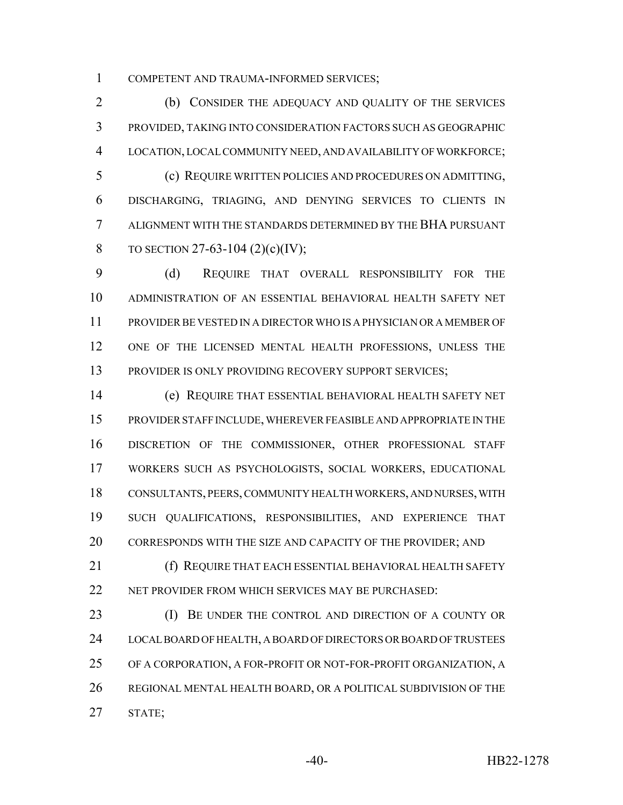COMPETENT AND TRAUMA-INFORMED SERVICES;

 (b) CONSIDER THE ADEQUACY AND QUALITY OF THE SERVICES PROVIDED, TAKING INTO CONSIDERATION FACTORS SUCH AS GEOGRAPHIC LOCATION, LOCAL COMMUNITY NEED, AND AVAILABILITY OF WORKFORCE;

 (c) REQUIRE WRITTEN POLICIES AND PROCEDURES ON ADMITTING, DISCHARGING, TRIAGING, AND DENYING SERVICES TO CLIENTS IN ALIGNMENT WITH THE STANDARDS DETERMINED BY THE BHA PURSUANT 8 TO SECTION 27-63-104 (2)(c)(IV);

 (d) REQUIRE THAT OVERALL RESPONSIBILITY FOR THE ADMINISTRATION OF AN ESSENTIAL BEHAVIORAL HEALTH SAFETY NET PROVIDER BE VESTED IN A DIRECTOR WHO IS A PHYSICIAN OR A MEMBER OF ONE OF THE LICENSED MENTAL HEALTH PROFESSIONS, UNLESS THE 13 PROVIDER IS ONLY PROVIDING RECOVERY SUPPORT SERVICES;

 (e) REQUIRE THAT ESSENTIAL BEHAVIORAL HEALTH SAFETY NET PROVIDER STAFF INCLUDE, WHEREVER FEASIBLE AND APPROPRIATE IN THE DISCRETION OF THE COMMISSIONER, OTHER PROFESSIONAL STAFF WORKERS SUCH AS PSYCHOLOGISTS, SOCIAL WORKERS, EDUCATIONAL CONSULTANTS, PEERS, COMMUNITY HEALTH WORKERS, AND NURSES, WITH SUCH QUALIFICATIONS, RESPONSIBILITIES, AND EXPERIENCE THAT 20 CORRESPONDS WITH THE SIZE AND CAPACITY OF THE PROVIDER; AND

**(f) REQUIRE THAT EACH ESSENTIAL BEHAVIORAL HEALTH SAFETY** 22 NET PROVIDER FROM WHICH SERVICES MAY BE PURCHASED:

**(I) BE UNDER THE CONTROL AND DIRECTION OF A COUNTY OR**  LOCAL BOARD OF HEALTH, A BOARD OF DIRECTORS OR BOARD OF TRUSTEES OF A CORPORATION, A FOR-PROFIT OR NOT-FOR-PROFIT ORGANIZATION, A REGIONAL MENTAL HEALTH BOARD, OR A POLITICAL SUBDIVISION OF THE STATE;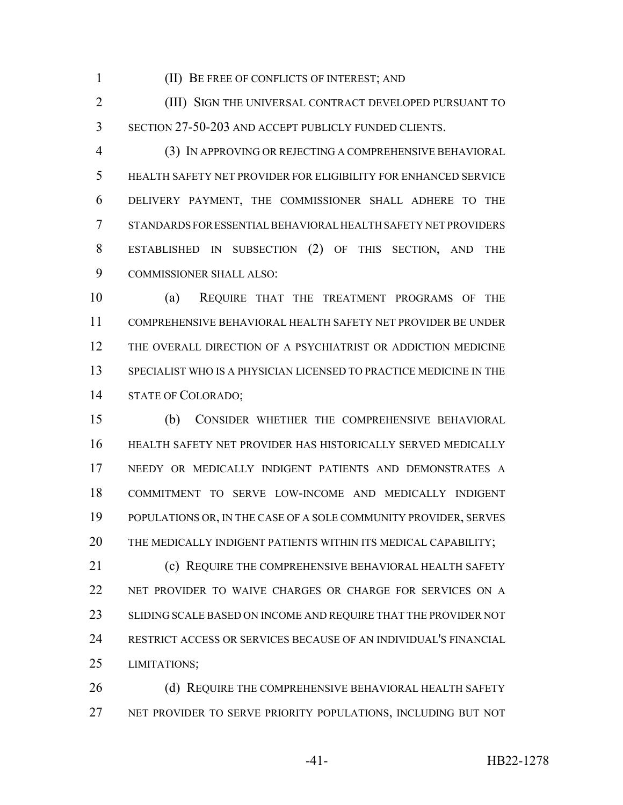(II) BE FREE OF CONFLICTS OF INTEREST; AND

 (III) SIGN THE UNIVERSAL CONTRACT DEVELOPED PURSUANT TO SECTION 27-50-203 AND ACCEPT PUBLICLY FUNDED CLIENTS.

 (3) IN APPROVING OR REJECTING A COMPREHENSIVE BEHAVIORAL HEALTH SAFETY NET PROVIDER FOR ELIGIBILITY FOR ENHANCED SERVICE DELIVERY PAYMENT, THE COMMISSIONER SHALL ADHERE TO THE STANDARDS FOR ESSENTIAL BEHAVIORAL HEALTH SAFETY NET PROVIDERS ESTABLISHED IN SUBSECTION (2) OF THIS SECTION, AND THE COMMISSIONER SHALL ALSO:

 (a) REQUIRE THAT THE TREATMENT PROGRAMS OF THE COMPREHENSIVE BEHAVIORAL HEALTH SAFETY NET PROVIDER BE UNDER THE OVERALL DIRECTION OF A PSYCHIATRIST OR ADDICTION MEDICINE SPECIALIST WHO IS A PHYSICIAN LICENSED TO PRACTICE MEDICINE IN THE STATE OF COLORADO;

 (b) CONSIDER WHETHER THE COMPREHENSIVE BEHAVIORAL HEALTH SAFETY NET PROVIDER HAS HISTORICALLY SERVED MEDICALLY NEEDY OR MEDICALLY INDIGENT PATIENTS AND DEMONSTRATES A COMMITMENT TO SERVE LOW-INCOME AND MEDICALLY INDIGENT POPULATIONS OR, IN THE CASE OF A SOLE COMMUNITY PROVIDER, SERVES THE MEDICALLY INDIGENT PATIENTS WITHIN ITS MEDICAL CAPABILITY;

**(c) REQUIRE THE COMPREHENSIVE BEHAVIORAL HEALTH SAFETY**  NET PROVIDER TO WAIVE CHARGES OR CHARGE FOR SERVICES ON A 23 SLIDING SCALE BASED ON INCOME AND REQUIRE THAT THE PROVIDER NOT RESTRICT ACCESS OR SERVICES BECAUSE OF AN INDIVIDUAL'S FINANCIAL LIMITATIONS;

26 (d) REQUIRE THE COMPREHENSIVE BEHAVIORAL HEALTH SAFETY NET PROVIDER TO SERVE PRIORITY POPULATIONS, INCLUDING BUT NOT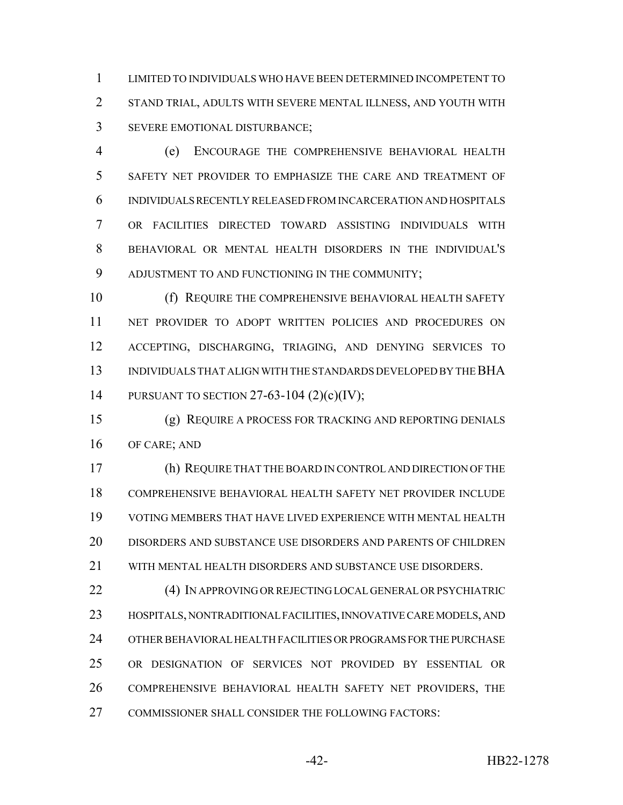LIMITED TO INDIVIDUALS WHO HAVE BEEN DETERMINED INCOMPETENT TO STAND TRIAL, ADULTS WITH SEVERE MENTAL ILLNESS, AND YOUTH WITH SEVERE EMOTIONAL DISTURBANCE;

 (e) ENCOURAGE THE COMPREHENSIVE BEHAVIORAL HEALTH SAFETY NET PROVIDER TO EMPHASIZE THE CARE AND TREATMENT OF INDIVIDUALS RECENTLY RELEASED FROM INCARCERATION AND HOSPITALS OR FACILITIES DIRECTED TOWARD ASSISTING INDIVIDUALS WITH BEHAVIORAL OR MENTAL HEALTH DISORDERS IN THE INDIVIDUAL'S ADJUSTMENT TO AND FUNCTIONING IN THE COMMUNITY;

 (f) REQUIRE THE COMPREHENSIVE BEHAVIORAL HEALTH SAFETY NET PROVIDER TO ADOPT WRITTEN POLICIES AND PROCEDURES ON ACCEPTING, DISCHARGING, TRIAGING, AND DENYING SERVICES TO INDIVIDUALS THAT ALIGN WITH THE STANDARDS DEVELOPED BY THE BHA PURSUANT TO SECTION 27-63-104 (2)(c)(IV);

 (g) REQUIRE A PROCESS FOR TRACKING AND REPORTING DENIALS OF CARE; AND

 (h) REQUIRE THAT THE BOARD IN CONTROL AND DIRECTION OF THE COMPREHENSIVE BEHAVIORAL HEALTH SAFETY NET PROVIDER INCLUDE VOTING MEMBERS THAT HAVE LIVED EXPERIENCE WITH MENTAL HEALTH DISORDERS AND SUBSTANCE USE DISORDERS AND PARENTS OF CHILDREN WITH MENTAL HEALTH DISORDERS AND SUBSTANCE USE DISORDERS.

 (4) IN APPROVING OR REJECTING LOCAL GENERAL OR PSYCHIATRIC HOSPITALS, NONTRADITIONAL FACILITIES, INNOVATIVE CARE MODELS, AND OTHER BEHAVIORAL HEALTH FACILITIES OR PROGRAMS FOR THE PURCHASE OR DESIGNATION OF SERVICES NOT PROVIDED BY ESSENTIAL OR COMPREHENSIVE BEHAVIORAL HEALTH SAFETY NET PROVIDERS, THE 27 COMMISSIONER SHALL CONSIDER THE FOLLOWING FACTORS: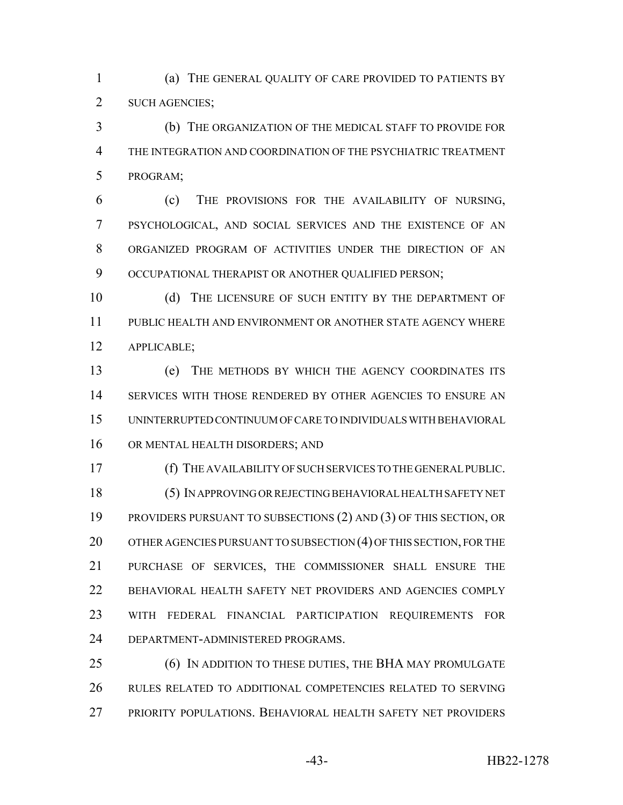(a) THE GENERAL QUALITY OF CARE PROVIDED TO PATIENTS BY SUCH AGENCIES;

 (b) THE ORGANIZATION OF THE MEDICAL STAFF TO PROVIDE FOR THE INTEGRATION AND COORDINATION OF THE PSYCHIATRIC TREATMENT PROGRAM;

 (c) THE PROVISIONS FOR THE AVAILABILITY OF NURSING, PSYCHOLOGICAL, AND SOCIAL SERVICES AND THE EXISTENCE OF AN ORGANIZED PROGRAM OF ACTIVITIES UNDER THE DIRECTION OF AN 9 OCCUPATIONAL THERAPIST OR ANOTHER QUALIFIED PERSON;

10 (d) THE LICENSURE OF SUCH ENTITY BY THE DEPARTMENT OF PUBLIC HEALTH AND ENVIRONMENT OR ANOTHER STATE AGENCY WHERE APPLICABLE;

 (e) THE METHODS BY WHICH THE AGENCY COORDINATES ITS SERVICES WITH THOSE RENDERED BY OTHER AGENCIES TO ENSURE AN UNINTERRUPTED CONTINUUM OF CARE TO INDIVIDUALS WITH BEHAVIORAL 16 OR MENTAL HEALTH DISORDERS; AND

 (f) THE AVAILABILITY OF SUCH SERVICES TO THE GENERAL PUBLIC. (5) IN APPROVING OR REJECTING BEHAVIORAL HEALTH SAFETY NET PROVIDERS PURSUANT TO SUBSECTIONS (2) AND (3) OF THIS SECTION, OR 20 OTHER AGENCIES PURSUANT TO SUBSECTION (4) OF THIS SECTION, FOR THE PURCHASE OF SERVICES, THE COMMISSIONER SHALL ENSURE THE BEHAVIORAL HEALTH SAFETY NET PROVIDERS AND AGENCIES COMPLY WITH FEDERAL FINANCIAL PARTICIPATION REQUIREMENTS FOR DEPARTMENT-ADMINISTERED PROGRAMS.

 (6) IN ADDITION TO THESE DUTIES, THE BHA MAY PROMULGATE RULES RELATED TO ADDITIONAL COMPETENCIES RELATED TO SERVING PRIORITY POPULATIONS. BEHAVIORAL HEALTH SAFETY NET PROVIDERS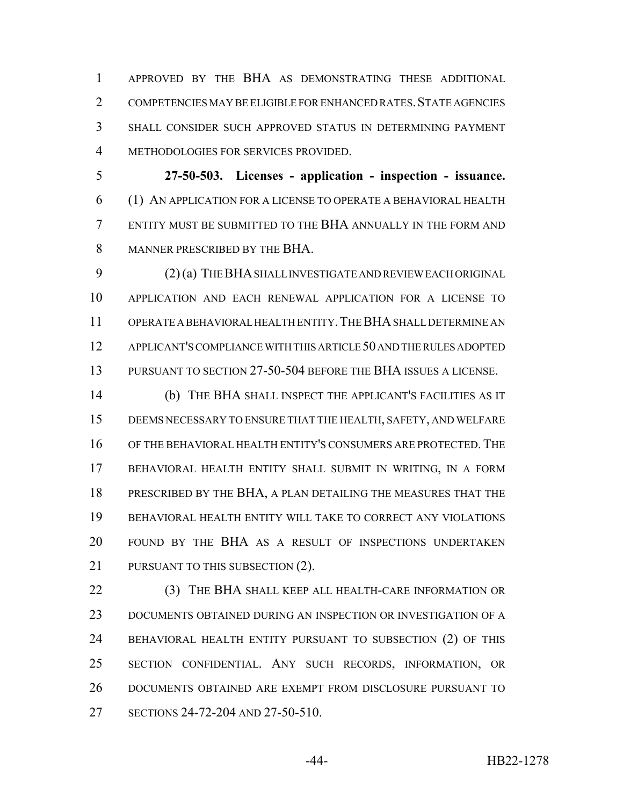APPROVED BY THE BHA AS DEMONSTRATING THESE ADDITIONAL 2 COMPETENCIES MAY BE ELIGIBLE FOR ENHANCED RATES. STATE AGENCIES SHALL CONSIDER SUCH APPROVED STATUS IN DETERMINING PAYMENT METHODOLOGIES FOR SERVICES PROVIDED.

 **27-50-503. Licenses - application - inspection - issuance.** (1) AN APPLICATION FOR A LICENSE TO OPERATE A BEHAVIORAL HEALTH ENTITY MUST BE SUBMITTED TO THE BHA ANNUALLY IN THE FORM AND MANNER PRESCRIBED BY THE BHA.

 (2) (a) THE BHA SHALL INVESTIGATE AND REVIEW EACH ORIGINAL APPLICATION AND EACH RENEWAL APPLICATION FOR A LICENSE TO OPERATE A BEHAVIORAL HEALTH ENTITY.THE BHA SHALL DETERMINE AN APPLICANT'S COMPLIANCE WITH THIS ARTICLE 50 AND THE RULES ADOPTED PURSUANT TO SECTION 27-50-504 BEFORE THE BHA ISSUES A LICENSE.

 (b) THE BHA SHALL INSPECT THE APPLICANT'S FACILITIES AS IT DEEMS NECESSARY TO ENSURE THAT THE HEALTH, SAFETY, AND WELFARE OF THE BEHAVIORAL HEALTH ENTITY'S CONSUMERS ARE PROTECTED.THE BEHAVIORAL HEALTH ENTITY SHALL SUBMIT IN WRITING, IN A FORM PRESCRIBED BY THE BHA, A PLAN DETAILING THE MEASURES THAT THE BEHAVIORAL HEALTH ENTITY WILL TAKE TO CORRECT ANY VIOLATIONS FOUND BY THE BHA AS A RESULT OF INSPECTIONS UNDERTAKEN 21 PURSUANT TO THIS SUBSECTION (2).

**(3) THE BHA SHALL KEEP ALL HEALTH-CARE INFORMATION OR**  DOCUMENTS OBTAINED DURING AN INSPECTION OR INVESTIGATION OF A BEHAVIORAL HEALTH ENTITY PURSUANT TO SUBSECTION (2) OF THIS SECTION CONFIDENTIAL. ANY SUCH RECORDS, INFORMATION, OR DOCUMENTS OBTAINED ARE EXEMPT FROM DISCLOSURE PURSUANT TO SECTIONS 24-72-204 AND 27-50-510.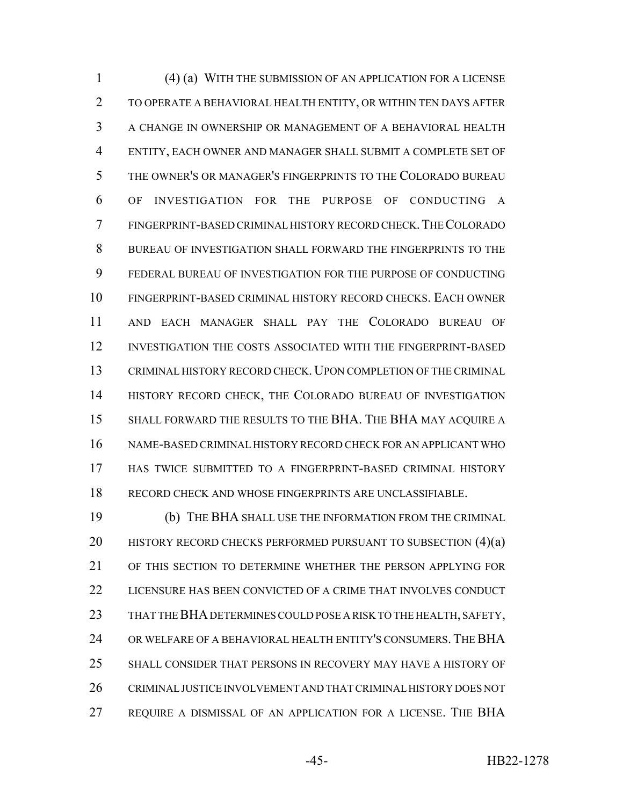(4) (a) WITH THE SUBMISSION OF AN APPLICATION FOR A LICENSE TO OPERATE A BEHAVIORAL HEALTH ENTITY, OR WITHIN TEN DAYS AFTER A CHANGE IN OWNERSHIP OR MANAGEMENT OF A BEHAVIORAL HEALTH ENTITY, EACH OWNER AND MANAGER SHALL SUBMIT A COMPLETE SET OF THE OWNER'S OR MANAGER'S FINGERPRINTS TO THE COLORADO BUREAU OF INVESTIGATION FOR THE PURPOSE OF CONDUCTING A FINGERPRINT-BASED CRIMINAL HISTORY RECORD CHECK.THE COLORADO BUREAU OF INVESTIGATION SHALL FORWARD THE FINGERPRINTS TO THE FEDERAL BUREAU OF INVESTIGATION FOR THE PURPOSE OF CONDUCTING FINGERPRINT-BASED CRIMINAL HISTORY RECORD CHECKS. EACH OWNER AND EACH MANAGER SHALL PAY THE COLORADO BUREAU OF INVESTIGATION THE COSTS ASSOCIATED WITH THE FINGERPRINT-BASED CRIMINAL HISTORY RECORD CHECK. UPON COMPLETION OF THE CRIMINAL HISTORY RECORD CHECK, THE COLORADO BUREAU OF INVESTIGATION SHALL FORWARD THE RESULTS TO THE BHA. THE BHA MAY ACQUIRE A NAME-BASED CRIMINAL HISTORY RECORD CHECK FOR AN APPLICANT WHO HAS TWICE SUBMITTED TO A FINGERPRINT-BASED CRIMINAL HISTORY RECORD CHECK AND WHOSE FINGERPRINTS ARE UNCLASSIFIABLE.

 (b) THE BHA SHALL USE THE INFORMATION FROM THE CRIMINAL 20 HISTORY RECORD CHECKS PERFORMED PURSUANT TO SUBSECTION  $(4)(a)$  OF THIS SECTION TO DETERMINE WHETHER THE PERSON APPLYING FOR LICENSURE HAS BEEN CONVICTED OF A CRIME THAT INVOLVES CONDUCT 23 THAT THE BHA DETERMINES COULD POSE A RISK TO THE HEALTH, SAFETY, OR WELFARE OF A BEHAVIORAL HEALTH ENTITY'S CONSUMERS. THE BHA SHALL CONSIDER THAT PERSONS IN RECOVERY MAY HAVE A HISTORY OF CRIMINAL JUSTICE INVOLVEMENT AND THAT CRIMINAL HISTORY DOES NOT REQUIRE A DISMISSAL OF AN APPLICATION FOR A LICENSE. THE BHA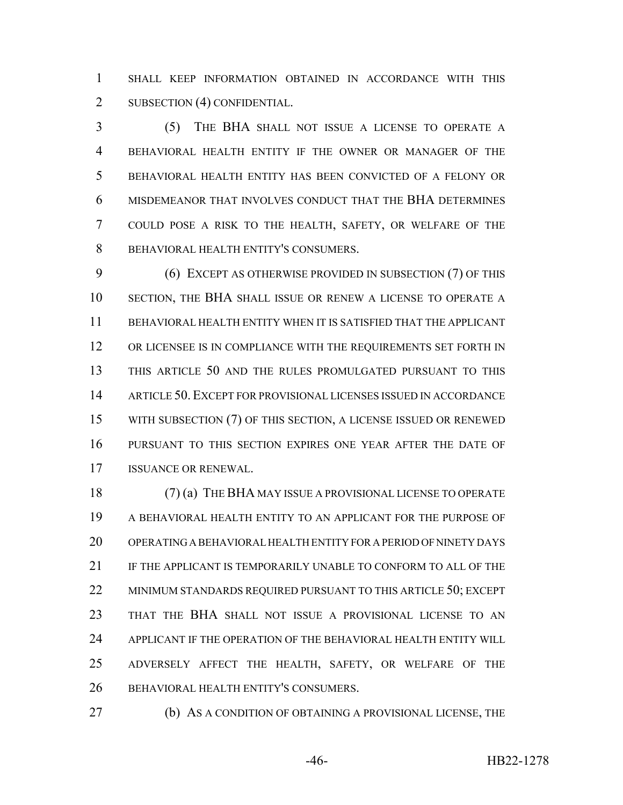SHALL KEEP INFORMATION OBTAINED IN ACCORDANCE WITH THIS 2 SUBSECTION (4) CONFIDENTIAL.

 (5) THE BHA SHALL NOT ISSUE A LICENSE TO OPERATE A BEHAVIORAL HEALTH ENTITY IF THE OWNER OR MANAGER OF THE BEHAVIORAL HEALTH ENTITY HAS BEEN CONVICTED OF A FELONY OR MISDEMEANOR THAT INVOLVES CONDUCT THAT THE BHA DETERMINES COULD POSE A RISK TO THE HEALTH, SAFETY, OR WELFARE OF THE BEHAVIORAL HEALTH ENTITY'S CONSUMERS.

 (6) EXCEPT AS OTHERWISE PROVIDED IN SUBSECTION (7) OF THIS SECTION, THE BHA SHALL ISSUE OR RENEW A LICENSE TO OPERATE A BEHAVIORAL HEALTH ENTITY WHEN IT IS SATISFIED THAT THE APPLICANT 12 OR LICENSEE IS IN COMPLIANCE WITH THE REQUIREMENTS SET FORTH IN THIS ARTICLE 50 AND THE RULES PROMULGATED PURSUANT TO THIS ARTICLE 50. EXCEPT FOR PROVISIONAL LICENSES ISSUED IN ACCORDANCE 15 WITH SUBSECTION (7) OF THIS SECTION, A LICENSE ISSUED OR RENEWED PURSUANT TO THIS SECTION EXPIRES ONE YEAR AFTER THE DATE OF ISSUANCE OR RENEWAL.

 (7) (a) THE BHA MAY ISSUE A PROVISIONAL LICENSE TO OPERATE A BEHAVIORAL HEALTH ENTITY TO AN APPLICANT FOR THE PURPOSE OF OPERATING A BEHAVIORAL HEALTH ENTITY FOR A PERIOD OF NINETY DAYS IF THE APPLICANT IS TEMPORARILY UNABLE TO CONFORM TO ALL OF THE 22 MINIMUM STANDARDS REQUIRED PURSUANT TO THIS ARTICLE 50; EXCEPT THAT THE BHA SHALL NOT ISSUE A PROVISIONAL LICENSE TO AN APPLICANT IF THE OPERATION OF THE BEHAVIORAL HEALTH ENTITY WILL ADVERSELY AFFECT THE HEALTH, SAFETY, OR WELFARE OF THE BEHAVIORAL HEALTH ENTITY'S CONSUMERS.

(b) AS A CONDITION OF OBTAINING A PROVISIONAL LICENSE, THE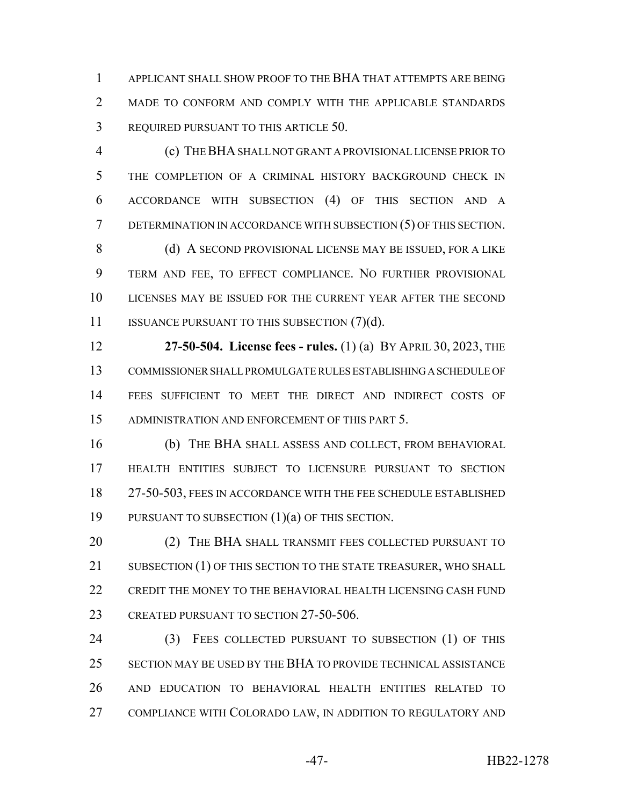APPLICANT SHALL SHOW PROOF TO THE BHA THAT ATTEMPTS ARE BEING MADE TO CONFORM AND COMPLY WITH THE APPLICABLE STANDARDS REQUIRED PURSUANT TO THIS ARTICLE 50.

 (c) THE BHA SHALL NOT GRANT A PROVISIONAL LICENSE PRIOR TO THE COMPLETION OF A CRIMINAL HISTORY BACKGROUND CHECK IN ACCORDANCE WITH SUBSECTION (4) OF THIS SECTION AND A DETERMINATION IN ACCORDANCE WITH SUBSECTION (5) OF THIS SECTION.

8 (d) A SECOND PROVISIONAL LICENSE MAY BE ISSUED, FOR A LIKE TERM AND FEE, TO EFFECT COMPLIANCE. NO FURTHER PROVISIONAL LICENSES MAY BE ISSUED FOR THE CURRENT YEAR AFTER THE SECOND 11 ISSUANCE PURSUANT TO THIS SUBSECTION (7)(d).

 **27-50-504. License fees - rules.** (1) (a) BY APRIL 30, 2023, THE COMMISSIONER SHALL PROMULGATE RULES ESTABLISHING A SCHEDULE OF FEES SUFFICIENT TO MEET THE DIRECT AND INDIRECT COSTS OF ADMINISTRATION AND ENFORCEMENT OF THIS PART 5.

 (b) THE BHA SHALL ASSESS AND COLLECT, FROM BEHAVIORAL HEALTH ENTITIES SUBJECT TO LICENSURE PURSUANT TO SECTION 27-50-503, FEES IN ACCORDANCE WITH THE FEE SCHEDULE ESTABLISHED PURSUANT TO SUBSECTION (1)(a) OF THIS SECTION.

**20 THE BHA SHALL TRANSMIT FEES COLLECTED PURSUANT TO** 21 SUBSECTION (1) OF THIS SECTION TO THE STATE TREASURER, WHO SHALL CREDIT THE MONEY TO THE BEHAVIORAL HEALTH LICENSING CASH FUND 23 CREATED PURSUANT TO SECTION 27-50-506.

 (3) FEES COLLECTED PURSUANT TO SUBSECTION (1) OF THIS SECTION MAY BE USED BY THE BHA TO PROVIDE TECHNICAL ASSISTANCE AND EDUCATION TO BEHAVIORAL HEALTH ENTITIES RELATED TO 27 COMPLIANCE WITH COLORADO LAW, IN ADDITION TO REGULATORY AND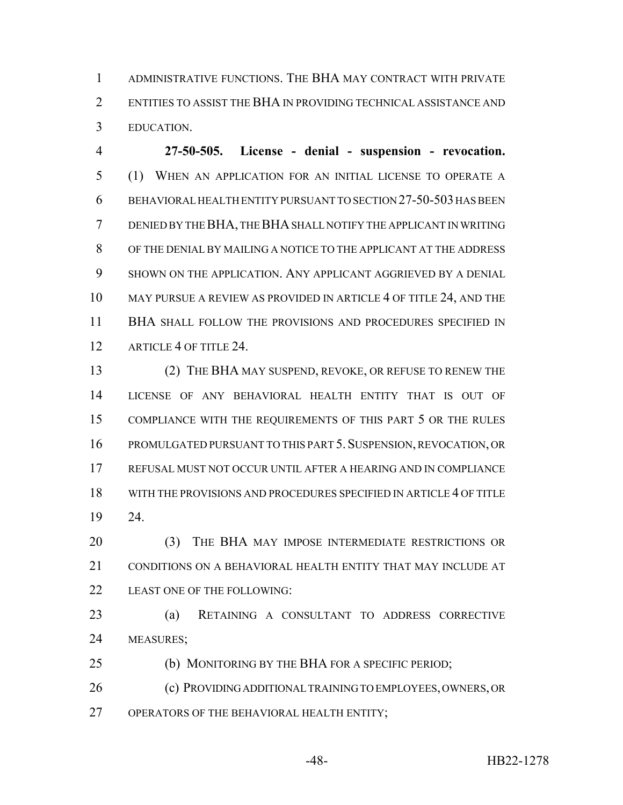ADMINISTRATIVE FUNCTIONS. THE BHA MAY CONTRACT WITH PRIVATE ENTITIES TO ASSIST THE BHA IN PROVIDING TECHNICAL ASSISTANCE AND EDUCATION.

 **27-50-505. License - denial - suspension - revocation.** (1) WHEN AN APPLICATION FOR AN INITIAL LICENSE TO OPERATE A BEHAVIORAL HEALTH ENTITY PURSUANT TO SECTION 27-50-503 HAS BEEN DENIED BY THE BHA, THE BHA SHALL NOTIFY THE APPLICANT IN WRITING OF THE DENIAL BY MAILING A NOTICE TO THE APPLICANT AT THE ADDRESS SHOWN ON THE APPLICATION. ANY APPLICANT AGGRIEVED BY A DENIAL 10 MAY PURSUE A REVIEW AS PROVIDED IN ARTICLE 4 OF TITLE 24, AND THE BHA SHALL FOLLOW THE PROVISIONS AND PROCEDURES SPECIFIED IN 12 ARTICLE 4 OF TITLE 24.

 (2) THE BHA MAY SUSPEND, REVOKE, OR REFUSE TO RENEW THE LICENSE OF ANY BEHAVIORAL HEALTH ENTITY THAT IS OUT OF COMPLIANCE WITH THE REQUIREMENTS OF THIS PART 5 OR THE RULES PROMULGATED PURSUANT TO THIS PART 5.SUSPENSION, REVOCATION, OR REFUSAL MUST NOT OCCUR UNTIL AFTER A HEARING AND IN COMPLIANCE WITH THE PROVISIONS AND PROCEDURES SPECIFIED IN ARTICLE 4 OF TITLE 24.

 (3) THE BHA MAY IMPOSE INTERMEDIATE RESTRICTIONS OR 21 CONDITIONS ON A BEHAVIORAL HEALTH ENTITY THAT MAY INCLUDE AT 22 LEAST ONE OF THE FOLLOWING:

 (a) RETAINING A CONSULTANT TO ADDRESS CORRECTIVE MEASURES;

(b) MONITORING BY THE BHA FOR A SPECIFIC PERIOD;

 (c) PROVIDING ADDITIONAL TRAINING TO EMPLOYEES, OWNERS, OR OPERATORS OF THE BEHAVIORAL HEALTH ENTITY;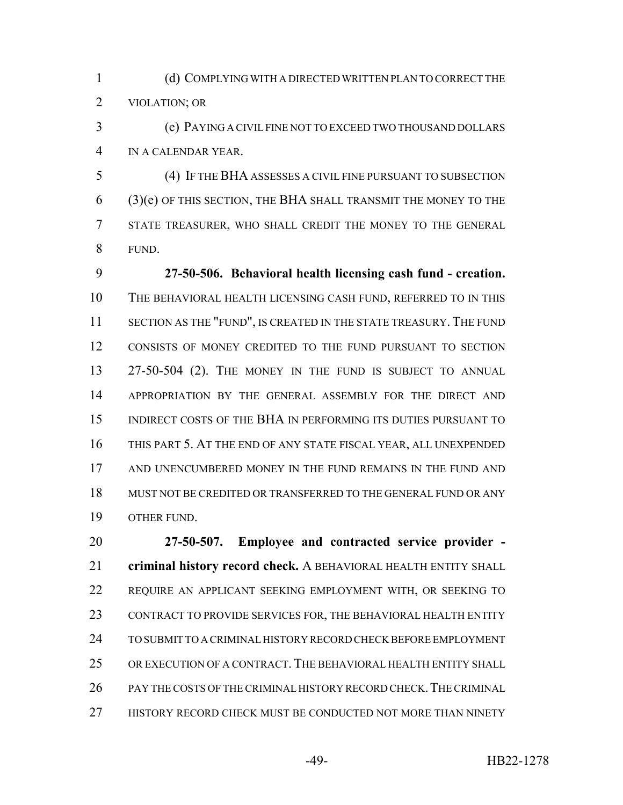(d) COMPLYING WITH A DIRECTED WRITTEN PLAN TO CORRECT THE VIOLATION; OR

 (e) PAYING A CIVIL FINE NOT TO EXCEED TWO THOUSAND DOLLARS IN A CALENDAR YEAR.

 (4) IF THE BHA ASSESSES A CIVIL FINE PURSUANT TO SUBSECTION (3)(e) OF THIS SECTION, THE BHA SHALL TRANSMIT THE MONEY TO THE STATE TREASURER, WHO SHALL CREDIT THE MONEY TO THE GENERAL FUND.

 **27-50-506. Behavioral health licensing cash fund - creation.** THE BEHAVIORAL HEALTH LICENSING CASH FUND, REFERRED TO IN THIS SECTION AS THE "FUND", IS CREATED IN THE STATE TREASURY. THE FUND CONSISTS OF MONEY CREDITED TO THE FUND PURSUANT TO SECTION 13 27-50-504 (2). THE MONEY IN THE FUND IS SUBJECT TO ANNUAL APPROPRIATION BY THE GENERAL ASSEMBLY FOR THE DIRECT AND INDIRECT COSTS OF THE BHA IN PERFORMING ITS DUTIES PURSUANT TO THIS PART 5. AT THE END OF ANY STATE FISCAL YEAR, ALL UNEXPENDED AND UNENCUMBERED MONEY IN THE FUND REMAINS IN THE FUND AND MUST NOT BE CREDITED OR TRANSFERRED TO THE GENERAL FUND OR ANY OTHER FUND.

 **27-50-507. Employee and contracted service provider - criminal history record check.** A BEHAVIORAL HEALTH ENTITY SHALL REQUIRE AN APPLICANT SEEKING EMPLOYMENT WITH, OR SEEKING TO CONTRACT TO PROVIDE SERVICES FOR, THE BEHAVIORAL HEALTH ENTITY TO SUBMIT TO A CRIMINAL HISTORY RECORD CHECK BEFORE EMPLOYMENT OR EXECUTION OF A CONTRACT. THE BEHAVIORAL HEALTH ENTITY SHALL 26 PAY THE COSTS OF THE CRIMINAL HISTORY RECORD CHECK. THE CRIMINAL 27 HISTORY RECORD CHECK MUST BE CONDUCTED NOT MORE THAN NINETY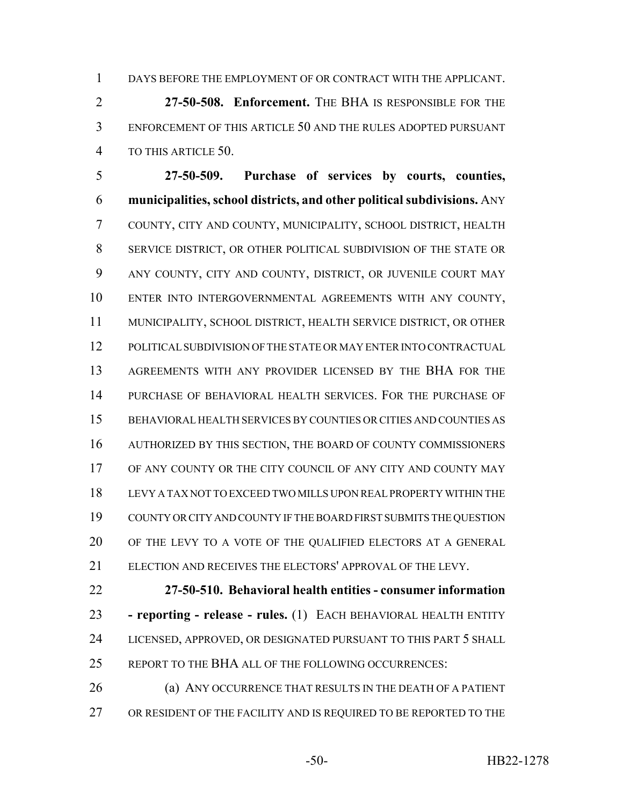DAYS BEFORE THE EMPLOYMENT OF OR CONTRACT WITH THE APPLICANT.

 **27-50-508. Enforcement.** THE BHA IS RESPONSIBLE FOR THE ENFORCEMENT OF THIS ARTICLE 50 AND THE RULES ADOPTED PURSUANT TO THIS ARTICLE 50.

 **27-50-509. Purchase of services by courts, counties, municipalities, school districts, and other political subdivisions.** ANY COUNTY, CITY AND COUNTY, MUNICIPALITY, SCHOOL DISTRICT, HEALTH SERVICE DISTRICT, OR OTHER POLITICAL SUBDIVISION OF THE STATE OR ANY COUNTY, CITY AND COUNTY, DISTRICT, OR JUVENILE COURT MAY ENTER INTO INTERGOVERNMENTAL AGREEMENTS WITH ANY COUNTY, MUNICIPALITY, SCHOOL DISTRICT, HEALTH SERVICE DISTRICT, OR OTHER POLITICAL SUBDIVISION OF THE STATE OR MAY ENTER INTO CONTRACTUAL AGREEMENTS WITH ANY PROVIDER LICENSED BY THE BHA FOR THE PURCHASE OF BEHAVIORAL HEALTH SERVICES. FOR THE PURCHASE OF BEHAVIORAL HEALTH SERVICES BY COUNTIES OR CITIES AND COUNTIES AS AUTHORIZED BY THIS SECTION, THE BOARD OF COUNTY COMMISSIONERS 17 OF ANY COUNTY OR THE CITY COUNCIL OF ANY CITY AND COUNTY MAY LEVY A TAX NOT TO EXCEED TWO MILLS UPON REAL PROPERTY WITHIN THE COUNTY OR CITY AND COUNTY IF THE BOARD FIRST SUBMITS THE QUESTION OF THE LEVY TO A VOTE OF THE QUALIFIED ELECTORS AT A GENERAL ELECTION AND RECEIVES THE ELECTORS' APPROVAL OF THE LEVY.

 **27-50-510. Behavioral health entities - consumer information - reporting - release - rules.** (1) EACH BEHAVIORAL HEALTH ENTITY LICENSED, APPROVED, OR DESIGNATED PURSUANT TO THIS PART 5 SHALL REPORT TO THE BHA ALL OF THE FOLLOWING OCCURRENCES:

 (a) ANY OCCURRENCE THAT RESULTS IN THE DEATH OF A PATIENT 27 OR RESIDENT OF THE FACILITY AND IS REQUIRED TO BE REPORTED TO THE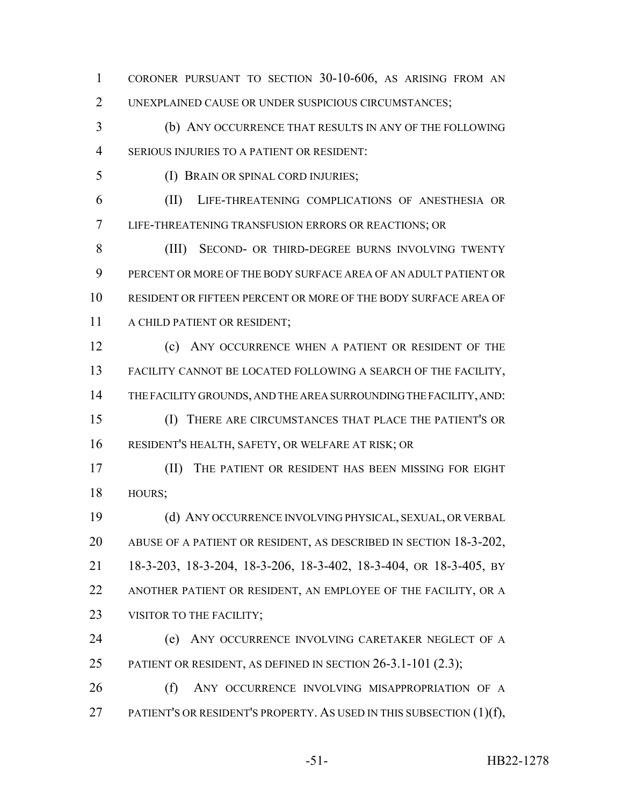CORONER PURSUANT TO SECTION 30-10-606, AS ARISING FROM AN UNEXPLAINED CAUSE OR UNDER SUSPICIOUS CIRCUMSTANCES;

 (b) ANY OCCURRENCE THAT RESULTS IN ANY OF THE FOLLOWING SERIOUS INJURIES TO A PATIENT OR RESIDENT:

(I) BRAIN OR SPINAL CORD INJURIES;

 (II) LIFE-THREATENING COMPLICATIONS OF ANESTHESIA OR LIFE-THREATENING TRANSFUSION ERRORS OR REACTIONS; OR

 (III) SECOND- OR THIRD-DEGREE BURNS INVOLVING TWENTY PERCENT OR MORE OF THE BODY SURFACE AREA OF AN ADULT PATIENT OR RESIDENT OR FIFTEEN PERCENT OR MORE OF THE BODY SURFACE AREA OF A CHILD PATIENT OR RESIDENT;

 (c) ANY OCCURRENCE WHEN A PATIENT OR RESIDENT OF THE FACILITY CANNOT BE LOCATED FOLLOWING A SEARCH OF THE FACILITY, THE FACILITY GROUNDS, AND THE AREA SURROUNDING THE FACILITY, AND: (I) THERE ARE CIRCUMSTANCES THAT PLACE THE PATIENT'S OR

RESIDENT'S HEALTH, SAFETY, OR WELFARE AT RISK; OR

 (II) THE PATIENT OR RESIDENT HAS BEEN MISSING FOR EIGHT HOURS;

 (d) ANY OCCURRENCE INVOLVING PHYSICAL, SEXUAL, OR VERBAL ABUSE OF A PATIENT OR RESIDENT, AS DESCRIBED IN SECTION 18-3-202, 18-3-203, 18-3-204, 18-3-206, 18-3-402, 18-3-404, OR 18-3-405, BY ANOTHER PATIENT OR RESIDENT, AN EMPLOYEE OF THE FACILITY, OR A 23 VISITOR TO THE FACILITY;

 (e) ANY OCCURRENCE INVOLVING CARETAKER NEGLECT OF A 25 PATIENT OR RESIDENT, AS DEFINED IN SECTION 26-3.1-101 (2.3);

26 (f) ANY OCCURRENCE INVOLVING MISAPPROPRIATION OF A 27 PATIENT'S OR RESIDENT'S PROPERTY. AS USED IN THIS SUBSECTION (1)(f),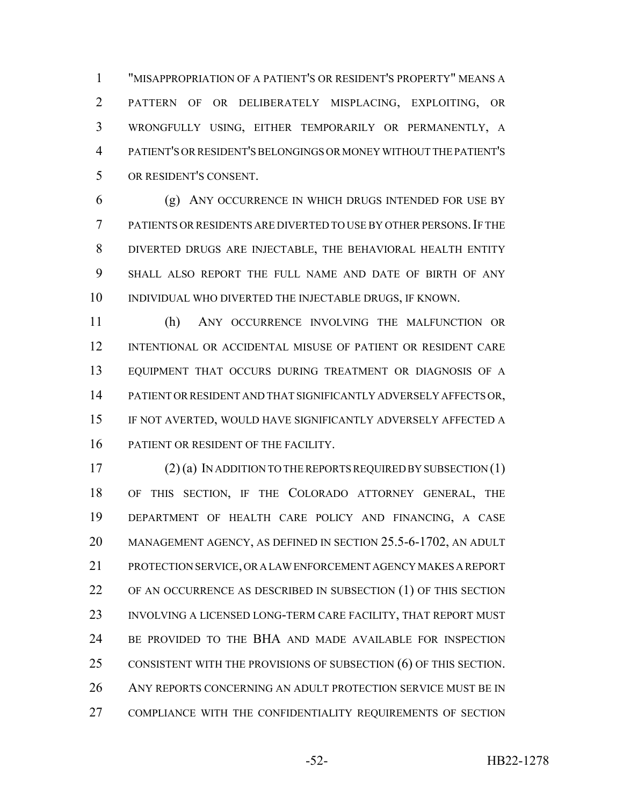"MISAPPROPRIATION OF A PATIENT'S OR RESIDENT'S PROPERTY" MEANS A PATTERN OF OR DELIBERATELY MISPLACING, EXPLOITING, OR WRONGFULLY USING, EITHER TEMPORARILY OR PERMANENTLY, A PATIENT'S OR RESIDENT'S BELONGINGS OR MONEY WITHOUT THE PATIENT'S OR RESIDENT'S CONSENT.

 (g) ANY OCCURRENCE IN WHICH DRUGS INTENDED FOR USE BY PATIENTS OR RESIDENTS ARE DIVERTED TO USE BY OTHER PERSONS.IF THE DIVERTED DRUGS ARE INJECTABLE, THE BEHAVIORAL HEALTH ENTITY SHALL ALSO REPORT THE FULL NAME AND DATE OF BIRTH OF ANY INDIVIDUAL WHO DIVERTED THE INJECTABLE DRUGS, IF KNOWN.

 (h) ANY OCCURRENCE INVOLVING THE MALFUNCTION OR INTENTIONAL OR ACCIDENTAL MISUSE OF PATIENT OR RESIDENT CARE EQUIPMENT THAT OCCURS DURING TREATMENT OR DIAGNOSIS OF A PATIENT OR RESIDENT AND THAT SIGNIFICANTLY ADVERSELY AFFECTS OR, IF NOT AVERTED, WOULD HAVE SIGNIFICANTLY ADVERSELY AFFECTED A 16 PATIENT OR RESIDENT OF THE FACILITY.

 (2) (a) IN ADDITION TO THE REPORTS REQUIRED BY SUBSECTION (1) OF THIS SECTION, IF THE COLORADO ATTORNEY GENERAL, THE DEPARTMENT OF HEALTH CARE POLICY AND FINANCING, A CASE MANAGEMENT AGENCY, AS DEFINED IN SECTION 25.5-6-1702, AN ADULT PROTECTION SERVICE, OR A LAW ENFORCEMENT AGENCY MAKES A REPORT OF AN OCCURRENCE AS DESCRIBED IN SUBSECTION (1) OF THIS SECTION 23 INVOLVING A LICENSED LONG-TERM CARE FACILITY, THAT REPORT MUST BE PROVIDED TO THE BHA AND MADE AVAILABLE FOR INSPECTION 25 CONSISTENT WITH THE PROVISIONS OF SUBSECTION (6) OF THIS SECTION. 26 ANY REPORTS CONCERNING AN ADULT PROTECTION SERVICE MUST BE IN COMPLIANCE WITH THE CONFIDENTIALITY REQUIREMENTS OF SECTION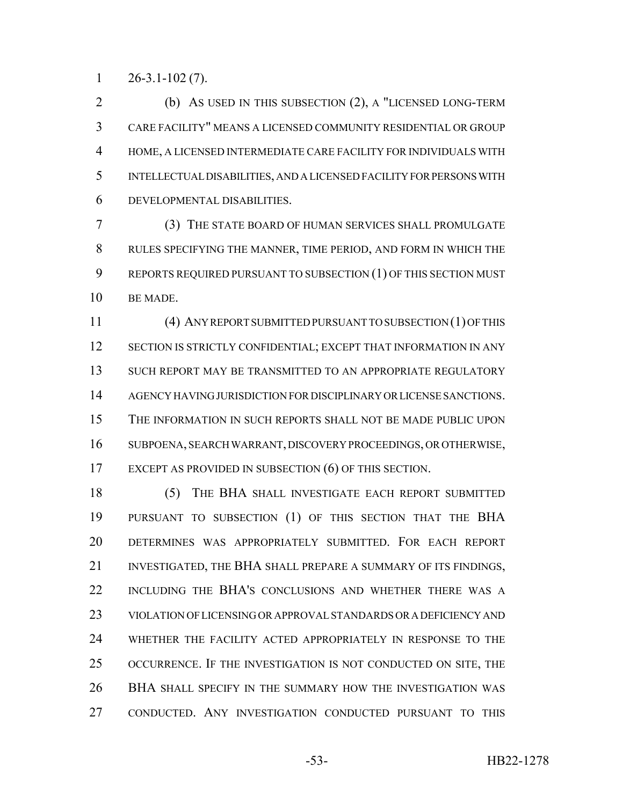$1 \qquad 26 - 3.1 - 102 \tag{7}.$ 

 (b) AS USED IN THIS SUBSECTION (2), A "LICENSED LONG-TERM CARE FACILITY" MEANS A LICENSED COMMUNITY RESIDENTIAL OR GROUP HOME, A LICENSED INTERMEDIATE CARE FACILITY FOR INDIVIDUALS WITH INTELLECTUAL DISABILITIES, AND A LICENSED FACILITY FOR PERSONS WITH DEVELOPMENTAL DISABILITIES.

 (3) THE STATE BOARD OF HUMAN SERVICES SHALL PROMULGATE RULES SPECIFYING THE MANNER, TIME PERIOD, AND FORM IN WHICH THE 9 REPORTS REQUIRED PURSUANT TO SUBSECTION (1) OF THIS SECTION MUST BE MADE.

 (4) ANY REPORT SUBMITTED PURSUANT TO SUBSECTION (1) OF THIS 12 SECTION IS STRICTLY CONFIDENTIAL; EXCEPT THAT INFORMATION IN ANY SUCH REPORT MAY BE TRANSMITTED TO AN APPROPRIATE REGULATORY AGENCY HAVING JURISDICTION FOR DISCIPLINARY OR LICENSE SANCTIONS. THE INFORMATION IN SUCH REPORTS SHALL NOT BE MADE PUBLIC UPON SUBPOENA, SEARCH WARRANT, DISCOVERY PROCEEDINGS, OR OTHERWISE, EXCEPT AS PROVIDED IN SUBSECTION (6) OF THIS SECTION.

 (5) THE BHA SHALL INVESTIGATE EACH REPORT SUBMITTED PURSUANT TO SUBSECTION (1) OF THIS SECTION THAT THE BHA DETERMINES WAS APPROPRIATELY SUBMITTED. FOR EACH REPORT INVESTIGATED, THE BHA SHALL PREPARE A SUMMARY OF ITS FINDINGS, INCLUDING THE BHA'S CONCLUSIONS AND WHETHER THERE WAS A VIOLATION OF LICENSING OR APPROVAL STANDARDS OR A DEFICIENCY AND WHETHER THE FACILITY ACTED APPROPRIATELY IN RESPONSE TO THE OCCURRENCE. IF THE INVESTIGATION IS NOT CONDUCTED ON SITE, THE BHA SHALL SPECIFY IN THE SUMMARY HOW THE INVESTIGATION WAS CONDUCTED. ANY INVESTIGATION CONDUCTED PURSUANT TO THIS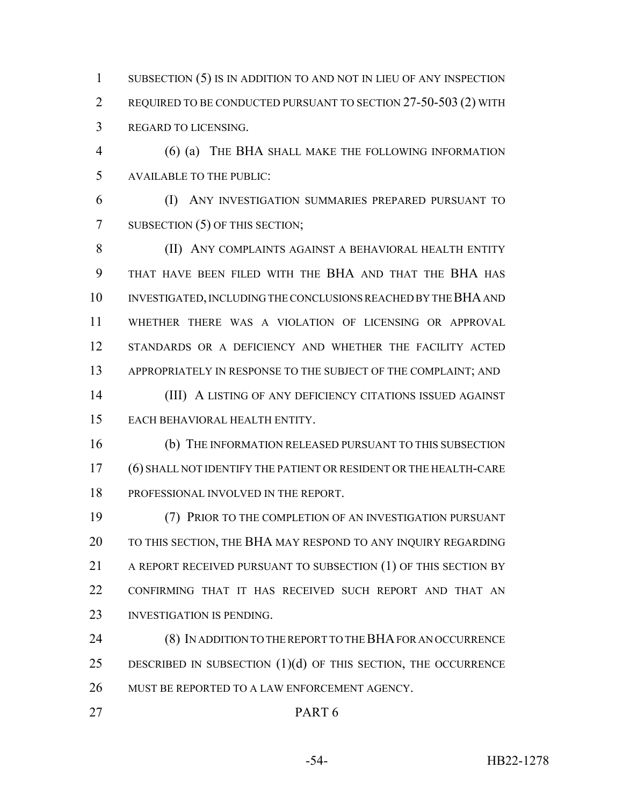1 SUBSECTION (5) IS IN ADDITION TO AND NOT IN LIEU OF ANY INSPECTION REQUIRED TO BE CONDUCTED PURSUANT TO SECTION 27-50-503 (2) WITH REGARD TO LICENSING.

 (6) (a) THE BHA SHALL MAKE THE FOLLOWING INFORMATION AVAILABLE TO THE PUBLIC:

 (I) ANY INVESTIGATION SUMMARIES PREPARED PURSUANT TO 7 SUBSECTION (5) OF THIS SECTION;

8 (II) ANY COMPLAINTS AGAINST A BEHAVIORAL HEALTH ENTITY THAT HAVE BEEN FILED WITH THE BHA AND THAT THE BHA HAS INVESTIGATED, INCLUDING THE CONCLUSIONS REACHED BY THE BHA AND WHETHER THERE WAS A VIOLATION OF LICENSING OR APPROVAL STANDARDS OR A DEFICIENCY AND WHETHER THE FACILITY ACTED 13 APPROPRIATELY IN RESPONSE TO THE SUBJECT OF THE COMPLAINT; AND (III) A LISTING OF ANY DEFICIENCY CITATIONS ISSUED AGAINST

EACH BEHAVIORAL HEALTH ENTITY.

 (b) THE INFORMATION RELEASED PURSUANT TO THIS SUBSECTION (6) SHALL NOT IDENTIFY THE PATIENT OR RESIDENT OR THE HEALTH-CARE PROFESSIONAL INVOLVED IN THE REPORT.

 (7) PRIOR TO THE COMPLETION OF AN INVESTIGATION PURSUANT TO THIS SECTION, THE BHA MAY RESPOND TO ANY INQUIRY REGARDING 21 A REPORT RECEIVED PURSUANT TO SUBSECTION (1) OF THIS SECTION BY CONFIRMING THAT IT HAS RECEIVED SUCH REPORT AND THAT AN INVESTIGATION IS PENDING.

 (8) IN ADDITION TO THE REPORT TO THE BHA FOR AN OCCURRENCE 25 DESCRIBED IN SUBSECTION  $(1)(d)$  OF THIS SECTION, THE OCCURRENCE MUST BE REPORTED TO A LAW ENFORCEMENT AGENCY.

## PART 6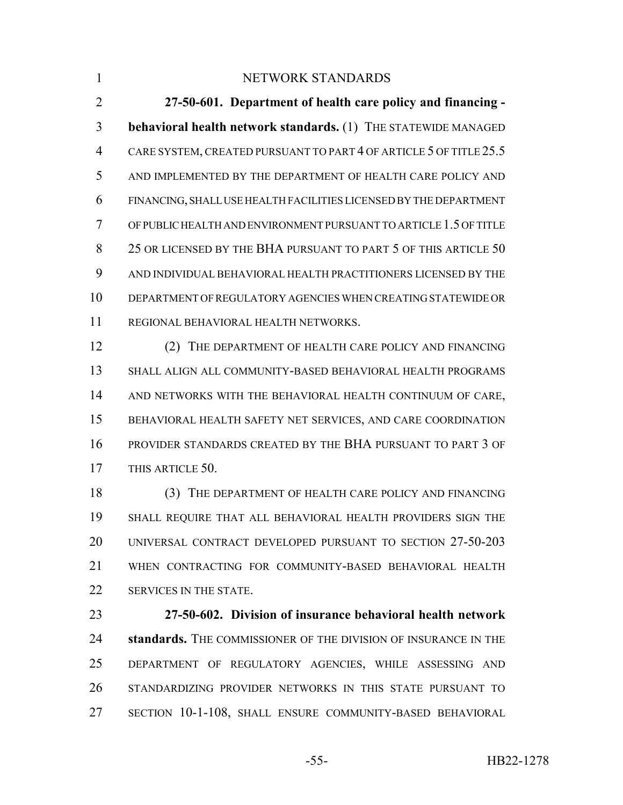## 1 NETWORK STANDARDS

 **27-50-601. Department of health care policy and financing - behavioral health network standards.** (1) THE STATEWIDE MANAGED CARE SYSTEM, CREATED PURSUANT TO PART 4 OF ARTICLE 5 OF TITLE 25.5 AND IMPLEMENTED BY THE DEPARTMENT OF HEALTH CARE POLICY AND FINANCING, SHALL USE HEALTH FACILITIES LICENSED BY THE DEPARTMENT OF PUBLIC HEALTH AND ENVIRONMENT PURSUANT TO ARTICLE 1.5 OF TITLE 8 25 OR LICENSED BY THE BHA PURSUANT TO PART 5 OF THIS ARTICLE 50 AND INDIVIDUAL BEHAVIORAL HEALTH PRACTITIONERS LICENSED BY THE DEPARTMENT OF REGULATORY AGENCIES WHEN CREATING STATEWIDE OR REGIONAL BEHAVIORAL HEALTH NETWORKS.

 (2) THE DEPARTMENT OF HEALTH CARE POLICY AND FINANCING SHALL ALIGN ALL COMMUNITY-BASED BEHAVIORAL HEALTH PROGRAMS AND NETWORKS WITH THE BEHAVIORAL HEALTH CONTINUUM OF CARE, BEHAVIORAL HEALTH SAFETY NET SERVICES, AND CARE COORDINATION PROVIDER STANDARDS CREATED BY THE BHA PURSUANT TO PART 3 OF THIS ARTICLE 50.

 (3) THE DEPARTMENT OF HEALTH CARE POLICY AND FINANCING SHALL REQUIRE THAT ALL BEHAVIORAL HEALTH PROVIDERS SIGN THE UNIVERSAL CONTRACT DEVELOPED PURSUANT TO SECTION 27-50-203 WHEN CONTRACTING FOR COMMUNITY-BASED BEHAVIORAL HEALTH 22 SERVICES IN THE STATE.

 **27-50-602. Division of insurance behavioral health network standards.** THE COMMISSIONER OF THE DIVISION OF INSURANCE IN THE DEPARTMENT OF REGULATORY AGENCIES, WHILE ASSESSING AND STANDARDIZING PROVIDER NETWORKS IN THIS STATE PURSUANT TO SECTION 10-1-108, SHALL ENSURE COMMUNITY-BASED BEHAVIORAL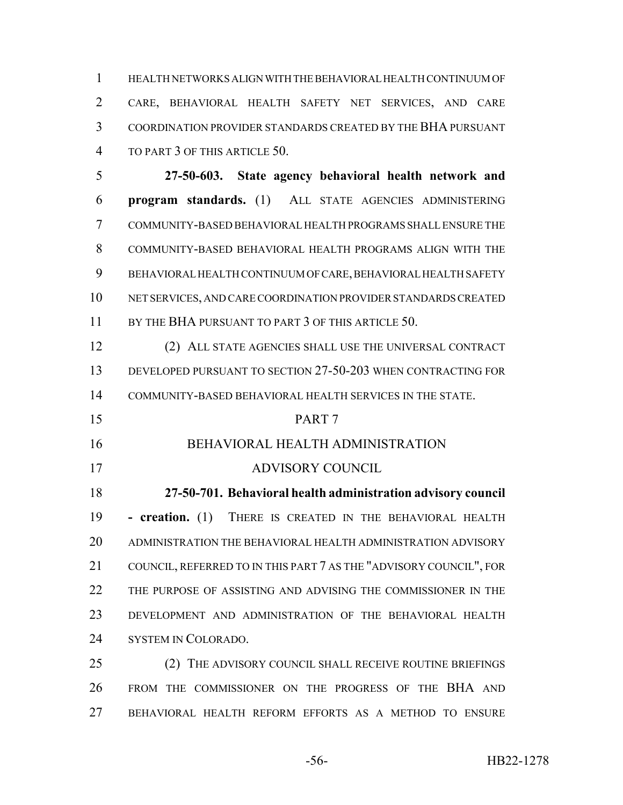HEALTH NETWORKS ALIGN WITH THE BEHAVIORAL HEALTH CONTINUUM OF CARE, BEHAVIORAL HEALTH SAFETY NET SERVICES, AND CARE COORDINATION PROVIDER STANDARDS CREATED BY THE BHA PURSUANT TO PART 3 OF THIS ARTICLE 50.

 **27-50-603. State agency behavioral health network and program standards.** (1) ALL STATE AGENCIES ADMINISTERING COMMUNITY-BASED BEHAVIORAL HEALTH PROGRAMS SHALL ENSURE THE COMMUNITY-BASED BEHAVIORAL HEALTH PROGRAMS ALIGN WITH THE BEHAVIORAL HEALTH CONTINUUM OF CARE, BEHAVIORAL HEALTH SAFETY NET SERVICES, AND CARE COORDINATION PROVIDER STANDARDS CREATED 11 BY THE BHA PURSUANT TO PART 3 OF THIS ARTICLE 50.

 (2) ALL STATE AGENCIES SHALL USE THE UNIVERSAL CONTRACT DEVELOPED PURSUANT TO SECTION 27-50-203 WHEN CONTRACTING FOR COMMUNITY-BASED BEHAVIORAL HEALTH SERVICES IN THE STATE.

PART 7

## BEHAVIORAL HEALTH ADMINISTRATION

## ADVISORY COUNCIL

 **27-50-701. Behavioral health administration advisory council - creation.** (1) THERE IS CREATED IN THE BEHAVIORAL HEALTH ADMINISTRATION THE BEHAVIORAL HEALTH ADMINISTRATION ADVISORY COUNCIL, REFERRED TO IN THIS PART 7 AS THE "ADVISORY COUNCIL", FOR THE PURPOSE OF ASSISTING AND ADVISING THE COMMISSIONER IN THE DEVELOPMENT AND ADMINISTRATION OF THE BEHAVIORAL HEALTH SYSTEM IN COLORADO.

25 (2) THE ADVISORY COUNCIL SHALL RECEIVE ROUTINE BRIEFINGS FROM THE COMMISSIONER ON THE PROGRESS OF THE BHA AND BEHAVIORAL HEALTH REFORM EFFORTS AS A METHOD TO ENSURE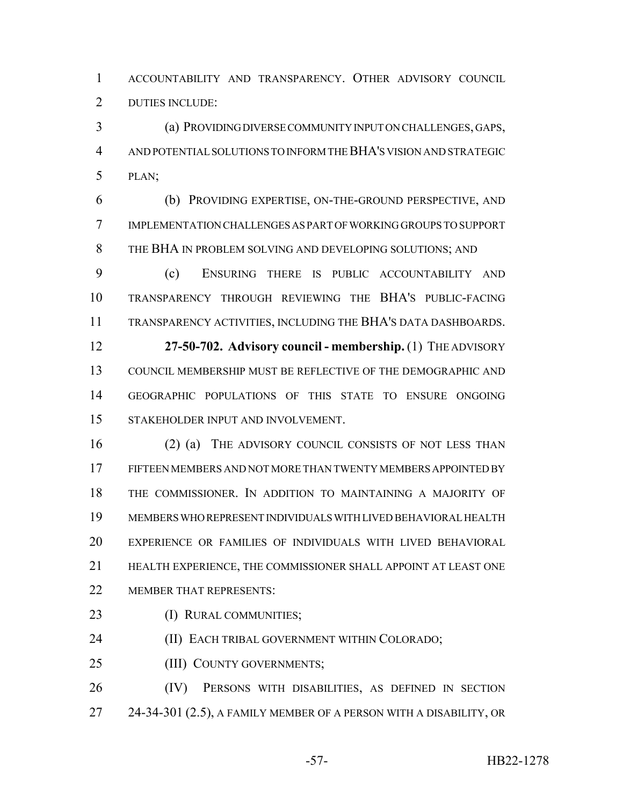ACCOUNTABILITY AND TRANSPARENCY. OTHER ADVISORY COUNCIL DUTIES INCLUDE:

 (a) PROVIDING DIVERSE COMMUNITY INPUT ON CHALLENGES, GAPS, AND POTENTIAL SOLUTIONS TO INFORM THE BHA'S VISION AND STRATEGIC PLAN;

 (b) PROVIDING EXPERTISE, ON-THE-GROUND PERSPECTIVE, AND IMPLEMENTATION CHALLENGES AS PART OF WORKING GROUPS TO SUPPORT THE BHA IN PROBLEM SOLVING AND DEVELOPING SOLUTIONS; AND

 (c) ENSURING THERE IS PUBLIC ACCOUNTABILITY AND TRANSPARENCY THROUGH REVIEWING THE BHA'S PUBLIC-FACING TRANSPARENCY ACTIVITIES, INCLUDING THE BHA'S DATA DASHBOARDS.

 **27-50-702. Advisory council - membership.** (1) THE ADVISORY COUNCIL MEMBERSHIP MUST BE REFLECTIVE OF THE DEMOGRAPHIC AND GEOGRAPHIC POPULATIONS OF THIS STATE TO ENSURE ONGOING STAKEHOLDER INPUT AND INVOLVEMENT.

 (2) (a) THE ADVISORY COUNCIL CONSISTS OF NOT LESS THAN FIFTEEN MEMBERS AND NOT MORE THAN TWENTY MEMBERS APPOINTED BY THE COMMISSIONER. IN ADDITION TO MAINTAINING A MAJORITY OF MEMBERS WHO REPRESENT INDIVIDUALS WITH LIVED BEHAVIORAL HEALTH EXPERIENCE OR FAMILIES OF INDIVIDUALS WITH LIVED BEHAVIORAL HEALTH EXPERIENCE, THE COMMISSIONER SHALL APPOINT AT LEAST ONE 22 MEMBER THAT REPRESENTS:

(I) RURAL COMMUNITIES;

(II) EACH TRIBAL GOVERNMENT WITHIN COLORADO;

(III) COUNTY GOVERNMENTS;

 (IV) PERSONS WITH DISABILITIES, AS DEFINED IN SECTION 27 24-34-301 (2.5), A FAMILY MEMBER OF A PERSON WITH A DISABILITY, OR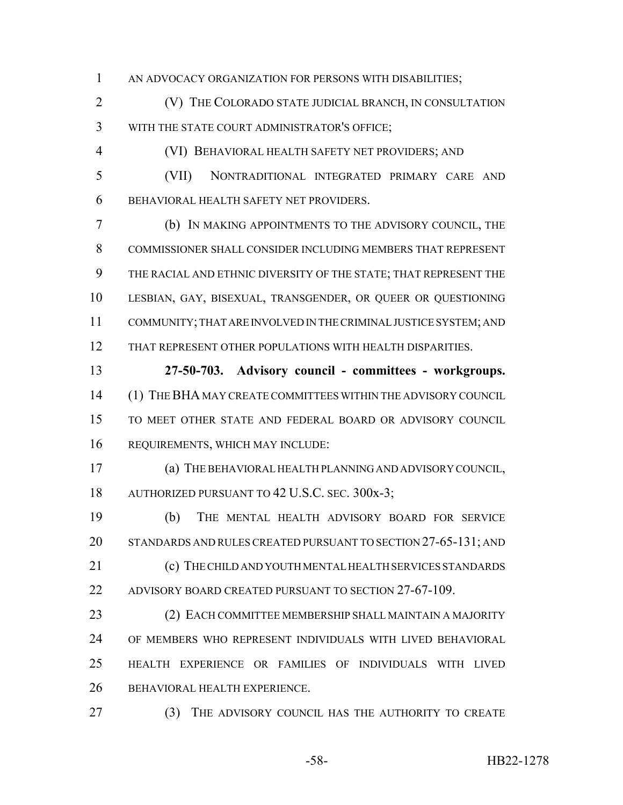AN ADVOCACY ORGANIZATION FOR PERSONS WITH DISABILITIES;

 (V) THE COLORADO STATE JUDICIAL BRANCH, IN CONSULTATION WITH THE STATE COURT ADMINISTRATOR'S OFFICE;

(VI) BEHAVIORAL HEALTH SAFETY NET PROVIDERS; AND

 (VII) NONTRADITIONAL INTEGRATED PRIMARY CARE AND BEHAVIORAL HEALTH SAFETY NET PROVIDERS.

 (b) IN MAKING APPOINTMENTS TO THE ADVISORY COUNCIL, THE COMMISSIONER SHALL CONSIDER INCLUDING MEMBERS THAT REPRESENT THE RACIAL AND ETHNIC DIVERSITY OF THE STATE; THAT REPRESENT THE 10 LESBIAN, GAY, BISEXUAL, TRANSGENDER, OR QUEER OR QUESTIONING COMMUNITY; THAT ARE INVOLVED IN THE CRIMINAL JUSTICE SYSTEM; AND THAT REPRESENT OTHER POPULATIONS WITH HEALTH DISPARITIES.

 **27-50-703. Advisory council - committees - workgroups.** (1) THE BHA MAY CREATE COMMITTEES WITHIN THE ADVISORY COUNCIL TO MEET OTHER STATE AND FEDERAL BOARD OR ADVISORY COUNCIL REQUIREMENTS, WHICH MAY INCLUDE:

 (a) THE BEHAVIORAL HEALTH PLANNING AND ADVISORY COUNCIL, 18 AUTHORIZED PURSUANT TO 42 U.S.C. SEC. 300x-3;

 (b) THE MENTAL HEALTH ADVISORY BOARD FOR SERVICE STANDARDS AND RULES CREATED PURSUANT TO SECTION 27-65-131; AND (c) THE CHILD AND YOUTH MENTAL HEALTH SERVICES STANDARDS

ADVISORY BOARD CREATED PURSUANT TO SECTION 27-67-109.

 (2) EACH COMMITTEE MEMBERSHIP SHALL MAINTAIN A MAJORITY OF MEMBERS WHO REPRESENT INDIVIDUALS WITH LIVED BEHAVIORAL HEALTH EXPERIENCE OR FAMILIES OF INDIVIDUALS WITH LIVED BEHAVIORAL HEALTH EXPERIENCE.

27 (3) THE ADVISORY COUNCIL HAS THE AUTHORITY TO CREATE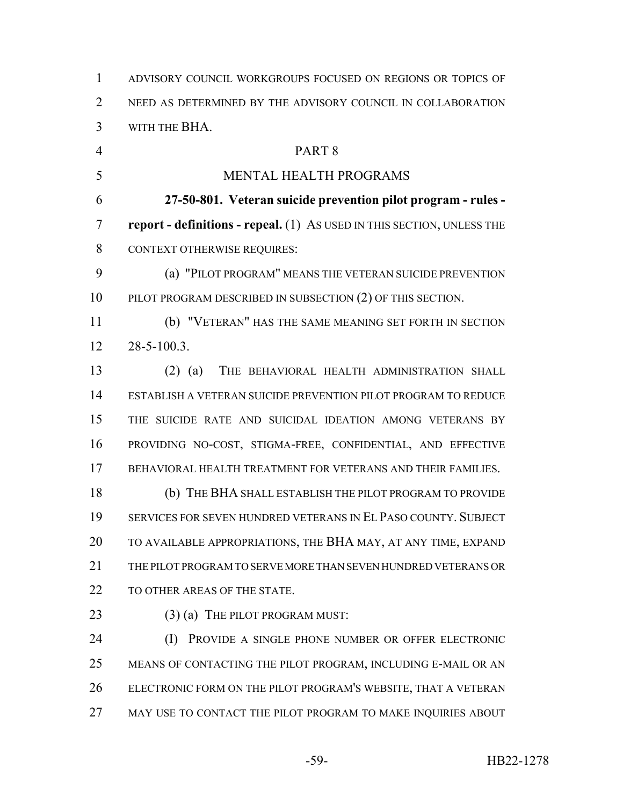ADVISORY COUNCIL WORKGROUPS FOCUSED ON REGIONS OR TOPICS OF NEED AS DETERMINED BY THE ADVISORY COUNCIL IN COLLABORATION WITH THE BHA. PART 8 MENTAL HEALTH PROGRAMS **27-50-801. Veteran suicide prevention pilot program - rules - report - definitions - repeal.** (1) AS USED IN THIS SECTION, UNLESS THE CONTEXT OTHERWISE REQUIRES: (a) "PILOT PROGRAM" MEANS THE VETERAN SUICIDE PREVENTION 10 PILOT PROGRAM DESCRIBED IN SUBSECTION (2) OF THIS SECTION. (b) "VETERAN" HAS THE SAME MEANING SET FORTH IN SECTION 28-5-100.3. (2) (a) THE BEHAVIORAL HEALTH ADMINISTRATION SHALL ESTABLISH A VETERAN SUICIDE PREVENTION PILOT PROGRAM TO REDUCE THE SUICIDE RATE AND SUICIDAL IDEATION AMONG VETERANS BY PROVIDING NO-COST, STIGMA-FREE, CONFIDENTIAL, AND EFFECTIVE BEHAVIORAL HEALTH TREATMENT FOR VETERANS AND THEIR FAMILIES. (b) THE BHA SHALL ESTABLISH THE PILOT PROGRAM TO PROVIDE SERVICES FOR SEVEN HUNDRED VETERANS IN EL PASO COUNTY. SUBJECT TO AVAILABLE APPROPRIATIONS, THE BHA MAY, AT ANY TIME, EXPAND THE PILOT PROGRAM TO SERVE MORE THAN SEVEN HUNDRED VETERANS OR 22 TO OTHER AREAS OF THE STATE. 23 (3) (a) THE PILOT PROGRAM MUST: (I) PROVIDE A SINGLE PHONE NUMBER OR OFFER ELECTRONIC MEANS OF CONTACTING THE PILOT PROGRAM, INCLUDING E-MAIL OR AN ELECTRONIC FORM ON THE PILOT PROGRAM'S WEBSITE, THAT A VETERAN 27 MAY USE TO CONTACT THE PILOT PROGRAM TO MAKE INQUIRIES ABOUT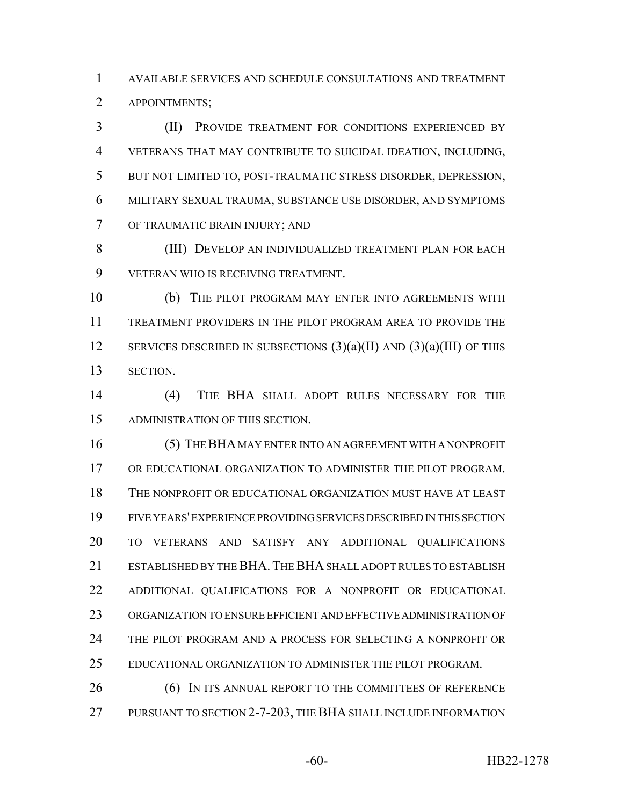AVAILABLE SERVICES AND SCHEDULE CONSULTATIONS AND TREATMENT APPOINTMENTS;

 (II) PROVIDE TREATMENT FOR CONDITIONS EXPERIENCED BY VETERANS THAT MAY CONTRIBUTE TO SUICIDAL IDEATION, INCLUDING, BUT NOT LIMITED TO, POST-TRAUMATIC STRESS DISORDER, DEPRESSION, MILITARY SEXUAL TRAUMA, SUBSTANCE USE DISORDER, AND SYMPTOMS OF TRAUMATIC BRAIN INJURY; AND

 (III) DEVELOP AN INDIVIDUALIZED TREATMENT PLAN FOR EACH VETERAN WHO IS RECEIVING TREATMENT.

 (b) THE PILOT PROGRAM MAY ENTER INTO AGREEMENTS WITH TREATMENT PROVIDERS IN THE PILOT PROGRAM AREA TO PROVIDE THE 12 SERVICES DESCRIBED IN SUBSECTIONS  $(3)(a)(II)$  AND  $(3)(a)(III)$  OF THIS SECTION.

 (4) THE BHA SHALL ADOPT RULES NECESSARY FOR THE ADMINISTRATION OF THIS SECTION.

 (5) THE BHA MAY ENTER INTO AN AGREEMENT WITH A NONPROFIT OR EDUCATIONAL ORGANIZATION TO ADMINISTER THE PILOT PROGRAM. THE NONPROFIT OR EDUCATIONAL ORGANIZATION MUST HAVE AT LEAST FIVE YEARS' EXPERIENCE PROVIDING SERVICES DESCRIBED IN THIS SECTION TO VETERANS AND SATISFY ANY ADDITIONAL QUALIFICATIONS ESTABLISHED BY THE BHA.THE BHA SHALL ADOPT RULES TO ESTABLISH ADDITIONAL QUALIFICATIONS FOR A NONPROFIT OR EDUCATIONAL ORGANIZATION TO ENSURE EFFICIENT AND EFFECTIVE ADMINISTRATION OF THE PILOT PROGRAM AND A PROCESS FOR SELECTING A NONPROFIT OR EDUCATIONAL ORGANIZATION TO ADMINISTER THE PILOT PROGRAM.

**(6) IN ITS ANNUAL REPORT TO THE COMMITTEES OF REFERENCE** PURSUANT TO SECTION 2-7-203, THE BHA SHALL INCLUDE INFORMATION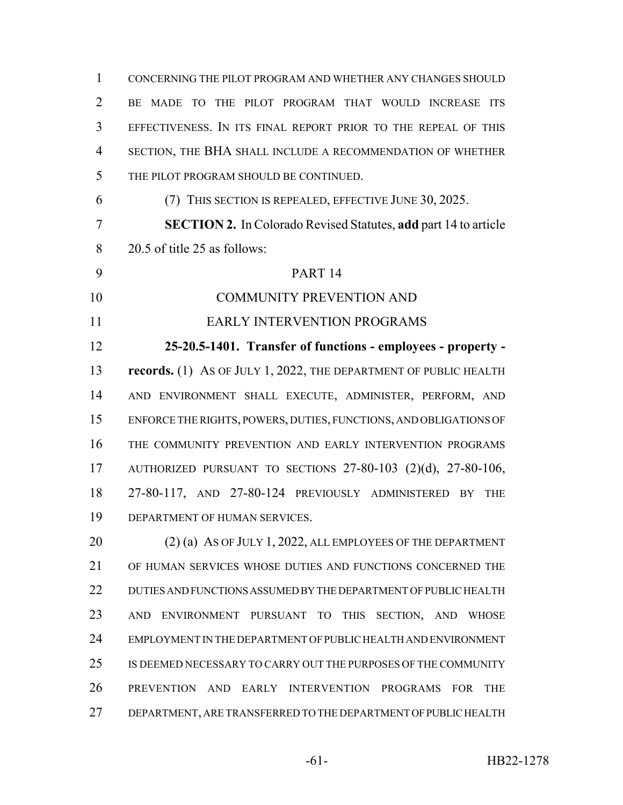| $\mathbf{1}$   | CONCERNING THE PILOT PROGRAM AND WHETHER ANY CHANGES SHOULD             |
|----------------|-------------------------------------------------------------------------|
| $\overline{2}$ | BE MADE TO THE PILOT PROGRAM THAT WOULD INCREASE ITS                    |
| 3              | EFFECTIVENESS. IN ITS FINAL REPORT PRIOR TO THE REPEAL OF THIS          |
| 4              | SECTION, THE BHA SHALL INCLUDE A RECOMMENDATION OF WHETHER              |
| 5              | THE PILOT PROGRAM SHOULD BE CONTINUED.                                  |
| 6              | (7) THIS SECTION IS REPEALED, EFFECTIVE JUNE 30, 2025.                  |
| 7              | <b>SECTION 2.</b> In Colorado Revised Statutes, add part 14 to article  |
| 8              | 20.5 of title 25 as follows:                                            |
| 9              | PART <sub>14</sub>                                                      |
| 10             | <b>COMMUNITY PREVENTION AND</b>                                         |
| 11             | <b>EARLY INTERVENTION PROGRAMS</b>                                      |
| 12             | 25-20.5-1401. Transfer of functions - employees - property -            |
| 13             | <b>records.</b> (1) As OF JULY 1, 2022, THE DEPARTMENT OF PUBLIC HEALTH |
| 14             | AND ENVIRONMENT SHALL EXECUTE, ADMINISTER, PERFORM, AND                 |
| 15             | ENFORCE THE RIGHTS, POWERS, DUTIES, FUNCTIONS, AND OBLIGATIONS OF       |
| 16             | THE COMMUNITY PREVENTION AND EARLY INTERVENTION PROGRAMS                |
| 17             | AUTHORIZED PURSUANT TO SECTIONS $27-80-103$ $(2)(d)$ , $27-80-106$ ,    |
| 18             | 27-80-117, AND 27-80-124 PREVIOUSLY ADMINISTERED BY<br><b>THE</b>       |
| 19             | DEPARTMENT OF HUMAN SERVICES.                                           |
| 20             | (2) (a) AS OF JULY 1, 2022, ALL EMPLOYEES OF THE DEPARTMENT             |
| 21             | OF HUMAN SERVICES WHOSE DUTIES AND FUNCTIONS CONCERNED THE              |
| 22             | DUTIES AND FUNCTIONS ASSUMED BY THE DEPARTMENT OF PUBLIC HEALTH         |
| 23             | AND ENVIRONMENT PURSUANT TO THIS SECTION, AND WHOSE                     |
| 24             | EMPLOYMENT IN THE DEPARTMENT OF PUBLIC HEALTH AND ENVIRONMENT           |
| 25             | IS DEEMED NECESSARY TO CARRY OUT THE PURPOSES OF THE COMMUNITY          |
| 26             | PREVENTION AND EARLY INTERVENTION PROGRAMS<br><b>THE</b><br>FOR         |
| 27             | DEPARTMENT, ARE TRANSFERRED TO THE DEPARTMENT OF PUBLIC HEALTH          |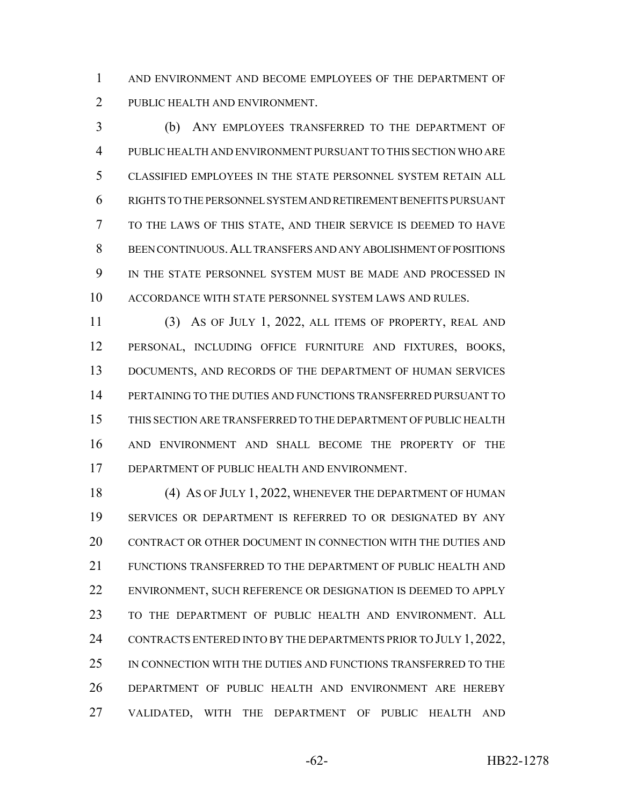AND ENVIRONMENT AND BECOME EMPLOYEES OF THE DEPARTMENT OF PUBLIC HEALTH AND ENVIRONMENT.

 (b) ANY EMPLOYEES TRANSFERRED TO THE DEPARTMENT OF PUBLIC HEALTH AND ENVIRONMENT PURSUANT TO THIS SECTION WHO ARE CLASSIFIED EMPLOYEES IN THE STATE PERSONNEL SYSTEM RETAIN ALL RIGHTS TO THE PERSONNEL SYSTEM AND RETIREMENT BENEFITS PURSUANT TO THE LAWS OF THIS STATE, AND THEIR SERVICE IS DEEMED TO HAVE BEEN CONTINUOUS.ALL TRANSFERS AND ANY ABOLISHMENT OF POSITIONS IN THE STATE PERSONNEL SYSTEM MUST BE MADE AND PROCESSED IN ACCORDANCE WITH STATE PERSONNEL SYSTEM LAWS AND RULES.

 (3) AS OF JULY 1, 2022, ALL ITEMS OF PROPERTY, REAL AND PERSONAL, INCLUDING OFFICE FURNITURE AND FIXTURES, BOOKS, 13 DOCUMENTS, AND RECORDS OF THE DEPARTMENT OF HUMAN SERVICES PERTAINING TO THE DUTIES AND FUNCTIONS TRANSFERRED PURSUANT TO THIS SECTION ARE TRANSFERRED TO THE DEPARTMENT OF PUBLIC HEALTH AND ENVIRONMENT AND SHALL BECOME THE PROPERTY OF THE DEPARTMENT OF PUBLIC HEALTH AND ENVIRONMENT.

18 (4) As of JULY 1, 2022, WHENEVER THE DEPARTMENT OF HUMAN SERVICES OR DEPARTMENT IS REFERRED TO OR DESIGNATED BY ANY CONTRACT OR OTHER DOCUMENT IN CONNECTION WITH THE DUTIES AND FUNCTIONS TRANSFERRED TO THE DEPARTMENT OF PUBLIC HEALTH AND ENVIRONMENT, SUCH REFERENCE OR DESIGNATION IS DEEMED TO APPLY TO THE DEPARTMENT OF PUBLIC HEALTH AND ENVIRONMENT. ALL 24 CONTRACTS ENTERED INTO BY THE DEPARTMENTS PRIOR TO JULY 1, 2022, IN CONNECTION WITH THE DUTIES AND FUNCTIONS TRANSFERRED TO THE DEPARTMENT OF PUBLIC HEALTH AND ENVIRONMENT ARE HEREBY VALIDATED, WITH THE DEPARTMENT OF PUBLIC HEALTH AND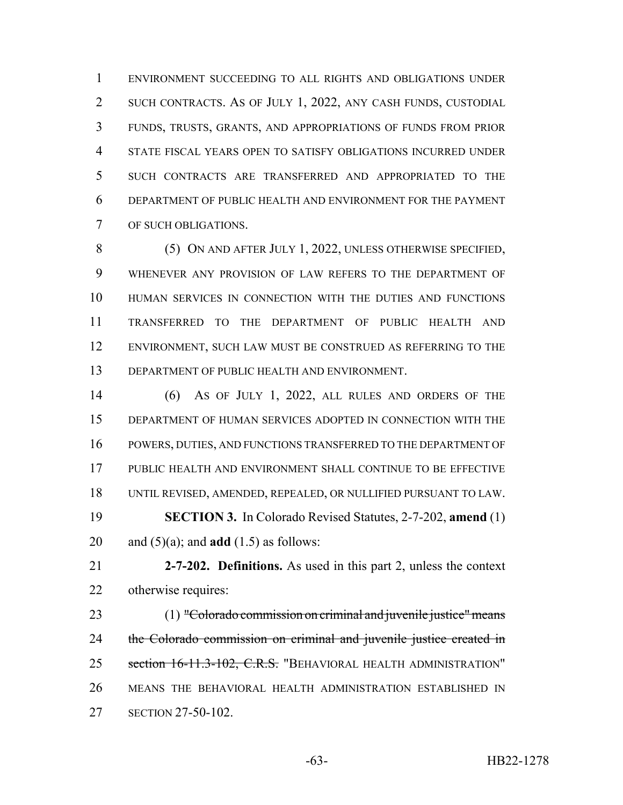ENVIRONMENT SUCCEEDING TO ALL RIGHTS AND OBLIGATIONS UNDER SUCH CONTRACTS. AS OF JULY 1, 2022, ANY CASH FUNDS, CUSTODIAL FUNDS, TRUSTS, GRANTS, AND APPROPRIATIONS OF FUNDS FROM PRIOR STATE FISCAL YEARS OPEN TO SATISFY OBLIGATIONS INCURRED UNDER SUCH CONTRACTS ARE TRANSFERRED AND APPROPRIATED TO THE DEPARTMENT OF PUBLIC HEALTH AND ENVIRONMENT FOR THE PAYMENT OF SUCH OBLIGATIONS.

 (5) ON AND AFTER JULY 1, 2022, UNLESS OTHERWISE SPECIFIED, WHENEVER ANY PROVISION OF LAW REFERS TO THE DEPARTMENT OF HUMAN SERVICES IN CONNECTION WITH THE DUTIES AND FUNCTIONS TRANSFERRED TO THE DEPARTMENT OF PUBLIC HEALTH AND ENVIRONMENT, SUCH LAW MUST BE CONSTRUED AS REFERRING TO THE DEPARTMENT OF PUBLIC HEALTH AND ENVIRONMENT.

 (6) AS OF JULY 1, 2022, ALL RULES AND ORDERS OF THE DEPARTMENT OF HUMAN SERVICES ADOPTED IN CONNECTION WITH THE POWERS, DUTIES, AND FUNCTIONS TRANSFERRED TO THE DEPARTMENT OF PUBLIC HEALTH AND ENVIRONMENT SHALL CONTINUE TO BE EFFECTIVE UNTIL REVISED, AMENDED, REPEALED, OR NULLIFIED PURSUANT TO LAW. **SECTION 3.** In Colorado Revised Statutes, 2-7-202, **amend** (1) 20 and  $(5)(a)$ ; and **add**  $(1.5)$  as follows:

 **2-7-202. Definitions.** As used in this part 2, unless the context otherwise requires:

23 (1) "Colorado commission on criminal and juvenile justice" means 24 the Colorado commission on criminal and juvenile justice created in 25 section 16-11.3-102, C.R.S. "BEHAVIORAL HEALTH ADMINISTRATION" MEANS THE BEHAVIORAL HEALTH ADMINISTRATION ESTABLISHED IN SECTION 27-50-102.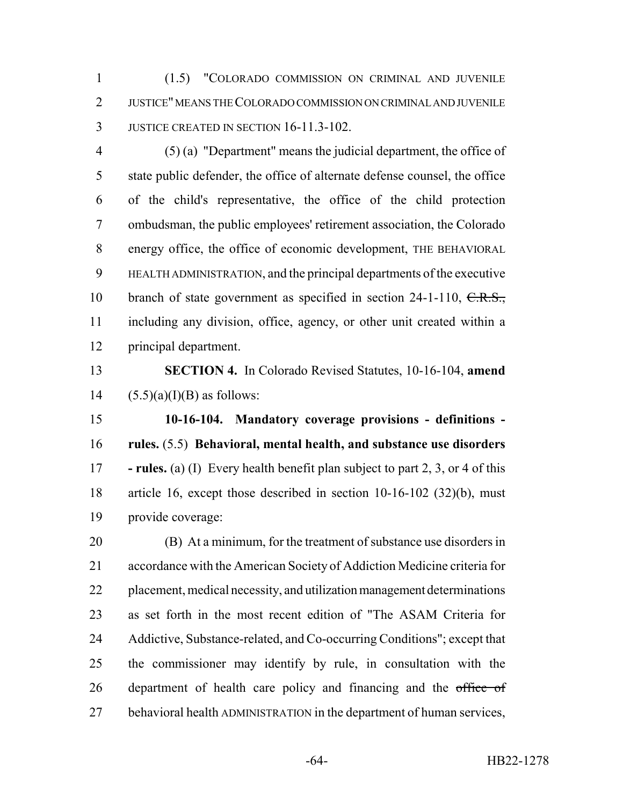(1.5) "COLORADO COMMISSION ON CRIMINAL AND JUVENILE JUSTICE" MEANS THE COLORADO COMMISSION ON CRIMINAL AND JUVENILE JUSTICE CREATED IN SECTION 16-11.3-102.

 (5) (a) "Department" means the judicial department, the office of state public defender, the office of alternate defense counsel, the office of the child's representative, the office of the child protection ombudsman, the public employees' retirement association, the Colorado energy office, the office of economic development, THE BEHAVIORAL HEALTH ADMINISTRATION, and the principal departments of the executive 10 branch of state government as specified in section 24-1-110, C.R.S., including any division, office, agency, or other unit created within a principal department.

 **SECTION 4.** In Colorado Revised Statutes, 10-16-104, **amend** 14  $(5.5)(a)(I)(B)$  as follows:

 **10-16-104. Mandatory coverage provisions - definitions - rules.** (5.5) **Behavioral, mental health, and substance use disorders - rules.** (a) (I) Every health benefit plan subject to part 2, 3, or 4 of this article 16, except those described in section 10-16-102 (32)(b), must provide coverage:

 (B) At a minimum, for the treatment of substance use disorders in accordance with the American Society of Addiction Medicine criteria for placement, medical necessity, and utilization management determinations as set forth in the most recent edition of "The ASAM Criteria for Addictive, Substance-related, and Co-occurring Conditions"; except that the commissioner may identify by rule, in consultation with the 26 department of health care policy and financing and the office of behavioral health ADMINISTRATION in the department of human services,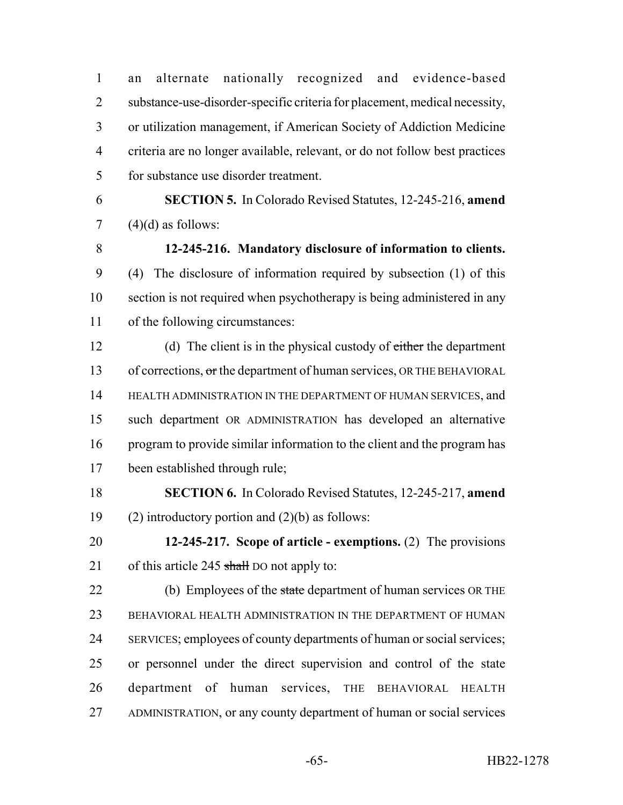an alternate nationally recognized and evidence-based substance-use-disorder-specific criteria for placement, medical necessity, or utilization management, if American Society of Addiction Medicine criteria are no longer available, relevant, or do not follow best practices for substance use disorder treatment.

 **SECTION 5.** In Colorado Revised Statutes, 12-245-216, **amend** (4)(d) as follows:

 **12-245-216. Mandatory disclosure of information to clients.** (4) The disclosure of information required by subsection (1) of this section is not required when psychotherapy is being administered in any of the following circumstances:

12 (d) The client is in the physical custody of either the department 13 of corrections, or the department of human services, OR THE BEHAVIORAL 14 HEALTH ADMINISTRATION IN THE DEPARTMENT OF HUMAN SERVICES, and such department OR ADMINISTRATION has developed an alternative program to provide similar information to the client and the program has been established through rule;

 **SECTION 6.** In Colorado Revised Statutes, 12-245-217, **amend** 19 (2) introductory portion and  $(2)(b)$  as follows:

 **12-245-217. Scope of article - exemptions.** (2) The provisions 21 of this article 245 shall DO not apply to:

22 (b) Employees of the state department of human services OR THE BEHAVIORAL HEALTH ADMINISTRATION IN THE DEPARTMENT OF HUMAN SERVICES; employees of county departments of human or social services; or personnel under the direct supervision and control of the state department of human services, THE BEHAVIORAL HEALTH ADMINISTRATION, or any county department of human or social services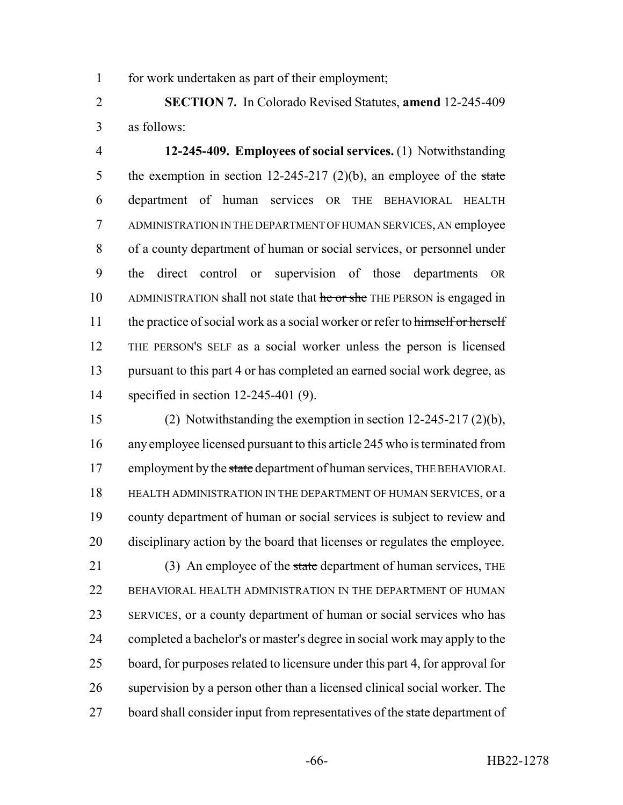for work undertaken as part of their employment;

 **SECTION 7.** In Colorado Revised Statutes, **amend** 12-245-409 as follows:

 **12-245-409. Employees of social services.** (1) Notwithstanding 5 the exemption in section 12-245-217 (2)(b), an employee of the state department of human services OR THE BEHAVIORAL HEALTH ADMINISTRATION IN THE DEPARTMENT OF HUMAN SERVICES, AN employee of a county department of human or social services, or personnel under the direct control or supervision of those departments OR 10 ADMINISTRATION shall not state that he or she THE PERSON is engaged in 11 the practice of social work as a social worker or refer to himself or herself THE PERSON'S SELF as a social worker unless the person is licensed pursuant to this part 4 or has completed an earned social work degree, as specified in section 12-245-401 (9).

 (2) Notwithstanding the exemption in section 12-245-217 (2)(b), any employee licensed pursuant to this article 245 who is terminated from 17 employment by the state department of human services, THE BEHAVIORAL HEALTH ADMINISTRATION IN THE DEPARTMENT OF HUMAN SERVICES, or a county department of human or social services is subject to review and disciplinary action by the board that licenses or regulates the employee.

21 (3) An employee of the state department of human services, THE 22 BEHAVIORAL HEALTH ADMINISTRATION IN THE DEPARTMENT OF HUMAN SERVICES, or a county department of human or social services who has completed a bachelor's or master's degree in social work may apply to the board, for purposes related to licensure under this part 4, for approval for supervision by a person other than a licensed clinical social worker. The 27 board shall consider input from representatives of the state department of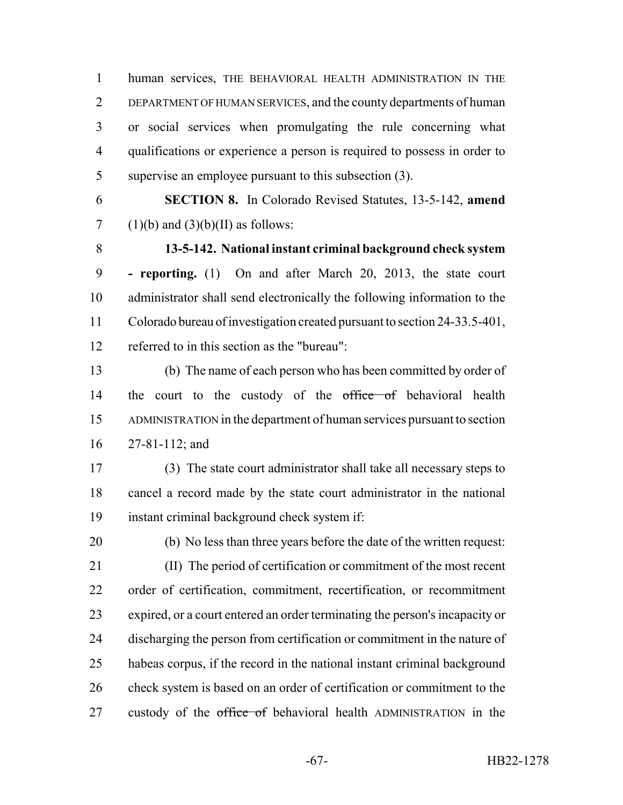human services, THE BEHAVIORAL HEALTH ADMINISTRATION IN THE DEPARTMENT OF HUMAN SERVICES, and the county departments of human or social services when promulgating the rule concerning what qualifications or experience a person is required to possess in order to supervise an employee pursuant to this subsection (3).

 **SECTION 8.** In Colorado Revised Statutes, 13-5-142, **amend** 7 (1)(b) and (3)(b)(II) as follows:

 **13-5-142. National instant criminal background check system - reporting.** (1) On and after March 20, 2013, the state court administrator shall send electronically the following information to the Colorado bureau of investigation created pursuant to section 24-33.5-401, referred to in this section as the "bureau":

 (b) The name of each person who has been committed by order of 14 the court to the custody of the office of behavioral health ADMINISTRATION in the department of human services pursuant to section 27-81-112; and

 (3) The state court administrator shall take all necessary steps to cancel a record made by the state court administrator in the national instant criminal background check system if:

 (b) No less than three years before the date of the written request: (II) The period of certification or commitment of the most recent order of certification, commitment, recertification, or recommitment expired, or a court entered an order terminating the person's incapacity or 24 discharging the person from certification or commitment in the nature of habeas corpus, if the record in the national instant criminal background 26 check system is based on an order of certification or commitment to the 27 custody of the office of behavioral health ADMINISTRATION in the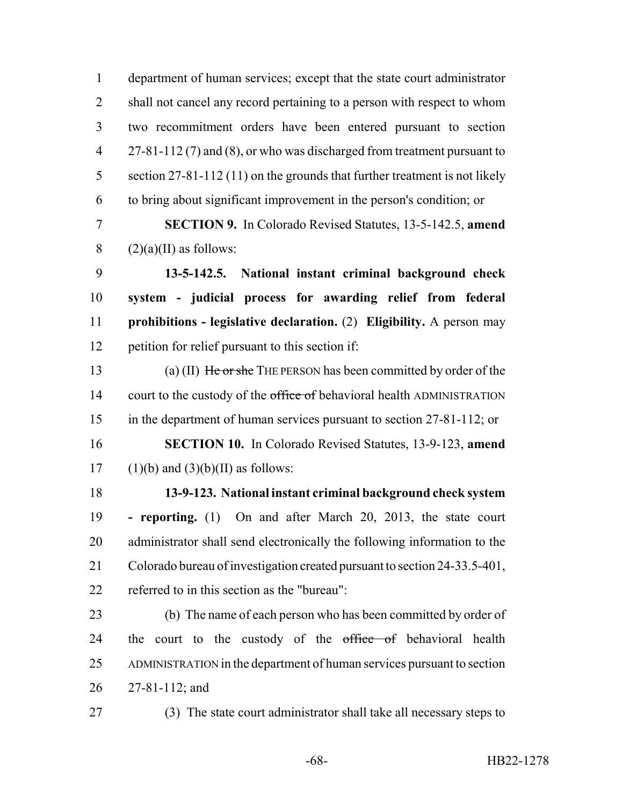department of human services; except that the state court administrator 2 shall not cancel any record pertaining to a person with respect to whom two recommitment orders have been entered pursuant to section 4 27-81-112 (7) and (8), or who was discharged from treatment pursuant to 5 section 27-81-112 (11) on the grounds that further treatment is not likely to bring about significant improvement in the person's condition; or

 **SECTION 9.** In Colorado Revised Statutes, 13-5-142.5, **amend** 8  $(2)(a)(II)$  as follows:

 **13-5-142.5. National instant criminal background check system - judicial process for awarding relief from federal prohibitions - legislative declaration.** (2) **Eligibility.** A person may petition for relief pursuant to this section if:

13 (a) (II) He or she THE PERSON has been committed by order of the 14 court to the custody of the office of behavioral health ADMINISTRATION in the department of human services pursuant to section 27-81-112; or **SECTION 10.** In Colorado Revised Statutes, 13-9-123, **amend**

17 (1)(b) and  $(3)(b)(II)$  as follows:

 **13-9-123. National instant criminal background check system - reporting.** (1) On and after March 20, 2013, the state court 20 administrator shall send electronically the following information to the Colorado bureau of investigation created pursuant to section 24-33.5-401, referred to in this section as the "bureau":

 (b) The name of each person who has been committed by order of 24 the court to the custody of the office of behavioral health ADMINISTRATION in the department of human services pursuant to section 27-81-112; and

(3) The state court administrator shall take all necessary steps to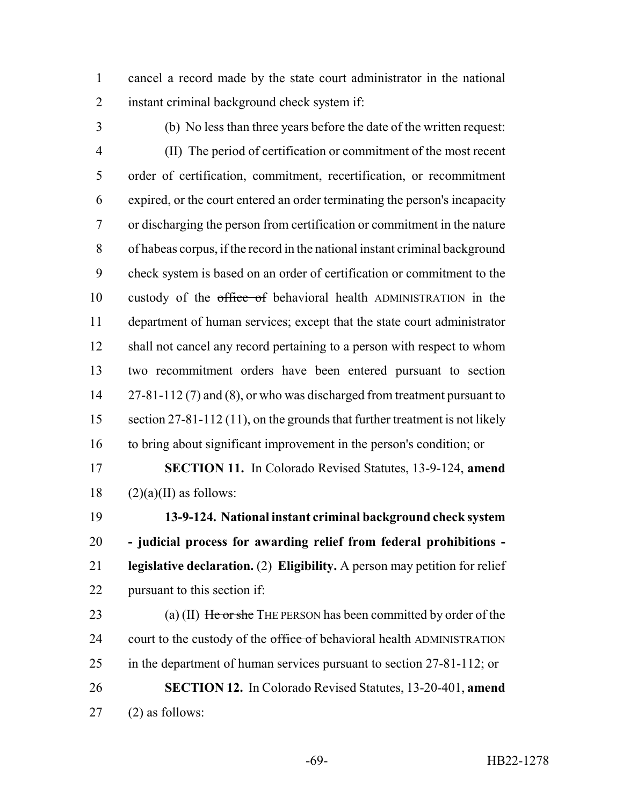cancel a record made by the state court administrator in the national instant criminal background check system if:

 (b) No less than three years before the date of the written request: (II) The period of certification or commitment of the most recent order of certification, commitment, recertification, or recommitment expired, or the court entered an order terminating the person's incapacity or discharging the person from certification or commitment in the nature of habeas corpus, if the record in the national instant criminal background check system is based on an order of certification or commitment to the 10 custody of the office of behavioral health ADMINISTRATION in the department of human services; except that the state court administrator 12 shall not cancel any record pertaining to a person with respect to whom two recommitment orders have been entered pursuant to section 14 27-81-112 (7) and (8), or who was discharged from treatment pursuant to 15 section 27-81-112 (11), on the grounds that further treatment is not likely to bring about significant improvement in the person's condition; or

 **SECTION 11.** In Colorado Revised Statutes, 13-9-124, **amend** (2)(a)(II) as follows:

 **13-9-124. National instant criminal background check system - judicial process for awarding relief from federal prohibitions - legislative declaration.** (2) **Eligibility.** A person may petition for relief pursuant to this section if:

23 (a) (II) He or she THE PERSON has been committed by order of the 24 court to the custody of the office of behavioral health ADMINISTRATION in the department of human services pursuant to section 27-81-112; or **SECTION 12.** In Colorado Revised Statutes, 13-20-401, **amend** (2) as follows: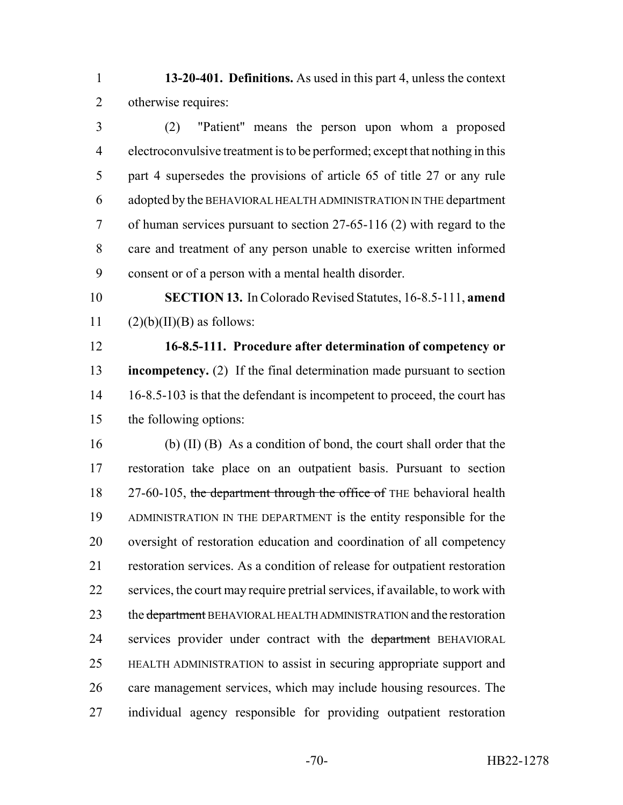**13-20-401. Definitions.** As used in this part 4, unless the context otherwise requires:

 (2) "Patient" means the person upon whom a proposed electroconvulsive treatment is to be performed; except that nothing in this part 4 supersedes the provisions of article 65 of title 27 or any rule adopted by the BEHAVIORAL HEALTH ADMINISTRATION IN THE department of human services pursuant to section 27-65-116 (2) with regard to the care and treatment of any person unable to exercise written informed consent or of a person with a mental health disorder.

 **SECTION 13.** In Colorado Revised Statutes, 16-8.5-111, **amend** 11  $(2)(b)(II)(B)$  as follows:

 **16-8.5-111. Procedure after determination of competency or incompetency.** (2) If the final determination made pursuant to section 14 16-8.5-103 is that the defendant is incompetent to proceed, the court has the following options:

 (b) (II) (B) As a condition of bond, the court shall order that the restoration take place on an outpatient basis. Pursuant to section 18 27-60-105, the department through the office of THE behavioral health ADMINISTRATION IN THE DEPARTMENT is the entity responsible for the oversight of restoration education and coordination of all competency restoration services. As a condition of release for outpatient restoration services, the court may require pretrial services, if available, to work with 23 the <del>department</del> BEHAVIORAL HEALTH ADMINISTRATION and the restoration 24 services provider under contract with the department BEHAVIORAL HEALTH ADMINISTRATION to assist in securing appropriate support and care management services, which may include housing resources. The individual agency responsible for providing outpatient restoration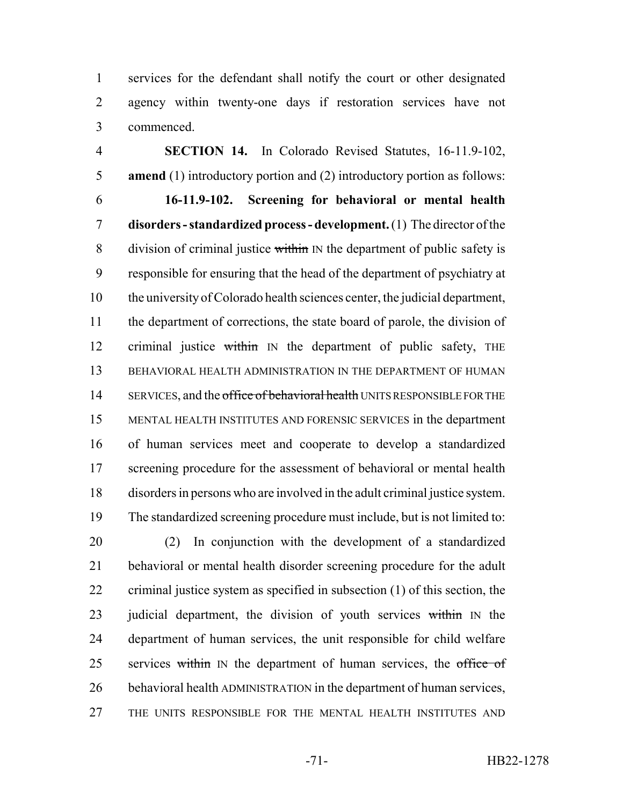services for the defendant shall notify the court or other designated agency within twenty-one days if restoration services have not commenced.

 **SECTION 14.** In Colorado Revised Statutes, 16-11.9-102, **amend** (1) introductory portion and (2) introductory portion as follows: **16-11.9-102. Screening for behavioral or mental health disorders - standardized process - development.** (1) The director of the 8 division of criminal justice within IN the department of public safety is responsible for ensuring that the head of the department of psychiatry at the university of Colorado health sciences center, the judicial department, the department of corrections, the state board of parole, the division of 12 criminal justice within IN the department of public safety, THE BEHAVIORAL HEALTH ADMINISTRATION IN THE DEPARTMENT OF HUMAN 14 SERVICES, and the office of behavioral health UNITS RESPONSIBLE FOR THE MENTAL HEALTH INSTITUTES AND FORENSIC SERVICES in the department of human services meet and cooperate to develop a standardized 17 screening procedure for the assessment of behavioral or mental health disorders in persons who are involved in the adult criminal justice system. The standardized screening procedure must include, but is not limited to:

 (2) In conjunction with the development of a standardized behavioral or mental health disorder screening procedure for the adult criminal justice system as specified in subsection (1) of this section, the 23 judicial department, the division of youth services within IN the department of human services, the unit responsible for child welfare 25 services within IN the department of human services, the office of behavioral health ADMINISTRATION in the department of human services, THE UNITS RESPONSIBLE FOR THE MENTAL HEALTH INSTITUTES AND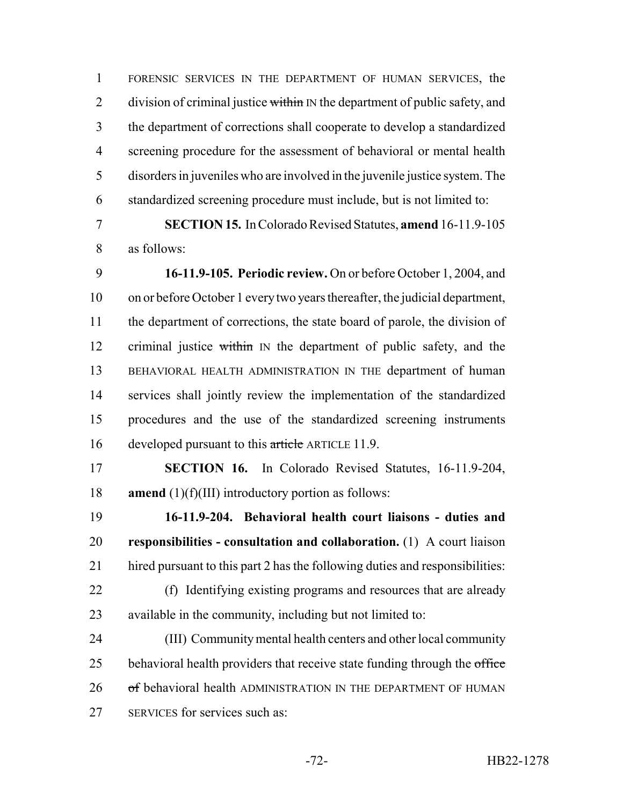FORENSIC SERVICES IN THE DEPARTMENT OF HUMAN SERVICES, the 2 division of criminal justice within IN the department of public safety, and the department of corrections shall cooperate to develop a standardized screening procedure for the assessment of behavioral or mental health disorders in juveniles who are involved in the juvenile justice system. The standardized screening procedure must include, but is not limited to:

 **SECTION 15.** In Colorado Revised Statutes, **amend** 16-11.9-105 as follows:

 **16-11.9-105. Periodic review.** On or before October 1, 2004, and on or before October 1 every two years thereafter, the judicial department, the department of corrections, the state board of parole, the division of 12 criminal justice within IN the department of public safety, and the BEHAVIORAL HEALTH ADMINISTRATION IN THE department of human services shall jointly review the implementation of the standardized procedures and the use of the standardized screening instruments 16 developed pursuant to this article ARTICLE 11.9.

 **SECTION 16.** In Colorado Revised Statutes, 16-11.9-204, **amend** (1)(f)(III) introductory portion as follows:

 **16-11.9-204. Behavioral health court liaisons - duties and responsibilities - consultation and collaboration.** (1) A court liaison hired pursuant to this part 2 has the following duties and responsibilities:

 (f) Identifying existing programs and resources that are already available in the community, including but not limited to:

 (III) Community mental health centers and other local community 25 behavioral health providers that receive state funding through the office 26 of behavioral health ADMINISTRATION IN THE DEPARTMENT OF HUMAN SERVICES for services such as: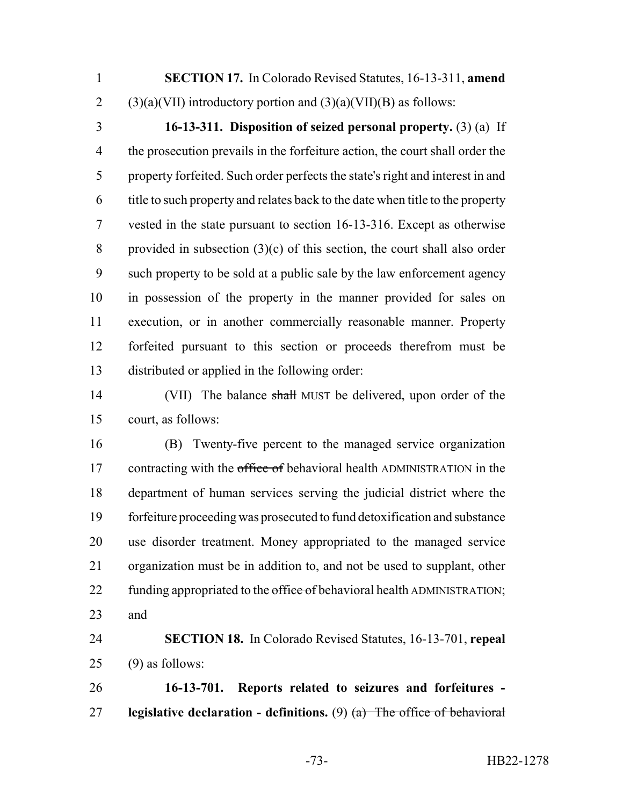**SECTION 17.** In Colorado Revised Statutes, 16-13-311, **amend** 2 (3)(a)(VII) introductory portion and  $(3)(a)$ (VII)(B) as follows:

 **16-13-311. Disposition of seized personal property.** (3) (a) If the prosecution prevails in the forfeiture action, the court shall order the property forfeited. Such order perfects the state's right and interest in and title to such property and relates back to the date when title to the property vested in the state pursuant to section 16-13-316. Except as otherwise provided in subsection (3)(c) of this section, the court shall also order such property to be sold at a public sale by the law enforcement agency in possession of the property in the manner provided for sales on execution, or in another commercially reasonable manner. Property forfeited pursuant to this section or proceeds therefrom must be distributed or applied in the following order:

14 (VII) The balance shall MUST be delivered, upon order of the court, as follows:

 (B) Twenty-five percent to the managed service organization 17 contracting with the office of behavioral health ADMINISTRATION in the department of human services serving the judicial district where the forfeiture proceeding was prosecuted to fund detoxification and substance use disorder treatment. Money appropriated to the managed service organization must be in addition to, and not be used to supplant, other 22 funding appropriated to the office of behavioral health ADMINISTRATION; and

 **SECTION 18.** In Colorado Revised Statutes, 16-13-701, **repeal** (9) as follows:

 **16-13-701. Reports related to seizures and forfeitures - legislative declaration - definitions.** (9) (a) The office of behavioral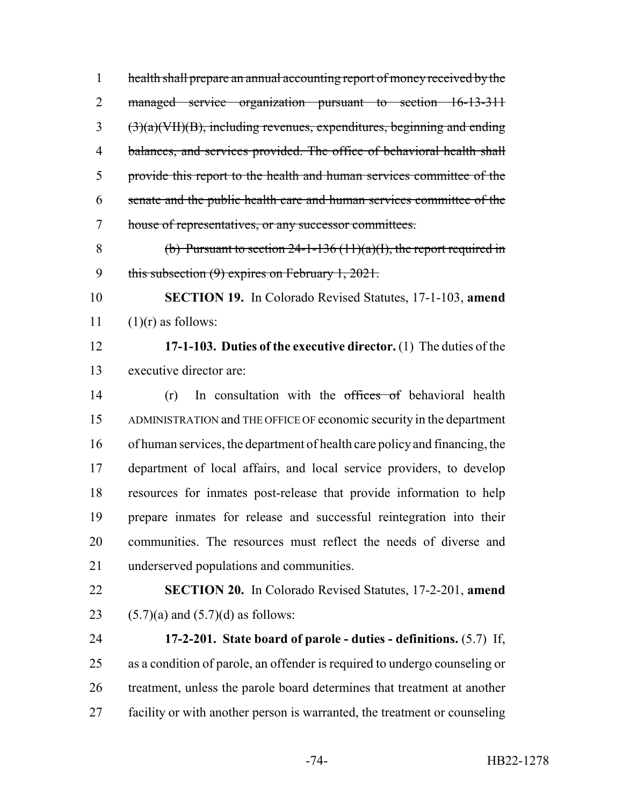health shall prepare an annual accounting report of money received by the managed service organization pursuant to section 16-13-311 (3)(a)(VII)(B), including revenues, expenditures, beginning and ending balances, and services provided. The office of behavioral health shall provide this report to the health and human services committee of the senate and the public health care and human services committee of the house of representatives, or any successor committees.

8 (b) Pursuant to section  $24-1-136(11)(a)(I)$ , the report required in 9 this subsection (9) expires on February 1, 2021.

 **SECTION 19.** In Colorado Revised Statutes, 17-1-103, **amend** 11  $(1)(r)$  as follows:

 **17-1-103. Duties of the executive director.** (1) The duties of the executive director are:

14 (r) In consultation with the offices of behavioral health ADMINISTRATION and THE OFFICE OF economic security in the department of human services, the department of health care policy and financing, the department of local affairs, and local service providers, to develop resources for inmates post-release that provide information to help prepare inmates for release and successful reintegration into their communities. The resources must reflect the needs of diverse and underserved populations and communities.

 **SECTION 20.** In Colorado Revised Statutes, 17-2-201, **amend** 23 (5.7)(a) and  $(5.7)(d)$  as follows:

 **17-2-201. State board of parole - duties - definitions.** (5.7) If, as a condition of parole, an offender is required to undergo counseling or 26 treatment, unless the parole board determines that treatment at another 27 facility or with another person is warranted, the treatment or counseling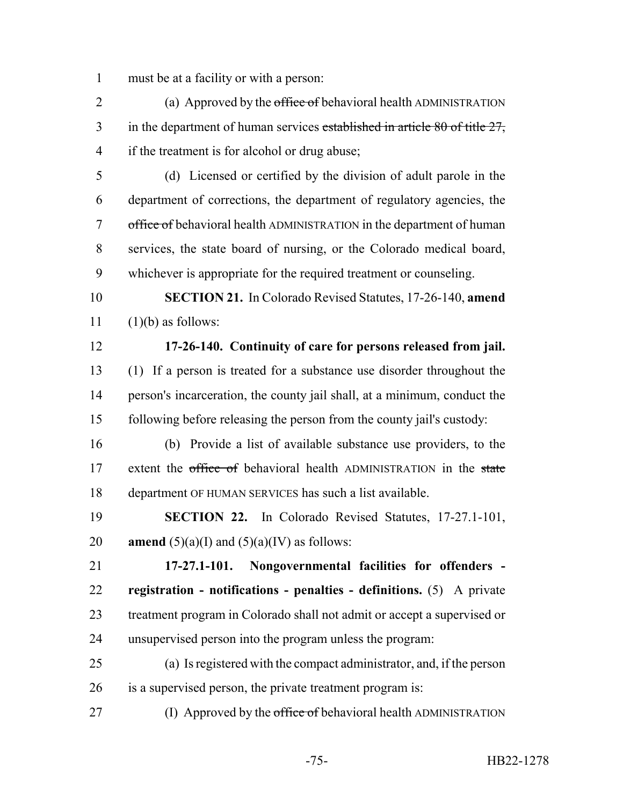must be at a facility or with a person:

2 (a) Approved by the office of behavioral health ADMINISTRATION 3 in the department of human services established in article 80 of title 27, if the treatment is for alcohol or drug abuse;

 (d) Licensed or certified by the division of adult parole in the department of corrections, the department of regulatory agencies, the 7 office of behavioral health ADMINISTRATION in the department of human services, the state board of nursing, or the Colorado medical board, whichever is appropriate for the required treatment or counseling.

 **SECTION 21.** In Colorado Revised Statutes, 17-26-140, **amend** (1)(b) as follows:

## **17-26-140. Continuity of care for persons released from jail.**

 (1) If a person is treated for a substance use disorder throughout the person's incarceration, the county jail shall, at a minimum, conduct the following before releasing the person from the county jail's custody:

 (b) Provide a list of available substance use providers, to the 17 extent the office of behavioral health ADMINISTRATION in the state department OF HUMAN SERVICES has such a list available.

 **SECTION 22.** In Colorado Revised Statutes, 17-27.1-101, 20 **amend**  $(5)(a)(I)$  and  $(5)(a)(IV)$  as follows:

 **17-27.1-101. Nongovernmental facilities for offenders - registration - notifications - penalties - definitions.** (5) A private treatment program in Colorado shall not admit or accept a supervised or unsupervised person into the program unless the program:

 (a) Is registered with the compact administrator, and, if the person is a supervised person, the private treatment program is:

27 (I) Approved by the office of behavioral health ADMINISTRATION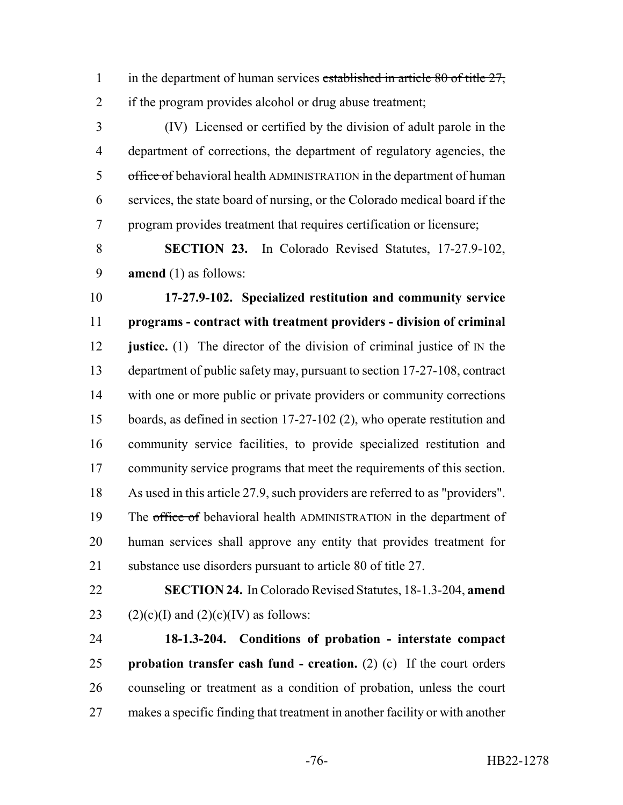1 in the department of human services established in article 80 of title 27, if the program provides alcohol or drug abuse treatment;

 (IV) Licensed or certified by the division of adult parole in the department of corrections, the department of regulatory agencies, the 5 office of behavioral health ADMINISTRATION in the department of human services, the state board of nursing, or the Colorado medical board if the program provides treatment that requires certification or licensure;

 **SECTION 23.** In Colorado Revised Statutes, 17-27.9-102, **amend** (1) as follows:

 **17-27.9-102. Specialized restitution and community service programs - contract with treatment providers - division of criminal justice.** (1) The director of the division of criminal justice of IN the department of public safety may, pursuant to section 17-27-108, contract with one or more public or private providers or community corrections boards, as defined in section 17-27-102 (2), who operate restitution and community service facilities, to provide specialized restitution and community service programs that meet the requirements of this section. As used in this article 27.9, such providers are referred to as "providers". 19 The office of behavioral health ADMINISTRATION in the department of human services shall approve any entity that provides treatment for substance use disorders pursuant to article 80 of title 27.

 **SECTION 24.** In Colorado Revised Statutes, 18-1.3-204, **amend** 23 (2)(c)(I) and (2)(c)(IV) as follows:

 **18-1.3-204. Conditions of probation - interstate compact probation transfer cash fund - creation.** (2) (c) If the court orders counseling or treatment as a condition of probation, unless the court makes a specific finding that treatment in another facility or with another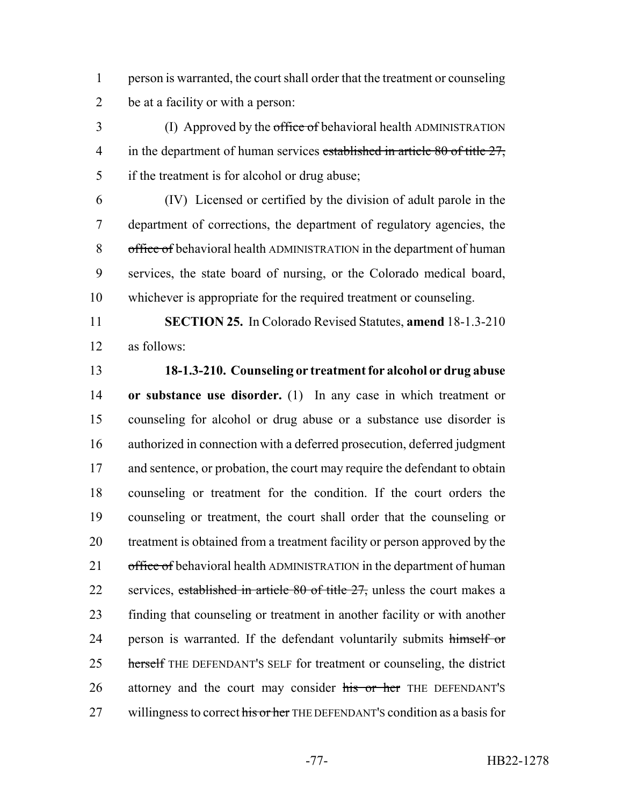1 person is warranted, the court shall order that the treatment or counseling 2 be at a facility or with a person:

3 (I) Approved by the office of behavioral health ADMINISTRATION 4 in the department of human services established in article 80 of title 27, 5 if the treatment is for alcohol or drug abuse;

 (IV) Licensed or certified by the division of adult parole in the department of corrections, the department of regulatory agencies, the 8 office of behavioral health ADMINISTRATION in the department of human services, the state board of nursing, or the Colorado medical board, whichever is appropriate for the required treatment or counseling.

11 **SECTION 25.** In Colorado Revised Statutes, **amend** 18-1.3-210 12 as follows:

## 13 **18-1.3-210. Counseling or treatment for alcohol or drug abuse**

14 **or substance use disorder.** (1) In any case in which treatment or 15 counseling for alcohol or drug abuse or a substance use disorder is 16 authorized in connection with a deferred prosecution, deferred judgment 17 and sentence, or probation, the court may require the defendant to obtain 18 counseling or treatment for the condition. If the court orders the 19 counseling or treatment, the court shall order that the counseling or 20 treatment is obtained from a treatment facility or person approved by the 21 office of behavioral health ADMINISTRATION in the department of human 22 services, established in article 80 of title 27, unless the court makes a 23 finding that counseling or treatment in another facility or with another 24 person is warranted. If the defendant voluntarily submits himself or 25 herself THE DEFENDANT's SELF for treatment or counseling, the district 26 attorney and the court may consider his or her THE DEFENDANT's 27 willingness to correct his or her THE DEFENDANT'S condition as a basis for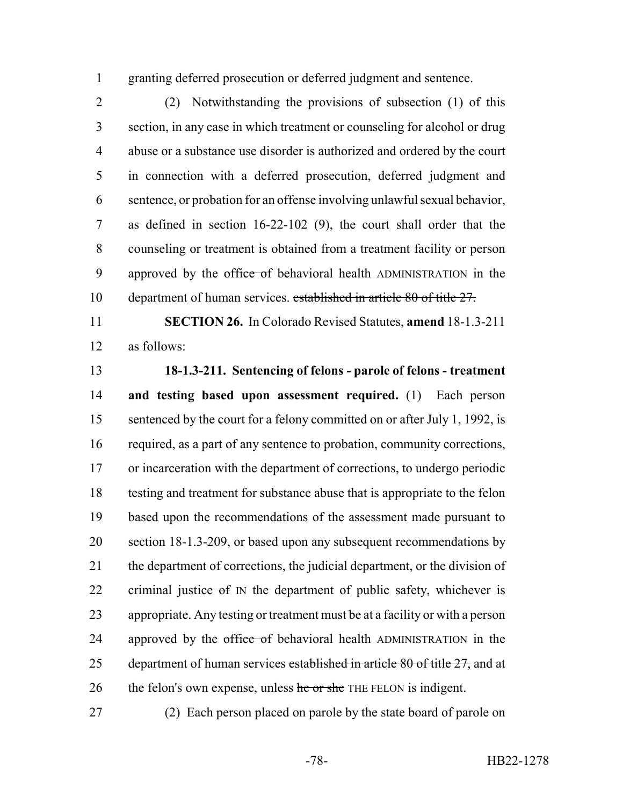granting deferred prosecution or deferred judgment and sentence.

 (2) Notwithstanding the provisions of subsection (1) of this section, in any case in which treatment or counseling for alcohol or drug abuse or a substance use disorder is authorized and ordered by the court in connection with a deferred prosecution, deferred judgment and sentence, or probation for an offense involving unlawful sexual behavior, as defined in section 16-22-102 (9), the court shall order that the counseling or treatment is obtained from a treatment facility or person 9 approved by the office of behavioral health ADMINISTRATION in the department of human services. established in article 80 of title 27.

 **SECTION 26.** In Colorado Revised Statutes, **amend** 18-1.3-211 as follows:

 **18-1.3-211. Sentencing of felons - parole of felons - treatment and testing based upon assessment required.** (1) Each person 15 sentenced by the court for a felony committed on or after July 1, 1992, is required, as a part of any sentence to probation, community corrections, or incarceration with the department of corrections, to undergo periodic testing and treatment for substance abuse that is appropriate to the felon based upon the recommendations of the assessment made pursuant to section 18-1.3-209, or based upon any subsequent recommendations by the department of corrections, the judicial department, or the division of 22 criminal justice  $\sigma f$  IN the department of public safety, whichever is appropriate. Any testing or treatment must be at a facility or with a person 24 approved by the office of behavioral health ADMINISTRATION in the 25 department of human services established in article of title  $27$ , and at 26 the felon's own expense, unless he or she THE FELON is indigent.

(2) Each person placed on parole by the state board of parole on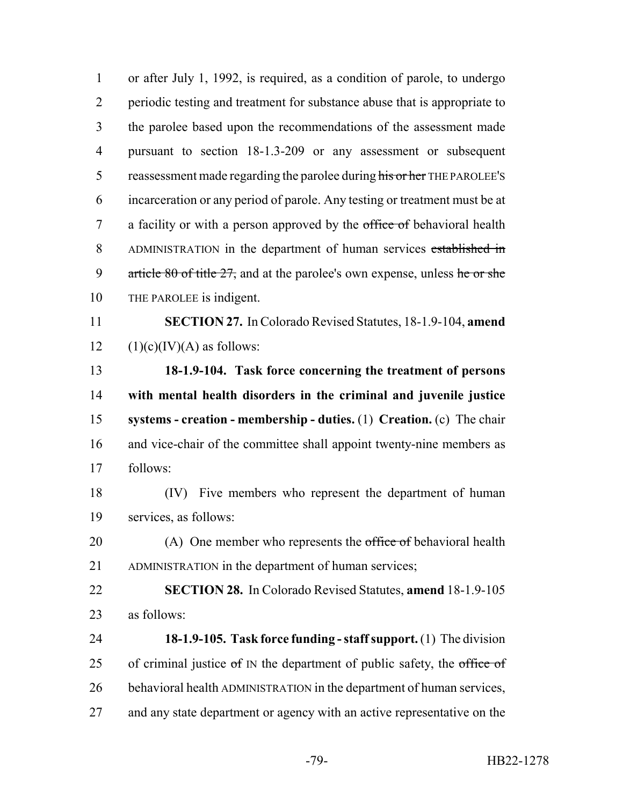or after July 1, 1992, is required, as a condition of parole, to undergo periodic testing and treatment for substance abuse that is appropriate to the parolee based upon the recommendations of the assessment made pursuant to section 18-1.3-209 or any assessment or subsequent 5 reassessment made regarding the parolee during his or her THE PAROLEE's incarceration or any period of parole. Any testing or treatment must be at 7 a facility or with a person approved by the office of behavioral health ADMINISTRATION in the department of human services established in 9 article of title  $27$ , and at the parolee's own expense, unless he or she THE PAROLEE is indigent. **SECTION 27.** In Colorado Revised Statutes, 18-1.9-104, **amend**  $(1)(c)(IV)(A)$  as follows: **18-1.9-104. Task force concerning the treatment of persons with mental health disorders in the criminal and juvenile justice systems - creation - membership - duties.** (1) **Creation.** (c) The chair and vice-chair of the committee shall appoint twenty-nine members as follows: (IV) Five members who represent the department of human services, as follows: 20 (A) One member who represents the office of behavioral health ADMINISTRATION in the department of human services; **SECTION 28.** In Colorado Revised Statutes, **amend** 18-1.9-105 as follows: **18-1.9-105. Task force funding - staff support.** (1) The division 25 of criminal justice  $\sigma f$  IN the department of public safety, the  $\sigma f$  of  $\sigma f$  behavioral health ADMINISTRATION in the department of human services, 27 and any state department or agency with an active representative on the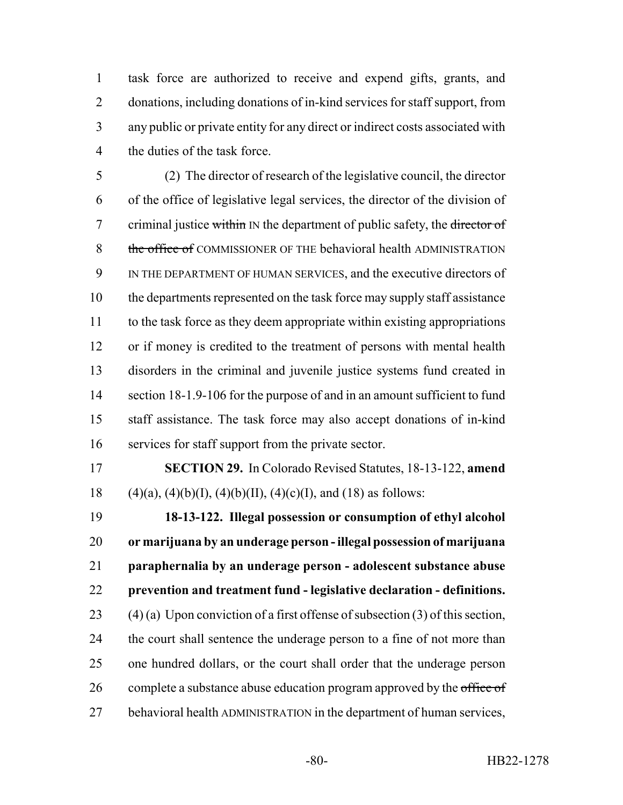task force are authorized to receive and expend gifts, grants, and donations, including donations of in-kind services for staff support, from any public or private entity for any direct or indirect costs associated with the duties of the task force.

 (2) The director of research of the legislative council, the director of the office of legislative legal services, the director of the division of 7 criminal justice within IN the department of public safety, the director of 8 the office of COMMISSIONER OF THE behavioral health ADMINISTRATION IN THE DEPARTMENT OF HUMAN SERVICES, and the executive directors of the departments represented on the task force may supply staff assistance to the task force as they deem appropriate within existing appropriations 12 or if money is credited to the treatment of persons with mental health disorders in the criminal and juvenile justice systems fund created in 14 section 18-1.9-106 for the purpose of and in an amount sufficient to fund staff assistance. The task force may also accept donations of in-kind services for staff support from the private sector.

 **SECTION 29.** In Colorado Revised Statutes, 18-13-122, **amend** 18 (4)(a), (4)(b)(I), (4)(b)(II), (4)(c)(I), and (18) as follows:

 **18-13-122. Illegal possession or consumption of ethyl alcohol or marijuana by an underage person - illegal possession of marijuana paraphernalia by an underage person - adolescent substance abuse prevention and treatment fund - legislative declaration - definitions.** 23 (4) (a) Upon conviction of a first offense of subsection  $(3)$  of this section, 24 the court shall sentence the underage person to a fine of not more than one hundred dollars, or the court shall order that the underage person 26 complete a substance abuse education program approved by the office of behavioral health ADMINISTRATION in the department of human services,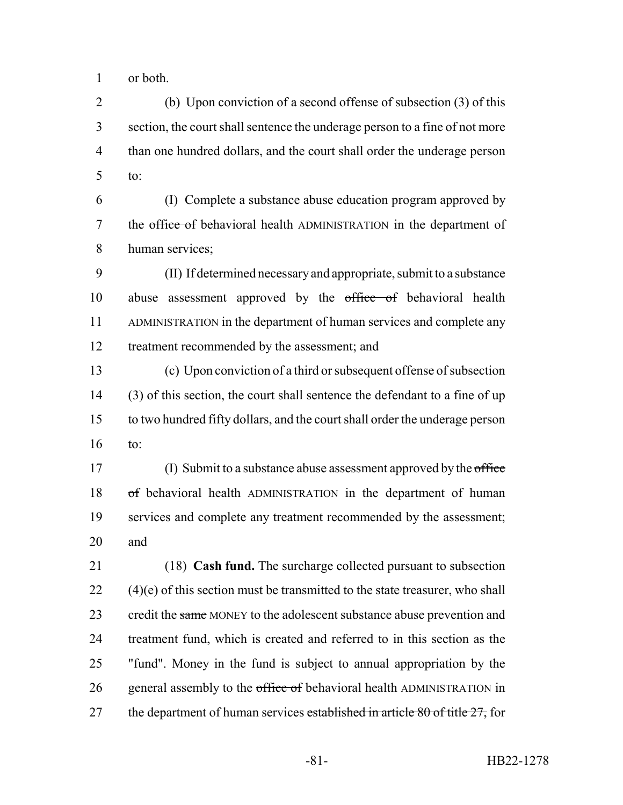or both.

 (b) Upon conviction of a second offense of subsection (3) of this section, the court shall sentence the underage person to a fine of not more than one hundred dollars, and the court shall order the underage person to:

 (I) Complete a substance abuse education program approved by 7 the office of behavioral health ADMINISTRATION in the department of human services;

 (II) If determined necessary and appropriate, submit to a substance 10 abuse assessment approved by the office of behavioral health ADMINISTRATION in the department of human services and complete any treatment recommended by the assessment; and

 (c) Upon conviction of a third or subsequent offense of subsection (3) of this section, the court shall sentence the defendant to a fine of up to two hundred fifty dollars, and the court shall order the underage person to:

17 (I) Submit to a substance abuse assessment approved by the office 18 of behavioral health ADMINISTRATION in the department of human services and complete any treatment recommended by the assessment; and

 (18) **Cash fund.** The surcharge collected pursuant to subsection (4)(e) of this section must be transmitted to the state treasurer, who shall 23 credit the same MONEY to the adolescent substance abuse prevention and treatment fund, which is created and referred to in this section as the "fund". Money in the fund is subject to annual appropriation by the 26 general assembly to the office of behavioral health ADMINISTRATION in 27 the department of human services established in article 80 of title 27, for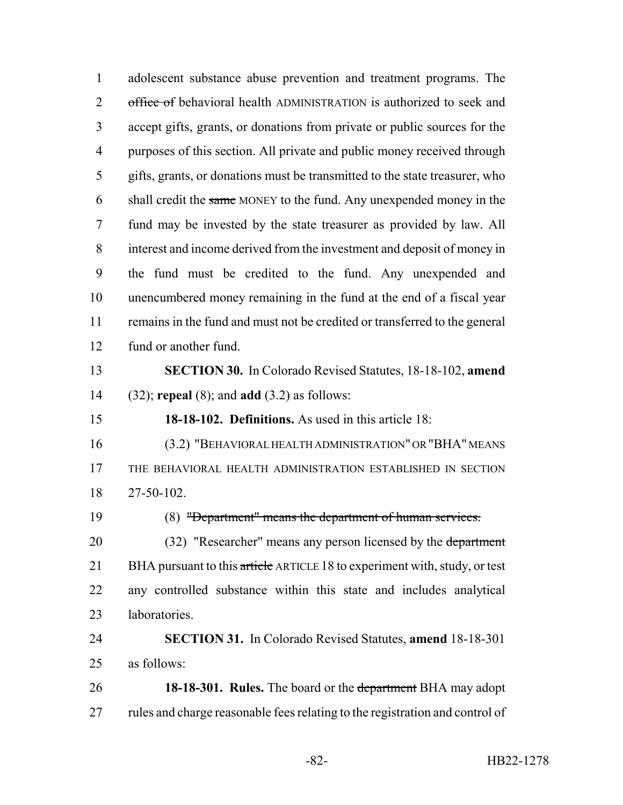adolescent substance abuse prevention and treatment programs. The 2 office of behavioral health ADMINISTRATION is authorized to seek and accept gifts, grants, or donations from private or public sources for the purposes of this section. All private and public money received through gifts, grants, or donations must be transmitted to the state treasurer, who 6 shall credit the same MONEY to the fund. Any unexpended money in the fund may be invested by the state treasurer as provided by law. All interest and income derived from the investment and deposit of money in the fund must be credited to the fund. Any unexpended and unencumbered money remaining in the fund at the end of a fiscal year remains in the fund and must not be credited or transferred to the general fund or another fund. **SECTION 30.** In Colorado Revised Statutes, 18-18-102, **amend** (32); **repeal** (8); and **add** (3.2) as follows: **18-18-102. Definitions.** As used in this article 18: (3.2) "BEHAVIORAL HEALTH ADMINISTRATION" OR "BHA" MEANS THE BEHAVIORAL HEALTH ADMINISTRATION ESTABLISHED IN SECTION 27-50-102. (8) "Department" means the department of human services. 20 (32) "Researcher" means any person licensed by the department 21 BHA pursuant to this article ARTICLE 18 to experiment with, study, or test any controlled substance within this state and includes analytical laboratories. **SECTION 31.** In Colorado Revised Statutes, **amend** 18-18-301 as follows: **18-18-301. Rules.** The board or the department BHA may adopt 27 rules and charge reasonable fees relating to the registration and control of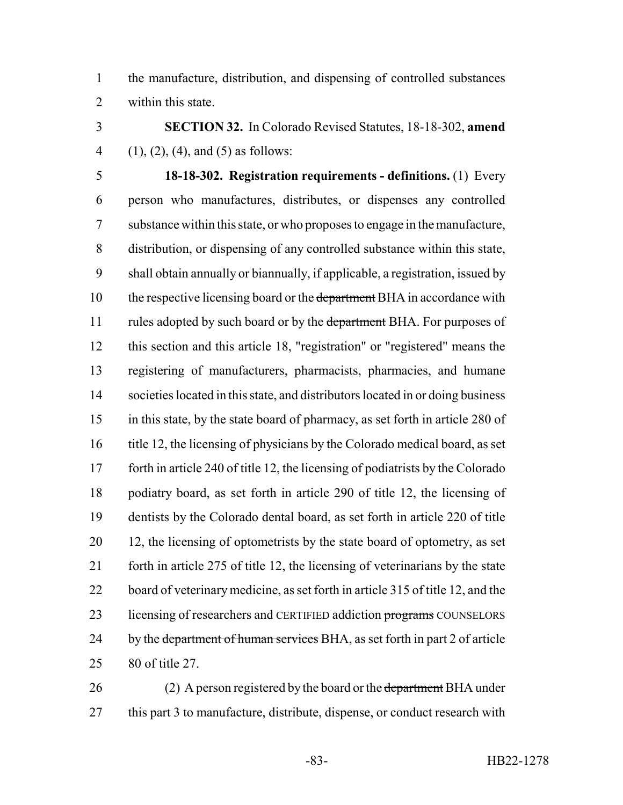the manufacture, distribution, and dispensing of controlled substances within this state.

 **SECTION 32.** In Colorado Revised Statutes, 18-18-302, **amend** 4 (1), (2), (4), and (5) as follows:

 **18-18-302. Registration requirements - definitions.** (1) Every person who manufactures, distributes, or dispenses any controlled substance within this state, or who proposes to engage in the manufacture, distribution, or dispensing of any controlled substance within this state, shall obtain annually or biannually, if applicable, a registration, issued by 10 the respective licensing board or the department BHA in accordance with 11 rules adopted by such board or by the department BHA. For purposes of this section and this article 18, "registration" or "registered" means the registering of manufacturers, pharmacists, pharmacies, and humane societies located in this state, and distributors located in or doing business in this state, by the state board of pharmacy, as set forth in article 280 of 16 title 12, the licensing of physicians by the Colorado medical board, as set forth in article 240 of title 12, the licensing of podiatrists by the Colorado podiatry board, as set forth in article 290 of title 12, the licensing of dentists by the Colorado dental board, as set forth in article 220 of title 20 12, the licensing of optometrists by the state board of optometry, as set forth in article 275 of title 12, the licensing of veterinarians by the state 22 board of veterinary medicine, as set forth in article 315 of title 12, and the 23 licensing of researchers and CERTIFIED addiction programs COUNSELORS 24 by the department of human services BHA, as set forth in part 2 of article 80 of title 27.

26 (2) A person registered by the board or the department BHA under 27 this part 3 to manufacture, distribute, dispense, or conduct research with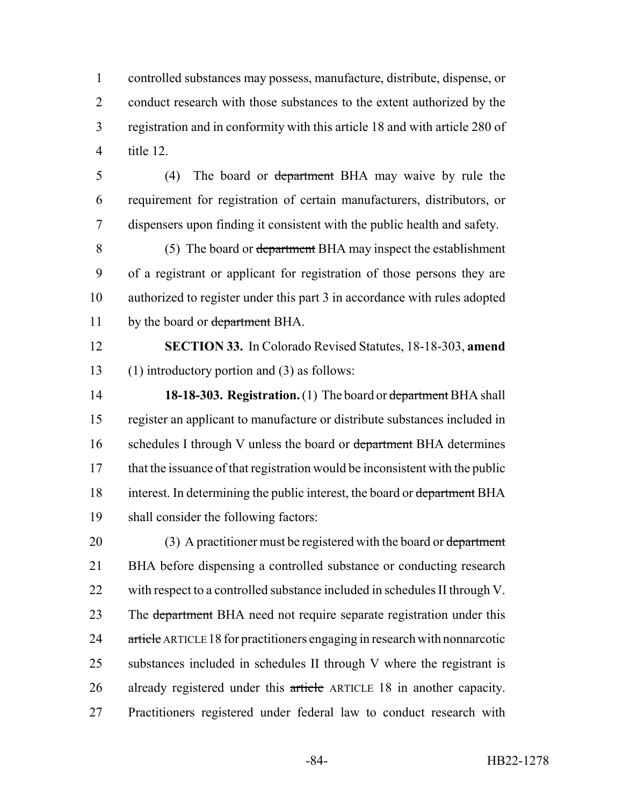controlled substances may possess, manufacture, distribute, dispense, or 2 conduct research with those substances to the extent authorized by the registration and in conformity with this article 18 and with article 280 of title 12.

5 (4) The board or department BHA may waive by rule the 6 requirement for registration of certain manufacturers, distributors, or 7 dispensers upon finding it consistent with the public health and safety.

8 (5) The board or department BHA may inspect the establishment 9 of a registrant or applicant for registration of those persons they are 10 authorized to register under this part 3 in accordance with rules adopted 11 by the board or department BHA.

12 **SECTION 33.** In Colorado Revised Statutes, 18-18-303, **amend** 13 (1) introductory portion and (3) as follows:

14 **18-18-303. Registration.** (1) The board or department BHA shall 15 register an applicant to manufacture or distribute substances included in 16 schedules I through V unless the board or department BHA determines 17 that the issuance of that registration would be inconsistent with the public 18 interest. In determining the public interest, the board or department BHA 19 shall consider the following factors:

20 (3) A practitioner must be registered with the board or department 21 BHA before dispensing a controlled substance or conducting research 22 with respect to a controlled substance included in schedules II through V. 23 The department BHA need not require separate registration under this 24 article ARTICLE 18 for practitioners engaging in research with nonnarcotic 25 substances included in schedules II through V where the registrant is 26 already registered under this article ARTICLE 18 in another capacity. 27 Practitioners registered under federal law to conduct research with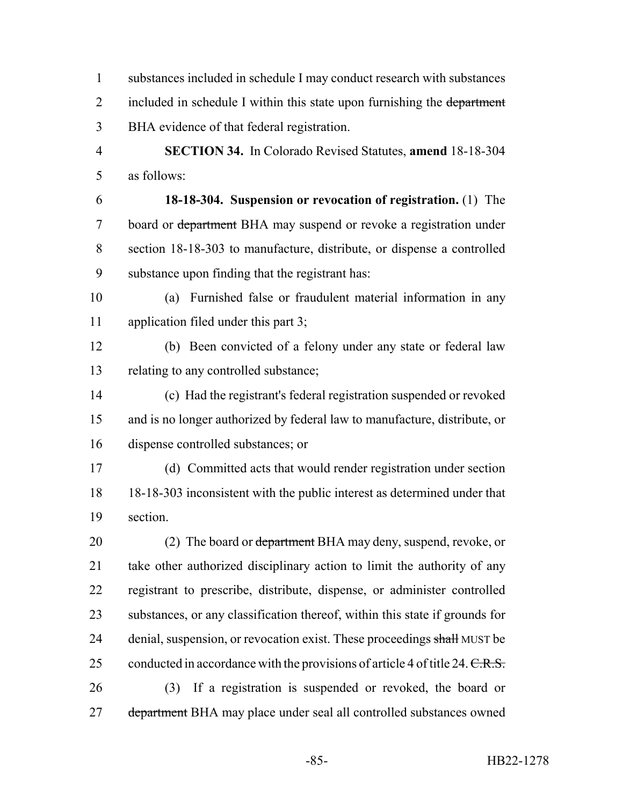substances included in schedule I may conduct research with substances 2 included in schedule I within this state upon furnishing the department BHA evidence of that federal registration.

 **SECTION 34.** In Colorado Revised Statutes, **amend** 18-18-304 as follows:

 **18-18-304. Suspension or revocation of registration.** (1) The board or department BHA may suspend or revoke a registration under section 18-18-303 to manufacture, distribute, or dispense a controlled substance upon finding that the registrant has:

 (a) Furnished false or fraudulent material information in any application filed under this part 3;

 (b) Been convicted of a felony under any state or federal law relating to any controlled substance;

 (c) Had the registrant's federal registration suspended or revoked and is no longer authorized by federal law to manufacture, distribute, or dispense controlled substances; or

 (d) Committed acts that would render registration under section 18-18-303 inconsistent with the public interest as determined under that section.

20 (2) The board or department BHA may deny, suspend, revoke, or take other authorized disciplinary action to limit the authority of any registrant to prescribe, distribute, dispense, or administer controlled substances, or any classification thereof, within this state if grounds for 24 denial, suspension, or revocation exist. These proceedings shall MUST be 25 conducted in accordance with the provisions of article 4 of title 24.  $C.R.S.$  (3) If a registration is suspended or revoked, the board or 27 department BHA may place under seal all controlled substances owned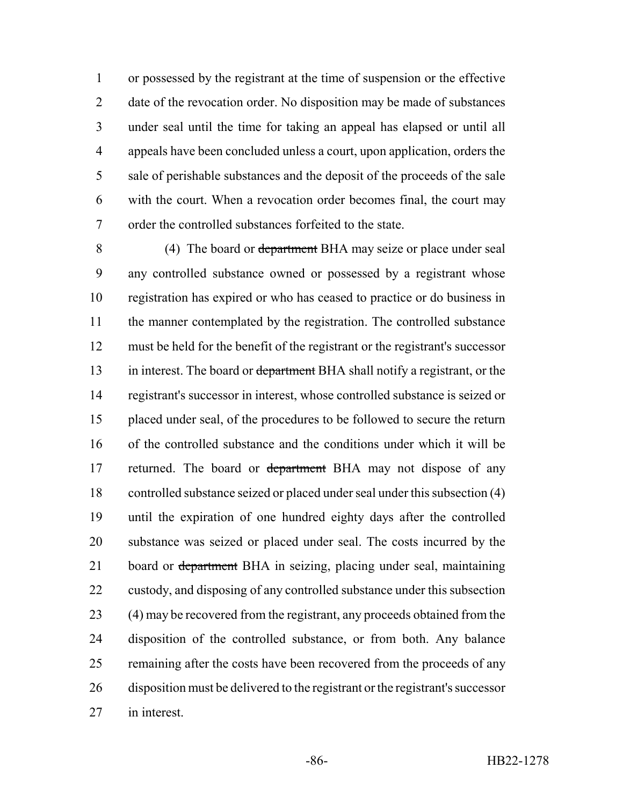or possessed by the registrant at the time of suspension or the effective 2 date of the revocation order. No disposition may be made of substances under seal until the time for taking an appeal has elapsed or until all appeals have been concluded unless a court, upon application, orders the sale of perishable substances and the deposit of the proceeds of the sale with the court. When a revocation order becomes final, the court may order the controlled substances forfeited to the state.

 (4) The board or department BHA may seize or place under seal any controlled substance owned or possessed by a registrant whose registration has expired or who has ceased to practice or do business in the manner contemplated by the registration. The controlled substance must be held for the benefit of the registrant or the registrant's successor 13 in interest. The board or department BHA shall notify a registrant, or the registrant's successor in interest, whose controlled substance is seized or placed under seal, of the procedures to be followed to secure the return of the controlled substance and the conditions under which it will be 17 returned. The board or department BHA may not dispose of any controlled substance seized or placed under seal under this subsection (4) until the expiration of one hundred eighty days after the controlled substance was seized or placed under seal. The costs incurred by the 21 board or department BHA in seizing, placing under seal, maintaining custody, and disposing of any controlled substance under this subsection 23 (4) may be recovered from the registrant, any proceeds obtained from the disposition of the controlled substance, or from both. Any balance 25 remaining after the costs have been recovered from the proceeds of any disposition must be delivered to the registrant or the registrant's successor in interest.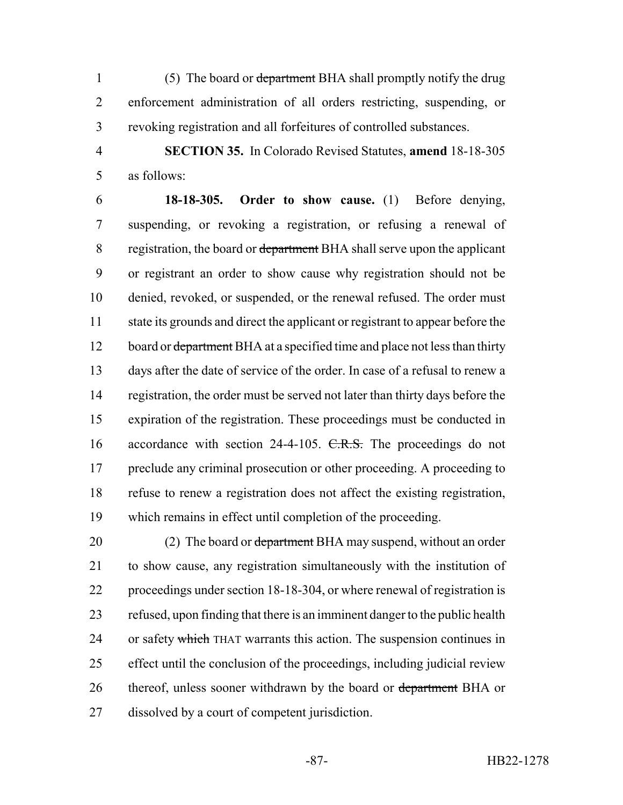1 (5) The board or department BHA shall promptly notify the drug enforcement administration of all orders restricting, suspending, or revoking registration and all forfeitures of controlled substances.

 **SECTION 35.** In Colorado Revised Statutes, **amend** 18-18-305 as follows:

 **18-18-305. Order to show cause.** (1) Before denying, suspending, or revoking a registration, or refusing a renewal of 8 registration, the board or department BHA shall serve upon the applicant or registrant an order to show cause why registration should not be denied, revoked, or suspended, or the renewal refused. The order must state its grounds and direct the applicant or registrant to appear before the 12 board or department BHA at a specified time and place not less than thirty days after the date of service of the order. In case of a refusal to renew a registration, the order must be served not later than thirty days before the expiration of the registration. These proceedings must be conducted in 16 accordance with section 24-4-105. C.R.S. The proceedings do not 17 preclude any criminal prosecution or other proceeding. A proceeding to refuse to renew a registration does not affect the existing registration, which remains in effect until completion of the proceeding.

20 (2) The board or department BHA may suspend, without an order to show cause, any registration simultaneously with the institution of proceedings under section 18-18-304, or where renewal of registration is refused, upon finding that there is an imminent danger to the public health 24 or safety which THAT warrants this action. The suspension continues in effect until the conclusion of the proceedings, including judicial review 26 thereof, unless sooner withdrawn by the board or department BHA or dissolved by a court of competent jurisdiction.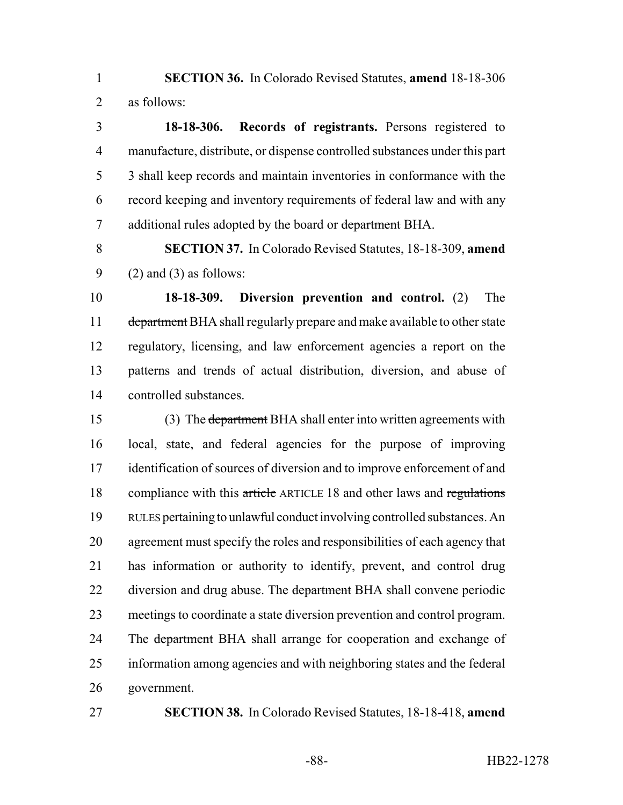**SECTION 36.** In Colorado Revised Statutes, **amend** 18-18-306 as follows:

 **18-18-306. Records of registrants.** Persons registered to manufacture, distribute, or dispense controlled substances under this part 3 shall keep records and maintain inventories in conformance with the record keeping and inventory requirements of federal law and with any 7 additional rules adopted by the board or department BHA.

 **SECTION 37.** In Colorado Revised Statutes, 18-18-309, **amend** 9 (2) and (3) as follows:

 **18-18-309. Diversion prevention and control.** (2) The 11 department BHA shall regularly prepare and make available to other state regulatory, licensing, and law enforcement agencies a report on the patterns and trends of actual distribution, diversion, and abuse of controlled substances.

 (3) The department BHA shall enter into written agreements with local, state, and federal agencies for the purpose of improving identification of sources of diversion and to improve enforcement of and 18 compliance with this article ARTICLE 18 and other laws and regulations RULES pertaining to unlawful conduct involving controlled substances. An agreement must specify the roles and responsibilities of each agency that has information or authority to identify, prevent, and control drug 22 diversion and drug abuse. The department BHA shall convene periodic meetings to coordinate a state diversion prevention and control program. 24 The department BHA shall arrange for cooperation and exchange of information among agencies and with neighboring states and the federal government.

**SECTION 38.** In Colorado Revised Statutes, 18-18-418, **amend**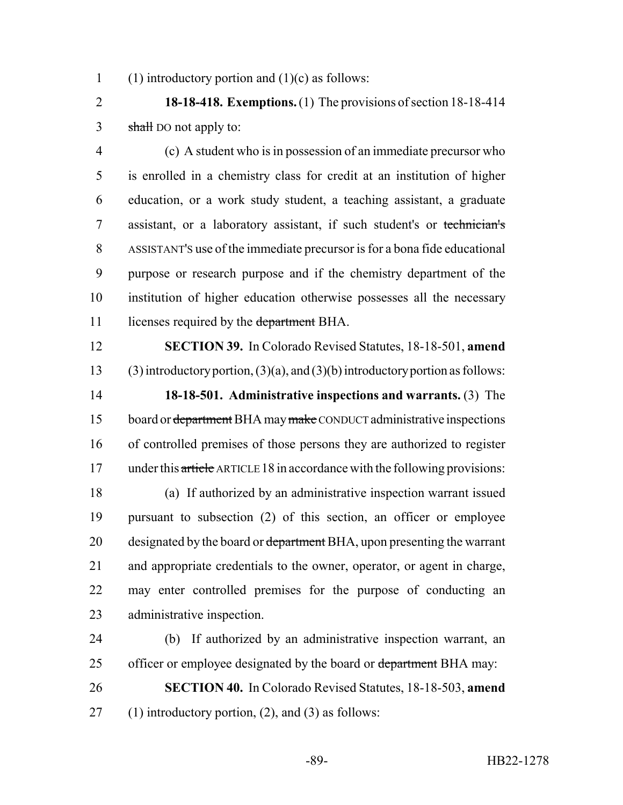1 (1) introductory portion and  $(1)(c)$  as follows:

 **18-18-418. Exemptions.** (1) The provisions of section 18-18-414 3 shall DO not apply to:

 (c) A student who is in possession of an immediate precursor who is enrolled in a chemistry class for credit at an institution of higher education, or a work study student, a teaching assistant, a graduate assistant, or a laboratory assistant, if such student's or technician's ASSISTANT'S use of the immediate precursor is for a bona fide educational purpose or research purpose and if the chemistry department of the institution of higher education otherwise possesses all the necessary 11 licenses required by the department BHA.

 **SECTION 39.** In Colorado Revised Statutes, 18-18-501, **amend** 13 (3) introductory portion,  $(3)(a)$ , and  $(3)(b)$  introductory portion as follows: **18-18-501. Administrative inspections and warrants.** (3) The 15 board or department BHA may make CONDUCT administrative inspections of controlled premises of those persons they are authorized to register 17 under this article ARTICLE 18 in accordance with the following provisions:

 (a) If authorized by an administrative inspection warrant issued pursuant to subsection (2) of this section, an officer or employee 20 designated by the board or department BHA, upon presenting the warrant and appropriate credentials to the owner, operator, or agent in charge, may enter controlled premises for the purpose of conducting an administrative inspection.

 (b) If authorized by an administrative inspection warrant, an 25 officer or employee designated by the board or department BHA may:

 **SECTION 40.** In Colorado Revised Statutes, 18-18-503, **amend** 27 (1) introductory portion, (2), and (3) as follows: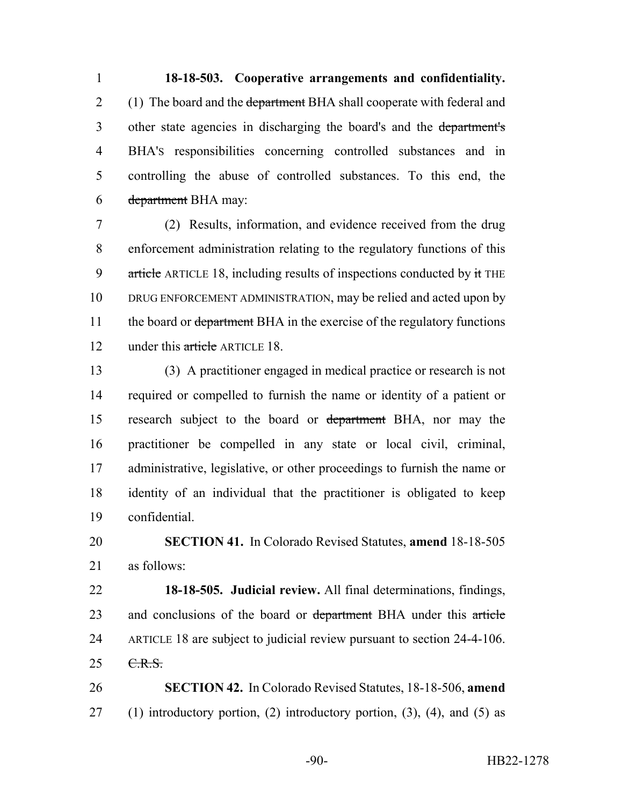**18-18-503. Cooperative arrangements and confidentiality.** 2 (1) The board and the department BHA shall cooperate with federal and other state agencies in discharging the board's and the department's BHA'S responsibilities concerning controlled substances and in controlling the abuse of controlled substances. To this end, the department BHA may:

 (2) Results, information, and evidence received from the drug enforcement administration relating to the regulatory functions of this 9 article ARTICLE 18, including results of inspections conducted by it THE DRUG ENFORCEMENT ADMINISTRATION, may be relied and acted upon by 11 the board or department BHA in the exercise of the regulatory functions 12 under this article ARTICLE 18.

 (3) A practitioner engaged in medical practice or research is not required or compelled to furnish the name or identity of a patient or research subject to the board or department BHA, nor may the practitioner be compelled in any state or local civil, criminal, administrative, legislative, or other proceedings to furnish the name or identity of an individual that the practitioner is obligated to keep confidential.

 **SECTION 41.** In Colorado Revised Statutes, **amend** 18-18-505 as follows:

 **18-18-505. Judicial review.** All final determinations, findings, 23 and conclusions of the board or department BHA under this article ARTICLE 18 are subject to judicial review pursuant to section 24-4-106.  $25 \quad \text{C.R.S.}$ 

 **SECTION 42.** In Colorado Revised Statutes, 18-18-506, **amend** 27 (1) introductory portion, (2) introductory portion,  $(3)$ ,  $(4)$ , and  $(5)$  as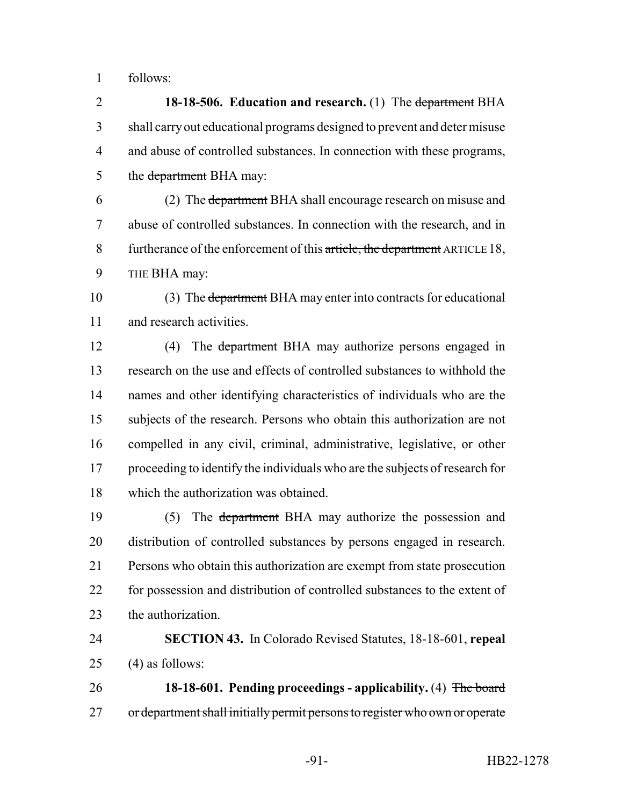follows:

 **18-18-506. Education and research.** (1) The department BHA shall carry out educational programs designed to prevent and deter misuse and abuse of controlled substances. In connection with these programs, 5 the <del>department</del> BHA may:

 (2) The department BHA shall encourage research on misuse and abuse of controlled substances. In connection with the research, and in 8 furtherance of the enforcement of this article, the department ARTICLE 18, THE BHA may:

 (3) The department BHA may enter into contracts for educational and research activities.

12 (4) The department BHA may authorize persons engaged in research on the use and effects of controlled substances to withhold the names and other identifying characteristics of individuals who are the subjects of the research. Persons who obtain this authorization are not compelled in any civil, criminal, administrative, legislative, or other proceeding to identify the individuals who are the subjects of research for which the authorization was obtained.

 (5) The department BHA may authorize the possession and distribution of controlled substances by persons engaged in research. Persons who obtain this authorization are exempt from state prosecution for possession and distribution of controlled substances to the extent of 23 the authorization.

 **SECTION 43.** In Colorado Revised Statutes, 18-18-601, **repeal** (4) as follows:

 **18-18-601. Pending proceedings - applicability.** (4) The board 27 or department shall initially permit persons to register who own or operate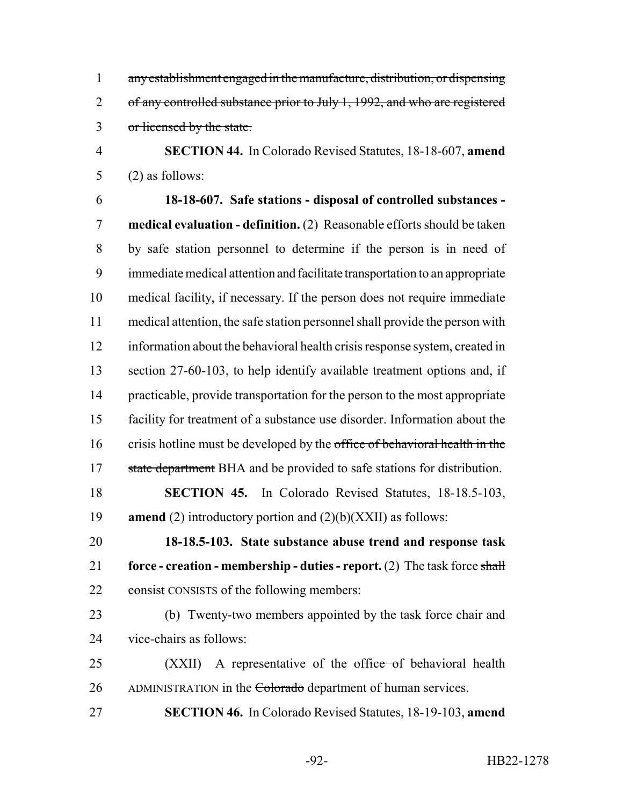any establishment engaged in the manufacture, distribution, or dispensing 2 of any controlled substance prior to July 1, 1992, and who are registered or licensed by the state.

 **SECTION 44.** In Colorado Revised Statutes, 18-18-607, **amend** (2) as follows:

 **18-18-607. Safe stations - disposal of controlled substances - medical evaluation - definition.** (2) Reasonable efforts should be taken by safe station personnel to determine if the person is in need of immediate medical attention and facilitate transportation to an appropriate medical facility, if necessary. If the person does not require immediate medical attention, the safe station personnel shall provide the person with information about the behavioral health crisis response system, created in section 27-60-103, to help identify available treatment options and, if practicable, provide transportation for the person to the most appropriate facility for treatment of a substance use disorder. Information about the 16 crisis hotline must be developed by the office of behavioral health in the 17 state department BHA and be provided to safe stations for distribution.

 **SECTION 45.** In Colorado Revised Statutes, 18-18.5-103, **amend** (2) introductory portion and (2)(b)(XXII) as follows:

 **18-18.5-103. State substance abuse trend and response task force - creation - membership - duties - report.** (2) The task force shall 22 consist CONSISTS of the following members:

 (b) Twenty-two members appointed by the task force chair and vice-chairs as follows:

25 (XXII) A representative of the office of behavioral health 26 ADMINISTRATION in the Colorado department of human services.

**SECTION 46.** In Colorado Revised Statutes, 18-19-103, **amend**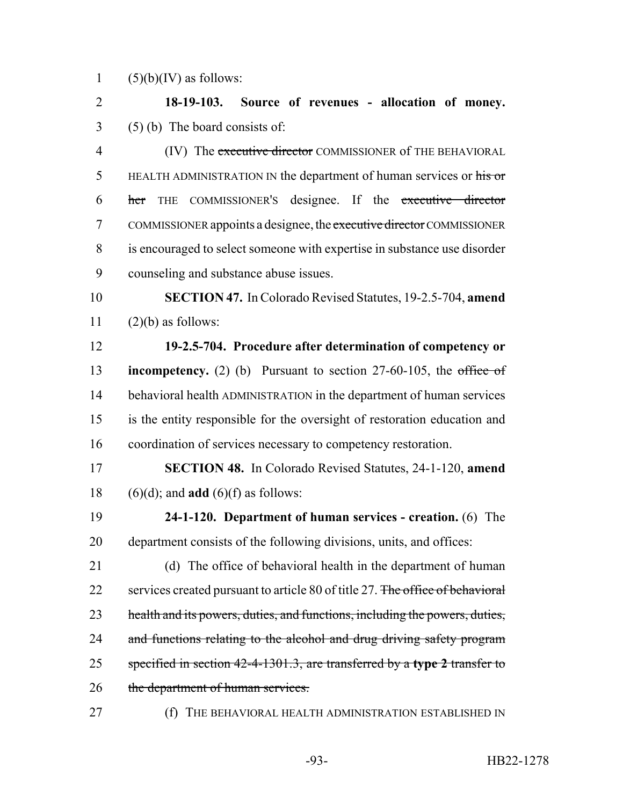1  $(5)(b)(IV)$  as follows:

 **18-19-103. Source of revenues - allocation of money.** (5) (b) The board consists of: 4 (IV) The executive director COMMISSIONER of THE BEHAVIORAL

5 HEALTH ADMINISTRATION IN the department of human services or his or her THE COMMISSIONER'S designee. If the executive director 7 COMMISSIONER appoints a designee, the executive director COMMISSIONER is encouraged to select someone with expertise in substance use disorder counseling and substance abuse issues.

 **SECTION 47.** In Colorado Revised Statutes, 19-2.5-704, **amend** (2)(b) as follows:

 **19-2.5-704. Procedure after determination of competency or incompetency.** (2) (b) Pursuant to section 27-60-105, the office of behavioral health ADMINISTRATION in the department of human services is the entity responsible for the oversight of restoration education and coordination of services necessary to competency restoration.

 **SECTION 48.** In Colorado Revised Statutes, 24-1-120, **amend** (6)(d); and **add** (6)(f) as follows:

 **24-1-120. Department of human services - creation.** (6) The department consists of the following divisions, units, and offices:

 (d) The office of behavioral health in the department of human 22 services created pursuant to article 80 of title 27. The office of behavioral 23 health and its powers, duties, and functions, including the powers, duties, 24 and functions relating to the alcohol and drug driving safety program specified in section 42-4-1301.3, are transferred by a **type 2** transfer to 26 the department of human services.

(f) THE BEHAVIORAL HEALTH ADMINISTRATION ESTABLISHED IN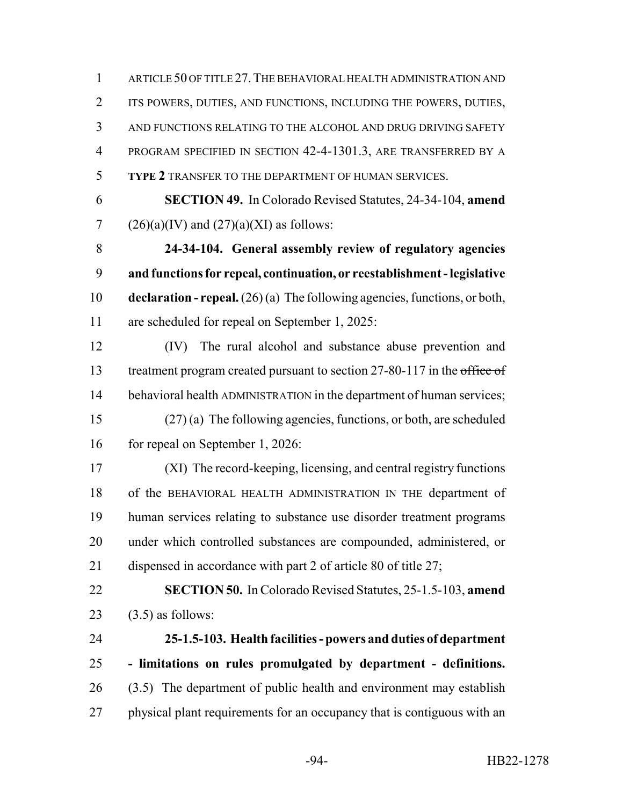ARTICLE 50 OF TITLE 27.THE BEHAVIORAL HEALTH ADMINISTRATION AND ITS POWERS, DUTIES, AND FUNCTIONS, INCLUDING THE POWERS, DUTIES, AND FUNCTIONS RELATING TO THE ALCOHOL AND DRUG DRIVING SAFETY PROGRAM SPECIFIED IN SECTION 42-4-1301.3, ARE TRANSFERRED BY A **TYPE 2** TRANSFER TO THE DEPARTMENT OF HUMAN SERVICES.

 **SECTION 49.** In Colorado Revised Statutes, 24-34-104, **amend** 7 (26)(a)(IV) and  $(27)(a)(XI)$  as follows:

 **24-34-104. General assembly review of regulatory agencies and functions for repeal, continuation, or reestablishment - legislative declaration - repeal.** (26) (a) The following agencies, functions, or both, are scheduled for repeal on September 1, 2025:

 (IV) The rural alcohol and substance abuse prevention and 13 treatment program created pursuant to section 27-80-117 in the office of behavioral health ADMINISTRATION in the department of human services; (27) (a) The following agencies, functions, or both, are scheduled 16 for repeal on September 1, 2026:

 (XI) The record-keeping, licensing, and central registry functions of the BEHAVIORAL HEALTH ADMINISTRATION IN THE department of human services relating to substance use disorder treatment programs under which controlled substances are compounded, administered, or dispensed in accordance with part 2 of article 80 of title 27;

 **SECTION 50.** In Colorado Revised Statutes, 25-1.5-103, **amend** (3.5) as follows:

 **25-1.5-103. Health facilities - powers and duties of department - limitations on rules promulgated by department - definitions.** (3.5) The department of public health and environment may establish 27 physical plant requirements for an occupancy that is contiguous with an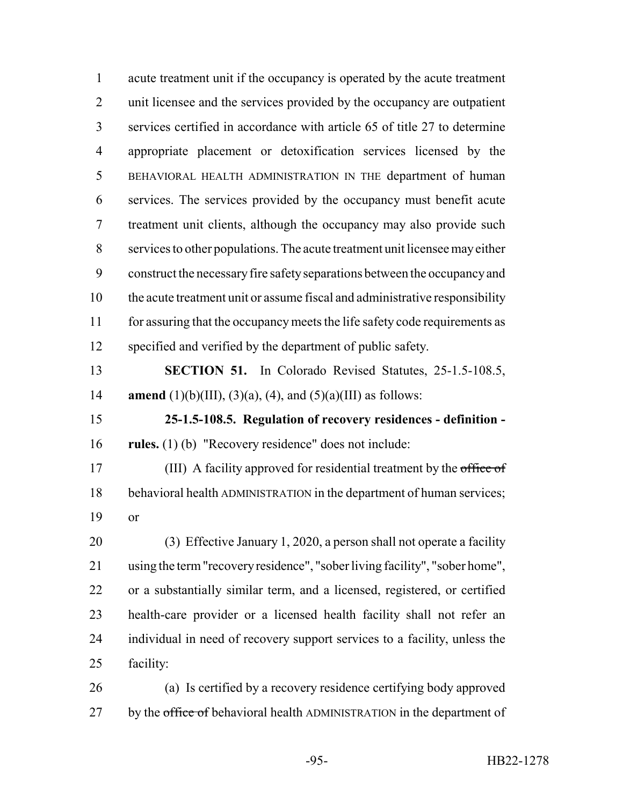acute treatment unit if the occupancy is operated by the acute treatment 2 unit licensee and the services provided by the occupancy are outpatient services certified in accordance with article 65 of title 27 to determine appropriate placement or detoxification services licensed by the BEHAVIORAL HEALTH ADMINISTRATION IN THE department of human services. The services provided by the occupancy must benefit acute treatment unit clients, although the occupancy may also provide such services to other populations. The acute treatment unit licensee may either construct the necessary fire safety separations between the occupancy and the acute treatment unit or assume fiscal and administrative responsibility for assuring that the occupancy meets the life safety code requirements as specified and verified by the department of public safety. **SECTION 51.** In Colorado Revised Statutes, 25-1.5-108.5, **amend** (1)(b)(III), (3)(a), (4), and (5)(a)(III) as follows: **25-1.5-108.5. Regulation of recovery residences - definition - rules.** (1) (b) "Recovery residence" does not include: 17 (III) A facility approved for residential treatment by the office of behavioral health ADMINISTRATION in the department of human services; or (3) Effective January 1, 2020, a person shall not operate a facility using the term "recovery residence", "sober living facility", "sober home", or a substantially similar term, and a licensed, registered, or certified health-care provider or a licensed health facility shall not refer an individual in need of recovery support services to a facility, unless the facility: (a) Is certified by a recovery residence certifying body approved 27 by the office of behavioral health ADMINISTRATION in the department of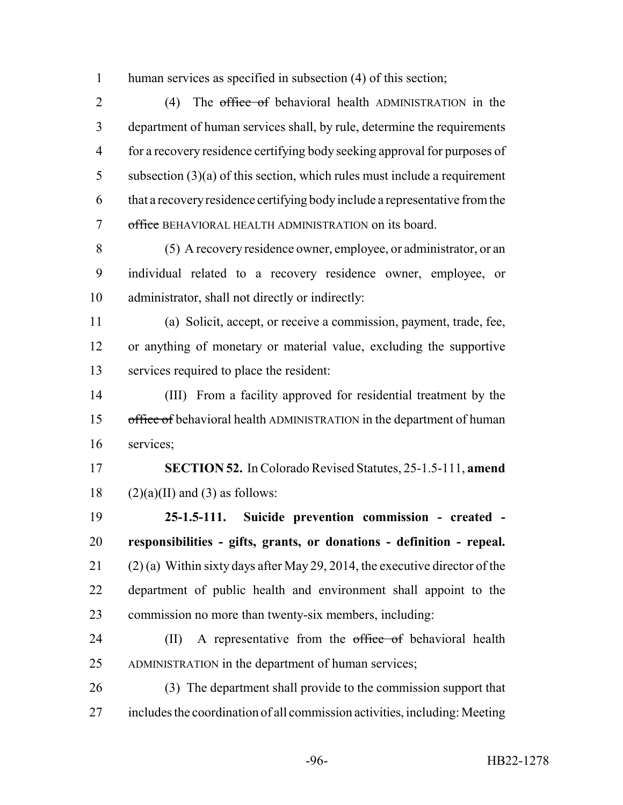human services as specified in subsection (4) of this section;

2 (4) The office of behavioral health ADMINISTRATION in the department of human services shall, by rule, determine the requirements for a recovery residence certifying body seeking approval for purposes of subsection (3)(a) of this section, which rules must include a requirement that a recovery residence certifying body include a representative from the office BEHAVIORAL HEALTH ADMINISTRATION on its board.

 (5) A recovery residence owner, employee, or administrator, or an individual related to a recovery residence owner, employee, or administrator, shall not directly or indirectly:

 (a) Solicit, accept, or receive a commission, payment, trade, fee, or anything of monetary or material value, excluding the supportive services required to place the resident:

 (III) From a facility approved for residential treatment by the 15 office of behavioral health ADMINISTRATION in the department of human services;

 **SECTION 52.** In Colorado Revised Statutes, 25-1.5-111, **amend** 18  $(2)(a)(II)$  and (3) as follows:

 **25-1.5-111. Suicide prevention commission - created - responsibilities - gifts, grants, or donations - definition - repeal.** 21 (2) (a) Within sixty days after May 29, 2014, the executive director of the department of public health and environment shall appoint to the commission no more than twenty-six members, including:

24 (II) A representative from the office of behavioral health ADMINISTRATION in the department of human services;

 (3) The department shall provide to the commission support that includes the coordination of all commission activities, including: Meeting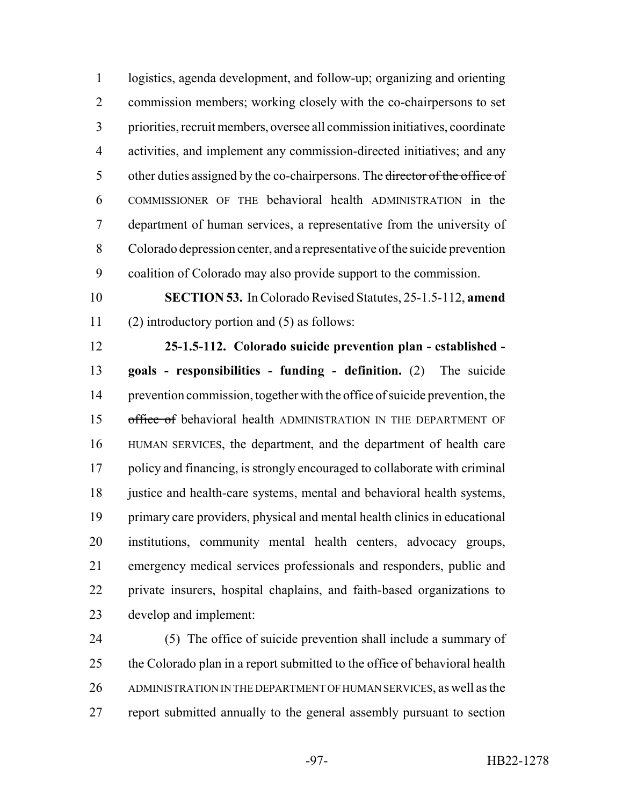logistics, agenda development, and follow-up; organizing and orienting commission members; working closely with the co-chairpersons to set priorities, recruit members, oversee all commission initiatives, coordinate activities, and implement any commission-directed initiatives; and any 5 other duties assigned by the co-chairpersons. The <del>director of the office of</del> COMMISSIONER OF THE behavioral health ADMINISTRATION in the department of human services, a representative from the university of Colorado depression center, and a representative of the suicide prevention coalition of Colorado may also provide support to the commission.

 **SECTION 53.** In Colorado Revised Statutes, 25-1.5-112, **amend** (2) introductory portion and (5) as follows:

 **25-1.5-112. Colorado suicide prevention plan - established - goals - responsibilities - funding - definition.** (2) The suicide prevention commission, together with the office of suicide prevention, the 15 office of behavioral health ADMINISTRATION IN THE DEPARTMENT OF HUMAN SERVICES, the department, and the department of health care policy and financing, is strongly encouraged to collaborate with criminal 18 justice and health-care systems, mental and behavioral health systems, primary care providers, physical and mental health clinics in educational institutions, community mental health centers, advocacy groups, emergency medical services professionals and responders, public and private insurers, hospital chaplains, and faith-based organizations to develop and implement:

 (5) The office of suicide prevention shall include a summary of 25 the Colorado plan in a report submitted to the office of behavioral health 26 ADMINISTRATION IN THE DEPARTMENT OF HUMAN SERVICES, as well as the report submitted annually to the general assembly pursuant to section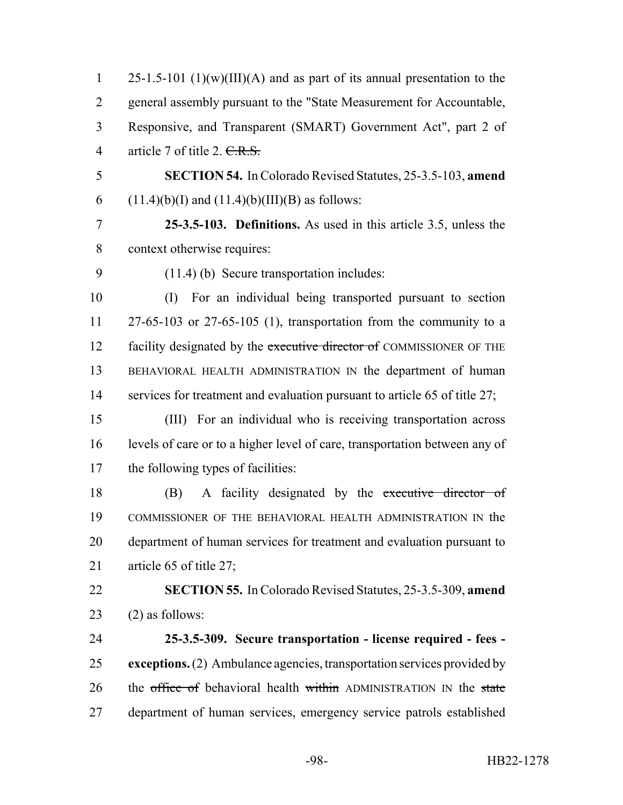| $\mathbf{1}$   | $25-1.5-101$ (1)(w)(III)(A) and as part of its annual presentation to the  |
|----------------|----------------------------------------------------------------------------|
| 2              | general assembly pursuant to the "State Measurement for Accountable,       |
| 3              | Responsive, and Transparent (SMART) Government Act", part 2 of             |
| $\overline{4}$ | article 7 of title 2. <del>C.R.S.</del>                                    |
| 5              | <b>SECTION 54.</b> In Colorado Revised Statutes, 25-3.5-103, amend         |
| 6              | $(11.4)(b)(I)$ and $(11.4)(b)(III)(B)$ as follows:                         |
| 7              | 25-3.5-103. Definitions. As used in this article 3.5, unless the           |
| 8              | context otherwise requires:                                                |
| 9              | $(11.4)$ (b) Secure transportation includes:                               |
| 10             | For an individual being transported pursuant to section<br>(I)             |
| 11             | $27-65-103$ or $27-65-105$ (1), transportation from the community to a     |
| 12             | facility designated by the executive director of COMMISSIONER OF THE       |
| 13             | BEHAVIORAL HEALTH ADMINISTRATION IN the department of human                |
| 14             | services for treatment and evaluation pursuant to article 65 of title 27;  |
| 15             | (III) For an individual who is receiving transportation across             |
| 16             | levels of care or to a higher level of care, transportation between any of |
| 17             | the following types of facilities:                                         |
| 18             | A facility designated by the executive director of<br>(B)                  |
| 19             | COMMISSIONER OF THE BEHAVIORAL HEALTH ADMINISTRATION IN the                |
| 20             | department of human services for treatment and evaluation pursuant to      |
| 21             | article 65 of title 27;                                                    |
| 22             | <b>SECTION 55.</b> In Colorado Revised Statutes, 25-3.5-309, amend         |
| 23             | $(2)$ as follows:                                                          |
| 24             | 25-3.5-309. Secure transportation - license required - fees -              |
| 25             | exceptions. (2) Ambulance agencies, transportation services provided by    |
| 26             | the office of behavioral health within ADMINISTRATION IN the state         |
| 27             | department of human services, emergency service patrols established        |
|                |                                                                            |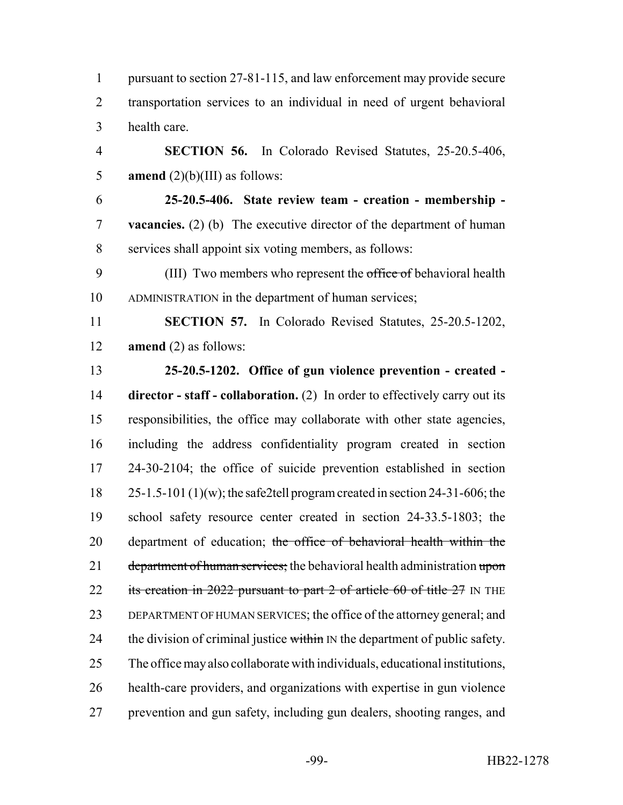pursuant to section 27-81-115, and law enforcement may provide secure transportation services to an individual in need of urgent behavioral health care. **SECTION 56.** In Colorado Revised Statutes, 25-20.5-406, **amend**  $(2)(b)(III)$  as follows:

 **25-20.5-406. State review team - creation - membership - vacancies.** (2) (b) The executive director of the department of human services shall appoint six voting members, as follows:

9 (III) Two members who represent the office of behavioral health ADMINISTRATION in the department of human services;

 **SECTION 57.** In Colorado Revised Statutes, 25-20.5-1202, **amend** (2) as follows:

 **25-20.5-1202. Office of gun violence prevention - created - director - staff - collaboration.** (2) In order to effectively carry out its responsibilities, the office may collaborate with other state agencies, including the address confidentiality program created in section 24-30-2104; the office of suicide prevention established in section 25-1.5-101 (1)(w); the safe2tell program created in section 24-31-606; the school safety resource center created in section 24-33.5-1803; the 20 department of education; the office of behavioral health within the 21 department of human services; the behavioral health administration upon 22 its creation in 2022 pursuant to part 2 of article 60 of title 27 IN THE DEPARTMENT OF HUMAN SERVICES; the office of the attorney general; and 24 the division of criminal justice within  $\mathbb{N}$  the department of public safety. The office may also collaborate with individuals, educational institutions, health-care providers, and organizations with expertise in gun violence prevention and gun safety, including gun dealers, shooting ranges, and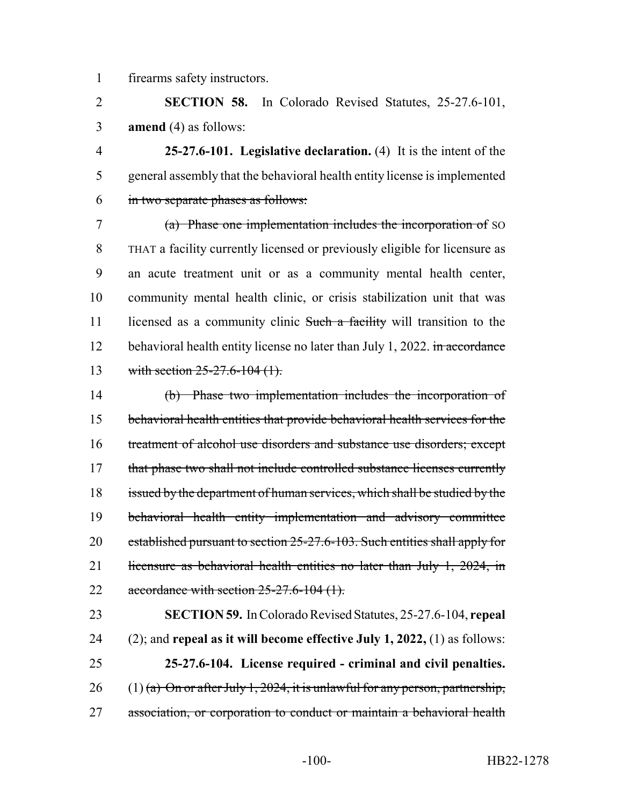firearms safety instructors.

 **SECTION 58.** In Colorado Revised Statutes, 25-27.6-101, **amend** (4) as follows:

 **25-27.6-101. Legislative declaration.** (4) It is the intent of the general assembly that the behavioral health entity license is implemented in two separate phases as follows:

 (a) Phase one implementation includes the incorporation of SO THAT a facility currently licensed or previously eligible for licensure as an acute treatment unit or as a community mental health center, community mental health clinic, or crisis stabilization unit that was 11 licensed as a community clinic Such a facility will transition to the 12 behavioral health entity license no later than July 1, 2022. in accordance 13 with section 25-27.6-104 (1).

 (b) Phase two implementation includes the incorporation of behavioral health entities that provide behavioral health services for the 16 treatment of alcohol use disorders and substance use disorders; except 17 that phase two shall not include controlled substance licenses currently 18 issued by the department of human services, which shall be studied by the behavioral health entity implementation and advisory committee established pursuant to section 25-27.6-103. Such entities shall apply for 21 licensure as behavioral health entities no later than July 1, 2024, in 22 accordance with section  $25-27.6-104(1)$ .

 **SECTION 59.** In Colorado Revised Statutes, 25-27.6-104, **repeal** (2); and **repeal as it will become effective July 1, 2022,** (1) as follows: **25-27.6-104. License required - criminal and civil penalties.** 26 (1) (a) On or after July 1, 2024, it is unlawful for any person, partnership, 27 association, or corporation to conduct or maintain a behavioral health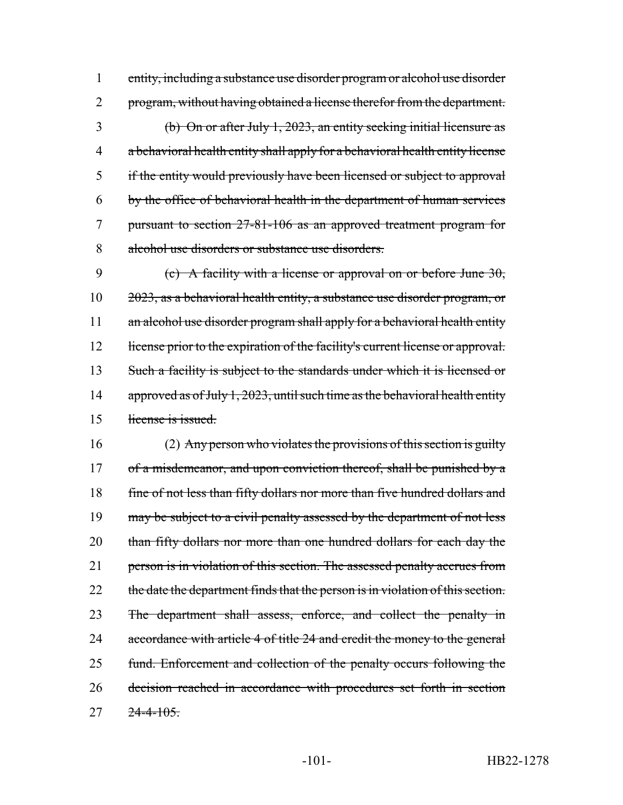entity, including a substance use disorder program or alcohol use disorder 2 program, without having obtained a license therefor from the department. (b) On or after July 1, 2023, an entity seeking initial licensure as a behavioral health entity shall apply for a behavioral health entity license if the entity would previously have been licensed or subject to approval by the office of behavioral health in the department of human services pursuant to section 27-81-106 as an approved treatment program for alcohol use disorders or substance use disorders.

9 (c) A facility with a license or approval on or before June  $30$ , 10 2023, as a behavioral health entity, a substance use disorder program, or 11 an alcohol use disorder program shall apply for a behavioral health entity 12 license prior to the expiration of the facility's current license or approval. 13 Such a facility is subject to the standards under which it is licensed or 14 approved as of July 1, 2023, until such time as the behavioral health entity 15 license is issued.

16 (2) Any person who violates the provisions of this section is guilty 17 of a misdemeanor, and upon conviction thereof, shall be punished by a 18 fine of not less than fifty dollars nor more than five hundred dollars and 19 may be subject to a civil penalty assessed by the department of not less 20 than fifty dollars nor more than one hundred dollars for each day the 21 person is in violation of this section. The assessed penalty accrues from 22 the date the department finds that the person is in violation of this section. 23 The department shall assess, enforce, and collect the penalty in 24 accordance with article 4 of title 24 and credit the money to the general 25 fund. Enforcement and collection of the penalty occurs following the 26 decision reached in accordance with procedures set forth in section 27 24-4-105.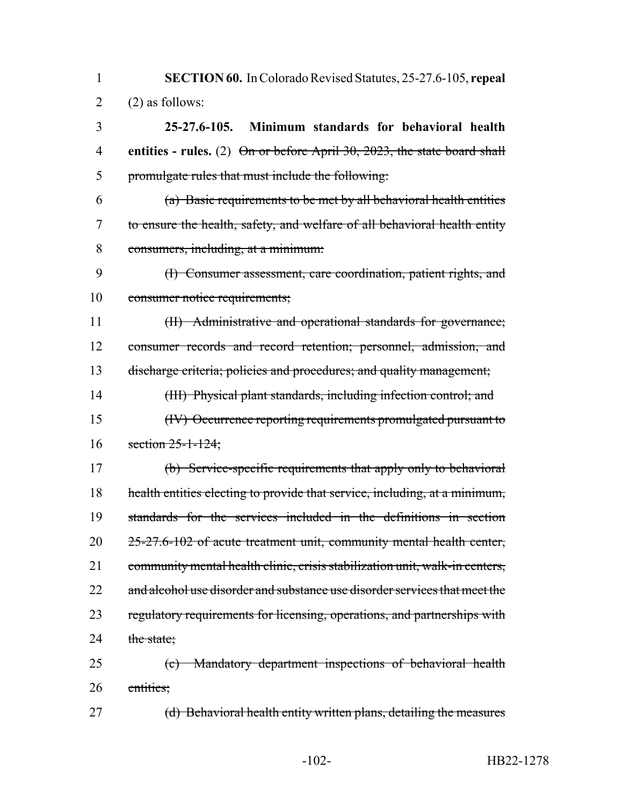**SECTION 60.** In Colorado Revised Statutes, 25-27.6-105, **repeal**  $2 \qquad (2)$  as follows:

 **25-27.6-105. Minimum standards for behavioral health entities - rules.** (2) On or before April 30, 2023, the state board shall promulgate rules that must include the following:

- (a) Basic requirements to be met by all behavioral health entities to ensure the health, safety, and welfare of all behavioral health entity consumers, including, at a minimum:
- (I) Consumer assessment, care coordination, patient rights, and consumer notice requirements;

 (II) Administrative and operational standards for governance; consumer records and record retention; personnel, admission, and discharge criteria; policies and procedures; and quality management;

 (III) Physical plant standards, including infection control; and (IV) Occurrence reporting requirements promulgated pursuant to section 25-1-124;

 (b) Service-specific requirements that apply only to behavioral health entities electing to provide that service, including, at a minimum, standards for the services included in the definitions in section 25-27.6-102 of acute treatment unit, community mental health center, community mental health clinic, crisis stabilization unit, walk-in centers, 22 and alcohol use disorder and substance use disorder services that meet the 23 regulatory requirements for licensing, operations, and partnerships with 24 the state:

 (c) Mandatory department inspections of behavioral health entities;

27 (d) Behavioral health entity written plans, detailing the measures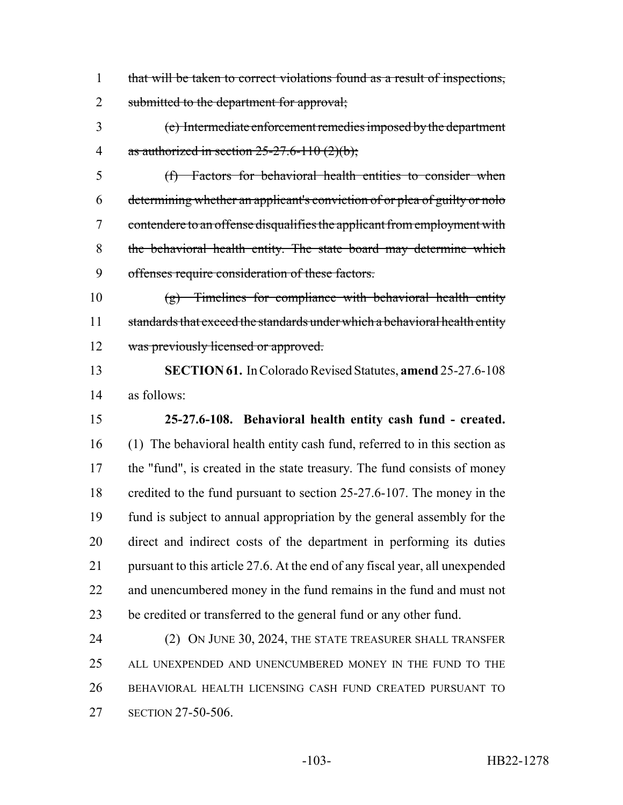that will be taken to correct violations found as a result of inspections, 2 submitted to the department for approval;

 (e) Intermediate enforcement remedies imposed by the department 4 as authorized in section  $25-27.6-110(2)(b)$ ;

 (f) Factors for behavioral health entities to consider when determining whether an applicant's conviction of or plea of guilty or nolo contendere to an offense disqualifies the applicant from employment with the behavioral health entity. The state board may determine which offenses require consideration of these factors.

 (g) Timelines for compliance with behavioral health entity 11 standards that exceed the standards under which a behavioral health entity 12 was previously licensed or approved.

 **SECTION 61.** In Colorado Revised Statutes, **amend** 25-27.6-108 as follows:

 **25-27.6-108. Behavioral health entity cash fund - created.** (1) The behavioral health entity cash fund, referred to in this section as 17 the "fund", is created in the state treasury. The fund consists of money credited to the fund pursuant to section 25-27.6-107. The money in the fund is subject to annual appropriation by the general assembly for the direct and indirect costs of the department in performing its duties pursuant to this article 27.6. At the end of any fiscal year, all unexpended and unencumbered money in the fund remains in the fund and must not be credited or transferred to the general fund or any other fund.

24 (2) ON JUNE 30, 2024, THE STATE TREASURER SHALL TRANSFER ALL UNEXPENDED AND UNENCUMBERED MONEY IN THE FUND TO THE BEHAVIORAL HEALTH LICENSING CASH FUND CREATED PURSUANT TO SECTION 27-50-506.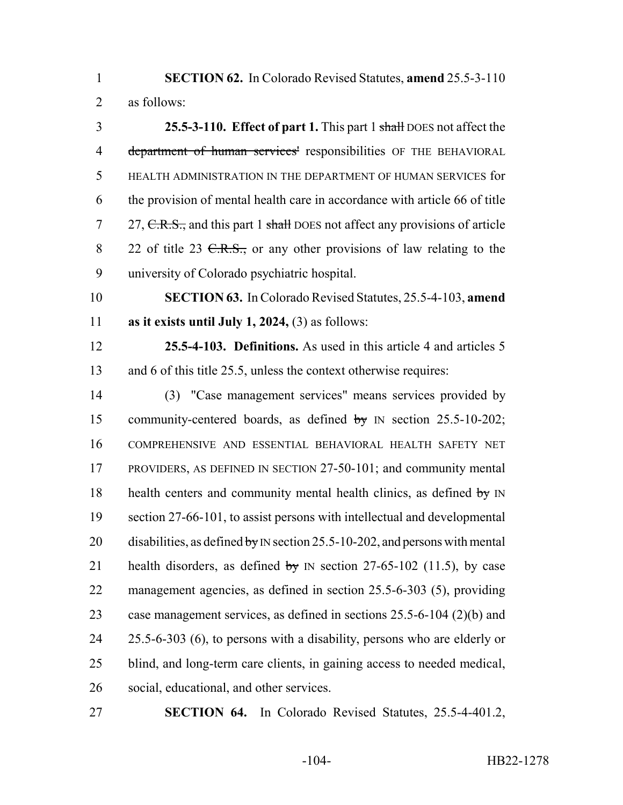**SECTION 62.** In Colorado Revised Statutes, **amend** 25.5-3-110 as follows:

 **25.5-3-110. Effect of part 1.** This part 1 shall DOES not affect the 4 department of human services' responsibilities OF THE BEHAVIORAL HEALTH ADMINISTRATION IN THE DEPARTMENT OF HUMAN SERVICES for the provision of mental health care in accordance with article 66 of title 7 27, C.R.S., and this part 1 shall DOES not affect any provisions of article 8 22 of title 23 <del>C.R.S.,</del> or any other provisions of law relating to the university of Colorado psychiatric hospital.

 **SECTION 63.** In Colorado Revised Statutes, 25.5-4-103, **amend as it exists until July 1, 2024,** (3) as follows:

 **25.5-4-103. Definitions.** As used in this article 4 and articles 5 and 6 of this title 25.5, unless the context otherwise requires:

 (3) "Case management services" means services provided by 15 community-centered boards, as defined by IN section 25.5-10-202; COMPREHENSIVE AND ESSENTIAL BEHAVIORAL HEALTH SAFETY NET PROVIDERS, AS DEFINED IN SECTION 27-50-101; and community mental 18 health centers and community mental health clinics, as defined  $b\dot{y}$  IN 19 section 27-66-101, to assist persons with intellectual and developmental 20 disabilities, as defined by IN section 25.5-10-202, and persons with mental 21 health disorders, as defined by IN section  $27-65-102$  (11.5), by case management agencies, as defined in section 25.5-6-303 (5), providing case management services, as defined in sections 25.5-6-104 (2)(b) and 25.5-6-303 (6), to persons with a disability, persons who are elderly or blind, and long-term care clients, in gaining access to needed medical, social, educational, and other services.

**SECTION 64.** In Colorado Revised Statutes, 25.5-4-401.2,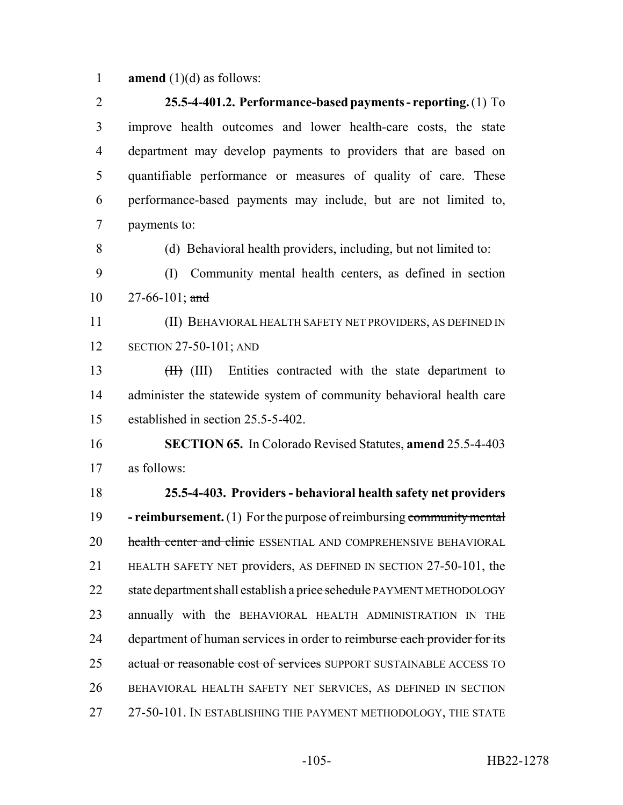**amend** (1)(d) as follows:

 **25.5-4-401.2. Performance-based payments - reporting.** (1) To improve health outcomes and lower health-care costs, the state department may develop payments to providers that are based on quantifiable performance or measures of quality of care. These performance-based payments may include, but are not limited to, payments to: (d) Behavioral health providers, including, but not limited to: (I) Community mental health centers, as defined in section  $27-66-101$ ; and (II) BEHAVIORAL HEALTH SAFETY NET PROVIDERS, AS DEFINED IN 12 SECTION 27-50-101; AND 13 (III) Entities contracted with the state department to administer the statewide system of community behavioral health care established in section 25.5-5-402. **SECTION 65.** In Colorado Revised Statutes, **amend** 25.5-4-403 as follows: **25.5-4-403. Providers - behavioral health safety net providers - reimbursement.** (1) For the purpose of reimbursing community mental 20 health center and clinic ESSENTIAL AND COMPREHENSIVE BEHAVIORAL HEALTH SAFETY NET providers, AS DEFINED IN SECTION 27-50-101, the 22 state department shall establish a price schedule PAYMENT METHODOLOGY annually with the BEHAVIORAL HEALTH ADMINISTRATION IN THE 24 department of human services in order to reimburse each provider for its 25 actual or reasonable cost of services SUPPORT SUSTAINABLE ACCESS TO BEHAVIORAL HEALTH SAFETY NET SERVICES, AS DEFINED IN SECTION 27 27-50-101. IN ESTABLISHING THE PAYMENT METHODOLOGY, THE STATE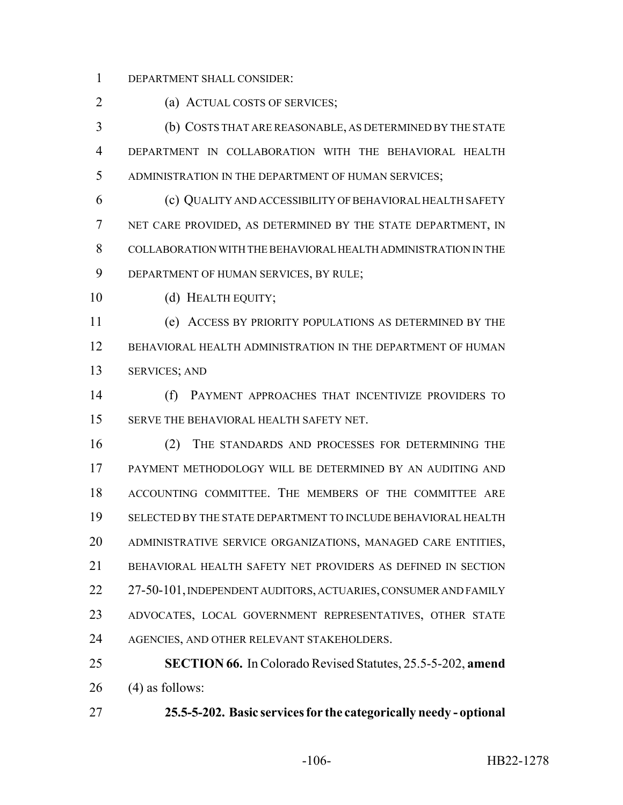DEPARTMENT SHALL CONSIDER:

(a) ACTUAL COSTS OF SERVICES;

 (b) COSTS THAT ARE REASONABLE, AS DETERMINED BY THE STATE DEPARTMENT IN COLLABORATION WITH THE BEHAVIORAL HEALTH ADMINISTRATION IN THE DEPARTMENT OF HUMAN SERVICES;

 (c) QUALITY AND ACCESSIBILITY OF BEHAVIORAL HEALTH SAFETY NET CARE PROVIDED, AS DETERMINED BY THE STATE DEPARTMENT, IN COLLABORATION WITH THE BEHAVIORAL HEALTH ADMINISTRATION IN THE DEPARTMENT OF HUMAN SERVICES, BY RULE;

10 (d) HEALTH EQUITY;

 (e) ACCESS BY PRIORITY POPULATIONS AS DETERMINED BY THE BEHAVIORAL HEALTH ADMINISTRATION IN THE DEPARTMENT OF HUMAN SERVICES; AND

 (f) PAYMENT APPROACHES THAT INCENTIVIZE PROVIDERS TO 15 SERVE THE BEHAVIORAL HEALTH SAFETY NET.

 (2) THE STANDARDS AND PROCESSES FOR DETERMINING THE PAYMENT METHODOLOGY WILL BE DETERMINED BY AN AUDITING AND ACCOUNTING COMMITTEE. THE MEMBERS OF THE COMMITTEE ARE SELECTED BY THE STATE DEPARTMENT TO INCLUDE BEHAVIORAL HEALTH ADMINISTRATIVE SERVICE ORGANIZATIONS, MANAGED CARE ENTITIES, BEHAVIORAL HEALTH SAFETY NET PROVIDERS AS DEFINED IN SECTION 22 27-50-101, INDEPENDENT AUDITORS, ACTUARIES, CONSUMER AND FAMILY ADVOCATES, LOCAL GOVERNMENT REPRESENTATIVES, OTHER STATE 24 AGENCIES, AND OTHER RELEVANT STAKEHOLDERS.

 **SECTION 66.** In Colorado Revised Statutes, 25.5-5-202, **amend** (4) as follows:

**25.5-5-202. Basic services for the categorically needy - optional**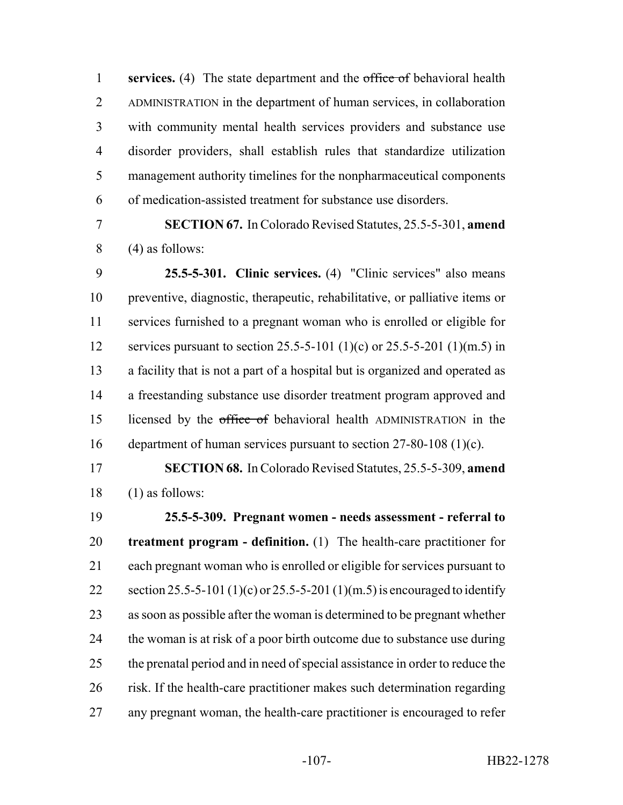**services.** (4) The state department and the office of behavioral health ADMINISTRATION in the department of human services, in collaboration with community mental health services providers and substance use disorder providers, shall establish rules that standardize utilization management authority timelines for the nonpharmaceutical components of medication-assisted treatment for substance use disorders.

 **SECTION 67.** In Colorado Revised Statutes, 25.5-5-301, **amend** (4) as follows:

 **25.5-5-301. Clinic services.** (4) "Clinic services" also means preventive, diagnostic, therapeutic, rehabilitative, or palliative items or services furnished to a pregnant woman who is enrolled or eligible for services pursuant to section 25.5-5-101 (1)(c) or 25.5-5-201 (1)(m.5) in a facility that is not a part of a hospital but is organized and operated as a freestanding substance use disorder treatment program approved and 15 licensed by the office of behavioral health ADMINISTRATION in the department of human services pursuant to section 27-80-108 (1)(c).

 **SECTION 68.** In Colorado Revised Statutes, 25.5-5-309, **amend** (1) as follows:

 **25.5-5-309. Pregnant women - needs assessment - referral to treatment program - definition.** (1) The health-care practitioner for each pregnant woman who is enrolled or eligible for services pursuant to 22 section 25.5-5-101 (1)(c) or 25.5-5-201 (1)(m.5) is encouraged to identify as soon as possible after the woman is determined to be pregnant whether 24 the woman is at risk of a poor birth outcome due to substance use during the prenatal period and in need of special assistance in order to reduce the risk. If the health-care practitioner makes such determination regarding any pregnant woman, the health-care practitioner is encouraged to refer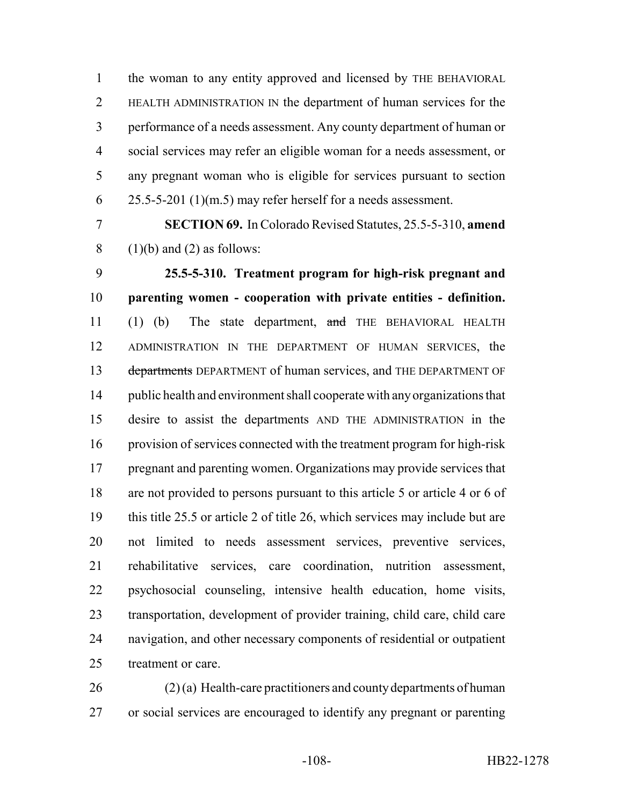the woman to any entity approved and licensed by THE BEHAVIORAL HEALTH ADMINISTRATION IN the department of human services for the performance of a needs assessment. Any county department of human or social services may refer an eligible woman for a needs assessment, or any pregnant woman who is eligible for services pursuant to section  $6 \times 25.5 - 5 - 201 \text{ (1)} \text{ (m.5)}$  may refer herself for a needs assessment.

 **SECTION 69.** In Colorado Revised Statutes, 25.5-5-310, **amend** 8 (1)(b) and (2) as follows:

 **25.5-5-310. Treatment program for high-risk pregnant and parenting women - cooperation with private entities - definition.** (1) (b) The state department, and THE BEHAVIORAL HEALTH ADMINISTRATION IN THE DEPARTMENT OF HUMAN SERVICES, the 13 departments DEPARTMENT of human services, and THE DEPARTMENT OF public health and environment shall cooperate with any organizations that desire to assist the departments AND THE ADMINISTRATION in the provision of services connected with the treatment program for high-risk pregnant and parenting women. Organizations may provide services that are not provided to persons pursuant to this article 5 or article 4 or 6 of this title 25.5 or article 2 of title 26, which services may include but are not limited to needs assessment services, preventive services, rehabilitative services, care coordination, nutrition assessment, psychosocial counseling, intensive health education, home visits, transportation, development of provider training, child care, child care navigation, and other necessary components of residential or outpatient treatment or care.

 (2) (a) Health-care practitioners and county departments of human or social services are encouraged to identify any pregnant or parenting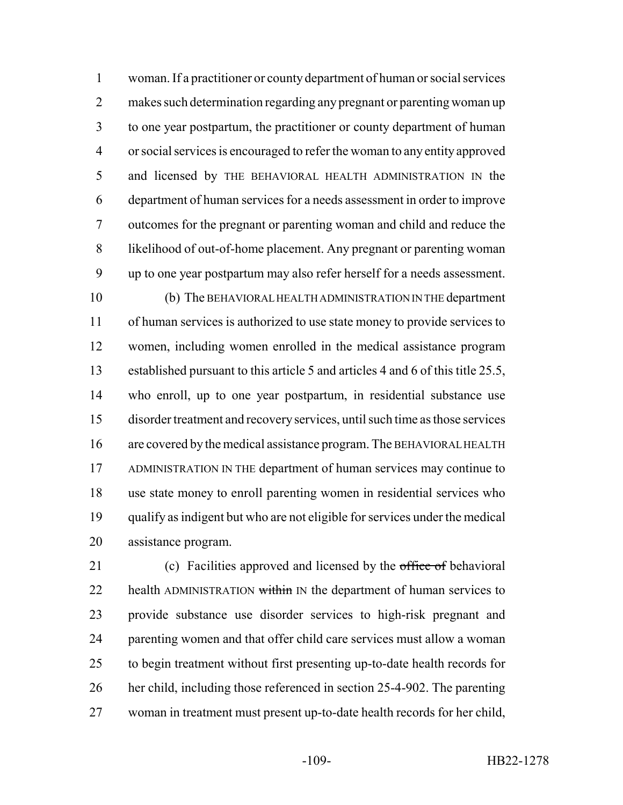woman. If a practitioner or county department of human or social services makes such determination regarding any pregnant or parenting woman up to one year postpartum, the practitioner or county department of human or social services is encouraged to refer the woman to any entity approved and licensed by THE BEHAVIORAL HEALTH ADMINISTRATION IN the department of human services for a needs assessment in order to improve outcomes for the pregnant or parenting woman and child and reduce the likelihood of out-of-home placement. Any pregnant or parenting woman up to one year postpartum may also refer herself for a needs assessment.

 (b) The BEHAVIORAL HEALTH ADMINISTRATION IN THE department of human services is authorized to use state money to provide services to women, including women enrolled in the medical assistance program established pursuant to this article 5 and articles 4 and 6 of this title 25.5, who enroll, up to one year postpartum, in residential substance use disorder treatment and recovery services, until such time as those services are covered by the medical assistance program. The BEHAVIORAL HEALTH ADMINISTRATION IN THE department of human services may continue to use state money to enroll parenting women in residential services who qualify as indigent but who are not eligible for services under the medical assistance program.

21 (c) Facilities approved and licensed by the office of behavioral 22 health ADMINISTRATION within IN the department of human services to provide substance use disorder services to high-risk pregnant and parenting women and that offer child care services must allow a woman to begin treatment without first presenting up-to-date health records for her child, including those referenced in section 25-4-902. The parenting woman in treatment must present up-to-date health records for her child,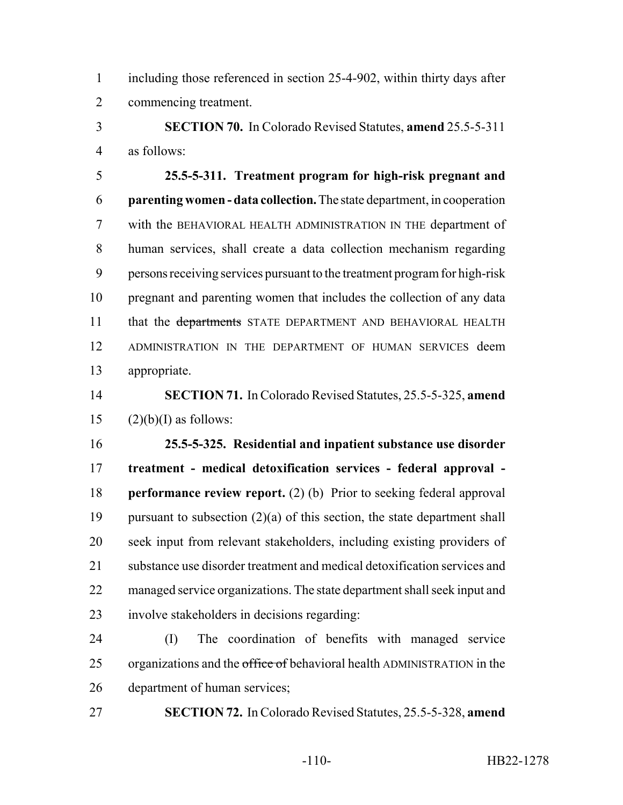including those referenced in section 25-4-902, within thirty days after commencing treatment.

 **SECTION 70.** In Colorado Revised Statutes, **amend** 25.5-5-311 as follows:

 **25.5-5-311. Treatment program for high-risk pregnant and parenting women - data collection.** The state department, in cooperation with the BEHAVIORAL HEALTH ADMINISTRATION IN THE department of human services, shall create a data collection mechanism regarding persons receiving services pursuant to the treatment program for high-risk pregnant and parenting women that includes the collection of any data 11 that the departments STATE DEPARTMENT AND BEHAVIORAL HEALTH ADMINISTRATION IN THE DEPARTMENT OF HUMAN SERVICES deem appropriate.

 **SECTION 71.** In Colorado Revised Statutes, 25.5-5-325, **amend** 15  $(2)(b)(I)$  as follows:

 **25.5-5-325. Residential and inpatient substance use disorder treatment - medical detoxification services - federal approval - performance review report.** (2) (b) Prior to seeking federal approval pursuant to subsection (2)(a) of this section, the state department shall seek input from relevant stakeholders, including existing providers of substance use disorder treatment and medical detoxification services and 22 managed service organizations. The state department shall seek input and involve stakeholders in decisions regarding:

 (I) The coordination of benefits with managed service 25 organizations and the office of behavioral health ADMINISTRATION in the department of human services;

**SECTION 72.** In Colorado Revised Statutes, 25.5-5-328, **amend**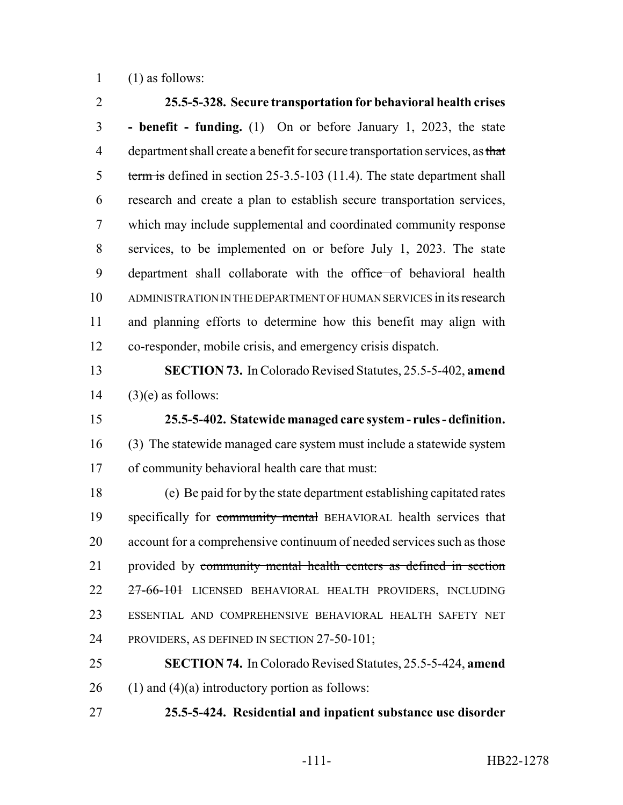(1) as follows:

 **25.5-5-328. Secure transportation for behavioral health crises - benefit - funding.** (1) On or before January 1, 2023, the state 4 department shall create a benefit for secure transportation services, as that 5 term is defined in section 25-3.5-103 (11.4). The state department shall research and create a plan to establish secure transportation services, which may include supplemental and coordinated community response services, to be implemented on or before July 1, 2023. The state 9 department shall collaborate with the office of behavioral health ADMINISTRATION IN THE DEPARTMENT OF HUMAN SERVICES in its research and planning efforts to determine how this benefit may align with co-responder, mobile crisis, and emergency crisis dispatch. **SECTION 73.** In Colorado Revised Statutes, 25.5-5-402, **amend** (3)(e) as follows: **25.5-5-402. Statewide managed care system - rules - definition.** (3) The statewide managed care system must include a statewide system of community behavioral health care that must: (e) Be paid for by the state department establishing capitated rates 19 specifically for community mental BEHAVIORAL health services that account for a comprehensive continuum of needed services such as those 21 provided by community mental health centers as defined in section 22 <del>27-66-101</del> LICENSED BEHAVIORAL HEALTH PROVIDERS, INCLUDING ESSENTIAL AND COMPREHENSIVE BEHAVIORAL HEALTH SAFETY NET PROVIDERS, AS DEFINED IN SECTION 27-50-101; **SECTION 74.** In Colorado Revised Statutes, 25.5-5-424, **amend** 26 (1) and (4)(a) introductory portion as follows:

**25.5-5-424. Residential and inpatient substance use disorder**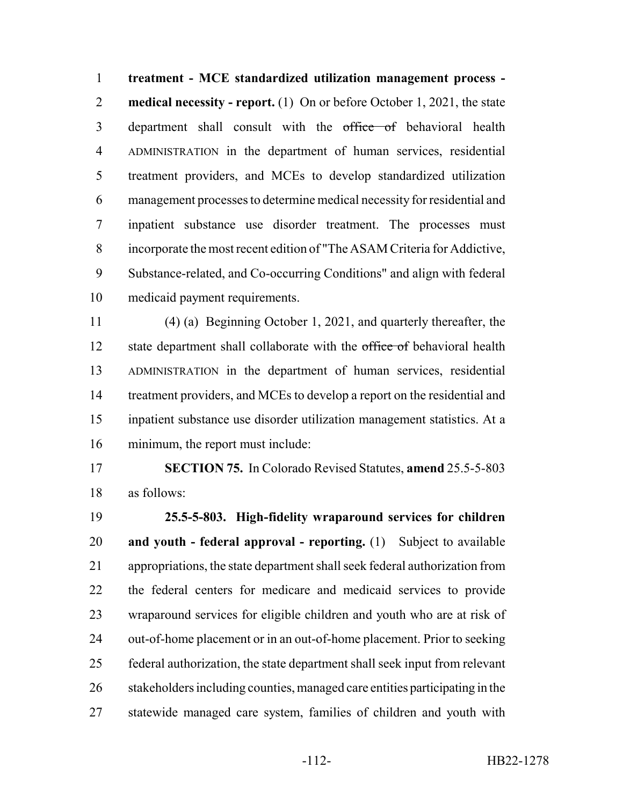**treatment - MCE standardized utilization management process - medical necessity - report.** (1) On or before October 1, 2021, the state 3 department shall consult with the office of behavioral health ADMINISTRATION in the department of human services, residential treatment providers, and MCEs to develop standardized utilization management processes to determine medical necessity for residential and inpatient substance use disorder treatment. The processes must incorporate the most recent edition of "The ASAM Criteria for Addictive, Substance-related, and Co-occurring Conditions" and align with federal medicaid payment requirements.

 (4) (a) Beginning October 1, 2021, and quarterly thereafter, the 12 state department shall collaborate with the office of behavioral health ADMINISTRATION in the department of human services, residential 14 treatment providers, and MCEs to develop a report on the residential and inpatient substance use disorder utilization management statistics. At a minimum, the report must include:

 **SECTION 75.** In Colorado Revised Statutes, **amend** 25.5-5-803 as follows:

 **25.5-5-803. High-fidelity wraparound services for children and youth - federal approval - reporting.** (1) Subject to available appropriations, the state department shall seek federal authorization from the federal centers for medicare and medicaid services to provide wraparound services for eligible children and youth who are at risk of out-of-home placement or in an out-of-home placement. Prior to seeking federal authorization, the state department shall seek input from relevant stakeholders including counties, managed care entities participating in the statewide managed care system, families of children and youth with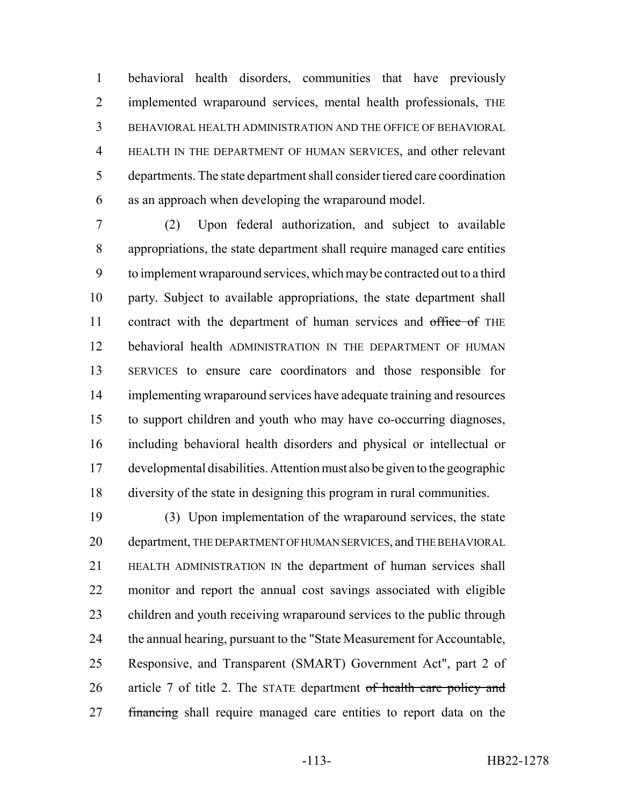behavioral health disorders, communities that have previously implemented wraparound services, mental health professionals, THE BEHAVIORAL HEALTH ADMINISTRATION AND THE OFFICE OF BEHAVIORAL HEALTH IN THE DEPARTMENT OF HUMAN SERVICES, and other relevant departments. The state department shall consider tiered care coordination as an approach when developing the wraparound model.

 (2) Upon federal authorization, and subject to available appropriations, the state department shall require managed care entities to implement wraparound services, which may be contracted out to a third party. Subject to available appropriations, the state department shall 11 contract with the department of human services and office of THE behavioral health ADMINISTRATION IN THE DEPARTMENT OF HUMAN SERVICES to ensure care coordinators and those responsible for implementing wraparound services have adequate training and resources to support children and youth who may have co-occurring diagnoses, including behavioral health disorders and physical or intellectual or developmental disabilities. Attention must also be given to the geographic diversity of the state in designing this program in rural communities.

 (3) Upon implementation of the wraparound services, the state department, THE DEPARTMENT OF HUMAN SERVICES, and THE BEHAVIORAL HEALTH ADMINISTRATION IN the department of human services shall monitor and report the annual cost savings associated with eligible children and youth receiving wraparound services to the public through the annual hearing, pursuant to the "State Measurement for Accountable, Responsive, and Transparent (SMART) Government Act", part 2 of 26 article 7 of title 2. The STATE department of health care policy and 27 financing shall require managed care entities to report data on the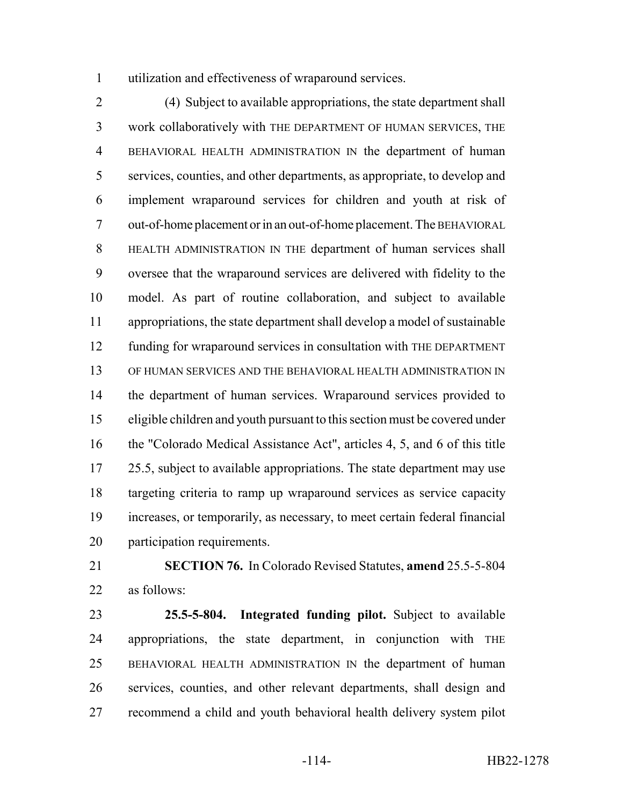utilization and effectiveness of wraparound services.

 (4) Subject to available appropriations, the state department shall work collaboratively with THE DEPARTMENT OF HUMAN SERVICES, THE BEHAVIORAL HEALTH ADMINISTRATION IN the department of human services, counties, and other departments, as appropriate, to develop and implement wraparound services for children and youth at risk of out-of-home placement or in an out-of-home placement. The BEHAVIORAL HEALTH ADMINISTRATION IN THE department of human services shall oversee that the wraparound services are delivered with fidelity to the model. As part of routine collaboration, and subject to available appropriations, the state department shall develop a model of sustainable funding for wraparound services in consultation with THE DEPARTMENT OF HUMAN SERVICES AND THE BEHAVIORAL HEALTH ADMINISTRATION IN the department of human services. Wraparound services provided to eligible children and youth pursuant to this section must be covered under the "Colorado Medical Assistance Act", articles 4, 5, and 6 of this title 17 25.5, subject to available appropriations. The state department may use targeting criteria to ramp up wraparound services as service capacity increases, or temporarily, as necessary, to meet certain federal financial participation requirements.

 **SECTION 76.** In Colorado Revised Statutes, **amend** 25.5-5-804 as follows:

 **25.5-5-804. Integrated funding pilot.** Subject to available appropriations, the state department, in conjunction with THE BEHAVIORAL HEALTH ADMINISTRATION IN the department of human services, counties, and other relevant departments, shall design and recommend a child and youth behavioral health delivery system pilot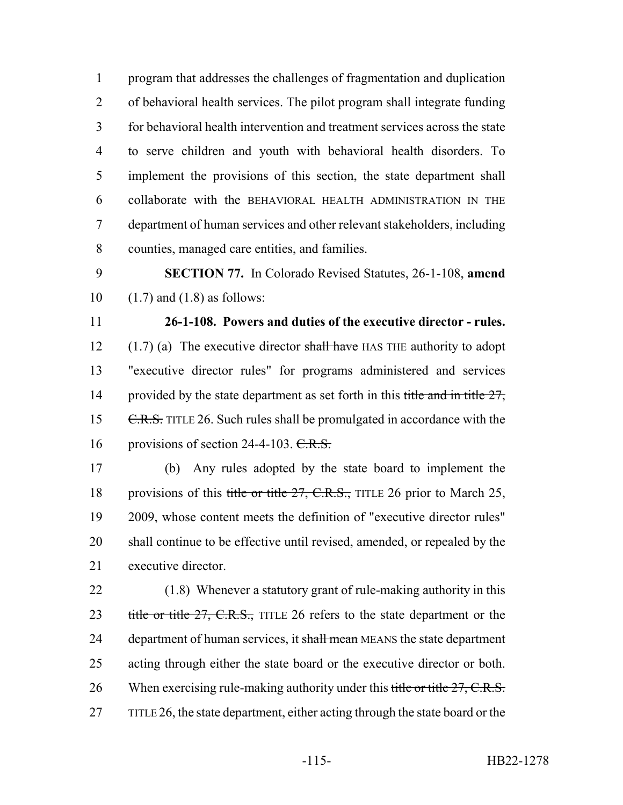program that addresses the challenges of fragmentation and duplication of behavioral health services. The pilot program shall integrate funding for behavioral health intervention and treatment services across the state to serve children and youth with behavioral health disorders. To implement the provisions of this section, the state department shall collaborate with the BEHAVIORAL HEALTH ADMINISTRATION IN THE department of human services and other relevant stakeholders, including counties, managed care entities, and families.

 **SECTION 77.** In Colorado Revised Statutes, 26-1-108, **amend** 10  $(1.7)$  and  $(1.8)$  as follows:

 **26-1-108. Powers and duties of the executive director - rules.** 12  $(1.7)$  (a) The executive director shall have HAS THE authority to adopt "executive director rules" for programs administered and services 14 provided by the state department as set forth in this title and in title , 15 C.R.S. TITLE 26. Such rules shall be promulgated in accordance with the 16 provisions of section 24-4-103.  $C.R.S.$ 

 (b) Any rules adopted by the state board to implement the 18 provisions of this title or title 27, C.R.S., TITLE 26 prior to March 25, 2009, whose content meets the definition of "executive director rules" shall continue to be effective until revised, amended, or repealed by the executive director.

 (1.8) Whenever a statutory grant of rule-making authority in this 23 title or title 27, C.R.S., TITLE 26 refers to the state department or the 24 department of human services, it shall mean MEANS the state department acting through either the state board or the executive director or both. 26 When exercising rule-making authority under this title or title 27, C.R.S. 27 TITLE 26, the state department, either acting through the state board or the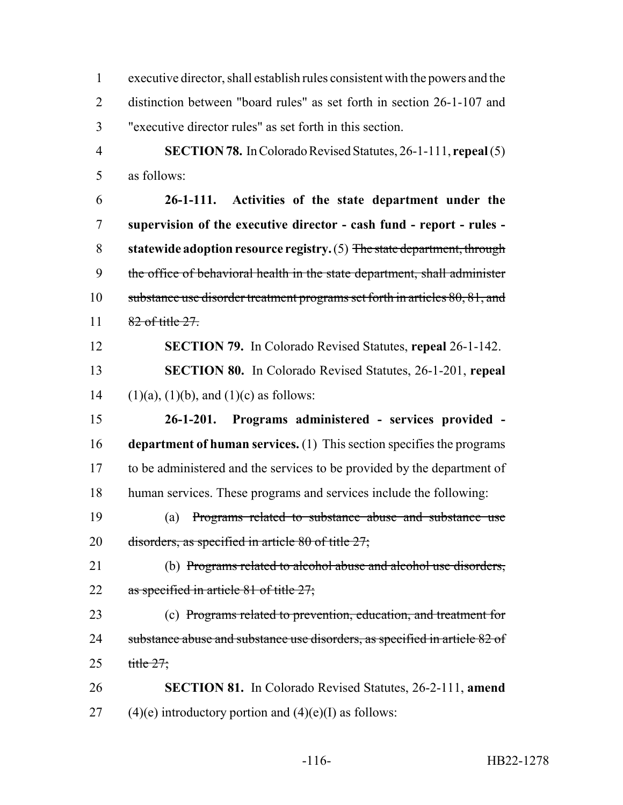executive director, shall establish rules consistent with the powers and the distinction between "board rules" as set forth in section 26-1-107 and "executive director rules" as set forth in this section.

 **SECTION 78.** In Colorado Revised Statutes, 26-1-111, **repeal** (5) as follows:

 **26-1-111. Activities of the state department under the supervision of the executive director - cash fund - report - rules - statewide adoption resource registry.** (5) The state department, through the office of behavioral health in the state department, shall administer 10 substance use disorder treatment programs set forth in articles 80, 81, and 11 82 of title 27.

 **SECTION 79.** In Colorado Revised Statutes, **repeal** 26-1-142. **SECTION 80.** In Colorado Revised Statutes, 26-1-201, **repeal** 14 (1)(a), (1)(b), and (1)(c) as follows:

 **26-1-201. Programs administered - services provided - department of human services.** (1) This section specifies the programs to be administered and the services to be provided by the department of human services. These programs and services include the following:

 (a) Programs related to substance abuse and substance use 20 disorders, as specified in article of title  $27$ ;

 (b) Programs related to alcohol abuse and alcohol use disorders, 22 as specified in article of title  $27$ ;

 (c) Programs related to prevention, education, and treatment for 24 substance abuse and substance use disorders, as specified in article 82 of 25  $title 27$ ;

 **SECTION 81.** In Colorado Revised Statutes, 26-2-111, **amend** 27 (4)(e) introductory portion and  $(4)(e)$ (I) as follows: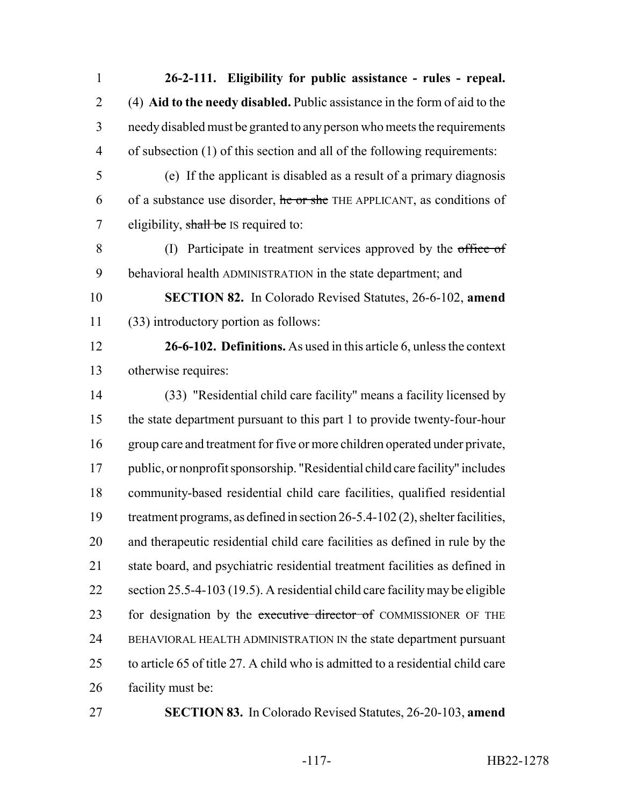**26-2-111. Eligibility for public assistance - rules - repeal.** (4) **Aid to the needy disabled.** Public assistance in the form of aid to the needy disabled must be granted to any person who meets the requirements of subsection (1) of this section and all of the following requirements: (e) If the applicant is disabled as a result of a primary diagnosis 6 of a substance use disorder, he or she THE APPLICANT, as conditions of 7 eligibility, shall be IS required to: (I) Participate in treatment services approved by the office of behavioral health ADMINISTRATION in the state department; and **SECTION 82.** In Colorado Revised Statutes, 26-6-102, **amend** (33) introductory portion as follows: **26-6-102. Definitions.** As used in this article 6, unless the context otherwise requires: (33) "Residential child care facility" means a facility licensed by the state department pursuant to this part 1 to provide twenty-four-hour group care and treatment for five or more children operated under private, public, or nonprofit sponsorship. "Residential child care facility" includes community-based residential child care facilities, qualified residential treatment programs, as defined in section 26-5.4-102 (2), shelter facilities, and therapeutic residential child care facilities as defined in rule by the state board, and psychiatric residential treatment facilities as defined in section 25.5-4-103 (19.5). A residential child care facility may be eligible 23 for designation by the executive director of COMMISSIONER OF THE BEHAVIORAL HEALTH ADMINISTRATION IN the state department pursuant to article 65 of title 27. A child who is admitted to a residential child care facility must be:

**SECTION 83.** In Colorado Revised Statutes, 26-20-103, **amend**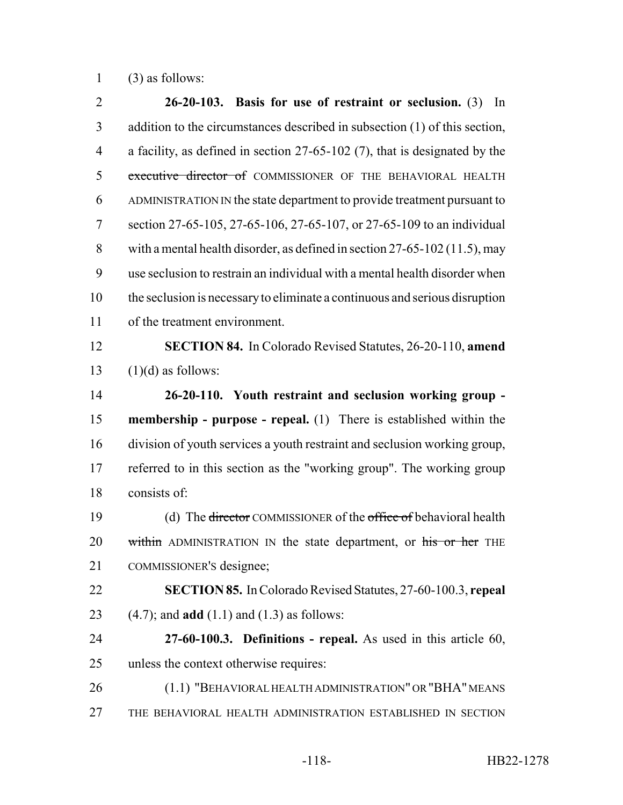(3) as follows:

 **26-20-103. Basis for use of restraint or seclusion.** (3) In addition to the circumstances described in subsection (1) of this section, a facility, as defined in section 27-65-102 (7), that is designated by the 5 executive director of COMMISSIONER OF THE BEHAVIORAL HEALTH ADMINISTRATION IN the state department to provide treatment pursuant to section 27-65-105, 27-65-106, 27-65-107, or 27-65-109 to an individual with a mental health disorder, as defined in section 27-65-102 (11.5), may use seclusion to restrain an individual with a mental health disorder when the seclusion is necessary to eliminate a continuous and serious disruption of the treatment environment. **SECTION 84.** In Colorado Revised Statutes, 26-20-110, **amend**  $(1)(d)$  as follows: **26-20-110. Youth restraint and seclusion working group - membership - purpose - repeal.** (1) There is established within the division of youth services a youth restraint and seclusion working group, referred to in this section as the "working group". The working group consists of: 19 (d) The <del>director</del> COMMISSIONER of the office of behavioral health 20 within ADMINISTRATION IN the state department, or his or her THE COMMISSIONER'S designee; **SECTION 85.** In Colorado Revised Statutes, 27-60-100.3, **repeal** (4.7); and **add** (1.1) and (1.3) as follows: **27-60-100.3. Definitions - repeal.** As used in this article 60, unless the context otherwise requires: (1.1) "BEHAVIORAL HEALTH ADMINISTRATION" OR "BHA" MEANS THE BEHAVIORAL HEALTH ADMINISTRATION ESTABLISHED IN SECTION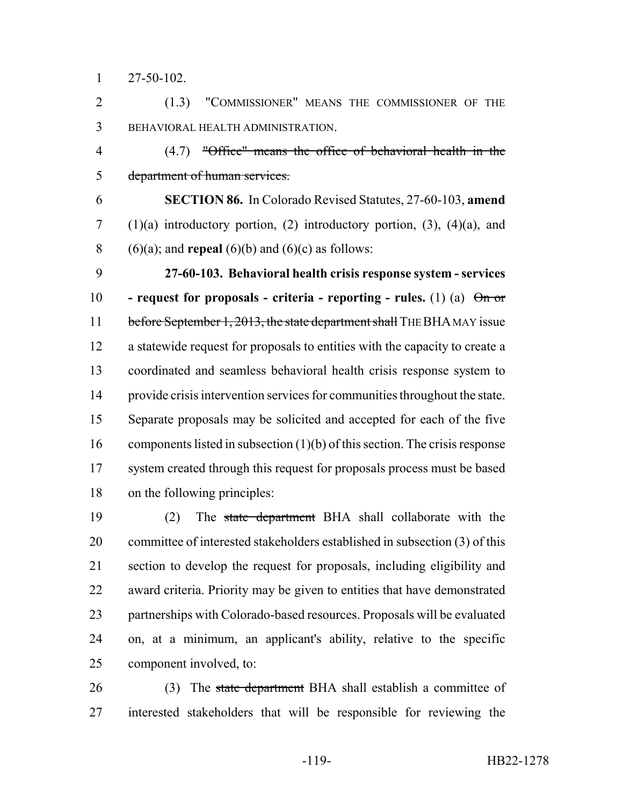27-50-102.

 (1.3) "COMMISSIONER" MEANS THE COMMISSIONER OF THE BEHAVIORAL HEALTH ADMINISTRATION.

 (4.7) "Office" means the office of behavioral health in the department of human services.

 **SECTION 86.** In Colorado Revised Statutes, 27-60-103, **amend** 7 (1)(a) introductory portion, (2) introductory portion, (3), (4)(a), and 8 (6)(a); and **repeal** (6)(b) and (6)(c) as follows:

 **27-60-103. Behavioral health crisis response system - services - request for proposals - criteria - reporting - rules.** (1) (a) On or 11 before September 1, 2013, the state department shall THE BHA MAY issue a statewide request for proposals to entities with the capacity to create a coordinated and seamless behavioral health crisis response system to provide crisis intervention services for communities throughout the state. Separate proposals may be solicited and accepted for each of the five components listed in subsection (1)(b) of this section. The crisis response 17 system created through this request for proposals process must be based on the following principles:

 (2) The state department BHA shall collaborate with the committee of interested stakeholders established in subsection (3) of this section to develop the request for proposals, including eligibility and award criteria. Priority may be given to entities that have demonstrated partnerships with Colorado-based resources. Proposals will be evaluated on, at a minimum, an applicant's ability, relative to the specific component involved, to:

26 (3) The state department BHA shall establish a committee of interested stakeholders that will be responsible for reviewing the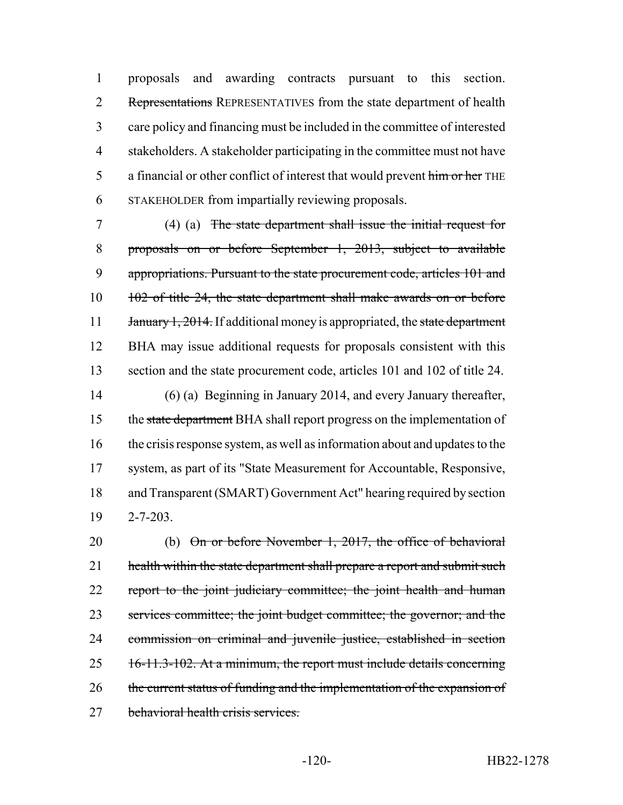proposals and awarding contracts pursuant to this section. 2 Representations REPRESENTATIVES from the state department of health care policy and financing must be included in the committee of interested stakeholders. A stakeholder participating in the committee must not have 5 a financial or other conflict of interest that would prevent him or her THE STAKEHOLDER from impartially reviewing proposals.

 (4) (a) The state department shall issue the initial request for proposals on or before September 1, 2013, subject to available 9 appropriations. Pursuant to the state procurement code, articles 101 and 102 of title 24, the state department shall make awards on or before 11 January 1, 2014. If additional money is appropriated, the state department BHA may issue additional requests for proposals consistent with this section and the state procurement code, articles 101 and 102 of title 24.

 (6) (a) Beginning in January 2014, and every January thereafter, 15 the state department BHA shall report progress on the implementation of the crisis response system, as well as information about and updates to the system, as part of its "State Measurement for Accountable, Responsive, and Transparent (SMART) Government Act" hearing required by section 19 2-7-203.

20 (b) On or before November 1, 2017, the office of behavioral 21 health within the state department shall prepare a report and submit such 22 report to the joint judiciary committee; the joint health and human 23 services committee; the joint budget committee; the governor; and the 24 commission on criminal and juvenile justice, established in section 25 16-11.3-102. At a minimum, the report must include details concerning 26 the current status of funding and the implementation of the expansion of 27 behavioral health crisis services.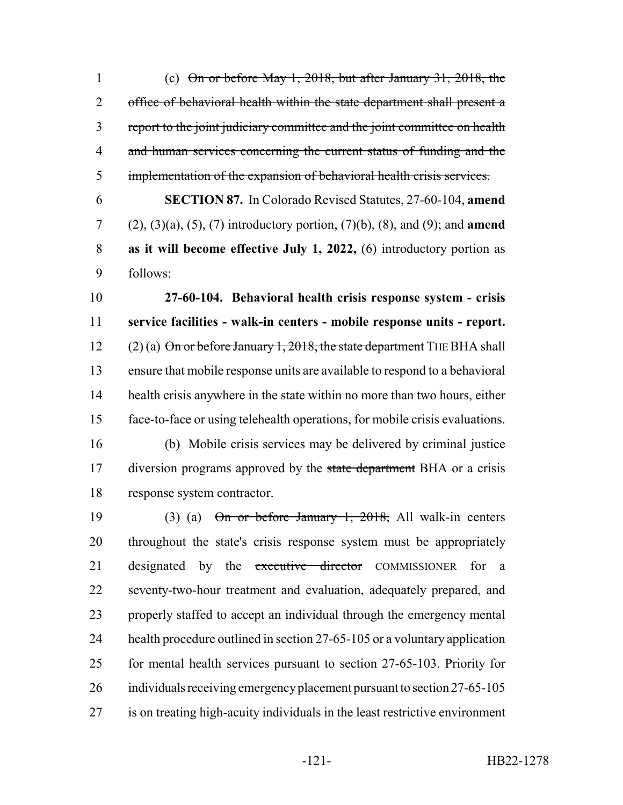(c) On or before May 1, 2018, but after January 31, 2018, the 2 office of behavioral health within the state department shall present a report to the joint judiciary committee and the joint committee on health 4 and human services concerning the current status of funding and the implementation of the expansion of behavioral health crisis services.

 **SECTION 87.** In Colorado Revised Statutes, 27-60-104, **amend** (2), (3)(a), (5), (7) introductory portion, (7)(b), (8), and (9); and **amend as it will become effective July 1, 2022,** (6) introductory portion as follows:

 **27-60-104. Behavioral health crisis response system - crisis service facilities - walk-in centers - mobile response units - report.** 12 (2) (a)  $\Theta$ n or before January 1, 2018, the state department THE BHA shall ensure that mobile response units are available to respond to a behavioral health crisis anywhere in the state within no more than two hours, either face-to-face or using telehealth operations, for mobile crisis evaluations.

 (b) Mobile crisis services may be delivered by criminal justice 17 diversion programs approved by the state department BHA or a crisis response system contractor.

19 (3) (a)  $\Theta$ n or before January 1, 2018, All walk-in centers throughout the state's crisis response system must be appropriately 21 designated by the executive director COMMISSIONER for a seventy-two-hour treatment and evaluation, adequately prepared, and properly staffed to accept an individual through the emergency mental 24 health procedure outlined in section 27-65-105 or a voluntary application for mental health services pursuant to section 27-65-103. Priority for 26 individuals receiving emergency placement pursuant to section 27-65-105 is on treating high-acuity individuals in the least restrictive environment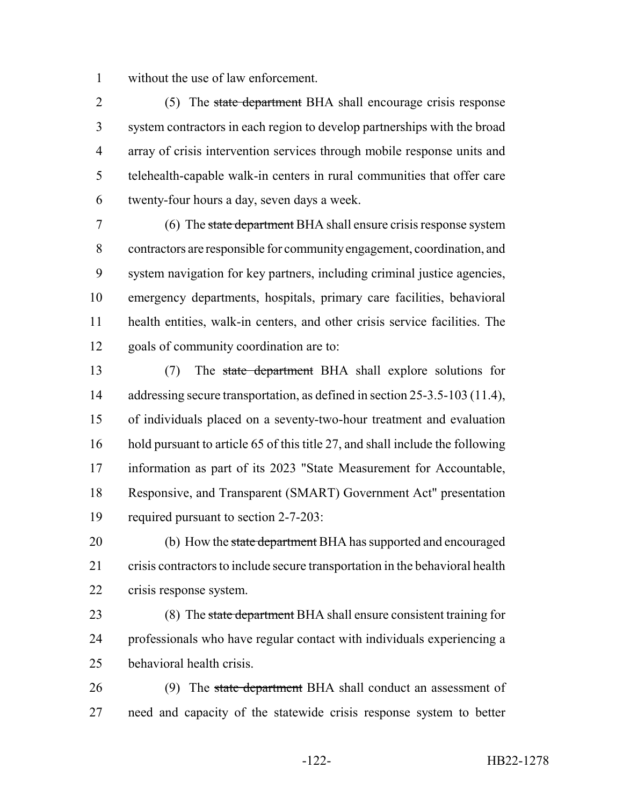without the use of law enforcement.

2 (5) The state department BHA shall encourage crisis response system contractors in each region to develop partnerships with the broad array of crisis intervention services through mobile response units and telehealth-capable walk-in centers in rural communities that offer care twenty-four hours a day, seven days a week.

7 (6) The state department BHA shall ensure crisis response system contractors are responsible for community engagement, coordination, and system navigation for key partners, including criminal justice agencies, emergency departments, hospitals, primary care facilities, behavioral health entities, walk-in centers, and other crisis service facilities. The goals of community coordination are to:

 (7) The state department BHA shall explore solutions for 14 addressing secure transportation, as defined in section 25-3.5-103 (11.4), of individuals placed on a seventy-two-hour treatment and evaluation hold pursuant to article 65 of this title 27, and shall include the following information as part of its 2023 "State Measurement for Accountable, Responsive, and Transparent (SMART) Government Act" presentation required pursuant to section 2-7-203:

20 (b) How the state department BHA has supported and encouraged crisis contractors to include secure transportation in the behavioral health crisis response system.

23 (8) The state department BHA shall ensure consistent training for professionals who have regular contact with individuals experiencing a behavioral health crisis.

26 (9) The state department BHA shall conduct an assessment of need and capacity of the statewide crisis response system to better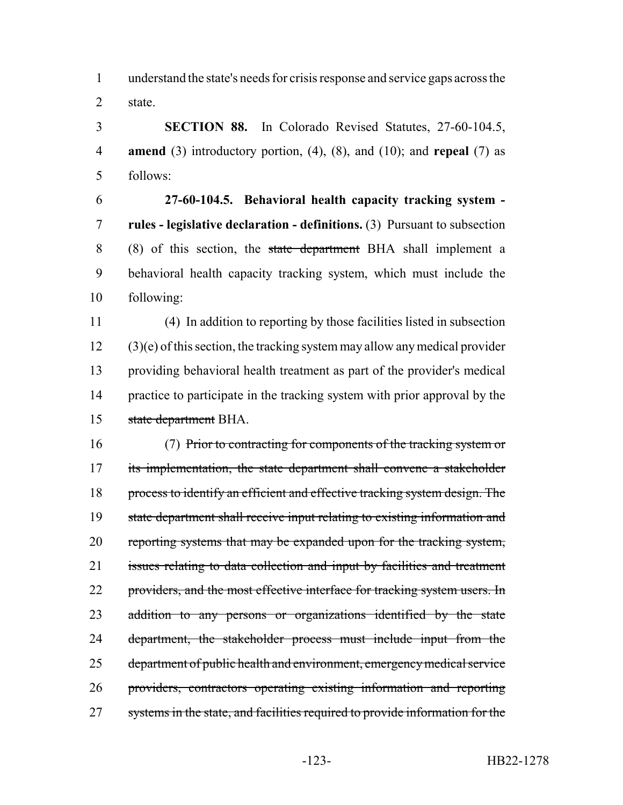understand the state's needs for crisis response and service gaps across the state.

 **SECTION 88.** In Colorado Revised Statutes, 27-60-104.5, **amend** (3) introductory portion, (4), (8), and (10); and **repeal** (7) as follows:

 **27-60-104.5. Behavioral health capacity tracking system - rules - legislative declaration - definitions.** (3) Pursuant to subsection (8) of this section, the state department BHA shall implement a behavioral health capacity tracking system, which must include the following:

 (4) In addition to reporting by those facilities listed in subsection (3)(e) of this section, the tracking system may allow any medical provider providing behavioral health treatment as part of the provider's medical practice to participate in the tracking system with prior approval by the state department BHA.

 (7) Prior to contracting for components of the tracking system or 17 its implementation, the state department shall convene a stakeholder process to identify an efficient and effective tracking system design. The 19 state department shall receive input relating to existing information and reporting systems that may be expanded upon for the tracking system, 21 issues relating to data collection and input by facilities and treatment 22 providers, and the most effective interface for tracking system users. In 23 addition to any persons or organizations identified by the state 24 department, the stakeholder process must include input from the department of public health and environment, emergency medical service providers, contractors operating existing information and reporting 27 systems in the state, and facilities required to provide information for the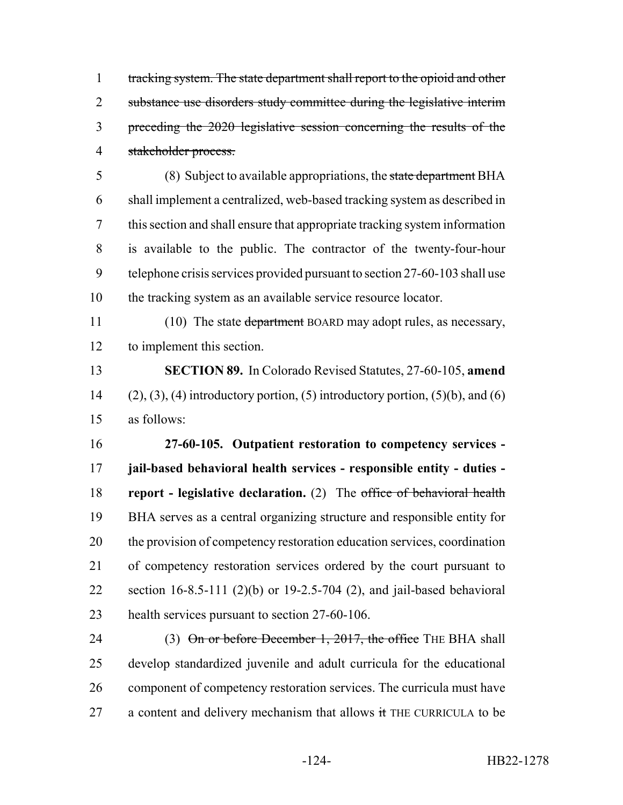tracking system. The state department shall report to the opioid and other substance use disorders study committee during the legislative interim preceding the 2020 legislative session concerning the results of the stakeholder process.

 (8) Subject to available appropriations, the state department BHA shall implement a centralized, web-based tracking system as described in this section and shall ensure that appropriate tracking system information is available to the public. The contractor of the twenty-four-hour telephone crisis services provided pursuant to section 27-60-103 shall use the tracking system as an available service resource locator.

11 (10) The state department BOARD may adopt rules, as necessary, to implement this section.

 **SECTION 89.** In Colorado Revised Statutes, 27-60-105, **amend** 14 (2), (3), (4) introductory portion, (5) introductory portion, (5)(b), and (6) as follows:

 **27-60-105. Outpatient restoration to competency services - jail-based behavioral health services - responsible entity - duties - report - legislative declaration.** (2) The office of behavioral health BHA serves as a central organizing structure and responsible entity for the provision of competency restoration education services, coordination of competency restoration services ordered by the court pursuant to section 16-8.5-111 (2)(b) or 19-2.5-704 (2), and jail-based behavioral health services pursuant to section 27-60-106.

24 (3) On or before December 1, 2017, the office THE BHA shall develop standardized juvenile and adult curricula for the educational 26 component of competency restoration services. The curricula must have 27 a content and delivery mechanism that allows  $\pm$  THE CURRICULA to be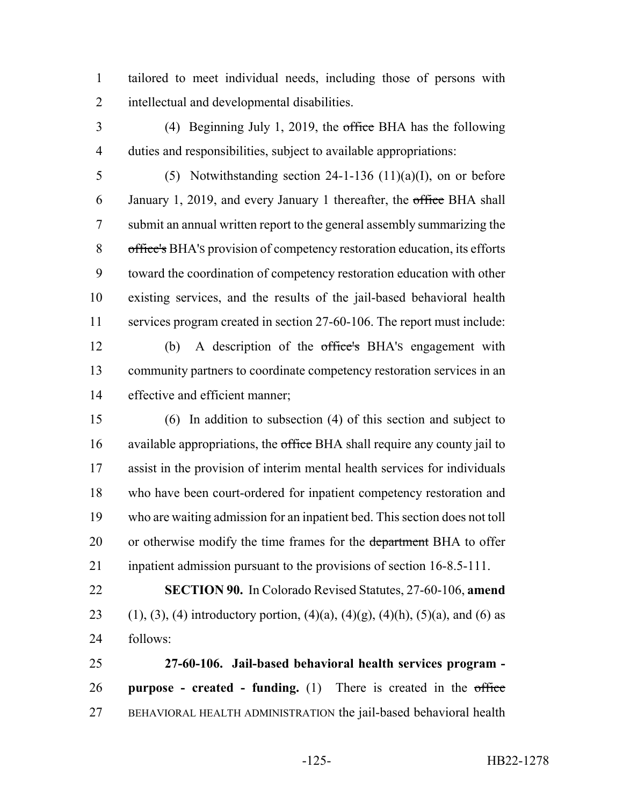tailored to meet individual needs, including those of persons with intellectual and developmental disabilities.

- (4) Beginning July 1, 2019, the office BHA has the following duties and responsibilities, subject to available appropriations:
- 5 (5) Notwithstanding section  $24-1-136$  (11)(a)(I), on or before 6 January 1, 2019, and every January 1 thereafter, the office BHA shall submit an annual written report to the general assembly summarizing the office's BHA'S provision of competency restoration education, its efforts toward the coordination of competency restoration education with other existing services, and the results of the jail-based behavioral health services program created in section 27-60-106. The report must include:
	- (b) A description of the office's BHA'S engagement with community partners to coordinate competency restoration services in an effective and efficient manner;
	- (6) In addition to subsection (4) of this section and subject to 16 available appropriations, the office BHA shall require any county jail to assist in the provision of interim mental health services for individuals who have been court-ordered for inpatient competency restoration and who are waiting admission for an inpatient bed. This section does not toll 20 or otherwise modify the time frames for the department BHA to offer inpatient admission pursuant to the provisions of section 16-8.5-111.
	- **SECTION 90.** In Colorado Revised Statutes, 27-60-106, **amend** 23 (1), (3), (4) introductory portion, (4)(a), (4)(g), (4)(h), (5)(a), and (6) as follows:
	- **27-60-106. Jail-based behavioral health services program - purpose - created - funding.** (1) There is created in the office BEHAVIORAL HEALTH ADMINISTRATION the jail-based behavioral health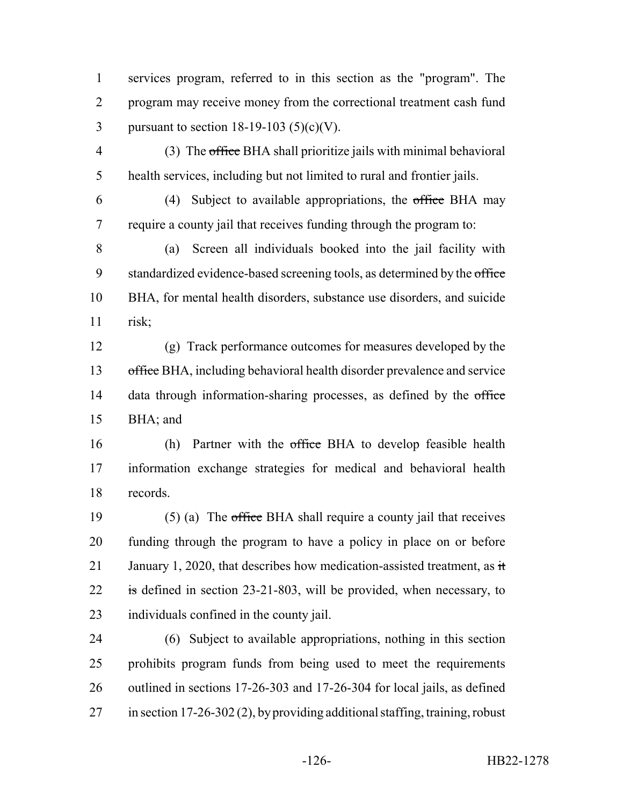services program, referred to in this section as the "program". The program may receive money from the correctional treatment cash fund 3 pursuant to section  $18-19-103$  (5)(c)(V).

 (3) The office BHA shall prioritize jails with minimal behavioral health services, including but not limited to rural and frontier jails.

6 (4) Subject to available appropriations, the office BHA may require a county jail that receives funding through the program to:

 (a) Screen all individuals booked into the jail facility with 9 standardized evidence-based screening tools, as determined by the office BHA, for mental health disorders, substance use disorders, and suicide risk;

 (g) Track performance outcomes for measures developed by the 13 office BHA, including behavioral health disorder prevalence and service 14 data through information-sharing processes, as defined by the office BHA; and

16 (h) Partner with the office BHA to develop feasible health information exchange strategies for medical and behavioral health records.

 (5) (a) The office BHA shall require a county jail that receives funding through the program to have a policy in place on or before 21 January 1, 2020, that describes how medication-assisted treatment, as  $\dot{\mathbf{t}}$ 22 is defined in section 23-21-803, will be provided, when necessary, to individuals confined in the county jail.

 (6) Subject to available appropriations, nothing in this section prohibits program funds from being used to meet the requirements outlined in sections 17-26-303 and 17-26-304 for local jails, as defined in section 17-26-302 (2), by providing additional staffing, training, robust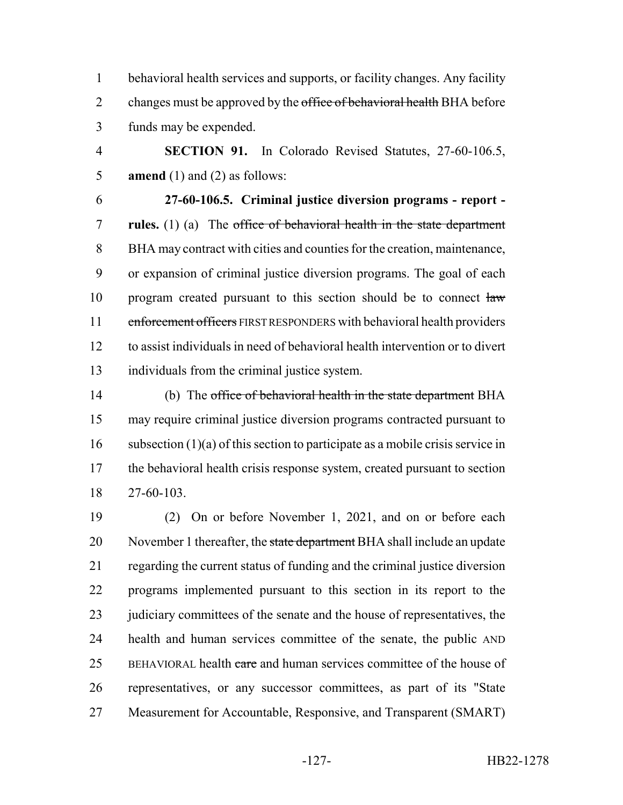behavioral health services and supports, or facility changes. Any facility 2 changes must be approved by the office of behavioral health BHA before funds may be expended.

 **SECTION 91.** In Colorado Revised Statutes, 27-60-106.5, **amend** (1) and (2) as follows:

 **27-60-106.5. Criminal justice diversion programs - report - rules.** (1) (a) The office of behavioral health in the state department BHA may contract with cities and counties for the creation, maintenance, or expansion of criminal justice diversion programs. The goal of each 10 program created pursuant to this section should be to connect law 11 enforcement officers FIRST RESPONDERS with behavioral health providers to assist individuals in need of behavioral health intervention or to divert individuals from the criminal justice system.

14 (b) The office of behavioral health in the state department BHA may require criminal justice diversion programs contracted pursuant to 16 subsection  $(1)(a)$  of this section to participate as a mobile crisis service in 17 the behavioral health crisis response system, created pursuant to section 27-60-103.

 (2) On or before November 1, 2021, and on or before each 20 November 1 thereafter, the state department BHA shall include an update regarding the current status of funding and the criminal justice diversion programs implemented pursuant to this section in its report to the 23 judiciary committees of the senate and the house of representatives, the health and human services committee of the senate, the public AND 25 BEHAVIORAL health care and human services committee of the house of representatives, or any successor committees, as part of its "State Measurement for Accountable, Responsive, and Transparent (SMART)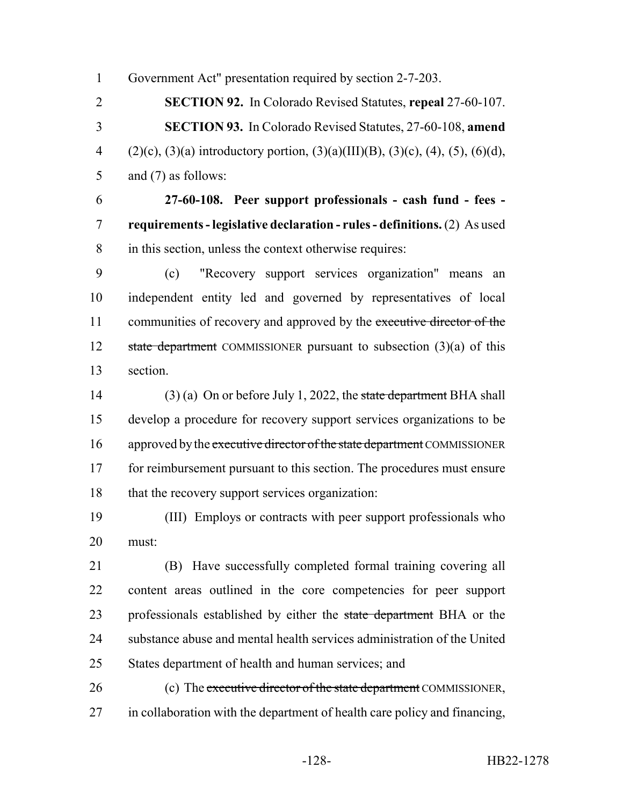Government Act" presentation required by section 2-7-203.

 **SECTION 92.** In Colorado Revised Statutes, **repeal** 27-60-107. **SECTION 93.** In Colorado Revised Statutes, 27-60-108, **amend** 4 (2)(c), (3)(a) introductory portion, (3)(a)(III)(B), (3)(c), (4), (5), (6)(d), and (7) as follows:

 **27-60-108. Peer support professionals - cash fund - fees - requirements - legislative declaration - rules - definitions.** (2) As used in this section, unless the context otherwise requires:

 (c) "Recovery support services organization" means an independent entity led and governed by representatives of local 11 communities of recovery and approved by the executive director of the 12 state department COMMISSIONER pursuant to subsection  $(3)(a)$  of this section.

14 (3) (a) On or before July 1, 2022, the state department BHA shall develop a procedure for recovery support services organizations to be 16 approved by the executive director of the state department COMMISSIONER 17 for reimbursement pursuant to this section. The procedures must ensure 18 that the recovery support services organization:

 (III) Employs or contracts with peer support professionals who must:

 (B) Have successfully completed formal training covering all content areas outlined in the core competencies for peer support 23 professionals established by either the state department BHA or the substance abuse and mental health services administration of the United States department of health and human services; and

26 (c) The executive director of the state department COMMISSIONER, in collaboration with the department of health care policy and financing,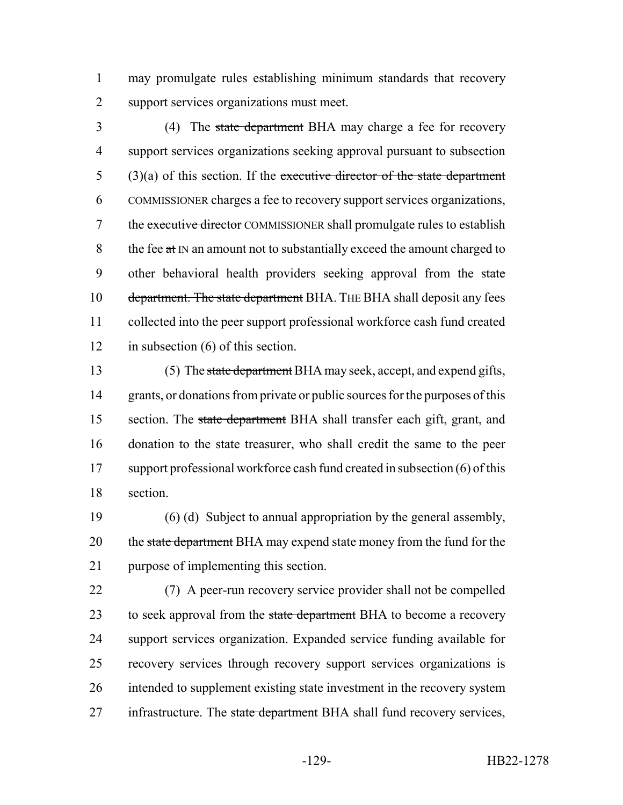1 may promulgate rules establishing minimum standards that recovery 2 support services organizations must meet.

3 (4) The state department BHA may charge a fee for recovery 4 support services organizations seeking approval pursuant to subsection  $5$  (3)(a) of this section. If the executive director of the state department 6 COMMISSIONER charges a fee to recovery support services organizations, 7 the executive director COMMISSIONER shall promulgate rules to establish 8 the fee  $at \, N$  an amount not to substantially exceed the amount charged to 9 other behavioral health providers seeking approval from the state 10 department. The state department BHA. THE BHA shall deposit any fees 11 collected into the peer support professional workforce cash fund created 12 in subsection (6) of this section.

13 (5) The state department BHA may seek, accept, and expend gifts, 14 grants, or donations from private or public sources for the purposes of this 15 section. The state department BHA shall transfer each gift, grant, and 16 donation to the state treasurer, who shall credit the same to the peer 17 support professional workforce cash fund created in subsection (6) of this 18 section.

19 (6) (d) Subject to annual appropriation by the general assembly, 20 the state department BHA may expend state money from the fund for the 21 purpose of implementing this section.

 (7) A peer-run recovery service provider shall not be compelled 23 to seek approval from the state department BHA to become a recovery support services organization. Expanded service funding available for recovery services through recovery support services organizations is intended to supplement existing state investment in the recovery system 27 infrastructure. The state department BHA shall fund recovery services,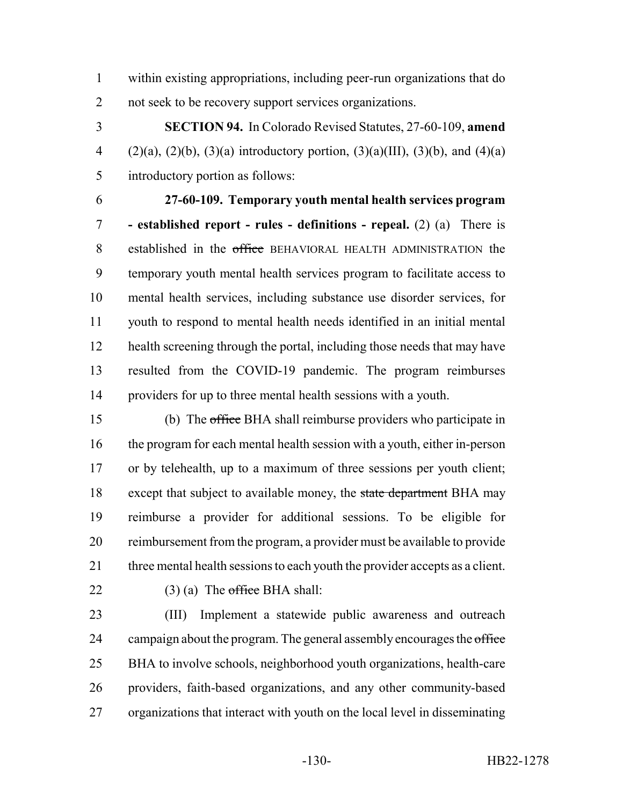within existing appropriations, including peer-run organizations that do not seek to be recovery support services organizations.

 **SECTION 94.** In Colorado Revised Statutes, 27-60-109, **amend** 4 (2)(a), (2)(b), (3)(a) introductory portion, (3)(a)(III), (3)(b), and (4)(a) introductory portion as follows:

 **27-60-109. Temporary youth mental health services program - established report - rules - definitions - repeal.** (2) (a) There is 8 established in the office BEHAVIORAL HEALTH ADMINISTRATION the temporary youth mental health services program to facilitate access to mental health services, including substance use disorder services, for youth to respond to mental health needs identified in an initial mental 12 health screening through the portal, including those needs that may have resulted from the COVID-19 pandemic. The program reimburses providers for up to three mental health sessions with a youth.

 (b) The office BHA shall reimburse providers who participate in the program for each mental health session with a youth, either in-person or by telehealth, up to a maximum of three sessions per youth client; 18 except that subject to available money, the state department BHA may reimburse a provider for additional sessions. To be eligible for reimbursement from the program, a provider must be available to provide 21 three mental health sessions to each youth the provider accepts as a client. 22 (3) (a) The office BHA shall:

 (III) Implement a statewide public awareness and outreach 24 campaign about the program. The general assembly encourages the office BHA to involve schools, neighborhood youth organizations, health-care providers, faith-based organizations, and any other community-based organizations that interact with youth on the local level in disseminating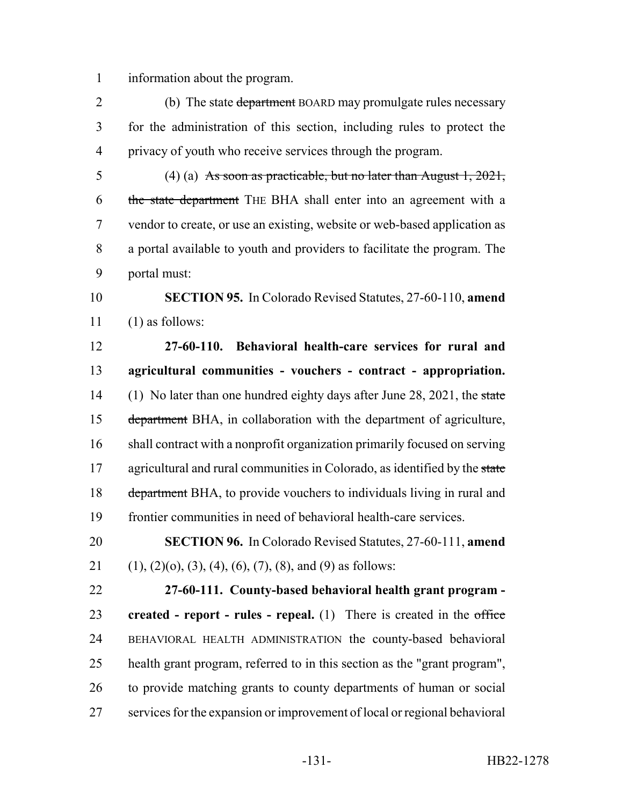information about the program.

2 (b) The state department BOARD may promulgate rules necessary for the administration of this section, including rules to protect the privacy of youth who receive services through the program.

 (4) (a) As soon as practicable, but no later than August 1, 2021, 6 the state department THE BHA shall enter into an agreement with a vendor to create, or use an existing, website or web-based application as a portal available to youth and providers to facilitate the program. The portal must:

 **SECTION 95.** In Colorado Revised Statutes, 27-60-110, **amend** (1) as follows:

 **27-60-110. Behavioral health-care services for rural and agricultural communities - vouchers - contract - appropriation.** 14 (1) No later than one hundred eighty days after June 28, 2021, the state department BHA, in collaboration with the department of agriculture, shall contract with a nonprofit organization primarily focused on serving 17 agricultural and rural communities in Colorado, as identified by the state 18 department BHA, to provide vouchers to individuals living in rural and frontier communities in need of behavioral health-care services.

 **SECTION 96.** In Colorado Revised Statutes, 27-60-111, **amend** 21 (1), (2)(o), (3), (4), (6), (7), (8), and (9) as follows:

 **27-60-111. County-based behavioral health grant program - created - report - rules - repeal.** (1) There is created in the office BEHAVIORAL HEALTH ADMINISTRATION the county-based behavioral health grant program, referred to in this section as the "grant program", to provide matching grants to county departments of human or social services for the expansion or improvement of local or regional behavioral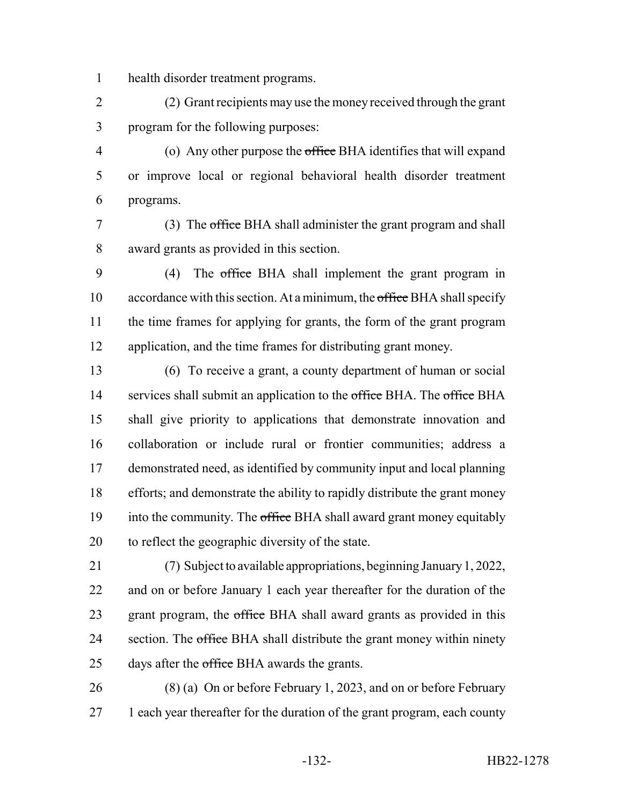health disorder treatment programs.

 (2) Grant recipients may use the money received through the grant program for the following purposes:

 (o) Any other purpose the office BHA identifies that will expand or improve local or regional behavioral health disorder treatment programs.

 (3) The office BHA shall administer the grant program and shall award grants as provided in this section.

 (4) The office BHA shall implement the grant program in 10 accordance with this section. At a minimum, the office BHA shall specify the time frames for applying for grants, the form of the grant program application, and the time frames for distributing grant money.

 (6) To receive a grant, a county department of human or social 14 services shall submit an application to the office BHA. The office BHA shall give priority to applications that demonstrate innovation and collaboration or include rural or frontier communities; address a demonstrated need, as identified by community input and local planning efforts; and demonstrate the ability to rapidly distribute the grant money 19 into the community. The office BHA shall award grant money equitably to reflect the geographic diversity of the state.

 (7) Subject to available appropriations, beginning January 1, 2022, and on or before January 1 each year thereafter for the duration of the 23 grant program, the office BHA shall award grants as provided in this 24 section. The office BHA shall distribute the grant money within ninety 25 days after the office BHA awards the grants.

 (8) (a) On or before February 1, 2023, and on or before February 27 1 each year thereafter for the duration of the grant program, each county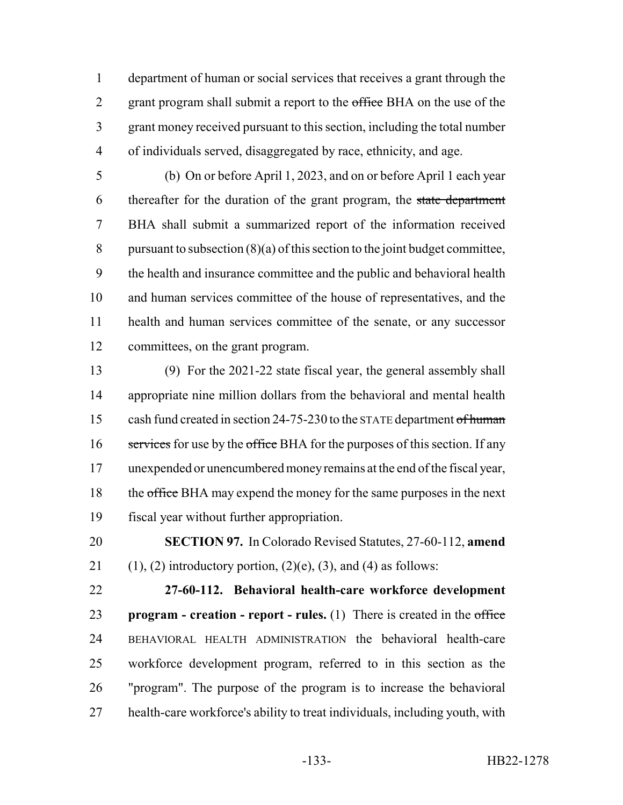department of human or social services that receives a grant through the 2 grant program shall submit a report to the office BHA on the use of the grant money received pursuant to this section, including the total number of individuals served, disaggregated by race, ethnicity, and age.

 (b) On or before April 1, 2023, and on or before April 1 each year 6 thereafter for the duration of the grant program, the state department BHA shall submit a summarized report of the information received 8 pursuant to subsection  $(8)(a)$  of this section to the joint budget committee, the health and insurance committee and the public and behavioral health and human services committee of the house of representatives, and the health and human services committee of the senate, or any successor committees, on the grant program.

 (9) For the 2021-22 state fiscal year, the general assembly shall appropriate nine million dollars from the behavioral and mental health 15 cash fund created in section 24-75-230 to the STATE department of human 16 services for use by the office BHA for the purposes of this section. If any unexpended or unencumbered money remains at the end of the fiscal year, 18 the office BHA may expend the money for the same purposes in the next fiscal year without further appropriation.

 **SECTION 97.** In Colorado Revised Statutes, 27-60-112, **amend** 21 (1), (2) introductory portion, (2)(e), (3), and (4) as follows:

 **27-60-112. Behavioral health-care workforce development program - creation - report - rules.** (1) There is created in the office BEHAVIORAL HEALTH ADMINISTRATION the behavioral health-care workforce development program, referred to in this section as the "program". The purpose of the program is to increase the behavioral health-care workforce's ability to treat individuals, including youth, with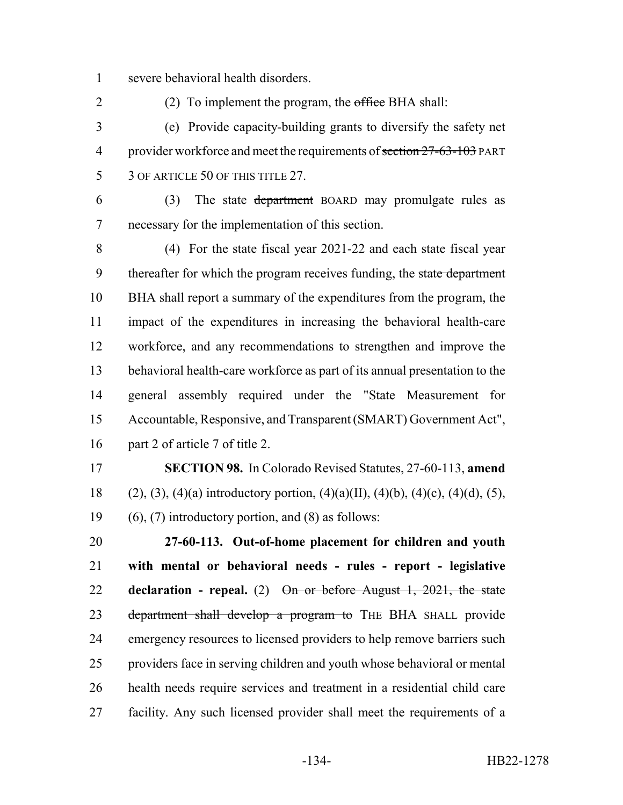severe behavioral health disorders.

2 (2) To implement the program, the office BHA shall:

 (e) Provide capacity-building grants to diversify the safety net 4 provider workforce and meet the requirements of section 27-63-103 PART 5 3 OF ARTICLE 50 OF THIS TITLE 27.

 (3) The state department BOARD may promulgate rules as necessary for the implementation of this section.

 (4) For the state fiscal year 2021-22 and each state fiscal year 9 thereafter for which the program receives funding, the state department BHA shall report a summary of the expenditures from the program, the impact of the expenditures in increasing the behavioral health-care workforce, and any recommendations to strengthen and improve the behavioral health-care workforce as part of its annual presentation to the general assembly required under the "State Measurement for Accountable, Responsive, and Transparent (SMART) Government Act", part 2 of article 7 of title 2.

 **SECTION 98.** In Colorado Revised Statutes, 27-60-113, **amend** 18 (2), (3), (4)(a) introductory portion, (4)(a)(II), (4)(b), (4)(c), (4)(d), (5), 19 (6), (7) introductory portion, and (8) as follows:

 **27-60-113. Out-of-home placement for children and youth with mental or behavioral needs - rules - report - legislative declaration - repeal.** (2) On or before August 1, 2021, the state 23 department shall develop a program to THE BHA SHALL provide emergency resources to licensed providers to help remove barriers such providers face in serving children and youth whose behavioral or mental health needs require services and treatment in a residential child care facility. Any such licensed provider shall meet the requirements of a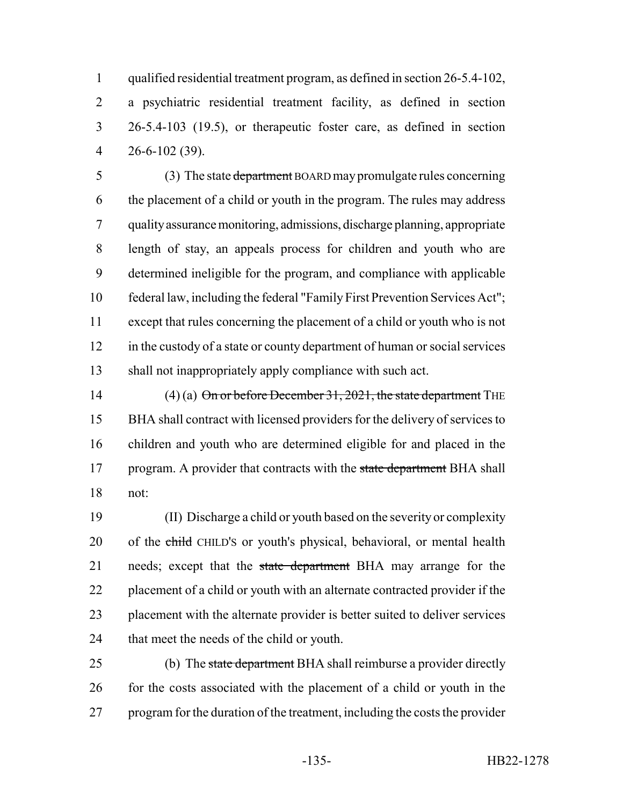qualified residential treatment program, as defined in section 26-5.4-102, a psychiatric residential treatment facility, as defined in section 26-5.4-103 (19.5), or therapeutic foster care, as defined in section 26-6-102 (39).

5 (3) The state department BOARD may promulgate rules concerning the placement of a child or youth in the program. The rules may address quality assurance monitoring, admissions, discharge planning, appropriate length of stay, an appeals process for children and youth who are determined ineligible for the program, and compliance with applicable federal law, including the federal "Family First Prevention Services Act"; except that rules concerning the placement of a child or youth who is not 12 in the custody of a state or county department of human or social services shall not inappropriately apply compliance with such act.

14 (4) (a) On or before December 31, 2021, the state department THE BHA shall contract with licensed providers for the delivery of services to children and youth who are determined eligible for and placed in the 17 program. A provider that contracts with the state department BHA shall not:

 (II) Discharge a child or youth based on the severity or complexity 20 of the child CHILD's or youth's physical, behavioral, or mental health 21 needs; except that the state department BHA may arrange for the 22 placement of a child or youth with an alternate contracted provider if the placement with the alternate provider is better suited to deliver services that meet the needs of the child or youth.

25 (b) The state department BHA shall reimburse a provider directly 26 for the costs associated with the placement of a child or youth in the program for the duration of the treatment, including the costs the provider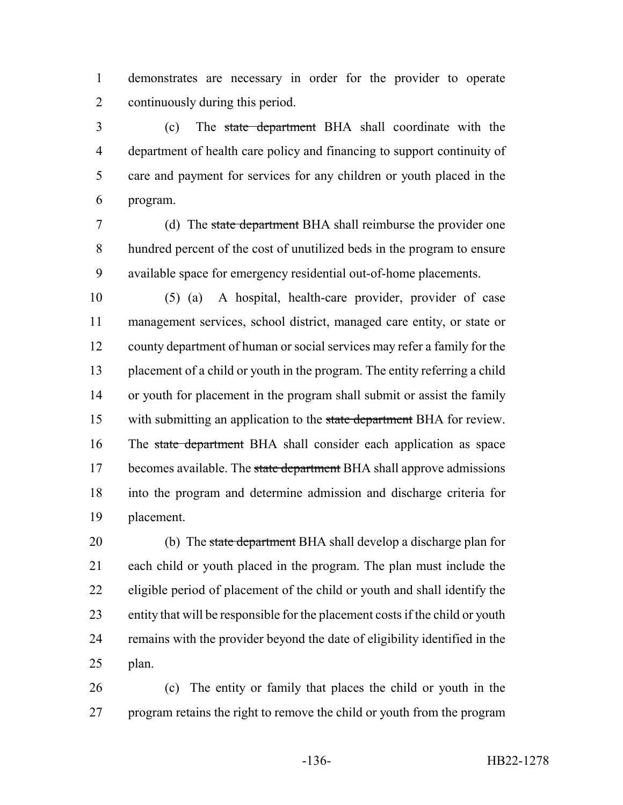demonstrates are necessary in order for the provider to operate continuously during this period.

 (c) The state department BHA shall coordinate with the department of health care policy and financing to support continuity of care and payment for services for any children or youth placed in the program.

 (d) The state department BHA shall reimburse the provider one hundred percent of the cost of unutilized beds in the program to ensure available space for emergency residential out-of-home placements.

 (5) (a) A hospital, health-care provider, provider of case management services, school district, managed care entity, or state or county department of human or social services may refer a family for the placement of a child or youth in the program. The entity referring a child or youth for placement in the program shall submit or assist the family 15 with submitting an application to the state department BHA for review. 16 The state department BHA shall consider each application as space 17 becomes available. The state department BHA shall approve admissions into the program and determine admission and discharge criteria for placement.

20 (b) The state department BHA shall develop a discharge plan for each child or youth placed in the program. The plan must include the eligible period of placement of the child or youth and shall identify the entity that will be responsible for the placement costs if the child or youth remains with the provider beyond the date of eligibility identified in the plan.

 (c) The entity or family that places the child or youth in the program retains the right to remove the child or youth from the program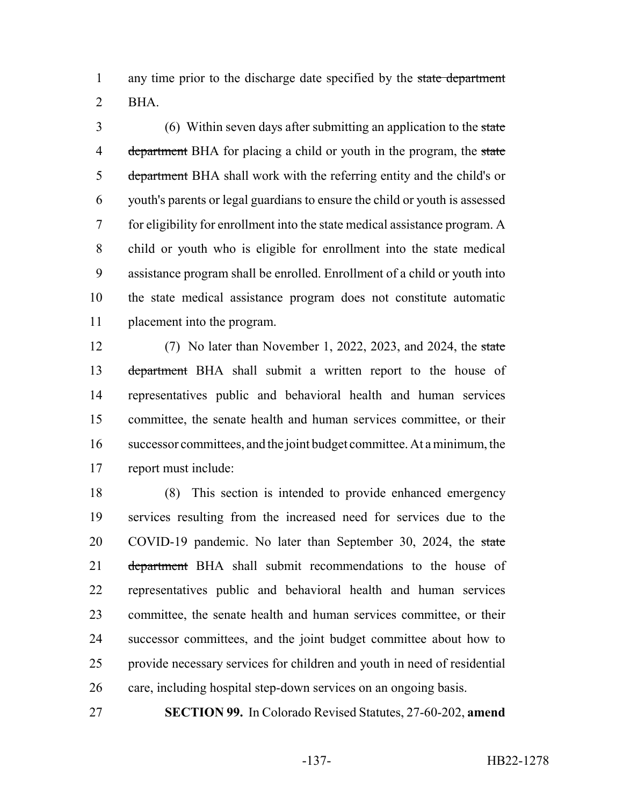1 any time prior to the discharge date specified by the state department BHA.

 (6) Within seven days after submitting an application to the state 4 department BHA for placing a child or youth in the program, the state 5 department BHA shall work with the referring entity and the child's or youth's parents or legal guardians to ensure the child or youth is assessed for eligibility for enrollment into the state medical assistance program. A child or youth who is eligible for enrollment into the state medical assistance program shall be enrolled. Enrollment of a child or youth into the state medical assistance program does not constitute automatic placement into the program.

 (7) No later than November 1, 2022, 2023, and 2024, the state 13 department BHA shall submit a written report to the house of representatives public and behavioral health and human services committee, the senate health and human services committee, or their successor committees, and the joint budget committee. At a minimum, the report must include:

 (8) This section is intended to provide enhanced emergency services resulting from the increased need for services due to the 20 COVID-19 pandemic. No later than September 30, 2024, the state 21 department BHA shall submit recommendations to the house of representatives public and behavioral health and human services committee, the senate health and human services committee, or their successor committees, and the joint budget committee about how to provide necessary services for children and youth in need of residential care, including hospital step-down services on an ongoing basis.

**SECTION 99.** In Colorado Revised Statutes, 27-60-202, **amend**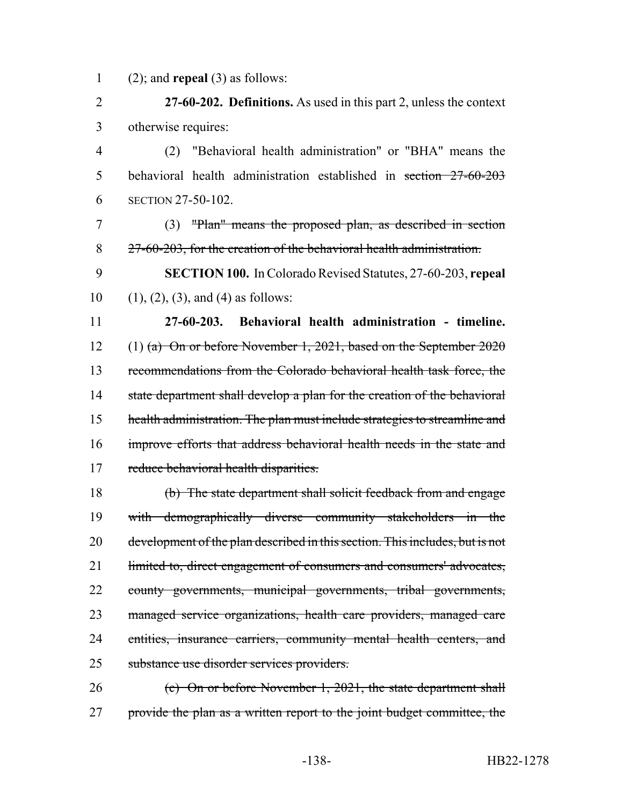(2); and **repeal** (3) as follows:

 **27-60-202. Definitions.** As used in this part 2, unless the context otherwise requires:

 (2) "Behavioral health administration" or "BHA" means the behavioral health administration established in section 27-60-203 SECTION 27-50-102.

 (3) "Plan" means the proposed plan, as described in section 27-60-203, for the creation of the behavioral health administration.

 **SECTION 100.** In Colorado Revised Statutes, 27-60-203, **repeal** 10 (1), (2), (3), and (4) as follows:

 **27-60-203. Behavioral health administration - timeline.** (1) (a) On or before November 1, 2021, based on the September 2020 recommendations from the Colorado behavioral health task force, the 14 state department shall develop a plan for the creation of the behavioral health administration. The plan must include strategies to streamline and improve efforts that address behavioral health needs in the state and 17 reduce behavioral health disparities.

 (b) The state department shall solicit feedback from and engage with demographically diverse community stakeholders in the development of the plan described in this section. This includes, but is not 21 limited to, direct engagement of consumers and consumers' advocates, county governments, municipal governments, tribal governments, managed service organizations, health care providers, managed care 24 entities, insurance carriers, community mental health centers, and substance use disorder services providers.

 (c) On or before November 1, 2021, the state department shall 27 provide the plan as a written report to the joint budget committee, the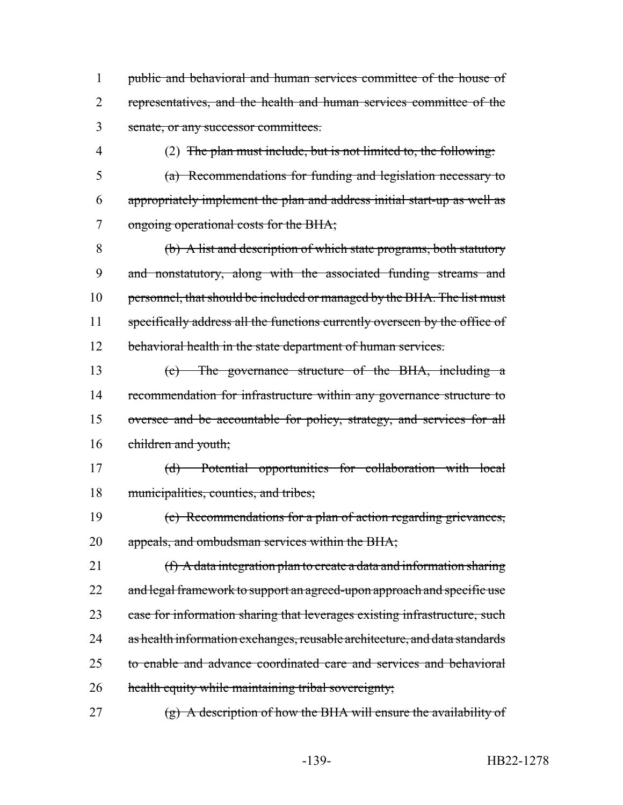1 public and behavioral and human services committee of the house of 2 representatives, and the health and human services committee of the 3 senate, or any successor committees.

4 (2) The plan must include, but is not limited to, the following:

5 (a) Recommendations for funding and legislation necessary to 6 appropriately implement the plan and address initial start-up as well as 7 ongoing operational costs for the BHA;

8 (b) A list and description of which state programs, both statutory 9 and nonstatutory, along with the associated funding streams and 10 personnel, that should be included or managed by the BHA. The list must 11 specifically address all the functions currently overseen by the office of 12 behavioral health in the state department of human services.

 (c) The governance structure of the BHA, including a 14 recommendation for infrastructure within any governance structure to oversee and be accountable for policy, strategy, and services for all children and youth;

17 (d) Potential opportunities for collaboration with local 18 municipalities, counties, and tribes;

19 (e) Recommendations for a plan of action regarding grievances, 20 appeals, and ombudsman services within the BHA;

21  $(f)$  A data integration plan to create a data and information sharing 22 and legal framework to support an agreed-upon approach and specific use 23 case for information sharing that leverages existing infrastructure, such 24 as health information exchanges, reusable architecture, and data standards 25 to enable and advance coordinated care and services and behavioral 26 health equity while maintaining tribal sovereignty;

27  $(g)$  A description of how the BHA will ensure the availability of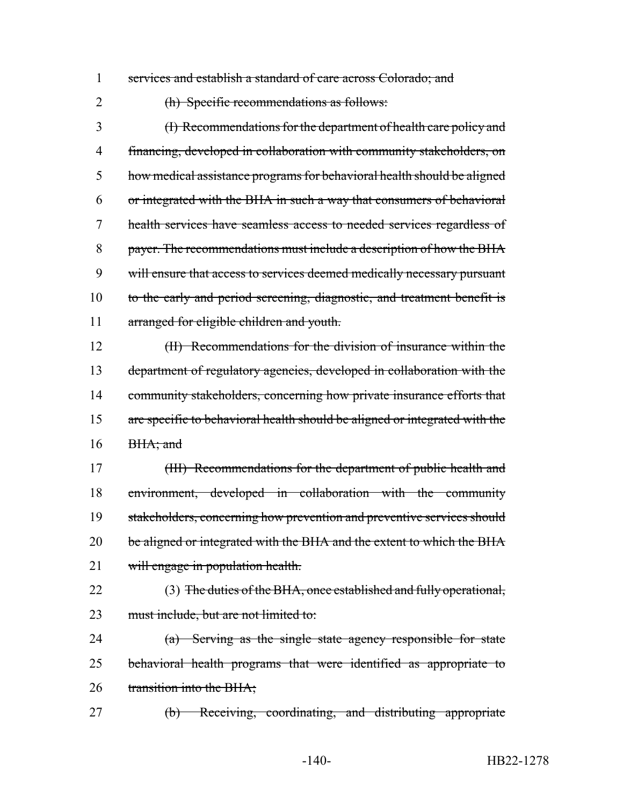1 services and establish a standard of care across Colorado; and

2 (h) Specific recommendations as follows:

 (I) Recommendations for the department of health care policy and financing, developed in collaboration with community stakeholders, on how medical assistance programs for behavioral health should be aligned or integrated with the BHA in such a way that consumers of behavioral health services have seamless access to needed services regardless of payer. The recommendations must include a description of how the BHA 9 will ensure that access to services deemed medically necessary pursuant 10 to the early and period screening, diagnostic, and treatment benefit is 11 arranged for eligible children and youth.

12 (II) Recommendations for the division of insurance within the 13 department of regulatory agencies, developed in collaboration with the 14 community stakeholders, concerning how private insurance efforts that 15 are specific to behavioral health should be aligned or integrated with the 16 BHA; and

17 (III) Recommendations for the department of public health and 18 environment, developed in collaboration with the community 19 stakeholders, concerning how prevention and preventive services should 20 be aligned or integrated with the BHA and the extent to which the BHA 21 will engage in population health.

22 (3) The duties of the BHA, once established and fully operational, 23 must include, but are not limited to:

24 (a) Serving as the single state agency responsible for state 25 behavioral health programs that were identified as appropriate to 26 transition into the BHA;

27 (b) Receiving, coordinating, and distributing appropriate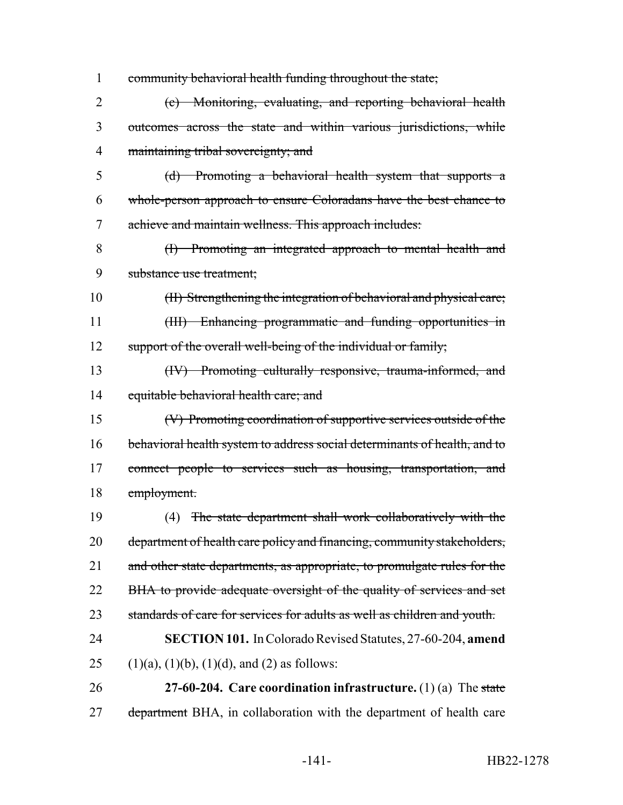community behavioral health funding throughout the state; (c) Monitoring, evaluating, and reporting behavioral health outcomes across the state and within various jurisdictions, while maintaining tribal sovereignty; and (d) Promoting a behavioral health system that supports a whole-person approach to ensure Coloradans have the best chance to achieve and maintain wellness. This approach includes: (I) Promoting an integrated approach to mental health and substance use treatment; (II) Strengthening the integration of behavioral and physical care; 11 (III) Enhancing programmatic and funding opportunities in 12 support of the overall well-being of the individual or family; (IV) Promoting culturally responsive, trauma-informed, and 14 equitable behavioral health care; and (V) Promoting coordination of supportive services outside of the behavioral health system to address social determinants of health, and to 17 connect people to services such as housing, transportation, and employment. (4) The state department shall work collaboratively with the 20 department of health care policy and financing, community stakeholders, 21 and other state departments, as appropriate, to promulgate rules for the 22 BHA to provide adequate oversight of the quality of services and set 23 standards of care for services for adults as well as children and youth. **SECTION 101.** In Colorado Revised Statutes, 27-60-204, **amend** 25 (1)(a), (1)(b), (1)(d), and (2) as follows: **27-60-204. Care coordination infrastructure.** (1) (a) The state 27 department BHA, in collaboration with the department of health care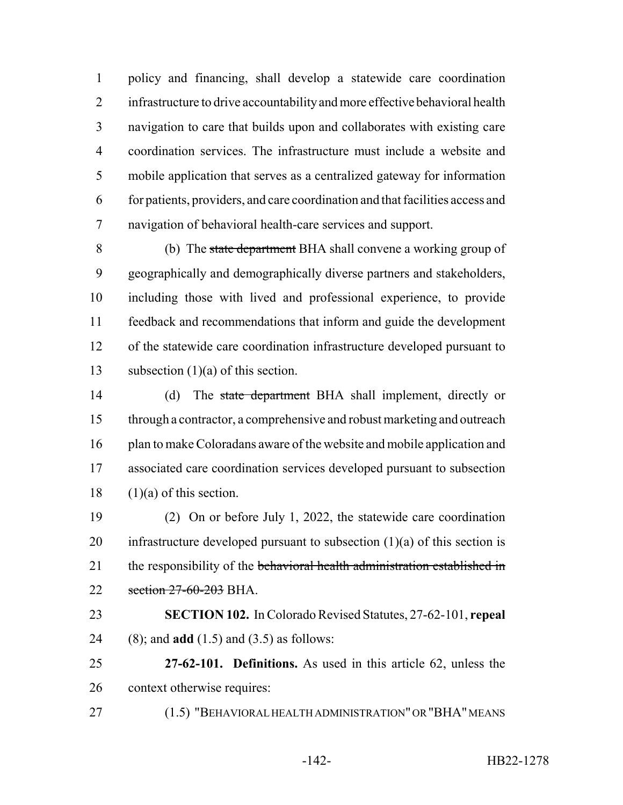policy and financing, shall develop a statewide care coordination infrastructure to drive accountability and more effective behavioral health navigation to care that builds upon and collaborates with existing care coordination services. The infrastructure must include a website and mobile application that serves as a centralized gateway for information for patients, providers, and care coordination and that facilities access and navigation of behavioral health-care services and support.

8 (b) The state department BHA shall convene a working group of geographically and demographically diverse partners and stakeholders, including those with lived and professional experience, to provide feedback and recommendations that inform and guide the development of the statewide care coordination infrastructure developed pursuant to subsection (1)(a) of this section.

14 (d) The state department BHA shall implement, directly or through a contractor, a comprehensive and robust marketing and outreach 16 plan to make Coloradans aware of the website and mobile application and associated care coordination services developed pursuant to subsection 18  $(1)(a)$  of this section.

 (2) On or before July 1, 2022, the statewide care coordination 20 infrastructure developed pursuant to subsection  $(1)(a)$  of this section is 21 the responsibility of the behavioral health administration established in 22 section 27-60-203 BHA.

 **SECTION 102.** In Colorado Revised Statutes, 27-62-101, **repeal** (8); and **add** (1.5) and (3.5) as follows:

 **27-62-101. Definitions.** As used in this article 62, unless the context otherwise requires:

(1.5) "BEHAVIORAL HEALTH ADMINISTRATION" OR "BHA" MEANS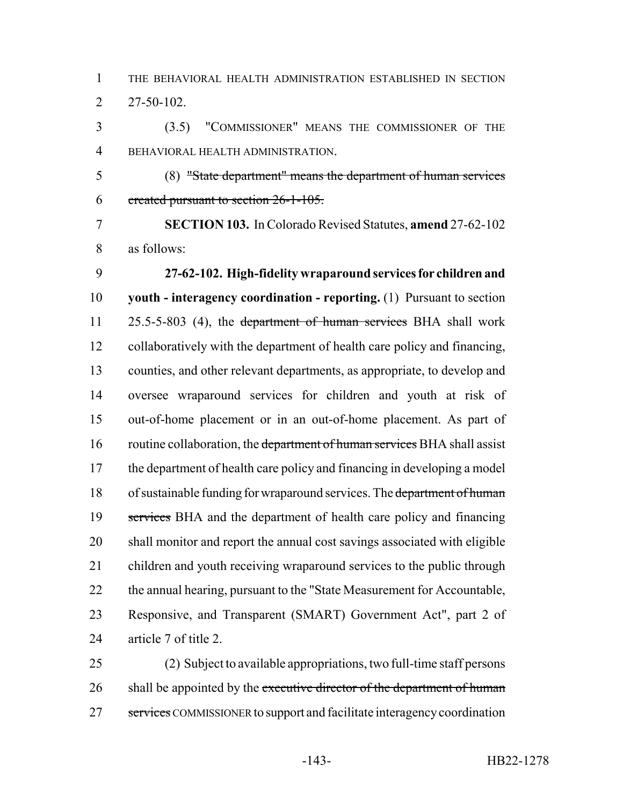THE BEHAVIORAL HEALTH ADMINISTRATION ESTABLISHED IN SECTION  $2^{7-50-102}$ .

 (3.5) "COMMISSIONER" MEANS THE COMMISSIONER OF THE BEHAVIORAL HEALTH ADMINISTRATION.

 (8) "State department" means the department of human services created pursuant to section 26-1-105.

 **SECTION 103.** In Colorado Revised Statutes, **amend** 27-62-102 as follows:

 **27-62-102. High-fidelity wraparound services for children and youth - interagency coordination - reporting.** (1) Pursuant to section 11 25.5-5-803 (4), the department of human services BHA shall work collaboratively with the department of health care policy and financing, counties, and other relevant departments, as appropriate, to develop and oversee wraparound services for children and youth at risk of out-of-home placement or in an out-of-home placement. As part of 16 routine collaboration, the department of human services BHA shall assist 17 the department of health care policy and financing in developing a model 18 of sustainable funding for wraparound services. The department of human 19 services BHA and the department of health care policy and financing shall monitor and report the annual cost savings associated with eligible children and youth receiving wraparound services to the public through 22 the annual hearing, pursuant to the "State Measurement for Accountable, Responsive, and Transparent (SMART) Government Act", part 2 of article 7 of title 2.

 (2) Subject to available appropriations, two full-time staff persons 26 shall be appointed by the executive director of the department of human 27 services COMMISSIONER to support and facilitate interagency coordination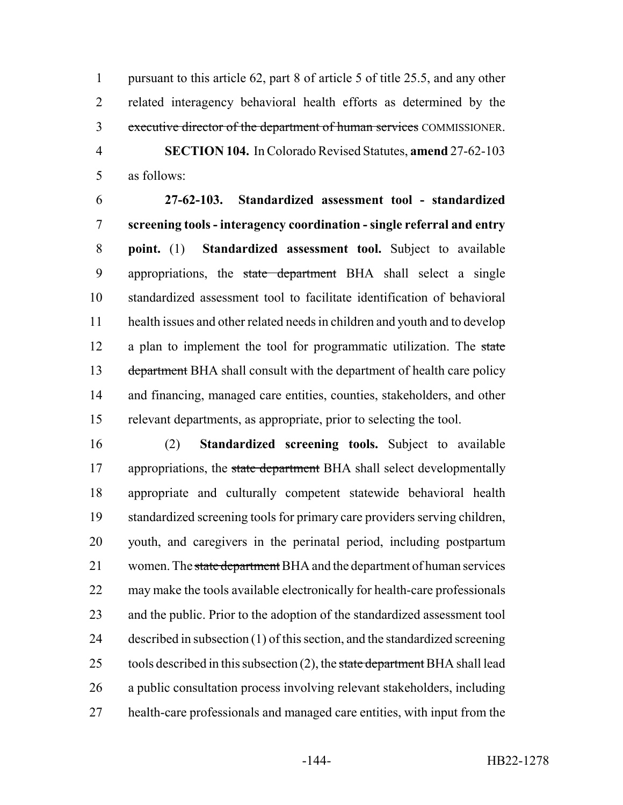pursuant to this article 62, part 8 of article 5 of title 25.5, and any other related interagency behavioral health efforts as determined by the 3 executive director of the department of human services COMMISSIONER. **SECTION 104.** In Colorado Revised Statutes, **amend** 27-62-103

as follows:

 **27-62-103. Standardized assessment tool - standardized screening tools - interagency coordination - single referral and entry point.** (1) **Standardized assessment tool.** Subject to available 9 appropriations, the state department BHA shall select a single standardized assessment tool to facilitate identification of behavioral health issues and other related needs in children and youth and to develop 12 a plan to implement the tool for programmatic utilization. The state 13 department BHA shall consult with the department of health care policy and financing, managed care entities, counties, stakeholders, and other relevant departments, as appropriate, prior to selecting the tool.

 (2) **Standardized screening tools.** Subject to available 17 appropriations, the state department BHA shall select developmentally appropriate and culturally competent statewide behavioral health standardized screening tools for primary care providers serving children, youth, and caregivers in the perinatal period, including postpartum 21 women. The state department BHA and the department of human services may make the tools available electronically for health-care professionals and the public. Prior to the adoption of the standardized assessment tool described in subsection (1) of this section, and the standardized screening 25 tools described in this subsection  $(2)$ , the state department BHA shall lead a public consultation process involving relevant stakeholders, including health-care professionals and managed care entities, with input from the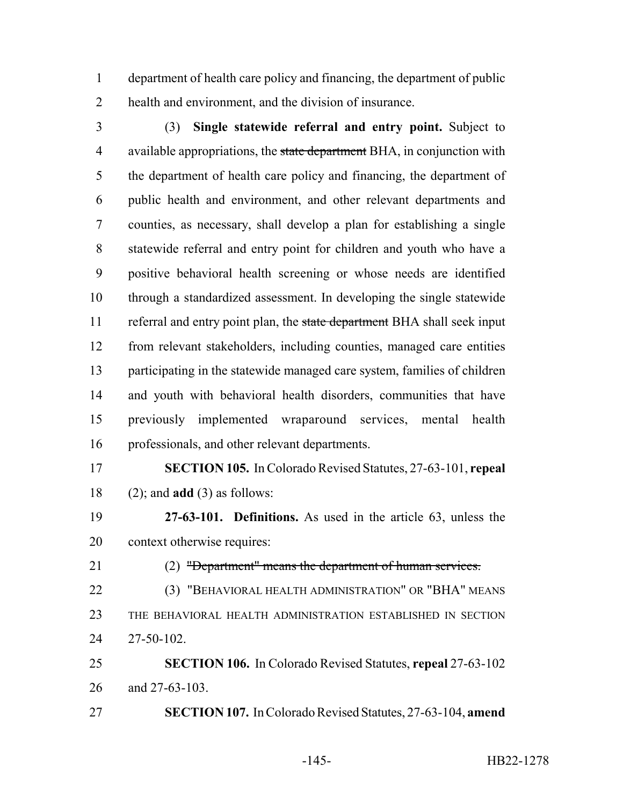department of health care policy and financing, the department of public health and environment, and the division of insurance.

 (3) **Single statewide referral and entry point.** Subject to 4 available appropriations, the state department BHA, in conjunction with the department of health care policy and financing, the department of public health and environment, and other relevant departments and counties, as necessary, shall develop a plan for establishing a single statewide referral and entry point for children and youth who have a positive behavioral health screening or whose needs are identified through a standardized assessment. In developing the single statewide 11 referral and entry point plan, the state department BHA shall seek input from relevant stakeholders, including counties, managed care entities participating in the statewide managed care system, families of children and youth with behavioral health disorders, communities that have previously implemented wraparound services, mental health professionals, and other relevant departments.

 **SECTION 105.** In Colorado Revised Statutes, 27-63-101, **repeal** (2); and **add** (3) as follows:

 **27-63-101. Definitions.** As used in the article 63, unless the context otherwise requires:

(2) "Department" means the department of human services.

 (3) "BEHAVIORAL HEALTH ADMINISTRATION" OR "BHA" MEANS THE BEHAVIORAL HEALTH ADMINISTRATION ESTABLISHED IN SECTION 27-50-102.

 **SECTION 106.** In Colorado Revised Statutes, **repeal** 27-63-102 and 27-63-103.

**SECTION 107.** In Colorado Revised Statutes, 27-63-104, **amend**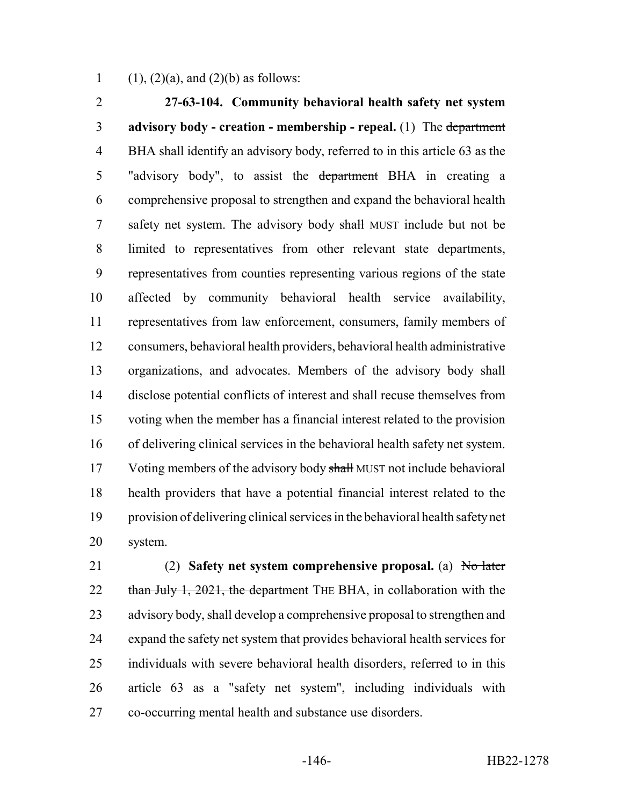1 (1), (2)(a), and (2)(b) as follows:

 **27-63-104. Community behavioral health safety net system advisory body - creation - membership - repeal.** (1) The department BHA shall identify an advisory body, referred to in this article 63 as the 5 "advisory body", to assist the department BHA in creating a comprehensive proposal to strengthen and expand the behavioral health 7 safety net system. The advisory body shall MUST include but not be limited to representatives from other relevant state departments, representatives from counties representing various regions of the state affected by community behavioral health service availability, representatives from law enforcement, consumers, family members of consumers, behavioral health providers, behavioral health administrative organizations, and advocates. Members of the advisory body shall disclose potential conflicts of interest and shall recuse themselves from voting when the member has a financial interest related to the provision of delivering clinical services in the behavioral health safety net system. 17 Voting members of the advisory body shall MUST not include behavioral health providers that have a potential financial interest related to the provision of delivering clinical services in the behavioral health safety net system.

 (2) **Safety net system comprehensive proposal.** (a) No later 22 than July 1, 2021, the department THE BHA, in collaboration with the 23 advisory body, shall develop a comprehensive proposal to strengthen and expand the safety net system that provides behavioral health services for individuals with severe behavioral health disorders, referred to in this article 63 as a "safety net system", including individuals with co-occurring mental health and substance use disorders.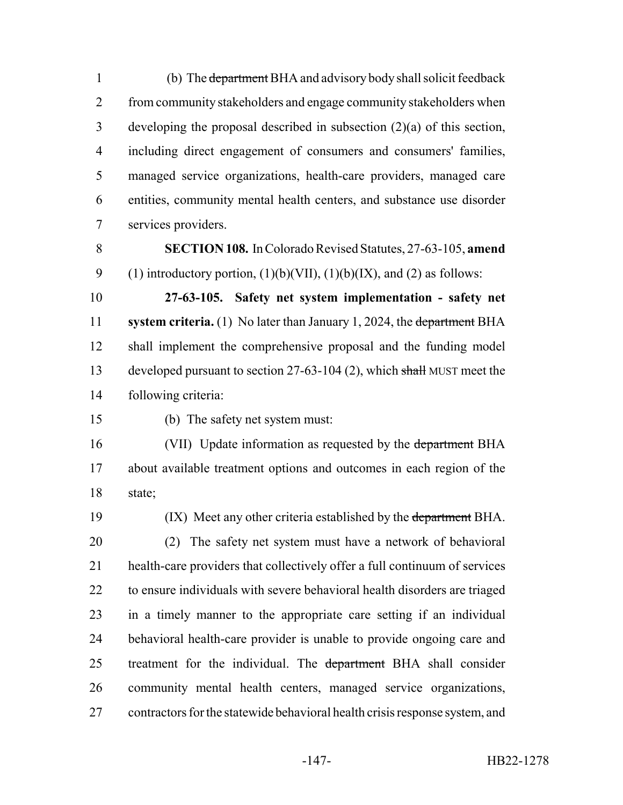1 (b) The department BHA and advisory body shall solicit feedback from community stakeholders and engage community stakeholders when developing the proposal described in subsection (2)(a) of this section, including direct engagement of consumers and consumers' families, managed service organizations, health-care providers, managed care entities, community mental health centers, and substance use disorder services providers.

 **SECTION 108.** In Colorado Revised Statutes, 27-63-105, **amend** 9 (1) introductory portion,  $(1)(b)(VII)$ ,  $(1)(b)(IX)$ , and  $(2)$  as follows:

 **27-63-105. Safety net system implementation - safety net system criteria.** (1) No later than January 1, 2024, the department BHA shall implement the comprehensive proposal and the funding model 13 developed pursuant to section 27-63-104 (2), which shall MUST meet the following criteria:

(b) The safety net system must:

16 (VII) Update information as requested by the department BHA about available treatment options and outcomes in each region of the state;

19 (IX) Meet any other criteria established by the department BHA.

 (2) The safety net system must have a network of behavioral health-care providers that collectively offer a full continuum of services to ensure individuals with severe behavioral health disorders are triaged in a timely manner to the appropriate care setting if an individual behavioral health-care provider is unable to provide ongoing care and 25 treatment for the individual. The department BHA shall consider community mental health centers, managed service organizations, contractors for the statewide behavioral health crisis response system, and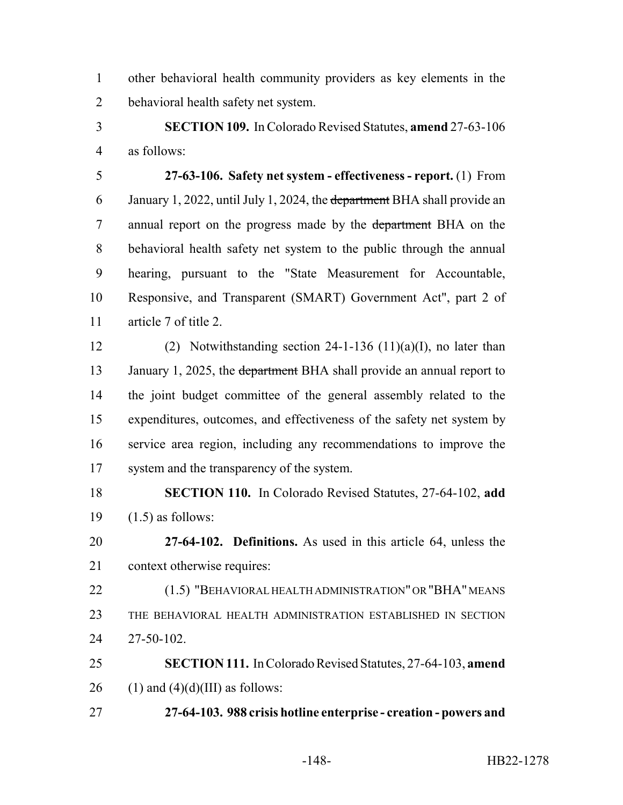other behavioral health community providers as key elements in the behavioral health safety net system.

 **SECTION 109.** In Colorado Revised Statutes, **amend** 27-63-106 as follows:

 **27-63-106. Safety net system - effectiveness - report.** (1) From 6 January 1, 2022, until July 1, 2024, the department BHA shall provide an annual report on the progress made by the department BHA on the behavioral health safety net system to the public through the annual hearing, pursuant to the "State Measurement for Accountable, Responsive, and Transparent (SMART) Government Act", part 2 of article 7 of title 2.

 (2) Notwithstanding section 24-1-136 (11)(a)(I), no later than 13 January 1, 2025, the department BHA shall provide an annual report to the joint budget committee of the general assembly related to the expenditures, outcomes, and effectiveness of the safety net system by service area region, including any recommendations to improve the system and the transparency of the system.

 **SECTION 110.** In Colorado Revised Statutes, 27-64-102, **add** (1.5) as follows:

 **27-64-102. Definitions.** As used in this article 64, unless the context otherwise requires:

 (1.5) "BEHAVIORAL HEALTH ADMINISTRATION" OR "BHA" MEANS THE BEHAVIORAL HEALTH ADMINISTRATION ESTABLISHED IN SECTION 27-50-102.

 **SECTION 111.** In Colorado Revised Statutes, 27-64-103, **amend** 26 (1) and  $(4)(d)(III)$  as follows:

**27-64-103. 988 crisis hotline enterprise - creation - powers and**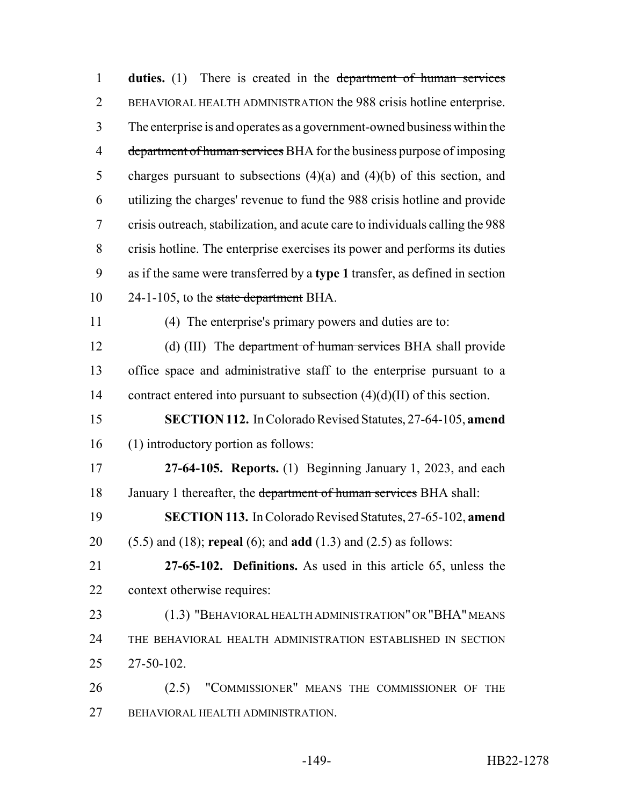| $\mathbf{1}$   | <b>duties.</b> (1) There is created in the department of human services       |
|----------------|-------------------------------------------------------------------------------|
| $\overline{2}$ | BEHAVIORAL HEALTH ADMINISTRATION the 988 crisis hotline enterprise.           |
| 3              | The enterprise is and operates as a government-owned business within the      |
| $\overline{4}$ | department of human services BHA for the business purpose of imposing         |
| 5              | charges pursuant to subsections $(4)(a)$ and $(4)(b)$ of this section, and    |
| 6              | utilizing the charges' revenue to fund the 988 crisis hotline and provide     |
| 7              | crisis outreach, stabilization, and acute care to individuals calling the 988 |
| 8              | crisis hotline. The enterprise exercises its power and performs its duties    |
| 9              | as if the same were transferred by a type 1 transfer, as defined in section   |
| 10             | 24-1-105, to the state department BHA.                                        |
| 11             | (4) The enterprise's primary powers and duties are to:                        |
| 12             | (d) (III) The department of human services BHA shall provide                  |
| 13             | office space and administrative staff to the enterprise pursuant to a         |
| 14             | contract entered into pursuant to subsection $(4)(d)(II)$ of this section.    |
| 15             | SECTION 112. In Colorado Revised Statutes, 27-64-105, amend                   |
| 16             | (1) introductory portion as follows:                                          |
| 17             | 27-64-105. Reports. $(1)$ Beginning January 1, 2023, and each                 |
| 18             | January 1 thereafter, the department of human services BHA shall:             |
| 19             | SECTION 113. In Colorado Revised Statutes, 27-65-102, amend                   |
| 20             | $(5.5)$ and $(18)$ ; repeal $(6)$ ; and add $(1.3)$ and $(2.5)$ as follows:   |
| 21             | 27-65-102. Definitions. As used in this article 65, unless the                |
| 22             | context otherwise requires:                                                   |
| 23             | (1.3) "BEHAVIORAL HEALTH ADMINISTRATION" OR "BHA" MEANS                       |
| 24             | THE BEHAVIORAL HEALTH ADMINISTRATION ESTABLISHED IN SECTION                   |
| 25             | 27-50-102.                                                                    |
| 26             | "COMMISSIONER" MEANS THE COMMISSIONER OF THE<br>(2.5)                         |
| 27             | BEHAVIORAL HEALTH ADMINISTRATION.                                             |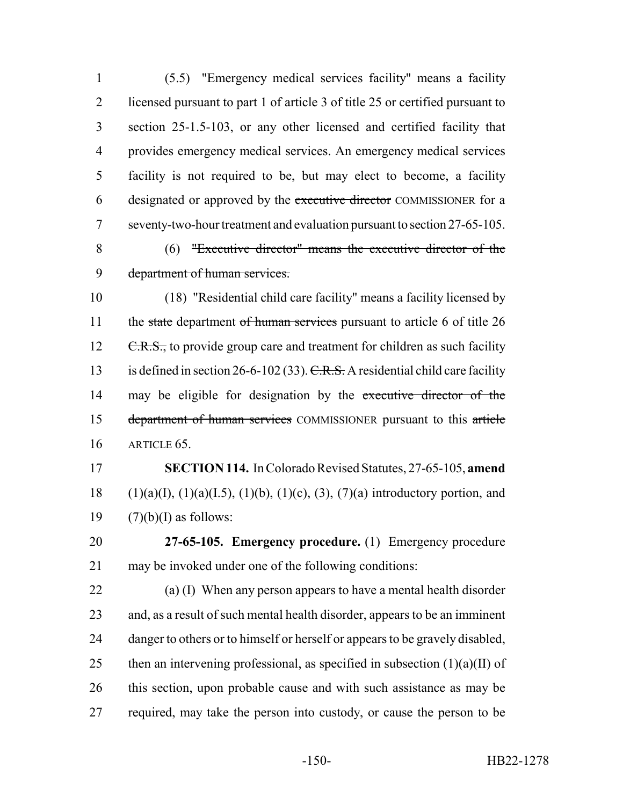(5.5) "Emergency medical services facility" means a facility licensed pursuant to part 1 of article 3 of title 25 or certified pursuant to section 25-1.5-103, or any other licensed and certified facility that provides emergency medical services. An emergency medical services facility is not required to be, but may elect to become, a facility 6 designated or approved by the executive director COMMISSIONER for a seventy-two-hour treatment and evaluation pursuant to section 27-65-105.

 (6) "Executive director" means the executive director of the department of human services.

 (18) "Residential child care facility" means a facility licensed by 11 the state department of human services pursuant to article 6 of title 26 12 C.R.S., to provide group care and treatment for children as such facility 13 is defined in section 26-6-102 (33). C.R.S. A residential child care facility 14 may be eligible for designation by the executive director of the 15 department of human services COMMISSIONER pursuant to this article ARTICLE 65.

 **SECTION 114.** In Colorado Revised Statutes, 27-65-105, **amend** 18 (1)(a)(I), (1)(a)(I.5), (1)(b), (1)(c), (3), (7)(a) introductory portion, and 19  $(7)(b)(I)$  as follows:

 **27-65-105. Emergency procedure.** (1) Emergency procedure may be invoked under one of the following conditions:

 (a) (I) When any person appears to have a mental health disorder and, as a result of such mental health disorder, appears to be an imminent 24 danger to others or to himself or herself or appears to be gravely disabled, 25 then an intervening professional, as specified in subsection  $(1)(a)(II)$  of this section, upon probable cause and with such assistance as may be required, may take the person into custody, or cause the person to be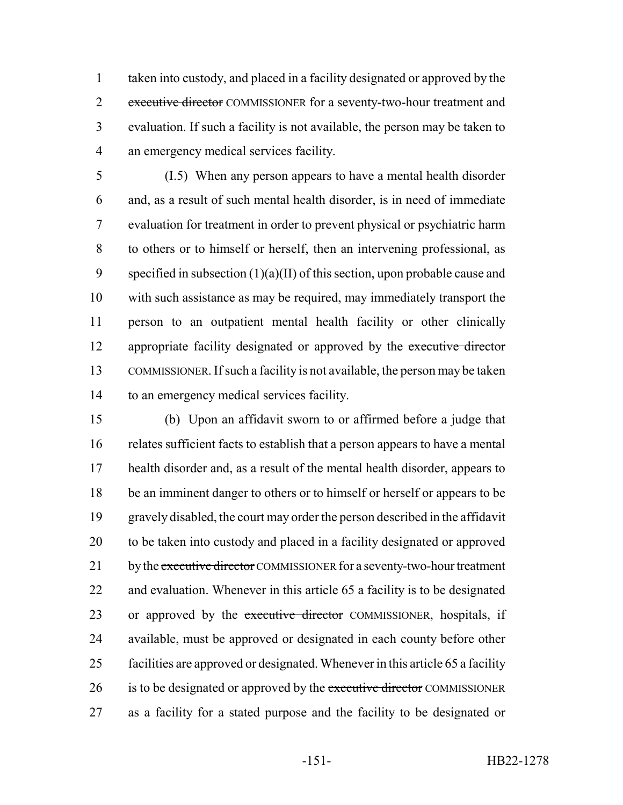taken into custody, and placed in a facility designated or approved by the 2 executive director COMMISSIONER for a seventy-two-hour treatment and evaluation. If such a facility is not available, the person may be taken to an emergency medical services facility.

 (I.5) When any person appears to have a mental health disorder and, as a result of such mental health disorder, is in need of immediate evaluation for treatment in order to prevent physical or psychiatric harm to others or to himself or herself, then an intervening professional, as 9 specified in subsection  $(1)(a)(II)$  of this section, upon probable cause and with such assistance as may be required, may immediately transport the person to an outpatient mental health facility or other clinically 12 appropriate facility designated or approved by the executive director COMMISSIONER. If such a facility is not available, the person may be taken to an emergency medical services facility.

 (b) Upon an affidavit sworn to or affirmed before a judge that relates sufficient facts to establish that a person appears to have a mental health disorder and, as a result of the mental health disorder, appears to be an imminent danger to others or to himself or herself or appears to be gravely disabled, the court may order the person described in the affidavit to be taken into custody and placed in a facility designated or approved 21 by the executive director COMMISSIONER for a seventy-two-hour treatment and evaluation. Whenever in this article 65 a facility is to be designated 23 or approved by the executive director COMMISSIONER, hospitals, if available, must be approved or designated in each county before other facilities are approved or designated. Whenever in this article 65 a facility 26 is to be designated or approved by the executive director COMMISSIONER as a facility for a stated purpose and the facility to be designated or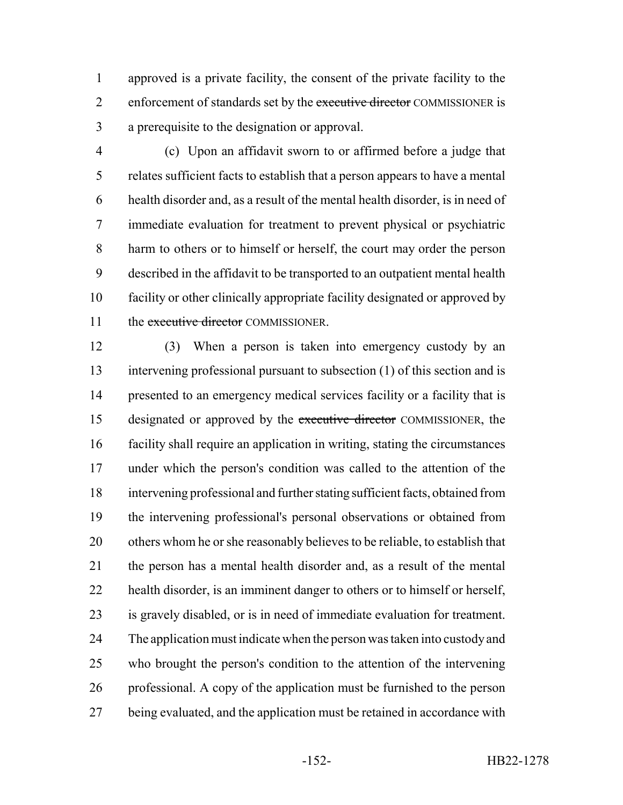approved is a private facility, the consent of the private facility to the 2 enforcement of standards set by the executive director COMMISSIONER is a prerequisite to the designation or approval.

 (c) Upon an affidavit sworn to or affirmed before a judge that relates sufficient facts to establish that a person appears to have a mental health disorder and, as a result of the mental health disorder, is in need of immediate evaluation for treatment to prevent physical or psychiatric harm to others or to himself or herself, the court may order the person described in the affidavit to be transported to an outpatient mental health facility or other clinically appropriate facility designated or approved by 11 the executive director COMMISSIONER.

 (3) When a person is taken into emergency custody by an intervening professional pursuant to subsection (1) of this section and is 14 presented to an emergency medical services facility or a facility that is 15 designated or approved by the executive director COMMISSIONER, the facility shall require an application in writing, stating the circumstances under which the person's condition was called to the attention of the intervening professional and further stating sufficient facts, obtained from the intervening professional's personal observations or obtained from others whom he or she reasonably believes to be reliable, to establish that the person has a mental health disorder and, as a result of the mental health disorder, is an imminent danger to others or to himself or herself, is gravely disabled, or is in need of immediate evaluation for treatment. The application must indicate when the person was taken into custody and who brought the person's condition to the attention of the intervening professional. A copy of the application must be furnished to the person 27 being evaluated, and the application must be retained in accordance with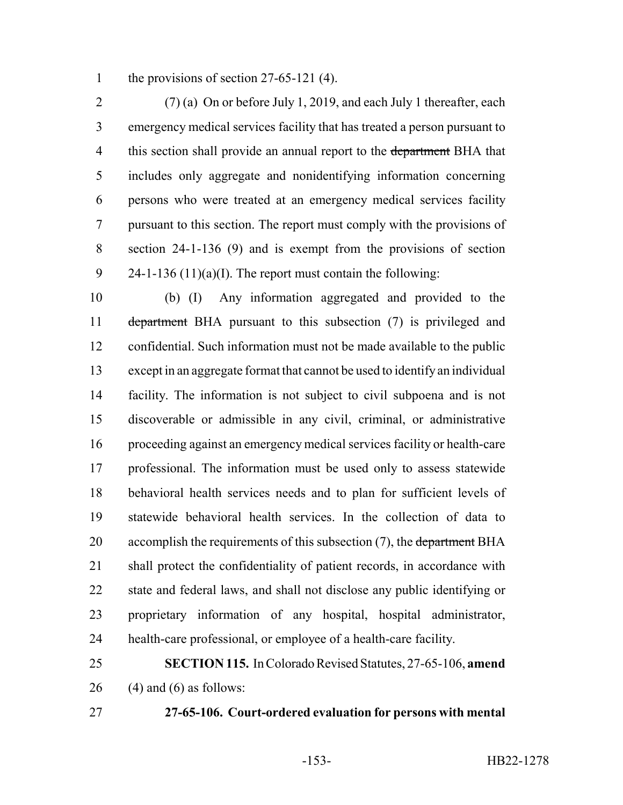1 the provisions of section 27-65-121 (4).

 (7) (a) On or before July 1, 2019, and each July 1 thereafter, each emergency medical services facility that has treated a person pursuant to 4 this section shall provide an annual report to the department BHA that includes only aggregate and nonidentifying information concerning persons who were treated at an emergency medical services facility pursuant to this section. The report must comply with the provisions of section 24-1-136 (9) and is exempt from the provisions of section 24-1-136 (11)(a)(I). The report must contain the following:

 (b) (I) Any information aggregated and provided to the 11 department BHA pursuant to this subsection (7) is privileged and confidential. Such information must not be made available to the public except in an aggregate format that cannot be used to identify an individual facility. The information is not subject to civil subpoena and is not discoverable or admissible in any civil, criminal, or administrative proceeding against an emergency medical services facility or health-care professional. The information must be used only to assess statewide behavioral health services needs and to plan for sufficient levels of statewide behavioral health services. In the collection of data to 20 accomplish the requirements of this subsection (7), the department BHA shall protect the confidentiality of patient records, in accordance with state and federal laws, and shall not disclose any public identifying or proprietary information of any hospital, hospital administrator, health-care professional, or employee of a health-care facility.

 **SECTION 115.** In Colorado Revised Statutes, 27-65-106, **amend** (4) and (6) as follows:

**27-65-106. Court-ordered evaluation for persons with mental**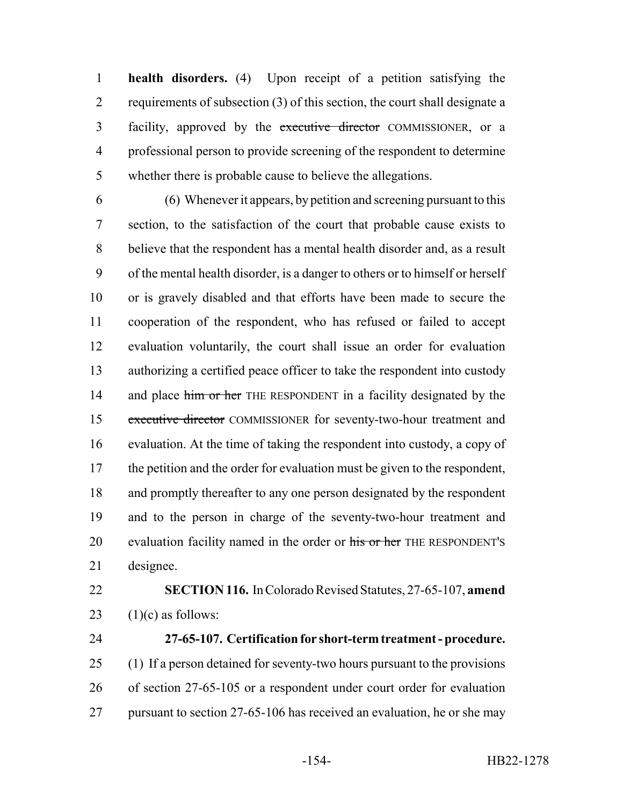**health disorders.** (4) Upon receipt of a petition satisfying the requirements of subsection (3) of this section, the court shall designate a facility, approved by the executive director COMMISSIONER, or a professional person to provide screening of the respondent to determine whether there is probable cause to believe the allegations.

 (6) Whenever it appears, by petition and screening pursuant to this section, to the satisfaction of the court that probable cause exists to believe that the respondent has a mental health disorder and, as a result of the mental health disorder, is a danger to others or to himself or herself or is gravely disabled and that efforts have been made to secure the cooperation of the respondent, who has refused or failed to accept evaluation voluntarily, the court shall issue an order for evaluation authorizing a certified peace officer to take the respondent into custody 14 and place him or her THE RESPONDENT in a facility designated by the executive director COMMISSIONER for seventy-two-hour treatment and evaluation. At the time of taking the respondent into custody, a copy of the petition and the order for evaluation must be given to the respondent, and promptly thereafter to any one person designated by the respondent and to the person in charge of the seventy-two-hour treatment and 20 evaluation facility named in the order or his or her THE RESPONDENT's designee.

 **SECTION 116.** In Colorado Revised Statutes, 27-65-107, **amend** 23  $(1)(c)$  as follows:

## **27-65-107. Certification for short-term treatment - procedure.**

 (1) If a person detained for seventy-two hours pursuant to the provisions of section 27-65-105 or a respondent under court order for evaluation 27 pursuant to section 27-65-106 has received an evaluation, he or she may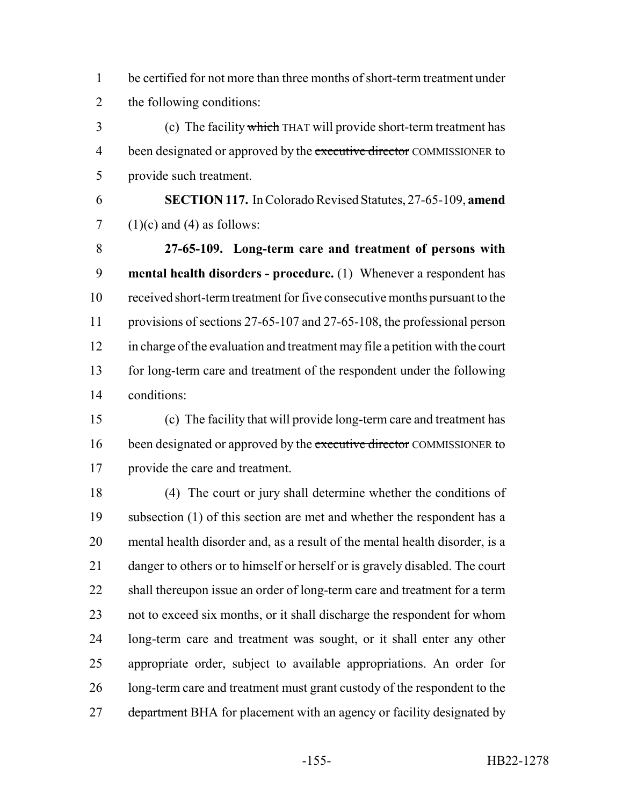be certified for not more than three months of short-term treatment under the following conditions:

 (c) The facility which THAT will provide short-term treatment has 4 been designated or approved by the executive director COMMISSIONER to provide such treatment.

 **SECTION 117.** In Colorado Revised Statutes, 27-65-109, **amend**  $7 \quad (1)(c)$  and (4) as follows:

 **27-65-109. Long-term care and treatment of persons with mental health disorders - procedure.** (1) Whenever a respondent has received short-term treatment for five consecutive months pursuant to the provisions of sections 27-65-107 and 27-65-108, the professional person in charge of the evaluation and treatment may file a petition with the court for long-term care and treatment of the respondent under the following conditions:

 (c) The facility that will provide long-term care and treatment has 16 been designated or approved by the executive director COMMISSIONER to provide the care and treatment.

 (4) The court or jury shall determine whether the conditions of 19 subsection (1) of this section are met and whether the respondent has a mental health disorder and, as a result of the mental health disorder, is a danger to others or to himself or herself or is gravely disabled. The court 22 shall thereupon issue an order of long-term care and treatment for a term not to exceed six months, or it shall discharge the respondent for whom long-term care and treatment was sought, or it shall enter any other appropriate order, subject to available appropriations. An order for 26 long-term care and treatment must grant custody of the respondent to the 27 department BHA for placement with an agency or facility designated by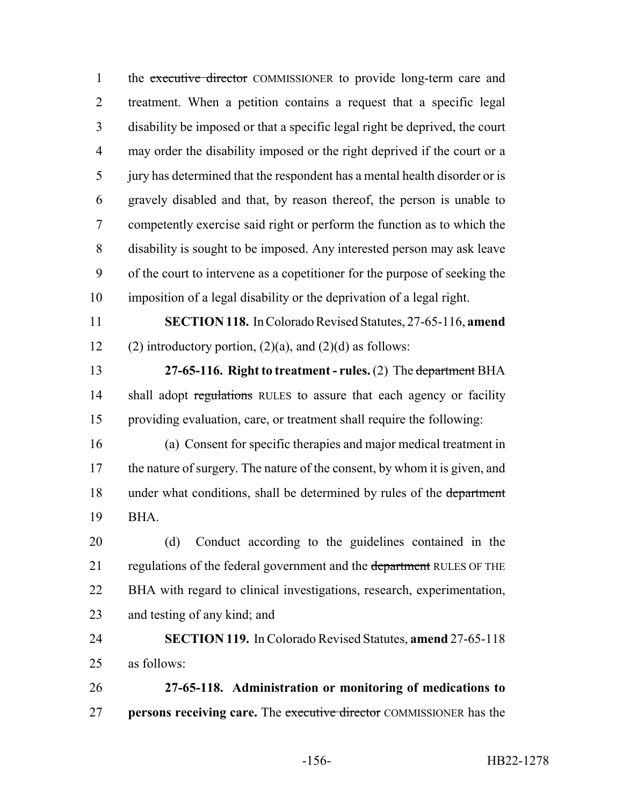1 the executive director COMMISSIONER to provide long-term care and treatment. When a petition contains a request that a specific legal disability be imposed or that a specific legal right be deprived, the court may order the disability imposed or the right deprived if the court or a jury has determined that the respondent has a mental health disorder or is gravely disabled and that, by reason thereof, the person is unable to competently exercise said right or perform the function as to which the disability is sought to be imposed. Any interested person may ask leave of the court to intervene as a copetitioner for the purpose of seeking the imposition of a legal disability or the deprivation of a legal right. **SECTION 118.** In Colorado Revised Statutes, 27-65-116, **amend** 12 (2) introductory portion,  $(2)(a)$ , and  $(2)(d)$  as follows: **27-65-116. Right to treatment - rules.** (2) The department BHA 14 shall adopt regulations RULES to assure that each agency or facility providing evaluation, care, or treatment shall require the following: (a) Consent for specific therapies and major medical treatment in 17 the nature of surgery. The nature of the consent, by whom it is given, and 18 under what conditions, shall be determined by rules of the department BHA. (d) Conduct according to the guidelines contained in the 21 regulations of the federal government and the department RULES OF THE BHA with regard to clinical investigations, research, experimentation, and testing of any kind; and **SECTION 119.** In Colorado Revised Statutes, **amend** 27-65-118 as follows: **27-65-118. Administration or monitoring of medications to persons receiving care.** The executive director COMMISSIONER has the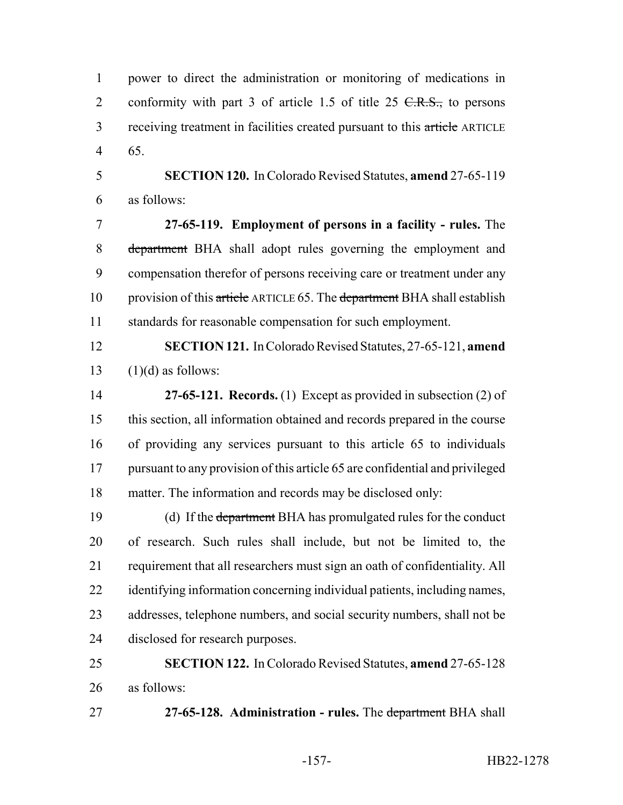power to direct the administration or monitoring of medications in 2 conformity with part 3 of article 1.5 of title 25  $C.R.S.,$  to persons 3 receiving treatment in facilities created pursuant to this article ARTICLE 65.

 **SECTION 120.** In Colorado Revised Statutes, **amend** 27-65-119 as follows:

 **27-65-119. Employment of persons in a facility - rules.** The 8 department BHA shall adopt rules governing the employment and compensation therefor of persons receiving care or treatment under any 10 provision of this article ARTICLE 65. The department BHA shall establish standards for reasonable compensation for such employment.

 **SECTION 121.** In Colorado Revised Statutes, 27-65-121, **amend** 13  $(1)(d)$  as follows:

 **27-65-121. Records.** (1) Except as provided in subsection (2) of this section, all information obtained and records prepared in the course of providing any services pursuant to this article 65 to individuals pursuant to any provision of this article 65 are confidential and privileged matter. The information and records may be disclosed only:

19 (d) If the department BHA has promulgated rules for the conduct of research. Such rules shall include, but not be limited to, the requirement that all researchers must sign an oath of confidentiality. All 22 identifying information concerning individual patients, including names, 23 addresses, telephone numbers, and social security numbers, shall not be disclosed for research purposes.

 **SECTION 122.** In Colorado Revised Statutes, **amend** 27-65-128 as follows:

**27-65-128. Administration - rules.** The department BHA shall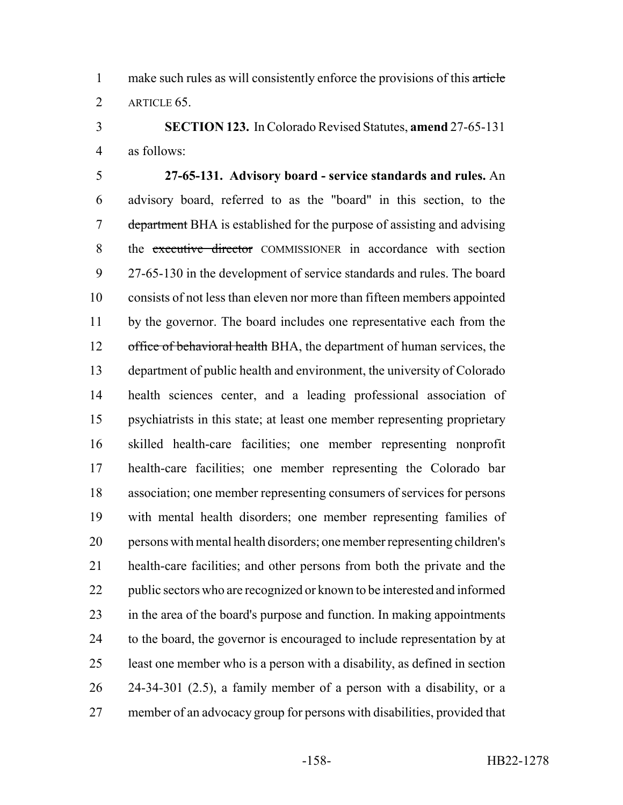1 make such rules as will consistently enforce the provisions of this article 2 ARTICLE 65.

 **SECTION 123.** In Colorado Revised Statutes, **amend** 27-65-131 as follows:

 **27-65-131. Advisory board - service standards and rules.** An advisory board, referred to as the "board" in this section, to the 7 department BHA is established for the purpose of assisting and advising 8 the executive director COMMISSIONER in accordance with section 27-65-130 in the development of service standards and rules. The board consists of not less than eleven nor more than fifteen members appointed by the governor. The board includes one representative each from the 12 office of behavioral health BHA, the department of human services, the department of public health and environment, the university of Colorado health sciences center, and a leading professional association of psychiatrists in this state; at least one member representing proprietary skilled health-care facilities; one member representing nonprofit health-care facilities; one member representing the Colorado bar association; one member representing consumers of services for persons with mental health disorders; one member representing families of persons with mental health disorders; one member representing children's health-care facilities; and other persons from both the private and the 22 public sectors who are recognized or known to be interested and informed 23 in the area of the board's purpose and function. In making appointments to the board, the governor is encouraged to include representation by at least one member who is a person with a disability, as defined in section 24-34-301 (2.5), a family member of a person with a disability, or a member of an advocacy group for persons with disabilities, provided that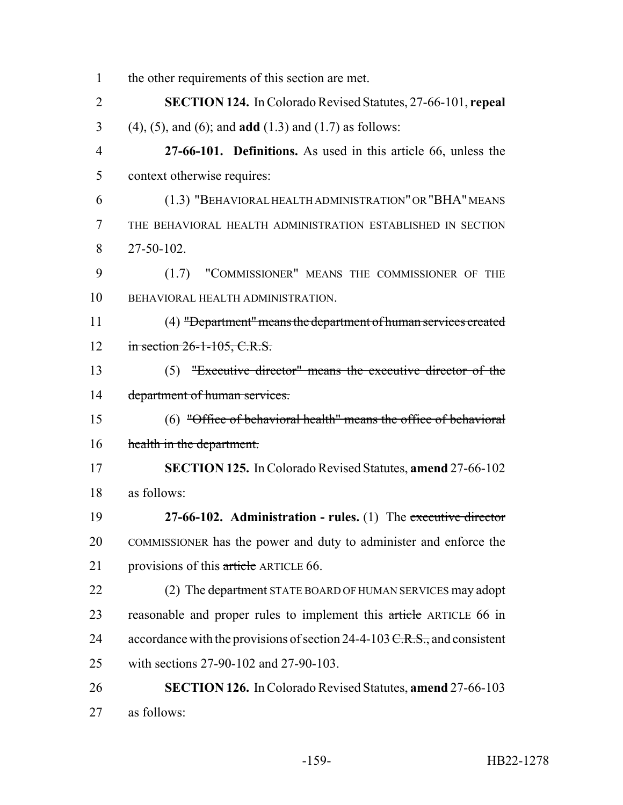| $\mathbf{1}$   | the other requirements of this section are met.                             |
|----------------|-----------------------------------------------------------------------------|
| $\overline{2}$ | <b>SECTION 124.</b> In Colorado Revised Statutes, 27-66-101, repeal         |
| 3              | $(4)$ , $(5)$ , and $(6)$ ; and <b>add</b> $(1.3)$ and $(1.7)$ as follows:  |
| 4              | 27-66-101. Definitions. As used in this article 66, unless the              |
| 5              | context otherwise requires:                                                 |
| 6              | (1.3) "BEHAVIORAL HEALTH ADMINISTRATION" OR "BHA" MEANS                     |
| 7              | THE BEHAVIORAL HEALTH ADMINISTRATION ESTABLISHED IN SECTION                 |
| 8              | 27-50-102.                                                                  |
| 9              | (1.7) "COMMISSIONER" MEANS THE COMMISSIONER OF THE                          |
| 10             | BEHAVIORAL HEALTH ADMINISTRATION.                                           |
| 11             | (4) "Department" means the department of human services created             |
| 12             | in section 26-1-105, C.R.S.                                                 |
| 13             | (5) "Executive director" means the executive director of the                |
| 14             | department of human services.                                               |
| 15             | $(6)$ "Office of behavioral health" means the office of behavioral          |
| 16             | health in the department.                                                   |
| 17             | <b>SECTION 125.</b> In Colorado Revised Statutes, amend 27-66-102           |
| 18             | as follows:                                                                 |
| 19             | 27-66-102. Administration - rules. $(1)$ The executive director             |
| 20             | COMMISSIONER has the power and duty to administer and enforce the           |
| 21             | provisions of this article ARTICLE 66.                                      |
| 22             | (2) The department STATE BOARD OF HUMAN SERVICES may adopt                  |
| 23             | reasonable and proper rules to implement this article ARTICLE 66 in         |
| 24             | accordance with the provisions of section 24-4-103 $C.R.S.,$ and consistent |
| 25             | with sections 27-90-102 and 27-90-103.                                      |
| 26             | <b>SECTION 126.</b> In Colorado Revised Statutes, amend 27-66-103           |
| 27             | as follows:                                                                 |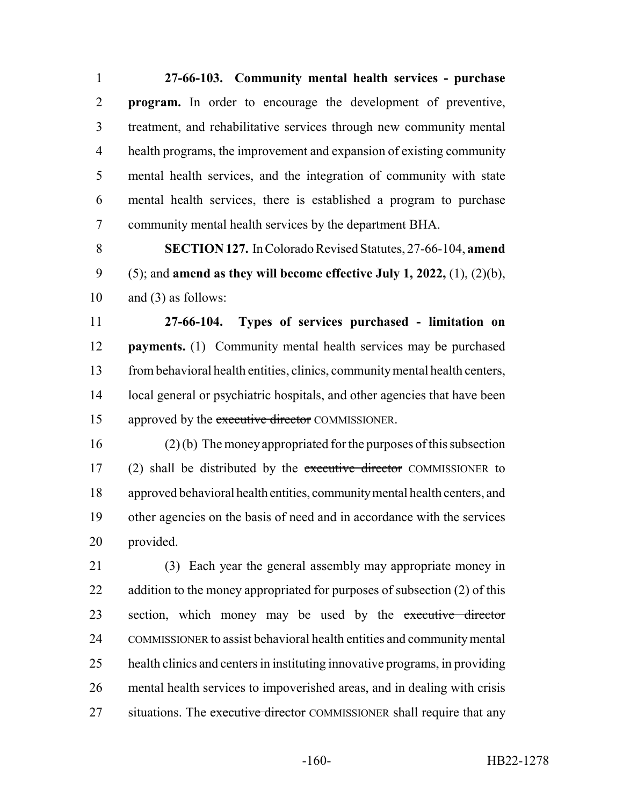**27-66-103. Community mental health services - purchase program.** In order to encourage the development of preventive, treatment, and rehabilitative services through new community mental health programs, the improvement and expansion of existing community mental health services, and the integration of community with state mental health services, there is established a program to purchase 7 community mental health services by the department BHA.

 **SECTION 127.** In Colorado Revised Statutes, 27-66-104, **amend** (5); and **amend as they will become effective July 1, 2022,** (1), (2)(b), and (3) as follows:

 **27-66-104. Types of services purchased - limitation on payments.** (1) Community mental health services may be purchased from behavioral health entities, clinics, community mental health centers, local general or psychiatric hospitals, and other agencies that have been 15 approved by the executive director COMMISSIONER.

 (2) (b) The money appropriated for the purposes of this subsection 17 (2) shall be distributed by the executive director COMMISSIONER to approved behavioral health entities, community mental health centers, and other agencies on the basis of need and in accordance with the services provided.

 (3) Each year the general assembly may appropriate money in 22 addition to the money appropriated for purposes of subsection (2) of this 23 section, which money may be used by the executive director COMMISSIONER to assist behavioral health entities and community mental health clinics and centers in instituting innovative programs, in providing mental health services to impoverished areas, and in dealing with crisis 27 situations. The executive director COMMISSIONER shall require that any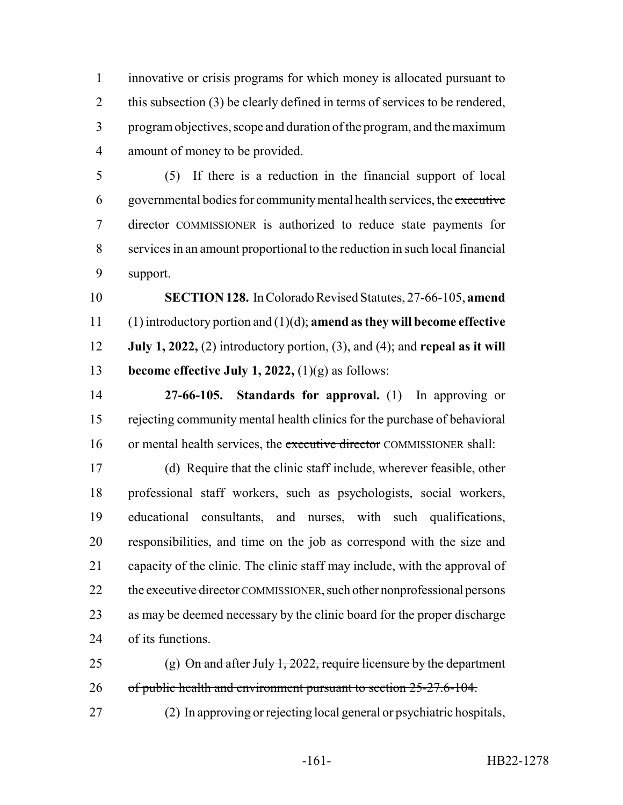innovative or crisis programs for which money is allocated pursuant to 2 this subsection (3) be clearly defined in terms of services to be rendered, program objectives, scope and duration of the program, and the maximum amount of money to be provided.

 (5) If there is a reduction in the financial support of local governmental bodies for community mental health services, the executive director COMMISSIONER is authorized to reduce state payments for services in an amount proportional to the reduction in such local financial support.

 **SECTION 128.** In Colorado Revised Statutes, 27-66-105, **amend** (1) introductory portion and (1)(d); **amend as they will become effective July 1, 2022,** (2) introductory portion, (3), and (4); and **repeal as it will become effective July 1, 2022,** (1)(g) as follows:

 **27-66-105. Standards for approval.** (1) In approving or rejecting community mental health clinics for the purchase of behavioral 16 or mental health services, the executive director COMMISSIONER shall:

 (d) Require that the clinic staff include, wherever feasible, other professional staff workers, such as psychologists, social workers, educational consultants, and nurses, with such qualifications, responsibilities, and time on the job as correspond with the size and capacity of the clinic. The clinic staff may include, with the approval of 22 the executive director COMMISSIONER, such other nonprofessional persons as may be deemed necessary by the clinic board for the proper discharge of its functions.

25 (g)  $\Theta$ n and after July 1, 2022, require licensure by the department 26 of public health and environment pursuant to section 25-27.6-104.

(2) In approving or rejecting local general or psychiatric hospitals,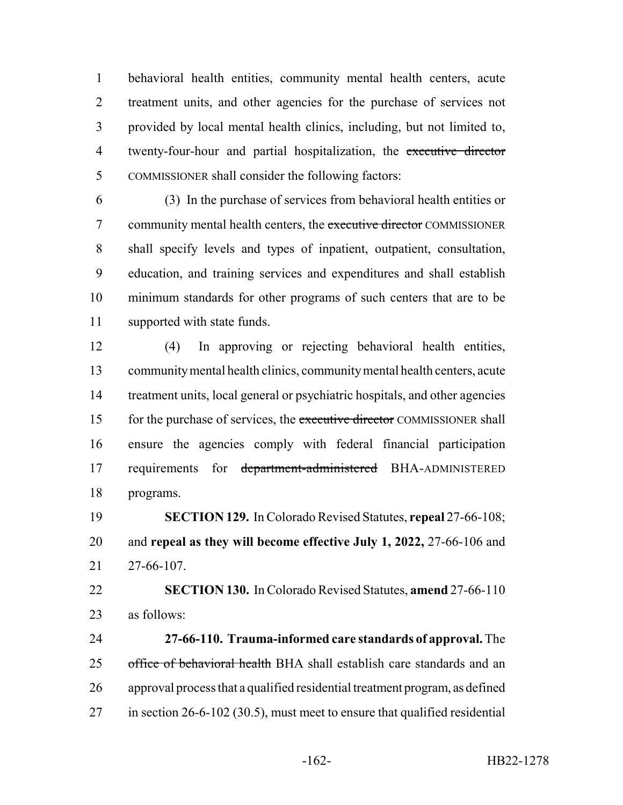behavioral health entities, community mental health centers, acute treatment units, and other agencies for the purchase of services not provided by local mental health clinics, including, but not limited to, 4 twenty-four-hour and partial hospitalization, the executive director COMMISSIONER shall consider the following factors:

 (3) In the purchase of services from behavioral health entities or 7 community mental health centers, the executive director COMMISSIONER shall specify levels and types of inpatient, outpatient, consultation, education, and training services and expenditures and shall establish minimum standards for other programs of such centers that are to be supported with state funds.

 (4) In approving or rejecting behavioral health entities, community mental health clinics, community mental health centers, acute treatment units, local general or psychiatric hospitals, and other agencies 15 for the purchase of services, the executive director COMMISSIONER shall ensure the agencies comply with federal financial participation 17 requirements for department-administered BHA-ADMINISTERED programs.

 **SECTION 129.** In Colorado Revised Statutes, **repeal** 27-66-108; and **repeal as they will become effective July 1, 2022,** 27-66-106 and 27-66-107.

 **SECTION 130.** In Colorado Revised Statutes, **amend** 27-66-110 as follows:

 **27-66-110. Trauma-informed care standards of approval.** The 25 office of behavioral health BHA shall establish care standards and an approval process that a qualified residential treatment program, as defined in section 26-6-102 (30.5), must meet to ensure that qualified residential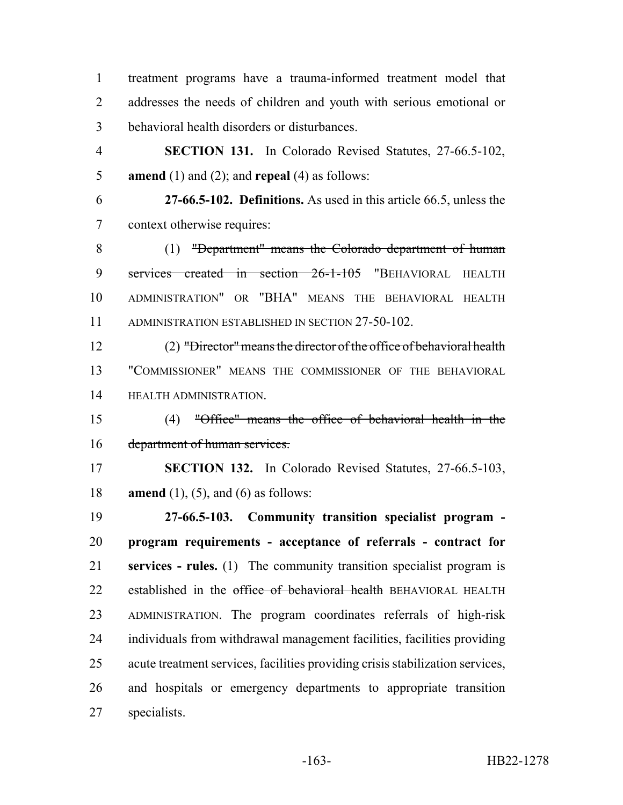treatment programs have a trauma-informed treatment model that addresses the needs of children and youth with serious emotional or behavioral health disorders or disturbances.

 **SECTION 131.** In Colorado Revised Statutes, 27-66.5-102, **amend** (1) and (2); and **repeal** (4) as follows:

 **27-66.5-102. Definitions.** As used in this article 66.5, unless the context otherwise requires:

 (1) "Department" means the Colorado department of human 9 services created in section 26-1-105 "BEHAVIORAL HEALTH ADMINISTRATION" OR "BHA" MEANS THE BEHAVIORAL HEALTH ADMINISTRATION ESTABLISHED IN SECTION 27-50-102.

 (2) "Director" means the director of the office of behavioral health "COMMISSIONER" MEANS THE COMMISSIONER OF THE BEHAVIORAL HEALTH ADMINISTRATION.

 (4) "Office" means the office of behavioral health in the department of human services.

 **SECTION 132.** In Colorado Revised Statutes, 27-66.5-103, **amend** (1), (5), and (6) as follows:

 **27-66.5-103. Community transition specialist program - program requirements - acceptance of referrals - contract for services - rules.** (1) The community transition specialist program is 22 established in the office of behavioral health BEHAVIORAL HEALTH ADMINISTRATION. The program coordinates referrals of high-risk individuals from withdrawal management facilities, facilities providing acute treatment services, facilities providing crisis stabilization services, and hospitals or emergency departments to appropriate transition specialists.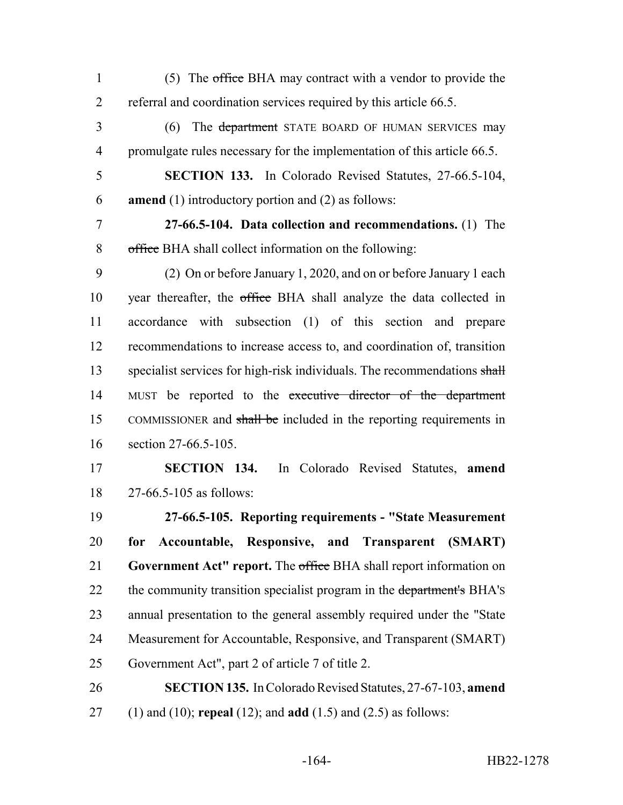1 (5) The office BHA may contract with a vendor to provide the referral and coordination services required by this article 66.5.

3 (6) The department STATE BOARD OF HUMAN SERVICES may 4 promulgate rules necessary for the implementation of this article 66.5.

 **SECTION 133.** In Colorado Revised Statutes, 27-66.5-104, **amend** (1) introductory portion and (2) as follows:

 **27-66.5-104. Data collection and recommendations.** (1) The office BHA shall collect information on the following:

 (2) On or before January 1, 2020, and on or before January 1 each year thereafter, the office BHA shall analyze the data collected in accordance with subsection (1) of this section and prepare recommendations to increase access to, and coordination of, transition 13 specialist services for high-risk individuals. The recommendations shall 14 MUST be reported to the executive director of the department 15 COMMISSIONER and shall be included in the reporting requirements in section 27-66.5-105.

 **SECTION 134.** In Colorado Revised Statutes, **amend** 27-66.5-105 as follows:

 **27-66.5-105. Reporting requirements - "State Measurement for Accountable, Responsive, and Transparent (SMART) Government Act" report.** The office BHA shall report information on 22 the community transition specialist program in the department's BHA's annual presentation to the general assembly required under the "State Measurement for Accountable, Responsive, and Transparent (SMART) Government Act", part 2 of article 7 of title 2.

 **SECTION 135.** In Colorado Revised Statutes, 27-67-103, **amend** (1) and (10); **repeal** (12); and **add** (1.5) and (2.5) as follows: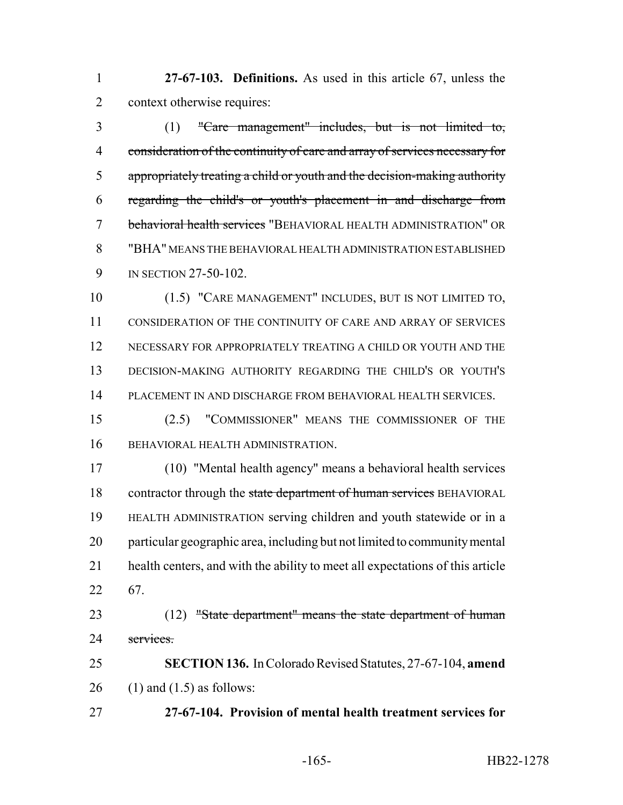**27-67-103. Definitions.** As used in this article 67, unless the context otherwise requires:

 (1) "Care management" includes, but is not limited to, consideration of the continuity of care and array of services necessary for appropriately treating a child or youth and the decision-making authority regarding the child's or youth's placement in and discharge from behavioral health services "BEHAVIORAL HEALTH ADMINISTRATION" OR "BHA" MEANS THE BEHAVIORAL HEALTH ADMINISTRATION ESTABLISHED 9 IN SECTION 27-50-102.

 (1.5) "CARE MANAGEMENT" INCLUDES, BUT IS NOT LIMITED TO, CONSIDERATION OF THE CONTINUITY OF CARE AND ARRAY OF SERVICES NECESSARY FOR APPROPRIATELY TREATING A CHILD OR YOUTH AND THE DECISION-MAKING AUTHORITY REGARDING THE CHILD'S OR YOUTH'S PLACEMENT IN AND DISCHARGE FROM BEHAVIORAL HEALTH SERVICES.

 (2.5) "COMMISSIONER" MEANS THE COMMISSIONER OF THE BEHAVIORAL HEALTH ADMINISTRATION.

 (10) "Mental health agency" means a behavioral health services 18 contractor through the state department of human services BEHAVIORAL HEALTH ADMINISTRATION serving children and youth statewide or in a particular geographic area, including but not limited to community mental health centers, and with the ability to meet all expectations of this article 67.

23 (12) "State department" means the state department of human 24 services.

 **SECTION 136.** In Colorado Revised Statutes, 27-67-104, **amend** 26 (1) and  $(1.5)$  as follows:

**27-67-104. Provision of mental health treatment services for**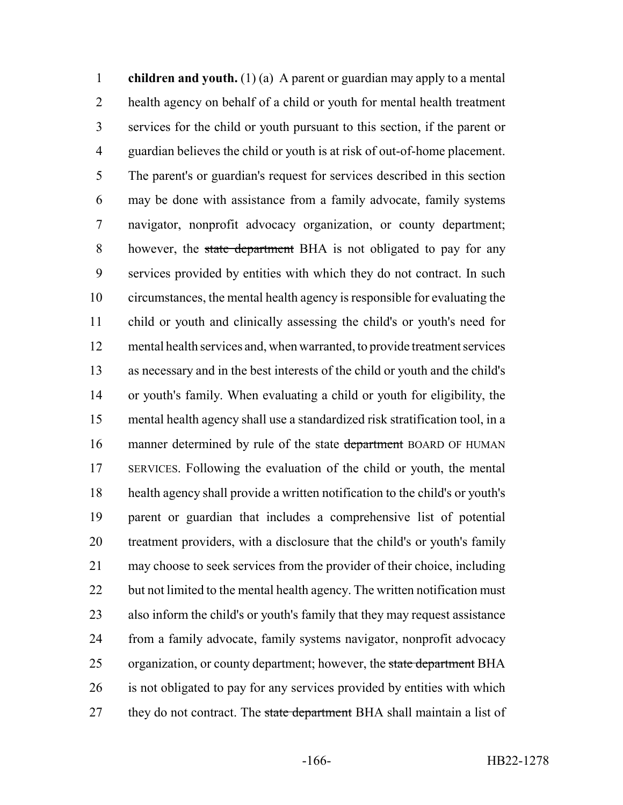**children and youth.** (1) (a) A parent or guardian may apply to a mental health agency on behalf of a child or youth for mental health treatment services for the child or youth pursuant to this section, if the parent or guardian believes the child or youth is at risk of out-of-home placement. The parent's or guardian's request for services described in this section may be done with assistance from a family advocate, family systems navigator, nonprofit advocacy organization, or county department; 8 however, the state department BHA is not obligated to pay for any services provided by entities with which they do not contract. In such circumstances, the mental health agency is responsible for evaluating the child or youth and clinically assessing the child's or youth's need for mental health services and, when warranted, to provide treatment services as necessary and in the best interests of the child or youth and the child's or youth's family. When evaluating a child or youth for eligibility, the mental health agency shall use a standardized risk stratification tool, in a 16 manner determined by rule of the state department BOARD OF HUMAN SERVICES. Following the evaluation of the child or youth, the mental health agency shall provide a written notification to the child's or youth's parent or guardian that includes a comprehensive list of potential treatment providers, with a disclosure that the child's or youth's family may choose to seek services from the provider of their choice, including 22 but not limited to the mental health agency. The written notification must also inform the child's or youth's family that they may request assistance from a family advocate, family systems navigator, nonprofit advocacy 25 organization, or county department; however, the state department BHA is not obligated to pay for any services provided by entities with which 27 they do not contract. The state department BHA shall maintain a list of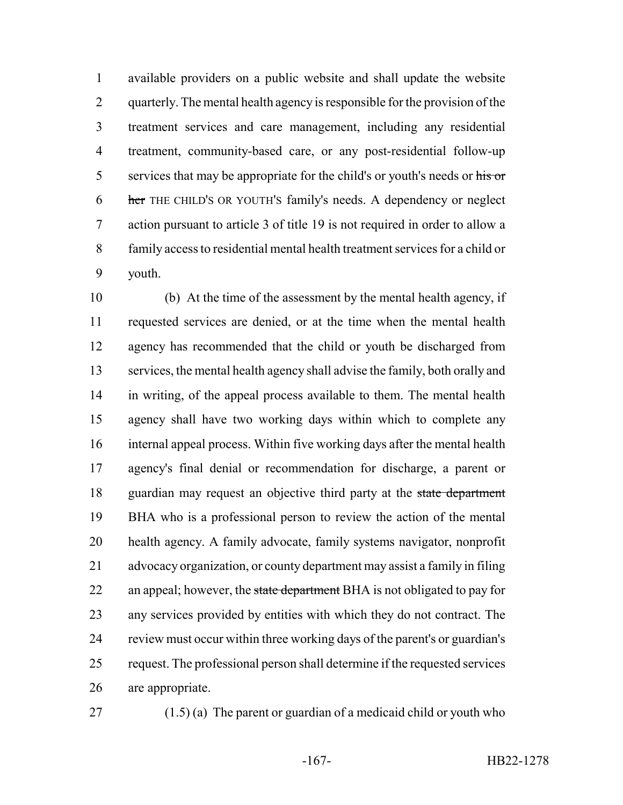available providers on a public website and shall update the website 2 quarterly. The mental health agency is responsible for the provision of the treatment services and care management, including any residential treatment, community-based care, or any post-residential follow-up 5 services that may be appropriate for the child's or youth's needs or his or her THE CHILD'S OR YOUTH'S family's needs. A dependency or neglect action pursuant to article 3 of title 19 is not required in order to allow a family access to residential mental health treatment services for a child or youth.

 (b) At the time of the assessment by the mental health agency, if requested services are denied, or at the time when the mental health agency has recommended that the child or youth be discharged from services, the mental health agency shall advise the family, both orally and in writing, of the appeal process available to them. The mental health agency shall have two working days within which to complete any internal appeal process. Within five working days after the mental health agency's final denial or recommendation for discharge, a parent or 18 guardian may request an objective third party at the state department BHA who is a professional person to review the action of the mental health agency. A family advocate, family systems navigator, nonprofit advocacy organization, or county department may assist a family in filing 22 an appeal; however, the state department BHA is not obligated to pay for any services provided by entities with which they do not contract. The review must occur within three working days of the parent's or guardian's request. The professional person shall determine if the requested services are appropriate.

27 (1.5) (a) The parent or guardian of a medicaid child or youth who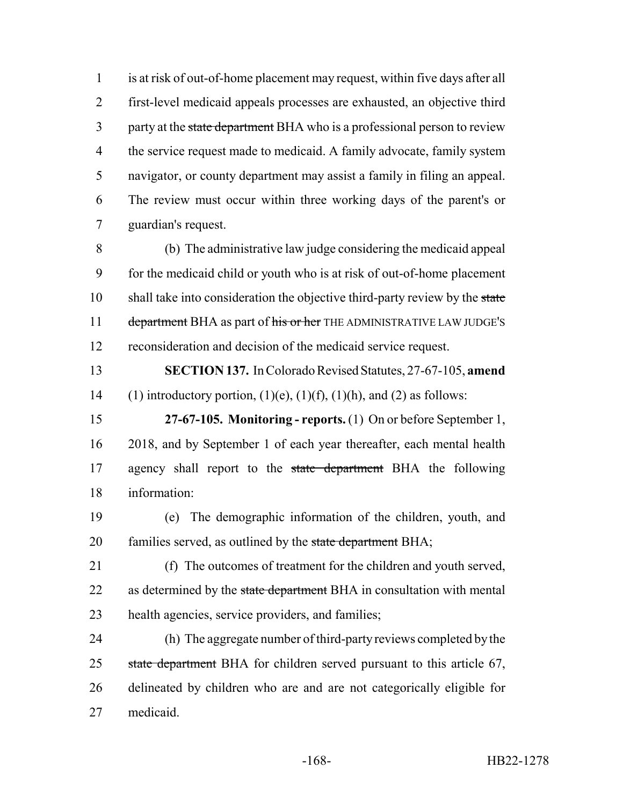is at risk of out-of-home placement may request, within five days after all first-level medicaid appeals processes are exhausted, an objective third 3 party at the state department BHA who is a professional person to review 4 the service request made to medicaid. A family advocate, family system navigator, or county department may assist a family in filing an appeal. The review must occur within three working days of the parent's or guardian's request.

 (b) The administrative law judge considering the medicaid appeal for the medicaid child or youth who is at risk of out-of-home placement 10 shall take into consideration the objective third-party review by the state 11 department BHA as part of his or her THE ADMINISTRATIVE LAW JUDGE'S reconsideration and decision of the medicaid service request.

 **SECTION 137.** In Colorado Revised Statutes, 27-67-105, **amend** 14 (1) introductory portion,  $(1)(e)$ ,  $(1)(f)$ ,  $(1)(h)$ , and  $(2)$  as follows:

 **27-67-105. Monitoring - reports.** (1) On or before September 1, 2018, and by September 1 of each year thereafter, each mental health 17 agency shall report to the state department BHA the following information:

 (e) The demographic information of the children, youth, and 20 families served, as outlined by the state department BHA;

 (f) The outcomes of treatment for the children and youth served, 22 as determined by the state department BHA in consultation with mental health agencies, service providers, and families;

 (h) The aggregate number of third-party reviews completed by the 25 state department BHA for children served pursuant to this article 67, delineated by children who are and are not categorically eligible for medicaid.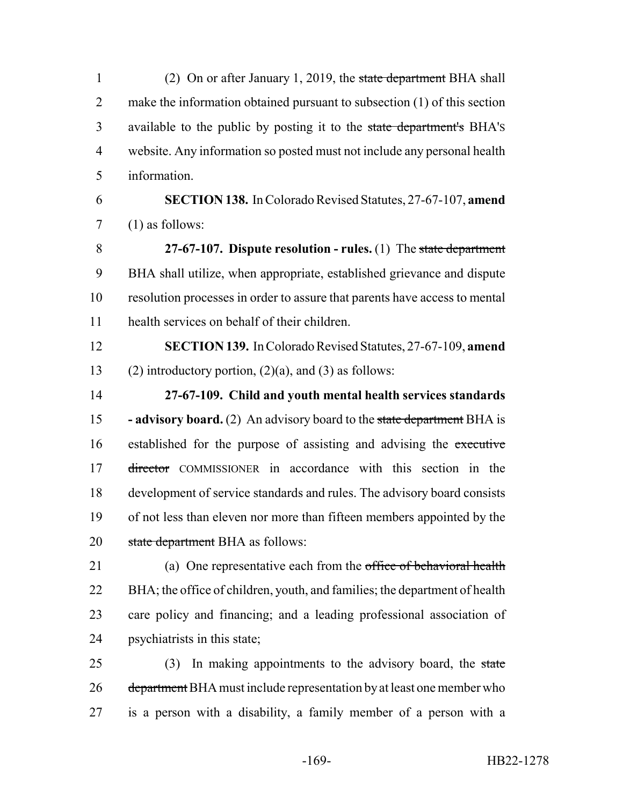1 (2) On or after January 1, 2019, the state department BHA shall 2 make the information obtained pursuant to subsection (1) of this section 3 available to the public by posting it to the state department's BHA's website. Any information so posted must not include any personal health information.

 **SECTION 138.** In Colorado Revised Statutes, 27-67-107, **amend** (1) as follows:

 **27-67-107. Dispute resolution - rules.** (1) The state department BHA shall utilize, when appropriate, established grievance and dispute resolution processes in order to assure that parents have access to mental health services on behalf of their children.

 **SECTION 139.** In Colorado Revised Statutes, 27-67-109, **amend** 13 (2) introductory portion,  $(2)(a)$ , and  $(3)$  as follows:

 **27-67-109. Child and youth mental health services standards - advisory board.** (2) An advisory board to the state department BHA is 16 established for the purpose of assisting and advising the executive 17 director COMMISSIONER in accordance with this section in the development of service standards and rules. The advisory board consists of not less than eleven nor more than fifteen members appointed by the 20 state department BHA as follows:

21 (a) One representative each from the office of behavioral health BHA; the office of children, youth, and families; the department of health care policy and financing; and a leading professional association of psychiatrists in this state;

25 (3) In making appointments to the advisory board, the state 26 department BHA must include representation by at least one member who is a person with a disability, a family member of a person with a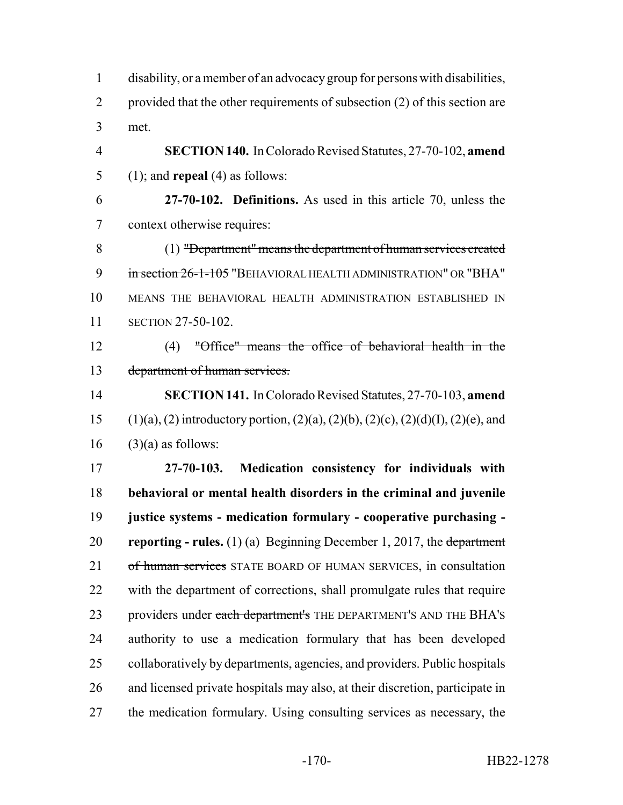| $\mathbf{1}$   | disability, or a member of an advocacy group for persons with disabilities,                          |
|----------------|------------------------------------------------------------------------------------------------------|
| $\overline{2}$ | provided that the other requirements of subsection (2) of this section are                           |
| 3              | met.                                                                                                 |
| $\overline{4}$ | SECTION 140. In Colorado Revised Statutes, 27-70-102, amend                                          |
| 5              | $(1)$ ; and <b>repeal</b> $(4)$ as follows:                                                          |
| 6              | 27-70-102. Definitions. As used in this article 70, unless the                                       |
| $\overline{7}$ | context otherwise requires:                                                                          |
| 8              | (1) "Department" means the department of human services created                                      |
| 9              | in section 26-1-105 "BEHAVIORAL HEALTH ADMINISTRATION" OR "BHA"                                      |
| 10             | MEANS THE BEHAVIORAL HEALTH ADMINISTRATION ESTABLISHED IN                                            |
| 11             | <b>SECTION 27-50-102.</b>                                                                            |
| 12             | $(4)$ "Office" means the office of behavioral health in the                                          |
| 13             | department of human services.                                                                        |
| 14             | <b>SECTION 141.</b> In Colorado Revised Statutes, 27-70-103, amend                                   |
| 15             | $(1)(a)$ , $(2)$ introductory portion, $(2)(a)$ , $(2)(b)$ , $(2)(c)$ , $(2)(d)(I)$ , $(2)(e)$ , and |
| 16             | $(3)(a)$ as follows:                                                                                 |
| 17             | 27-70-103. Medication consistency for individuals with                                               |
| 18             | behavioral or mental health disorders in the criminal and juvenile                                   |
| 19             | justice systems - medication formulary - cooperative purchasing -                                    |
| 20             | <b>reporting - rules.</b> (1) (a) Beginning December 1, 2017, the department                         |
| 21             | of human services STATE BOARD OF HUMAN SERVICES, in consultation                                     |
| 22             | with the department of corrections, shall promulgate rules that require                              |
| 23             | providers under each department's THE DEPARTMENT'S AND THE BHA'S                                     |
| 24             | authority to use a medication formulary that has been developed                                      |
| 25             | collaboratively by departments, agencies, and providers. Public hospitals                            |
| 26             | and licensed private hospitals may also, at their discretion, participate in                         |
| 27             | the medication formulary. Using consulting services as necessary, the                                |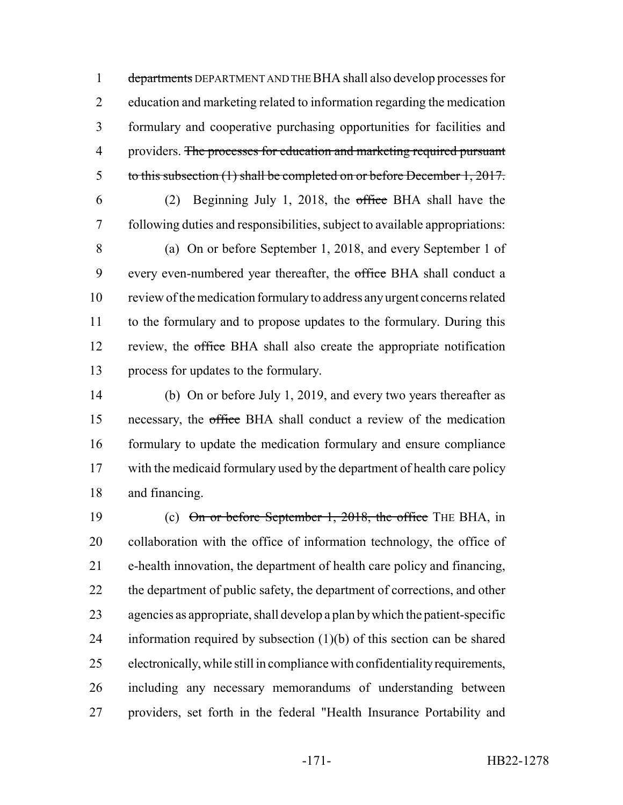1 departments DEPARTMENT AND THE BHA shall also develop processes for education and marketing related to information regarding the medication formulary and cooperative purchasing opportunities for facilities and 4 providers. The processes for education and marketing required pursuant to this subsection (1) shall be completed on or before December 1, 2017.

 (2) Beginning July 1, 2018, the office BHA shall have the following duties and responsibilities, subject to available appropriations:

 (a) On or before September 1, 2018, and every September 1 of 9 every even-numbered year thereafter, the office BHA shall conduct a review of the medication formulary to address any urgent concerns related to the formulary and to propose updates to the formulary. During this 12 review, the office BHA shall also create the appropriate notification process for updates to the formulary.

 (b) On or before July 1, 2019, and every two years thereafter as necessary, the office BHA shall conduct a review of the medication formulary to update the medication formulary and ensure compliance 17 with the medicaid formulary used by the department of health care policy and financing.

19 (c) On or before September 1, 2018, the office THE BHA, in collaboration with the office of information technology, the office of e-health innovation, the department of health care policy and financing, 22 the department of public safety, the department of corrections, and other agencies as appropriate, shall develop a plan by which the patient-specific information required by subsection (1)(b) of this section can be shared electronically, while still in compliance with confidentiality requirements, including any necessary memorandums of understanding between providers, set forth in the federal "Health Insurance Portability and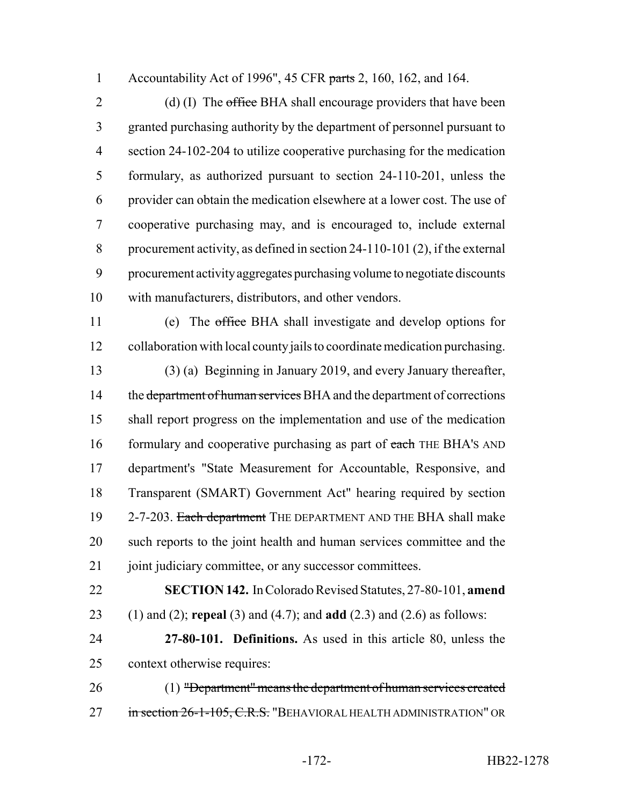Accountability Act of 1996", 45 CFR parts 2, 160, 162, and 164.

2 (d) (I) The office BHA shall encourage providers that have been granted purchasing authority by the department of personnel pursuant to section 24-102-204 to utilize cooperative purchasing for the medication formulary, as authorized pursuant to section 24-110-201, unless the provider can obtain the medication elsewhere at a lower cost. The use of cooperative purchasing may, and is encouraged to, include external procurement activity, as defined in section 24-110-101 (2), if the external procurement activity aggregates purchasing volume to negotiate discounts with manufacturers, distributors, and other vendors.

 (e) The office BHA shall investigate and develop options for collaboration with local county jails to coordinate medication purchasing. (3) (a) Beginning in January 2019, and every January thereafter, 14 the department of human services BHA and the department of corrections shall report progress on the implementation and use of the medication 16 formulary and cooperative purchasing as part of each THE BHA's AND department's "State Measurement for Accountable, Responsive, and Transparent (SMART) Government Act" hearing required by section 19 2-7-203. Each department THE DEPARTMENT AND THE BHA shall make such reports to the joint health and human services committee and the 21 joint judiciary committee, or any successor committees.

 **SECTION 142.** In Colorado Revised Statutes, 27-80-101, **amend** (1) and (2); **repeal** (3) and (4.7); and **add** (2.3) and (2.6) as follows:

 **27-80-101. Definitions.** As used in this article 80, unless the context otherwise requires:

 (1) "Department" means the department of human services created 27 in section 26-1-105, C.R.S. "BEHAVIORAL HEALTH ADMINISTRATION" OR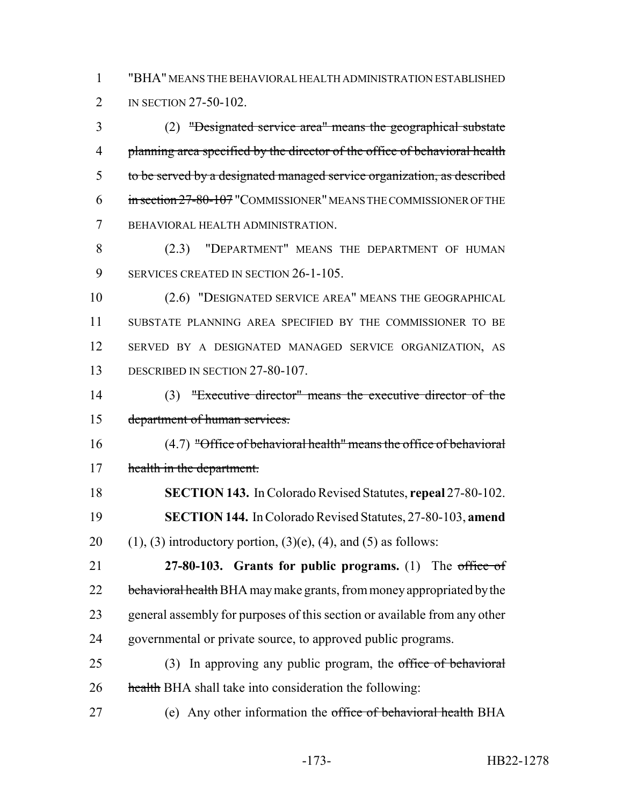1 "BHA" MEANS THE BEHAVIORAL HEALTH ADMINISTRATION ESTABLISHED 2 IN SECTION 27-50-102.

3 (2) "Designated service area" means the geographical substate 4 planning area specified by the director of the office of behavioral health 5 to be served by a designated managed service organization, as described 6 in section 27-80-107 "COMMISSIONER" MEANS THE COMMISSIONER OF THE 7 BEHAVIORAL HEALTH ADMINISTRATION.

8 (2.3) "DEPARTMENT" MEANS THE DEPARTMENT OF HUMAN 9 SERVICES CREATED IN SECTION 26-1-105.

 (2.6) "DESIGNATED SERVICE AREA" MEANS THE GEOGRAPHICAL SUBSTATE PLANNING AREA SPECIFIED BY THE COMMISSIONER TO BE SERVED BY A DESIGNATED MANAGED SERVICE ORGANIZATION, AS 13 DESCRIBED IN SECTION 27-80-107.

14 (3) "Executive director" means the executive director of the 15 department of human services.

16 (4.7) "Office of behavioral health" means the office of behavioral 17 health in the department.

18 **SECTION 143.** In Colorado Revised Statutes, **repeal** 27-80-102. 19 **SECTION 144.** In Colorado Revised Statutes, 27-80-103, **amend** 20 (1), (3) introductory portion,  $(3)(e)$ ,  $(4)$ , and  $(5)$  as follows:

 **27-80-103. Grants for public programs.** (1) The office of 22 behavioral health BHA may make grants, from money appropriated by the general assembly for purposes of this section or available from any other governmental or private source, to approved public programs.

25 (3) In approving any public program, the office of behavioral 26 health BHA shall take into consideration the following:

27 (e) Any other information the office of behavioral health BHA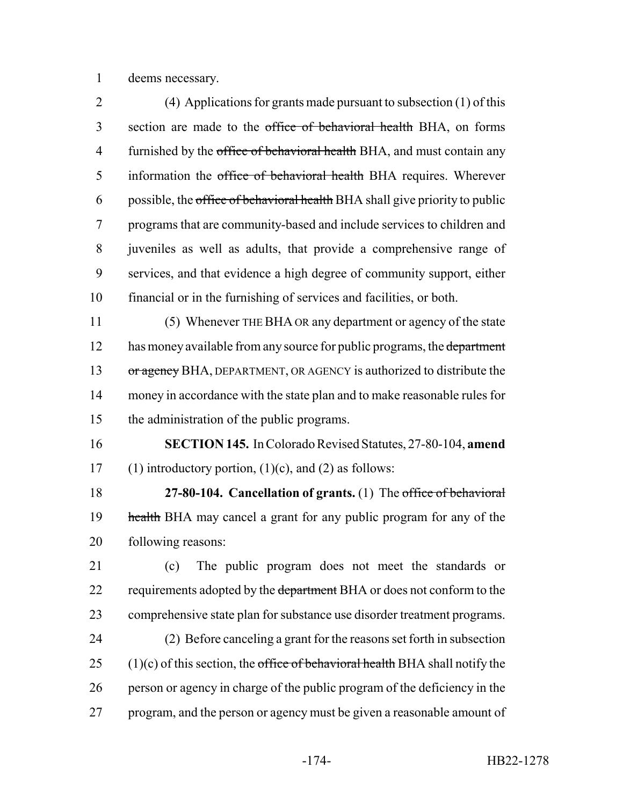deems necessary.

 (4) Applications for grants made pursuant to subsection (1) of this section are made to the office of behavioral health BHA, on forms 4 furnished by the office of behavioral health BHA, and must contain any 5 information the office of behavioral health BHA requires. Wherever 6 possible, the office of behavioral health BHA shall give priority to public programs that are community-based and include services to children and juveniles as well as adults, that provide a comprehensive range of services, and that evidence a high degree of community support, either financial or in the furnishing of services and facilities, or both.

 (5) Whenever THE BHA OR any department or agency of the state 12 has money available from any source for public programs, the department 13 or agency BHA, DEPARTMENT, OR AGENCY is authorized to distribute the money in accordance with the state plan and to make reasonable rules for the administration of the public programs.

 **SECTION 145.** In Colorado Revised Statutes, 27-80-104, **amend** 17 (1) introductory portion,  $(1)(c)$ , and  $(2)$  as follows:

 **27-80-104. Cancellation of grants.** (1) The office of behavioral 19 health BHA may cancel a grant for any public program for any of the following reasons:

 (c) The public program does not meet the standards or 22 requirements adopted by the department BHA or does not conform to the comprehensive state plan for substance use disorder treatment programs. (2) Before canceling a grant for the reasons set forth in subsection 25 (1)(c) of this section, the office of behavioral health BHA shall notify the

 person or agency in charge of the public program of the deficiency in the 27 program, and the person or agency must be given a reasonable amount of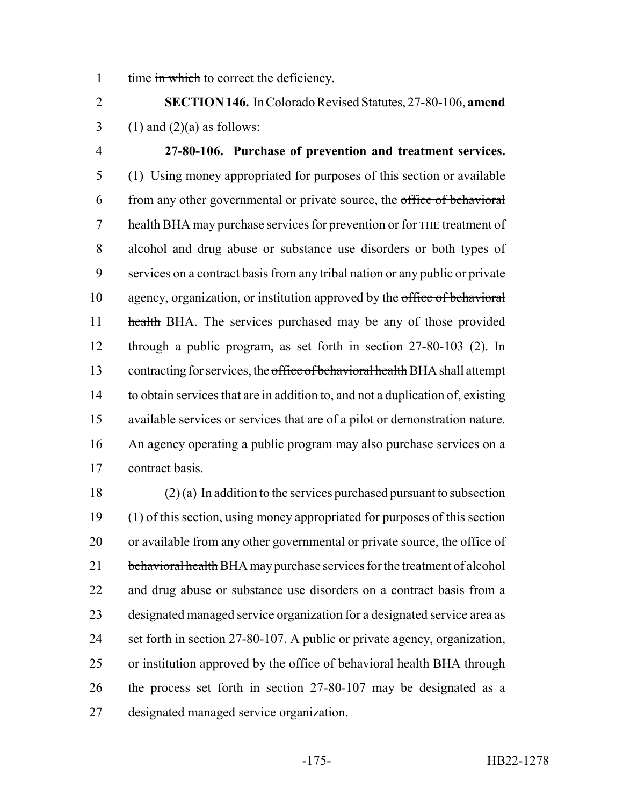1 time in which to correct the deficiency.

 **SECTION 146.** In Colorado Revised Statutes, 27-80-106, **amend** 3 (1) and  $(2)(a)$  as follows:

 **27-80-106. Purchase of prevention and treatment services.** (1) Using money appropriated for purposes of this section or available 6 from any other governmental or private source, the office of behavioral 7 health BHA may purchase services for prevention or for THE treatment of alcohol and drug abuse or substance use disorders or both types of services on a contract basis from any tribal nation or any public or private agency, organization, or institution approved by the office of behavioral 11 health BHA. The services purchased may be any of those provided through a public program, as set forth in section 27-80-103 (2). In 13 contracting for services, the office of behavioral health BHA shall attempt to obtain services that are in addition to, and not a duplication of, existing available services or services that are of a pilot or demonstration nature. An agency operating a public program may also purchase services on a contract basis.

 (2) (a) In addition to the services purchased pursuant to subsection (1) of this section, using money appropriated for purposes of this section 20 or available from any other governmental or private source, the office of 21 behavioral health BHA may purchase services for the treatment of alcohol and drug abuse or substance use disorders on a contract basis from a designated managed service organization for a designated service area as set forth in section 27-80-107. A public or private agency, organization, 25 or institution approved by the office of behavioral health BHA through the process set forth in section 27-80-107 may be designated as a designated managed service organization.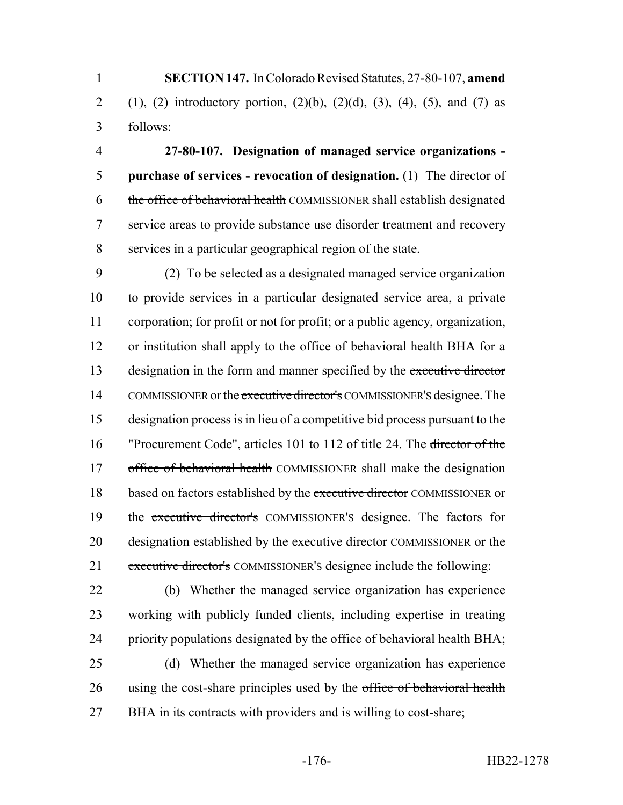1 **SECTION 147.** In Colorado Revised Statutes, 27-80-107, **amend** 2 (1), (2) introductory portion, (2)(b), (2)(d), (3), (4), (5), and (7) as 3 follows:

 **27-80-107. Designation of managed service organizations - purchase of services - revocation of designation.** (1) The director of 6 the office of behavioral health COMMISSIONER shall establish designated service areas to provide substance use disorder treatment and recovery services in a particular geographical region of the state.

9 (2) To be selected as a designated managed service organization 10 to provide services in a particular designated service area, a private 11 corporation; for profit or not for profit; or a public agency, organization, 12 or institution shall apply to the office of behavioral health BHA for a 13 designation in the form and manner specified by the executive director 14 COMMISSIONER or the executive director's COMMISSIONER's designee. The 15 designation process is in lieu of a competitive bid process pursuant to the 16 "Procurement Code", articles 101 to 112 of title 24. The <del>director of the</del> 17 office of behavioral health COMMISSIONER shall make the designation 18 based on factors established by the executive director COMMISSIONER or 19 the executive director's COMMISSIONER'S designee. The factors for 20 designation established by the executive director COMMISSIONER or the 21 executive director's COMMISSIONER's designee include the following:

22 (b) Whether the managed service organization has experience 23 working with publicly funded clients, including expertise in treating 24 priority populations designated by the office of behavioral health BHA;

25 (d) Whether the managed service organization has experience 26 using the cost-share principles used by the office of behavioral health 27 BHA in its contracts with providers and is willing to cost-share;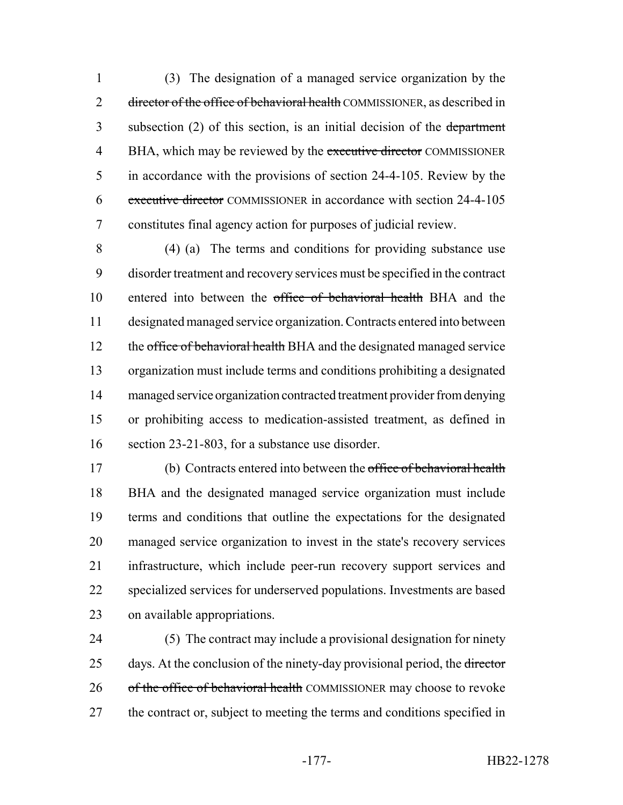(3) The designation of a managed service organization by the 2 director of the office of behavioral health COMMISSIONER, as described in 3 subsection (2) of this section, is an initial decision of the department 4 BHA, which may be reviewed by the executive director COMMISSIONER in accordance with the provisions of section 24-4-105. Review by the executive director COMMISSIONER in accordance with section 24-4-105 constitutes final agency action for purposes of judicial review.

 (4) (a) The terms and conditions for providing substance use disorder treatment and recovery services must be specified in the contract entered into between the office of behavioral health BHA and the designated managed service organization. Contracts entered into between 12 the office of behavioral health BHA and the designated managed service organization must include terms and conditions prohibiting a designated managed service organization contracted treatment provider from denying or prohibiting access to medication-assisted treatment, as defined in section 23-21-803, for a substance use disorder.

 (b) Contracts entered into between the office of behavioral health BHA and the designated managed service organization must include terms and conditions that outline the expectations for the designated managed service organization to invest in the state's recovery services infrastructure, which include peer-run recovery support services and specialized services for underserved populations. Investments are based on available appropriations.

 (5) The contract may include a provisional designation for ninety 25 days. At the conclusion of the ninety-day provisional period, the director 26 of the office of behavioral health COMMISSIONER may choose to revoke 27 the contract or, subject to meeting the terms and conditions specified in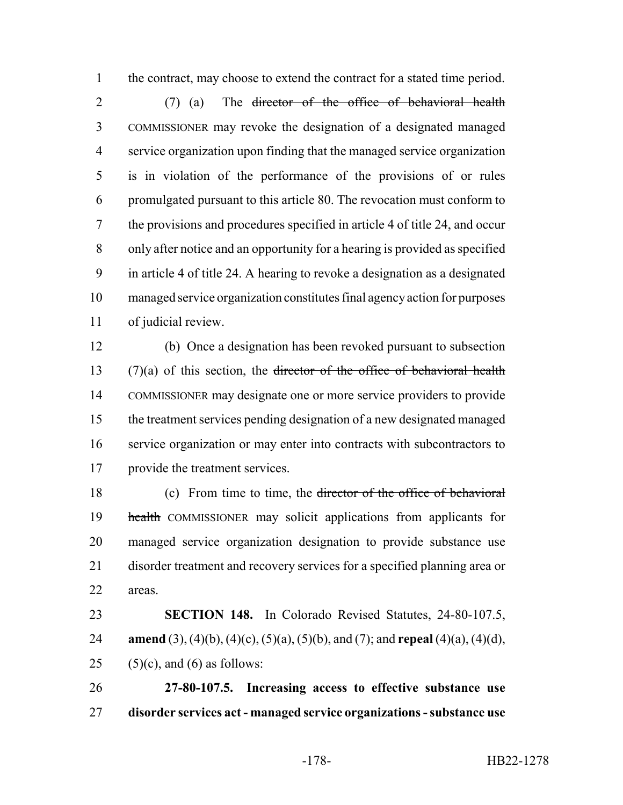the contract, may choose to extend the contract for a stated time period.

 (7) (a) The director of the office of behavioral health COMMISSIONER may revoke the designation of a designated managed service organization upon finding that the managed service organization is in violation of the performance of the provisions of or rules promulgated pursuant to this article 80. The revocation must conform to the provisions and procedures specified in article 4 of title 24, and occur only after notice and an opportunity for a hearing is provided as specified in article 4 of title 24. A hearing to revoke a designation as a designated managed service organization constitutes final agency action for purposes of judicial review.

 (b) Once a designation has been revoked pursuant to subsection  $(7)(a)$  of this section, the <del>director of the office of behavioral health</del> COMMISSIONER may designate one or more service providers to provide the treatment services pending designation of a new designated managed 16 service organization or may enter into contracts with subcontractors to provide the treatment services.

 (c) From time to time, the director of the office of behavioral 19 health COMMISSIONER may solicit applications from applicants for managed service organization designation to provide substance use disorder treatment and recovery services for a specified planning area or areas.

 **SECTION 148.** In Colorado Revised Statutes, 24-80-107.5, **amend** (3), (4)(b), (4)(c), (5)(a), (5)(b), and (7); and **repeal** (4)(a), (4)(d), 25 (5)(c), and (6) as follows:

 **27-80-107.5. Increasing access to effective substance use disorder services act - managed service organizations - substance use**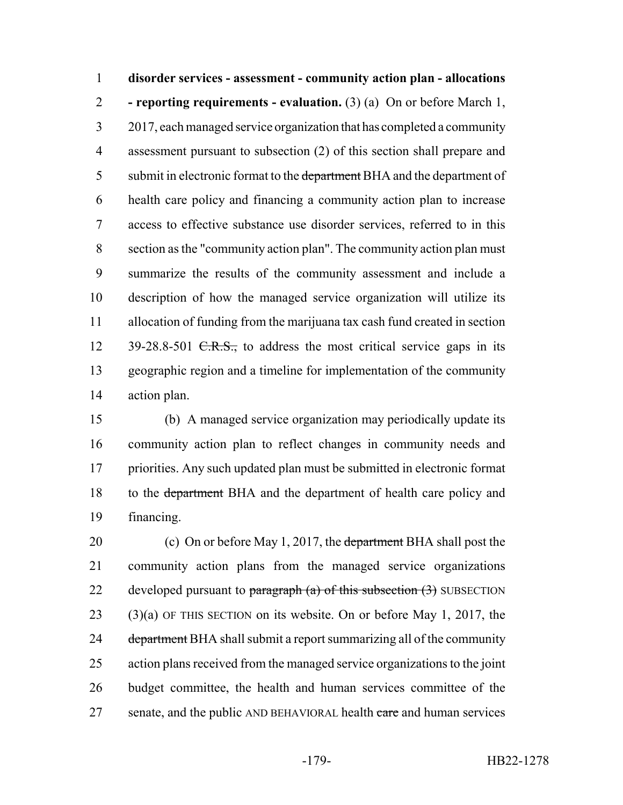**disorder services - assessment - community action plan - allocations - reporting requirements - evaluation.** (3) (a) On or before March 1, 2017, each managed service organization that has completed a community assessment pursuant to subsection (2) of this section shall prepare and 5 submit in electronic format to the department BHA and the department of health care policy and financing a community action plan to increase access to effective substance use disorder services, referred to in this section as the "community action plan". The community action plan must summarize the results of the community assessment and include a description of how the managed service organization will utilize its allocation of funding from the marijuana tax cash fund created in section 12 39-28.8-501 <del>C.R.S.,</del> to address the most critical service gaps in its geographic region and a timeline for implementation of the community action plan.

 (b) A managed service organization may periodically update its community action plan to reflect changes in community needs and priorities. Any such updated plan must be submitted in electronic format 18 to the <del>department</del> BHA and the department of health care policy and financing.

20 (c) On or before May 1, 2017, the department BHA shall post the community action plans from the managed service organizations 22 developed pursuant to paragraph  $(a)$  of this subsection  $(3)$  SUBSECTION (3)(a) OF THIS SECTION on its website. On or before May 1, 2017, the 24 department BHA shall submit a report summarizing all of the community action plans received from the managed service organizations to the joint budget committee, the health and human services committee of the 27 senate, and the public AND BEHAVIORAL health care and human services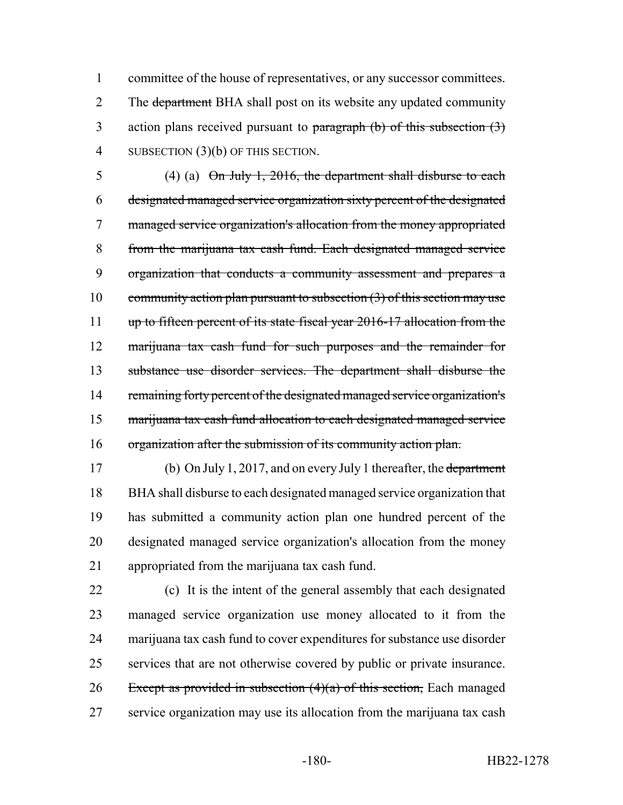committee of the house of representatives, or any successor committees. 2 The department BHA shall post on its website any updated community 3 action plans received pursuant to paragraph (b) of this subsection (3) 4 SUBSECTION (3)(b) OF THIS SECTION.

5 (4) (a)  $\Theta$ n July 1, 2016, the department shall disburse to each designated managed service organization sixty percent of the designated managed service organization's allocation from the money appropriated from the marijuana tax cash fund. Each designated managed service organization that conducts a community assessment and prepares a 10 community action plan pursuant to subsection  $(3)$  of this section may use up to fifteen percent of its state fiscal year 2016-17 allocation from the marijuana tax cash fund for such purposes and the remainder for substance use disorder services. The department shall disburse the 14 remaining forty percent of the designated managed service organization's marijuana tax cash fund allocation to each designated managed service organization after the submission of its community action plan.

 (b) On July 1, 2017, and on every July 1 thereafter, the department BHA shall disburse to each designated managed service organization that has submitted a community action plan one hundred percent of the designated managed service organization's allocation from the money appropriated from the marijuana tax cash fund.

 (c) It is the intent of the general assembly that each designated managed service organization use money allocated to it from the marijuana tax cash fund to cover expenditures for substance use disorder services that are not otherwise covered by public or private insurance. 26 Except as provided in subsection  $(4)(a)$  of this section, Each managed service organization may use its allocation from the marijuana tax cash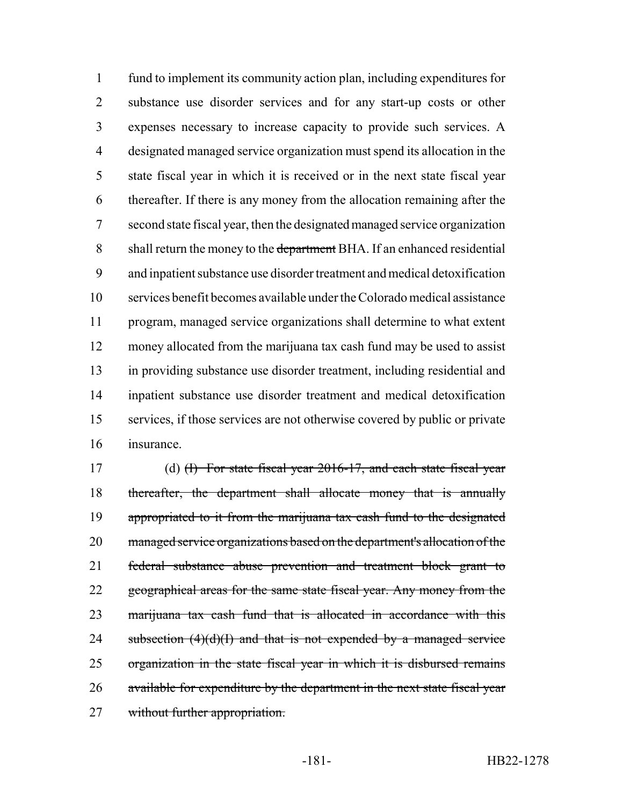fund to implement its community action plan, including expenditures for substance use disorder services and for any start-up costs or other expenses necessary to increase capacity to provide such services. A designated managed service organization must spend its allocation in the state fiscal year in which it is received or in the next state fiscal year thereafter. If there is any money from the allocation remaining after the second state fiscal year, then the designated managed service organization 8 shall return the money to the department BHA. If an enhanced residential and inpatient substance use disorder treatment and medical detoxification services benefit becomes available under the Colorado medical assistance program, managed service organizations shall determine to what extent money allocated from the marijuana tax cash fund may be used to assist in providing substance use disorder treatment, including residential and inpatient substance use disorder treatment and medical detoxification services, if those services are not otherwise covered by public or private insurance.

17 (d) <del>(I) For state fiscal year 2016-17, and each state fiscal year</del> 18 thereafter, the department shall allocate money that is annually appropriated to it from the marijuana tax cash fund to the designated managed service organizations based on the department's allocation of the federal substance abuse prevention and treatment block grant to 22 geographical areas for the same state fiscal year. Any money from the 23 marijuana tax cash fund that is allocated in accordance with this 24 subsection  $(4)(d)(I)$  and that is not expended by a managed service organization in the state fiscal year in which it is disbursed remains available for expenditure by the department in the next state fiscal year 27 without further appropriation.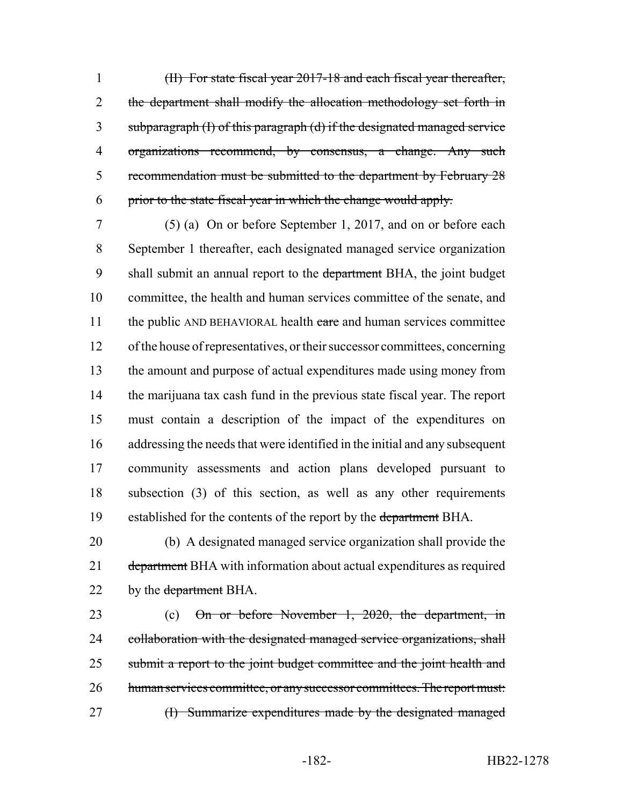(II) For state fiscal year 2017-18 and each fiscal year thereafter, 2 the department shall modify the allocation methodology set forth in subparagraph (I) of this paragraph (d) if the designated managed service organizations recommend, by consensus, a change. Any such recommendation must be submitted to the department by February 28 prior to the state fiscal year in which the change would apply.

 (5) (a) On or before September 1, 2017, and on or before each September 1 thereafter, each designated managed service organization 9 shall submit an annual report to the department BHA, the joint budget committee, the health and human services committee of the senate, and 11 the public AND BEHAVIORAL health care and human services committee of the house of representatives, or their successor committees, concerning the amount and purpose of actual expenditures made using money from the marijuana tax cash fund in the previous state fiscal year. The report must contain a description of the impact of the expenditures on addressing the needs that were identified in the initial and any subsequent community assessments and action plans developed pursuant to subsection (3) of this section, as well as any other requirements 19 established for the contents of the report by the department BHA.

20 (b) A designated managed service organization shall provide the 21 department BHA with information about actual expenditures as required 22 by the <del>department</del> BHA.

23 (c) On or before November 1, 2020, the department, in 24 collaboration with the designated managed service organizations, shall 25 submit a report to the joint budget committee and the joint health and 26 human services committee, or any successor committees. The report must: 27 (I) Summarize expenditures made by the designated managed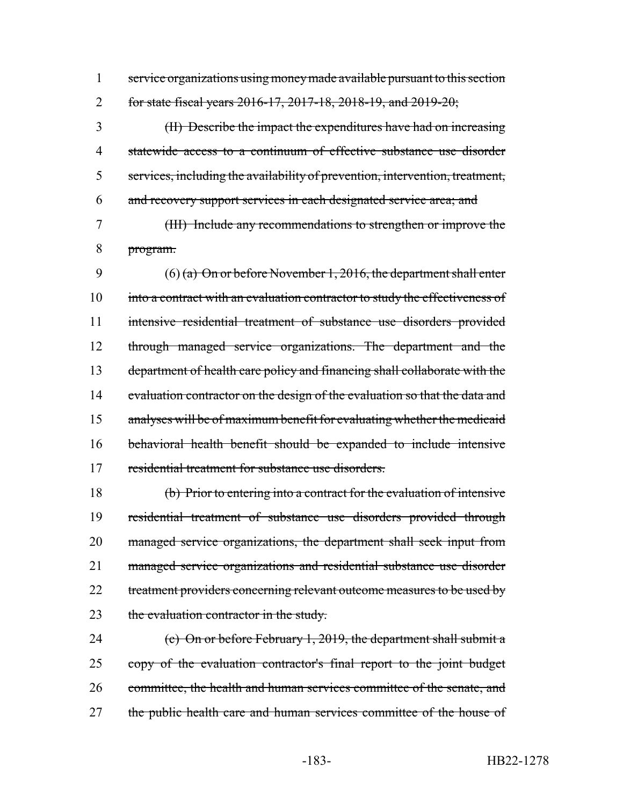service organizations using money made available pursuant to this section for state fiscal years 2016-17, 2017-18, 2018-19, and 2019-20;

 (II) Describe the impact the expenditures have had on increasing statewide access to a continuum of effective substance use disorder services, including the availability of prevention, intervention, treatment, and recovery support services in each designated service area; and

 (III) Include any recommendations to strengthen or improve the program.

9 (6) (a) On or before November 1, 2016, the department shall enter 10 into a contract with an evaluation contractor to study the effectiveness of intensive residential treatment of substance use disorders provided through managed service organizations. The department and the 13 department of health care policy and financing shall collaborate with the 14 evaluation contractor on the design of the evaluation so that the data and analyses will be of maximum benefit for evaluating whether the medicaid behavioral health benefit should be expanded to include intensive residential treatment for substance use disorders.

 (b) Prior to entering into a contract for the evaluation of intensive residential treatment of substance use disorders provided through managed service organizations, the department shall seek input from managed service organizations and residential substance use disorder 22 treatment providers concerning relevant outcome measures to be used by 23 the evaluation contractor in the study.

24 (c) On or before February 1, 2019, the department shall submit a 25 copy of the evaluation contractor's final report to the joint budget 26 committee, the health and human services committee of the senate, and 27 the public health care and human services committee of the house of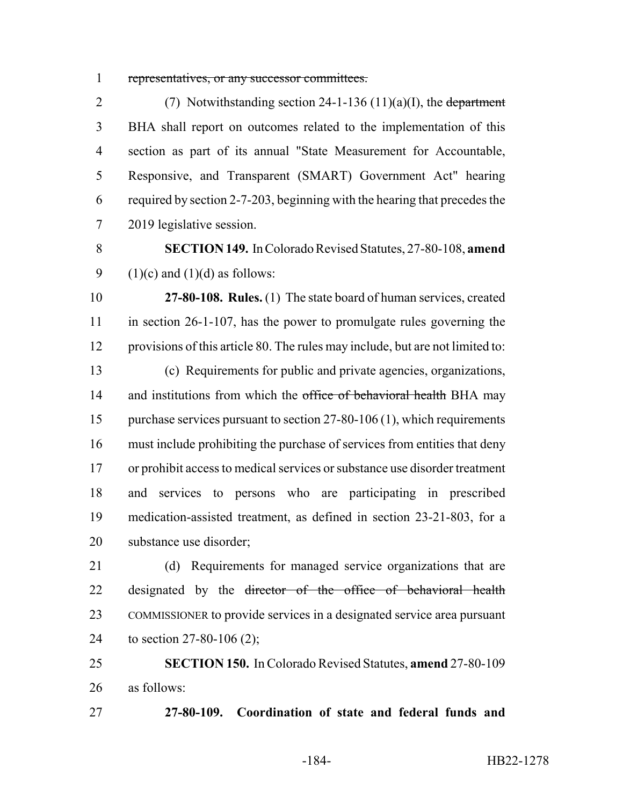representatives, or any successor committees.

2 (7) Notwithstanding section  $24-1-136 (11)(a)(I)$ , the department BHA shall report on outcomes related to the implementation of this section as part of its annual "State Measurement for Accountable, Responsive, and Transparent (SMART) Government Act" hearing required by section 2-7-203, beginning with the hearing that precedes the 2019 legislative session.

 **SECTION 149.** In Colorado Revised Statutes, 27-80-108, **amend** 9 (1)(c) and (1)(d) as follows:

 **27-80-108. Rules.** (1) The state board of human services, created in section 26-1-107, has the power to promulgate rules governing the provisions of this article 80. The rules may include, but are not limited to:

 (c) Requirements for public and private agencies, organizations, 14 and institutions from which the office of behavioral health BHA may 15 purchase services pursuant to section 27-80-106 (1), which requirements must include prohibiting the purchase of services from entities that deny or prohibit access to medical services or substance use disorder treatment and services to persons who are participating in prescribed medication-assisted treatment, as defined in section 23-21-803, for a substance use disorder;

 (d) Requirements for managed service organizations that are 22 designated by the <del>director of the office of behavioral health</del> COMMISSIONER to provide services in a designated service area pursuant to section 27-80-106 (2);

 **SECTION 150.** In Colorado Revised Statutes, **amend** 27-80-109 as follows:

**27-80-109. Coordination of state and federal funds and**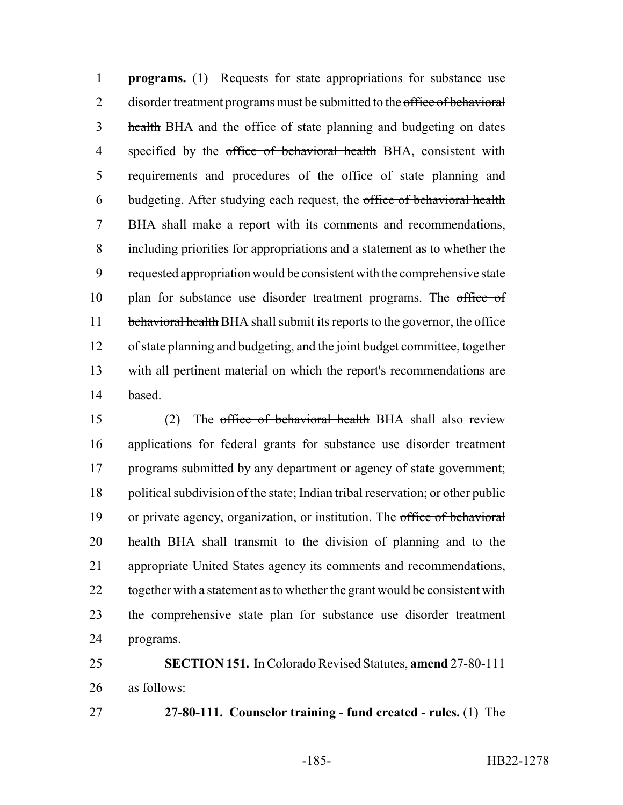**programs.** (1) Requests for state appropriations for substance use 2 disorder treatment programs must be submitted to the office of behavioral 3 health BHA and the office of state planning and budgeting on dates 4 specified by the office of behavioral health BHA, consistent with requirements and procedures of the office of state planning and budgeting. After studying each request, the office of behavioral health BHA shall make a report with its comments and recommendations, including priorities for appropriations and a statement as to whether the requested appropriation would be consistent with the comprehensive state 10 plan for substance use disorder treatment programs. The office of 11 behavioral health BHA shall submit its reports to the governor, the office of state planning and budgeting, and the joint budget committee, together with all pertinent material on which the report's recommendations are based.

 (2) The office of behavioral health BHA shall also review applications for federal grants for substance use disorder treatment programs submitted by any department or agency of state government; political subdivision of the state; Indian tribal reservation; or other public or private agency, organization, or institution. The office of behavioral 20 health BHA shall transmit to the division of planning and to the appropriate United States agency its comments and recommendations, 22 together with a statement as to whether the grant would be consistent with the comprehensive state plan for substance use disorder treatment programs.

 **SECTION 151.** In Colorado Revised Statutes, **amend** 27-80-111 as follows:

**27-80-111. Counselor training - fund created - rules.** (1) The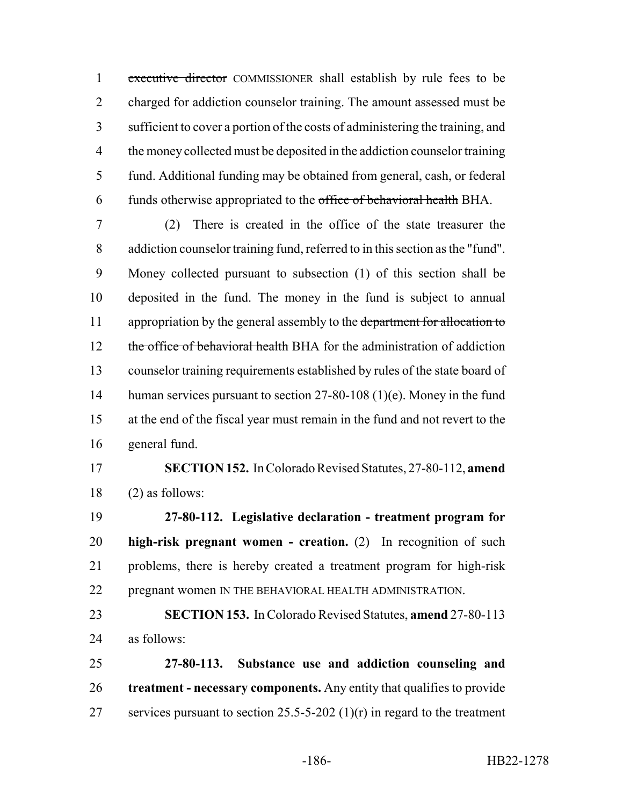executive director COMMISSIONER shall establish by rule fees to be charged for addiction counselor training. The amount assessed must be sufficient to cover a portion of the costs of administering the training, and 4 the money collected must be deposited in the addiction counsel or training fund. Additional funding may be obtained from general, cash, or federal 6 funds otherwise appropriated to the office of behavioral health BHA.

 (2) There is created in the office of the state treasurer the addiction counselor training fund, referred to in this section as the "fund". Money collected pursuant to subsection (1) of this section shall be deposited in the fund. The money in the fund is subject to annual 11 appropriation by the general assembly to the department for allocation to 12 the office of behavioral health BHA for the administration of addiction counselor training requirements established by rules of the state board of 14 human services pursuant to section 27-80-108 (1)(e). Money in the fund at the end of the fiscal year must remain in the fund and not revert to the general fund.

## **SECTION 152.** In Colorado Revised Statutes, 27-80-112, **amend** (2) as follows:

 **27-80-112. Legislative declaration - treatment program for high-risk pregnant women - creation.** (2) In recognition of such problems, there is hereby created a treatment program for high-risk pregnant women IN THE BEHAVIORAL HEALTH ADMINISTRATION.

 **SECTION 153.** In Colorado Revised Statutes, **amend** 27-80-113 as follows:

 **27-80-113. Substance use and addiction counseling and treatment - necessary components.** Any entity that qualifies to provide 27 services pursuant to section  $25.5 - 5 - 202$  (1)(r) in regard to the treatment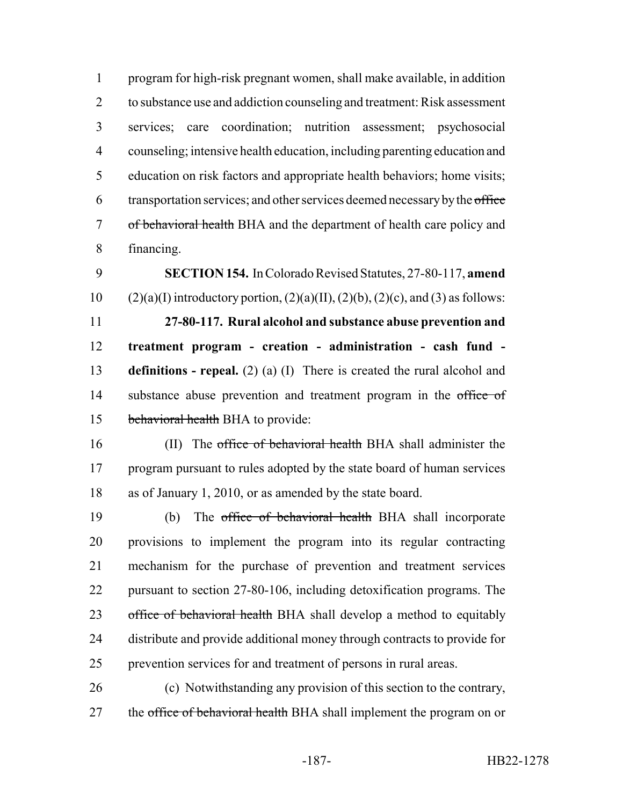program for high-risk pregnant women, shall make available, in addition to substance use and addiction counseling and treatment: Risk assessment services; care coordination; nutrition assessment; psychosocial counseling; intensive health education, including parenting education and education on risk factors and appropriate health behaviors; home visits; 6 transportation services; and other services deemed necessary by the office of behavioral health BHA and the department of health care policy and financing.

 **SECTION 154.** In Colorado Revised Statutes, 27-80-117, **amend** 10 (2)(a)(I) introductory portion,  $(2)(a)(II)$ ,  $(2)(b)$ ,  $(2)(c)$ , and  $(3)$  as follows: **27-80-117. Rural alcohol and substance abuse prevention and treatment program - creation - administration - cash fund - definitions - repeal.** (2) (a) (I) There is created the rural alcohol and 14 substance abuse prevention and treatment program in the office of behavioral health BHA to provide:

16 (II) The office of behavioral health BHA shall administer the 17 program pursuant to rules adopted by the state board of human services as of January 1, 2010, or as amended by the state board.

 (b) The office of behavioral health BHA shall incorporate provisions to implement the program into its regular contracting mechanism for the purchase of prevention and treatment services pursuant to section 27-80-106, including detoxification programs. The 23 office of behavioral health BHA shall develop a method to equitably distribute and provide additional money through contracts to provide for prevention services for and treatment of persons in rural areas.

 (c) Notwithstanding any provision of this section to the contrary, 27 the office of behavioral health BHA shall implement the program on or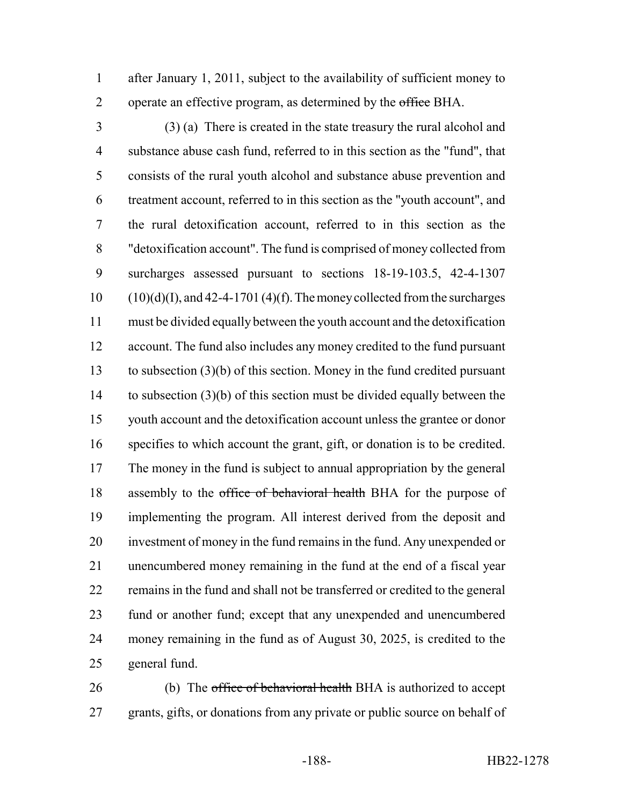after January 1, 2011, subject to the availability of sufficient money to 2 operate an effective program, as determined by the office BHA.

 (3) (a) There is created in the state treasury the rural alcohol and substance abuse cash fund, referred to in this section as the "fund", that consists of the rural youth alcohol and substance abuse prevention and treatment account, referred to in this section as the "youth account", and the rural detoxification account, referred to in this section as the "detoxification account". The fund is comprised of money collected from surcharges assessed pursuant to sections 18-19-103.5, 42-4-1307 (10)(d)(I), and 42-4-1701 (4)(f). The money collected from the surcharges must be divided equally between the youth account and the detoxification account. The fund also includes any money credited to the fund pursuant to subsection (3)(b) of this section. Money in the fund credited pursuant to subsection (3)(b) of this section must be divided equally between the youth account and the detoxification account unless the grantee or donor specifies to which account the grant, gift, or donation is to be credited. The money in the fund is subject to annual appropriation by the general 18 assembly to the office of behavioral health BHA for the purpose of implementing the program. All interest derived from the deposit and investment of money in the fund remains in the fund. Any unexpended or unencumbered money remaining in the fund at the end of a fiscal year remains in the fund and shall not be transferred or credited to the general fund or another fund; except that any unexpended and unencumbered money remaining in the fund as of August 30, 2025, is credited to the general fund.

26 (b) The office of behavioral health BHA is authorized to accept grants, gifts, or donations from any private or public source on behalf of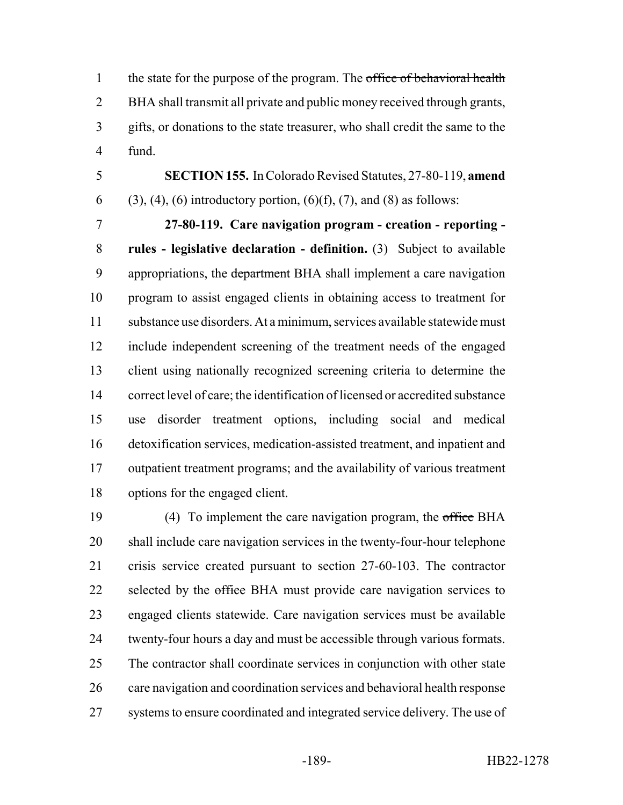1 the state for the purpose of the program. The office of behavioral health BHA shall transmit all private and public money received through grants, gifts, or donations to the state treasurer, who shall credit the same to the fund.

 **SECTION 155.** In Colorado Revised Statutes, 27-80-119, **amend** 6 (3), (4), (6) introductory portion,  $(6)(f)$ , (7), and (8) as follows:

 **27-80-119. Care navigation program - creation - reporting - rules - legislative declaration - definition.** (3) Subject to available 9 appropriations, the department BHA shall implement a care navigation program to assist engaged clients in obtaining access to treatment for substance use disorders. At a minimum, services available statewide must include independent screening of the treatment needs of the engaged client using nationally recognized screening criteria to determine the correct level of care; the identification of licensed or accredited substance use disorder treatment options, including social and medical detoxification services, medication-assisted treatment, and inpatient and outpatient treatment programs; and the availability of various treatment options for the engaged client.

19 (4) To implement the care navigation program, the office BHA shall include care navigation services in the twenty-four-hour telephone crisis service created pursuant to section 27-60-103. The contractor 22 selected by the office BHA must provide care navigation services to engaged clients statewide. Care navigation services must be available twenty-four hours a day and must be accessible through various formats. The contractor shall coordinate services in conjunction with other state care navigation and coordination services and behavioral health response systems to ensure coordinated and integrated service delivery. The use of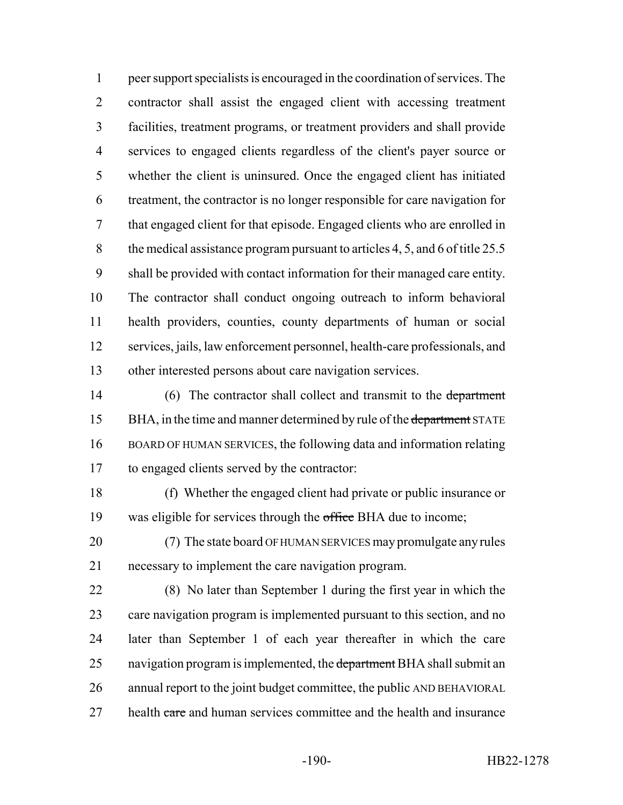peer support specialists is encouraged in the coordination of services. The contractor shall assist the engaged client with accessing treatment facilities, treatment programs, or treatment providers and shall provide services to engaged clients regardless of the client's payer source or whether the client is uninsured. Once the engaged client has initiated treatment, the contractor is no longer responsible for care navigation for that engaged client for that episode. Engaged clients who are enrolled in the medical assistance program pursuant to articles 4, 5, and 6 of title 25.5 shall be provided with contact information for their managed care entity. The contractor shall conduct ongoing outreach to inform behavioral health providers, counties, county departments of human or social services, jails, law enforcement personnel, health-care professionals, and other interested persons about care navigation services.

14 (6) The contractor shall collect and transmit to the department 15 BHA, in the time and manner determined by rule of the department STATE BOARD OF HUMAN SERVICES, the following data and information relating to engaged clients served by the contractor:

 (f) Whether the engaged client had private or public insurance or 19 was eligible for services through the office BHA due to income;

 (7) The state board OF HUMAN SERVICES may promulgate any rules necessary to implement the care navigation program.

 (8) No later than September 1 during the first year in which the 23 care navigation program is implemented pursuant to this section, and no later than September 1 of each year thereafter in which the care 25 navigation program is implemented, the department BHA shall submit an annual report to the joint budget committee, the public AND BEHAVIORAL 27 health care and human services committee and the health and insurance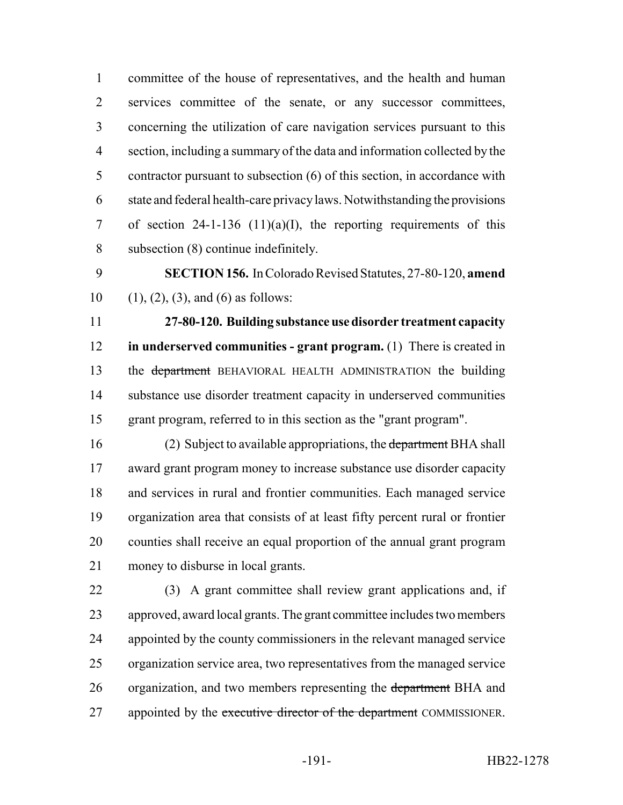committee of the house of representatives, and the health and human services committee of the senate, or any successor committees, concerning the utilization of care navigation services pursuant to this section, including a summary of the data and information collected by the contractor pursuant to subsection (6) of this section, in accordance with state and federal health-care privacy laws. Notwithstanding the provisions 7 of section 24-1-136 (11)(a)(I), the reporting requirements of this subsection (8) continue indefinitely.

 **SECTION 156.** In Colorado Revised Statutes, 27-80-120, **amend** 10 (1), (2), (3), and (6) as follows:

 **27-80-120. Building substance use disorder treatment capacity in underserved communities - grant program.** (1) There is created in 13 the department BEHAVIORAL HEALTH ADMINISTRATION the building substance use disorder treatment capacity in underserved communities grant program, referred to in this section as the "grant program".

16 (2) Subject to available appropriations, the department BHA shall award grant program money to increase substance use disorder capacity and services in rural and frontier communities. Each managed service organization area that consists of at least fifty percent rural or frontier counties shall receive an equal proportion of the annual grant program money to disburse in local grants.

 (3) A grant committee shall review grant applications and, if approved, award local grants. The grant committee includes two members appointed by the county commissioners in the relevant managed service organization service area, two representatives from the managed service 26 organization, and two members representing the department BHA and 27 appointed by the executive director of the department COMMISSIONER.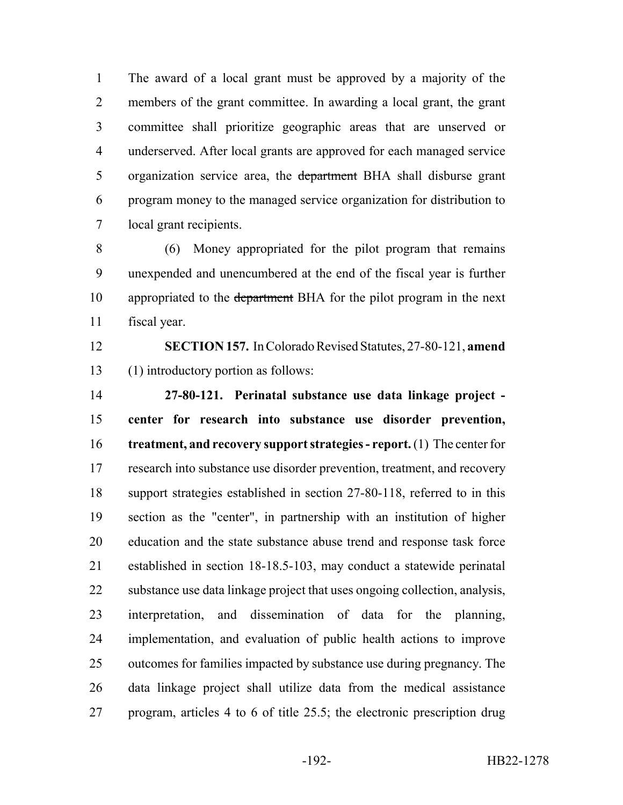The award of a local grant must be approved by a majority of the members of the grant committee. In awarding a local grant, the grant committee shall prioritize geographic areas that are unserved or underserved. After local grants are approved for each managed service 5 organization service area, the department BHA shall disburse grant program money to the managed service organization for distribution to local grant recipients.

 (6) Money appropriated for the pilot program that remains unexpended and unencumbered at the end of the fiscal year is further 10 appropriated to the department BHA for the pilot program in the next fiscal year.

 **SECTION 157.** In Colorado Revised Statutes, 27-80-121, **amend** (1) introductory portion as follows:

 **27-80-121. Perinatal substance use data linkage project - center for research into substance use disorder prevention, treatment, and recovery support strategies - report.** (1) The center for 17 research into substance use disorder prevention, treatment, and recovery support strategies established in section 27-80-118, referred to in this section as the "center", in partnership with an institution of higher education and the state substance abuse trend and response task force established in section 18-18.5-103, may conduct a statewide perinatal substance use data linkage project that uses ongoing collection, analysis, interpretation, and dissemination of data for the planning, implementation, and evaluation of public health actions to improve outcomes for families impacted by substance use during pregnancy. The data linkage project shall utilize data from the medical assistance program, articles 4 to 6 of title 25.5; the electronic prescription drug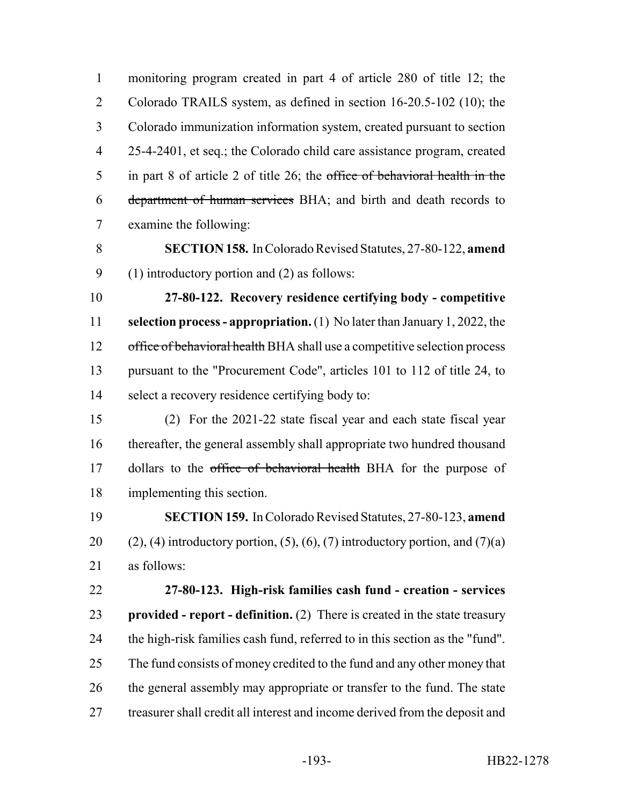monitoring program created in part 4 of article 280 of title 12; the Colorado TRAILS system, as defined in section 16-20.5-102 (10); the Colorado immunization information system, created pursuant to section 25-4-2401, et seq.; the Colorado child care assistance program, created in part 8 of article 2 of title 26; the office of behavioral health in the department of human services BHA; and birth and death records to examine the following: **SECTION 158.** In Colorado Revised Statutes, 27-80-122, **amend** (1) introductory portion and (2) as follows: **27-80-122. Recovery residence certifying body - competitive selection process - appropriation.** (1) No later than January 1, 2022, the 12 office of behavioral health BHA shall use a competitive selection process

 pursuant to the "Procurement Code", articles 101 to 112 of title 24, to select a recovery residence certifying body to:

 (2) For the 2021-22 state fiscal year and each state fiscal year thereafter, the general assembly shall appropriate two hundred thousand 17 dollars to the office of behavioral health BHA for the purpose of implementing this section.

 **SECTION 159.** In Colorado Revised Statutes, 27-80-123, **amend** 20 (2), (4) introductory portion, (5), (6), (7) introductory portion, and  $(7)(a)$ as follows:

 **27-80-123. High-risk families cash fund - creation - services provided - report - definition.** (2) There is created in the state treasury the high-risk families cash fund, referred to in this section as the "fund". 25 The fund consists of money credited to the fund and any other money that 26 the general assembly may appropriate or transfer to the fund. The state treasurer shall credit all interest and income derived from the deposit and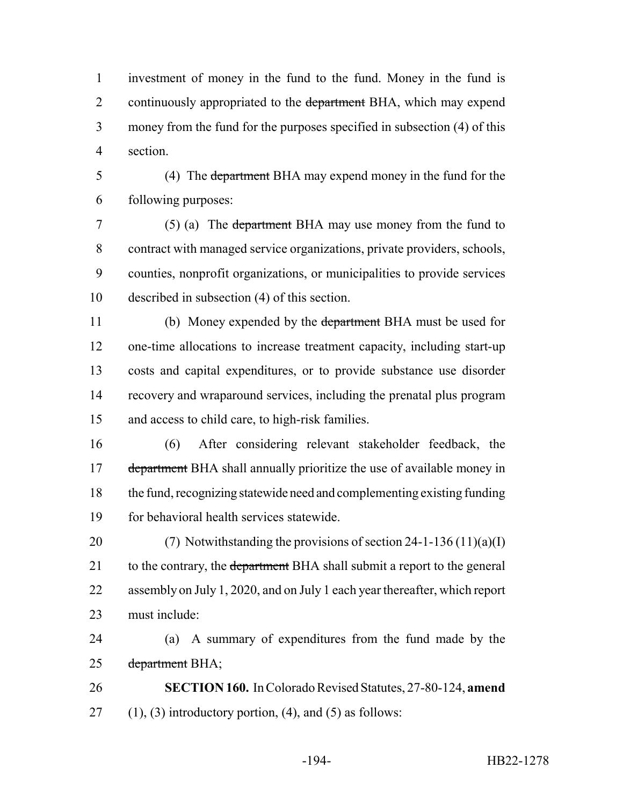investment of money in the fund to the fund. Money in the fund is 2 continuously appropriated to the department BHA, which may expend money from the fund for the purposes specified in subsection (4) of this section.

 (4) The department BHA may expend money in the fund for the following purposes:

 (5) (a) The department BHA may use money from the fund to contract with managed service organizations, private providers, schools, counties, nonprofit organizations, or municipalities to provide services described in subsection (4) of this section.

 (b) Money expended by the department BHA must be used for one-time allocations to increase treatment capacity, including start-up costs and capital expenditures, or to provide substance use disorder recovery and wraparound services, including the prenatal plus program and access to child care, to high-risk families.

 (6) After considering relevant stakeholder feedback, the 17 department BHA shall annually prioritize the use of available money in the fund, recognizing statewide need and complementing existing funding for behavioral health services statewide.

20 (7) Notwithstanding the provisions of section  $24-1-136(11)(a)(I)$ 21 to the contrary, the department BHA shall submit a report to the general assembly on July 1, 2020, and on July 1 each year thereafter, which report must include:

 (a) A summary of expenditures from the fund made by the 25 department BHA;

 **SECTION 160.** In Colorado Revised Statutes, 27-80-124, **amend** 27 (1), (3) introductory portion, (4), and (5) as follows: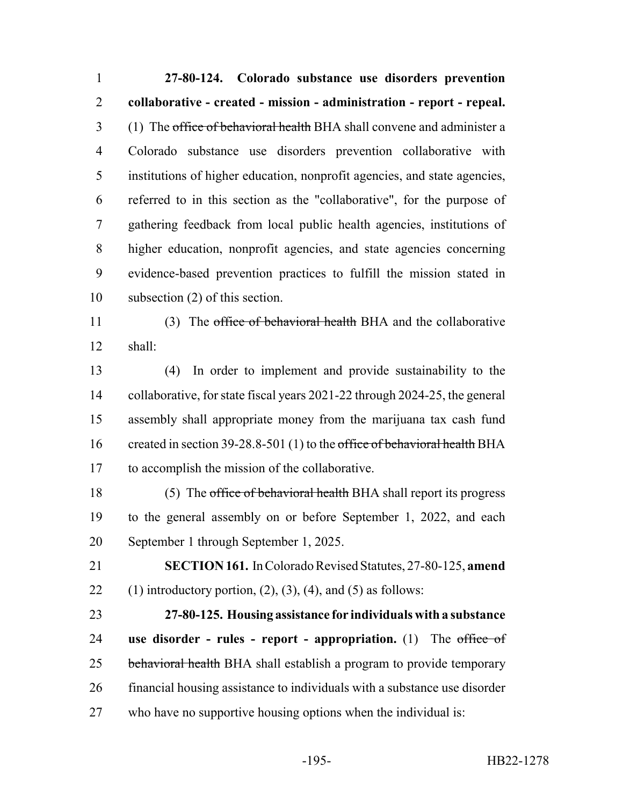**27-80-124. Colorado substance use disorders prevention collaborative - created - mission - administration - report - repeal.** 3 (1) The office of behavioral health BHA shall convene and administer a Colorado substance use disorders prevention collaborative with institutions of higher education, nonprofit agencies, and state agencies, referred to in this section as the "collaborative", for the purpose of gathering feedback from local public health agencies, institutions of higher education, nonprofit agencies, and state agencies concerning evidence-based prevention practices to fulfill the mission stated in subsection (2) of this section. 11 (3) The office of behavioral health BHA and the collaborative shall:

 (4) In order to implement and provide sustainability to the collaborative, for state fiscal years 2021-22 through 2024-25, the general assembly shall appropriate money from the marijuana tax cash fund 16 created in section 39-28.8-501 (1) to the office of behavioral health BHA to accomplish the mission of the collaborative.

18 (5) The office of behavioral health BHA shall report its progress to the general assembly on or before September 1, 2022, and each September 1 through September 1, 2025.

 **SECTION 161.** In Colorado Revised Statutes, 27-80-125, **amend** 22 (1) introductory portion,  $(2)$ ,  $(3)$ ,  $(4)$ , and  $(5)$  as follows:

 **27-80-125. Housing assistance for individuals with a substance use disorder - rules - report - appropriation.** (1) The office of 25 behavioral health BHA shall establish a program to provide temporary financial housing assistance to individuals with a substance use disorder who have no supportive housing options when the individual is: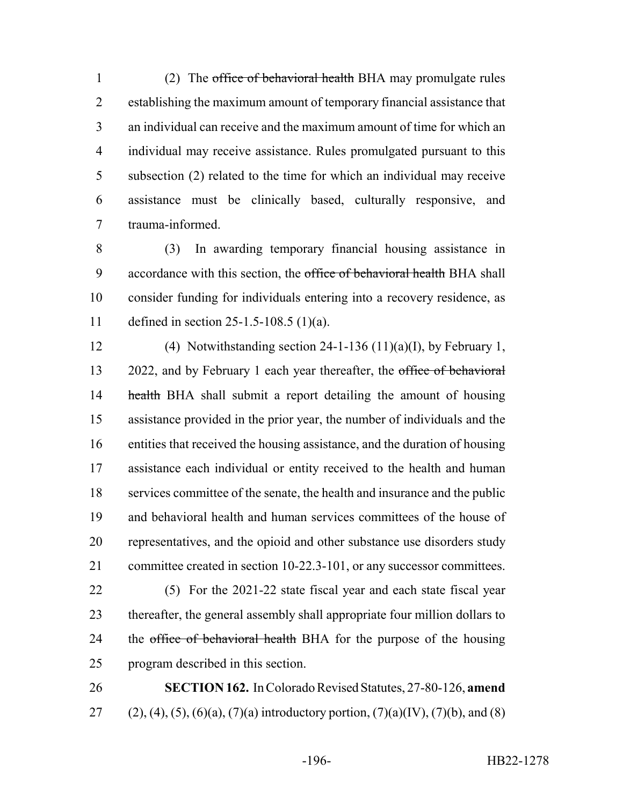1 (2) The office of behavioral health BHA may promulgate rules establishing the maximum amount of temporary financial assistance that an individual can receive and the maximum amount of time for which an individual may receive assistance. Rules promulgated pursuant to this subsection (2) related to the time for which an individual may receive assistance must be clinically based, culturally responsive, and trauma-informed.

 (3) In awarding temporary financial housing assistance in 9 accordance with this section, the office of behavioral health BHA shall consider funding for individuals entering into a recovery residence, as defined in section 25-1.5-108.5 (1)(a).

 (4) Notwithstanding section 24-1-136 (11)(a)(I), by February 1, 13 2022, and by February 1 each year thereafter, the office of behavioral **health** BHA shall submit a report detailing the amount of housing assistance provided in the prior year, the number of individuals and the entities that received the housing assistance, and the duration of housing assistance each individual or entity received to the health and human services committee of the senate, the health and insurance and the public and behavioral health and human services committees of the house of representatives, and the opioid and other substance use disorders study committee created in section 10-22.3-101, or any successor committees. (5) For the 2021-22 state fiscal year and each state fiscal year thereafter, the general assembly shall appropriate four million dollars to 24 the office of behavioral health BHA for the purpose of the housing program described in this section.

 **SECTION 162.** In Colorado Revised Statutes, 27-80-126, **amend** 27 (2), (4), (5), (6)(a), (7)(a) introductory portion, (7)(a)(IV), (7)(b), and (8)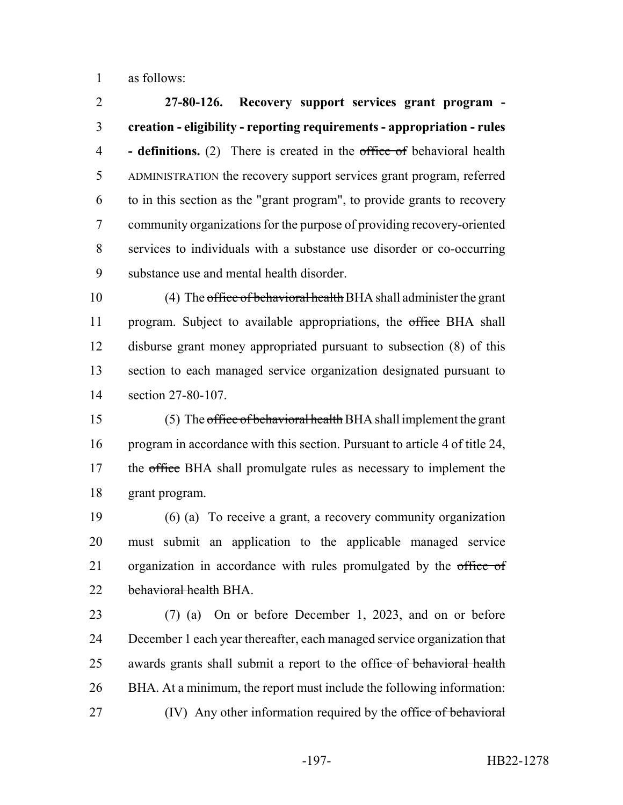as follows:

 **27-80-126. Recovery support services grant program - creation - eligibility - reporting requirements - appropriation - rules - definitions.** (2) There is created in the office of behavioral health ADMINISTRATION the recovery support services grant program, referred to in this section as the "grant program", to provide grants to recovery community organizations for the purpose of providing recovery-oriented services to individuals with a substance use disorder or co-occurring substance use and mental health disorder.

 (4) The office of behavioral health BHA shall administer the grant 11 program. Subject to available appropriations, the office BHA shall disburse grant money appropriated pursuant to subsection (8) of this section to each managed service organization designated pursuant to section 27-80-107.

 (5) The office of behavioral health BHA shall implement the grant program in accordance with this section. Pursuant to article 4 of title 24, 17 the office BHA shall promulgate rules as necessary to implement the grant program.

 (6) (a) To receive a grant, a recovery community organization must submit an application to the applicable managed service 21 organization in accordance with rules promulgated by the office of 22 behavioral health BHA.

 (7) (a) On or before December 1, 2023, and on or before December 1 each year thereafter, each managed service organization that 25 awards grants shall submit a report to the office of behavioral health BHA. At a minimum, the report must include the following information: 27 (IV) Any other information required by the office of behavioral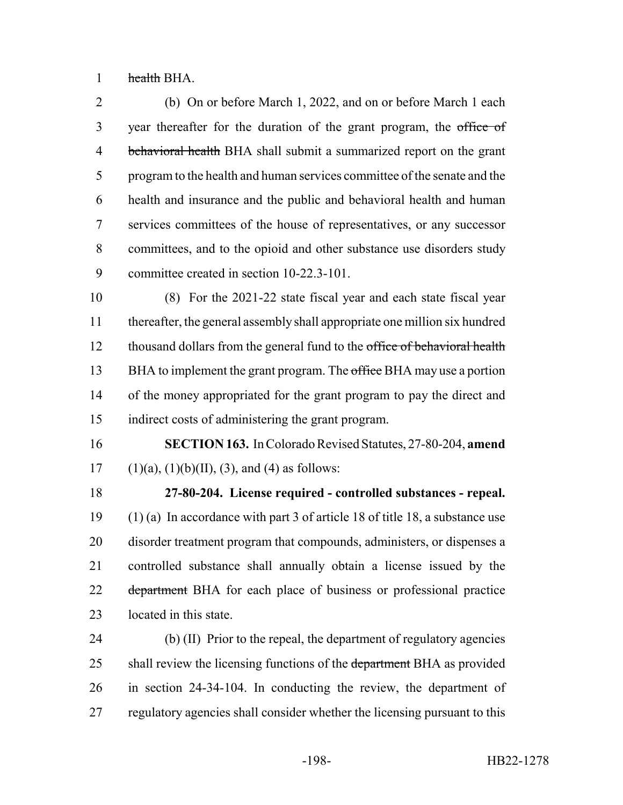health BHA.

 (b) On or before March 1, 2022, and on or before March 1 each 3 year thereafter for the duration of the grant program, the office of 4 behavioral health BHA shall submit a summarized report on the grant program to the health and human services committee of the senate and the health and insurance and the public and behavioral health and human services committees of the house of representatives, or any successor committees, and to the opioid and other substance use disorders study committee created in section 10-22.3-101.

 (8) For the 2021-22 state fiscal year and each state fiscal year thereafter, the general assembly shall appropriate one million six hundred 12 thousand dollars from the general fund to the office of behavioral health 13 BHA to implement the grant program. The office BHA may use a portion of the money appropriated for the grant program to pay the direct and indirect costs of administering the grant program.

 **SECTION 163.** In Colorado Revised Statutes, 27-80-204, **amend** 17 (1)(a), (1)(b)(II), (3), and (4) as follows:

 **27-80-204. License required - controlled substances - repeal.** (1) (a) In accordance with part 3 of article 18 of title 18, a substance use disorder treatment program that compounds, administers, or dispenses a controlled substance shall annually obtain a license issued by the 22 department BHA for each place of business or professional practice located in this state.

 (b) (II) Prior to the repeal, the department of regulatory agencies 25 shall review the licensing functions of the department BHA as provided in section 24-34-104. In conducting the review, the department of regulatory agencies shall consider whether the licensing pursuant to this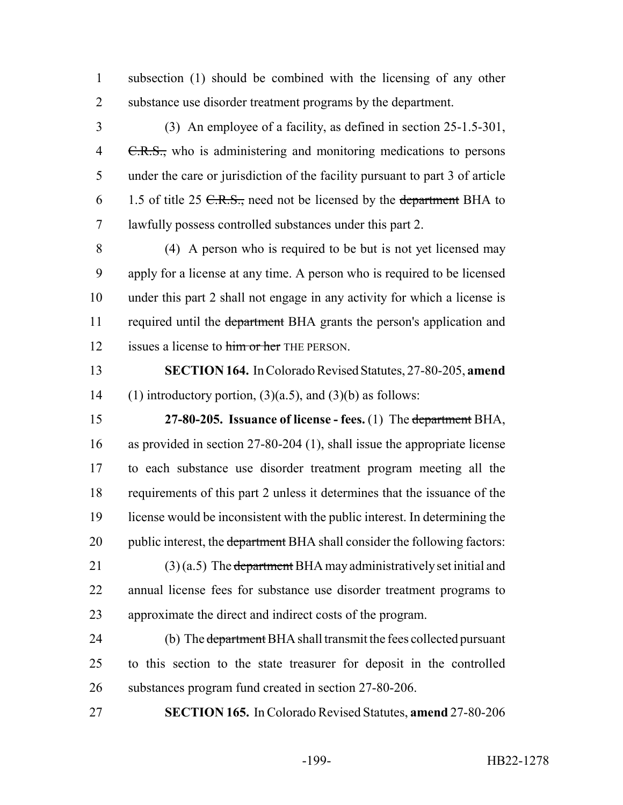subsection (1) should be combined with the licensing of any other substance use disorder treatment programs by the department.

 (3) An employee of a facility, as defined in section 25-1.5-301, 4 C.R.S., who is administering and monitoring medications to persons under the care or jurisdiction of the facility pursuant to part 3 of article 6 1.5 of title 25  $C.R.S.,$  need not be licensed by the department BHA to lawfully possess controlled substances under this part 2.

 (4) A person who is required to be but is not yet licensed may apply for a license at any time. A person who is required to be licensed under this part 2 shall not engage in any activity for which a license is 11 required until the department BHA grants the person's application and 12 issues a license to him or her THE PERSON.

 **SECTION 164.** In Colorado Revised Statutes, 27-80-205, **amend** 14 (1) introductory portion,  $(3)(a.5)$ , and  $(3)(b)$  as follows:

 **27-80-205. Issuance of license - fees.** (1) The department BHA, as provided in section 27-80-204 (1), shall issue the appropriate license to each substance use disorder treatment program meeting all the requirements of this part 2 unless it determines that the issuance of the license would be inconsistent with the public interest. In determining the 20 public interest, the department BHA shall consider the following factors: 21 (3) (a.5) The department BHA may administratively set initial and annual license fees for substance use disorder treatment programs to

approximate the direct and indirect costs of the program.

24 (b) The department BHA shall transmit the fees collected pursuant to this section to the state treasurer for deposit in the controlled substances program fund created in section 27-80-206.

**SECTION 165.** In Colorado Revised Statutes, **amend** 27-80-206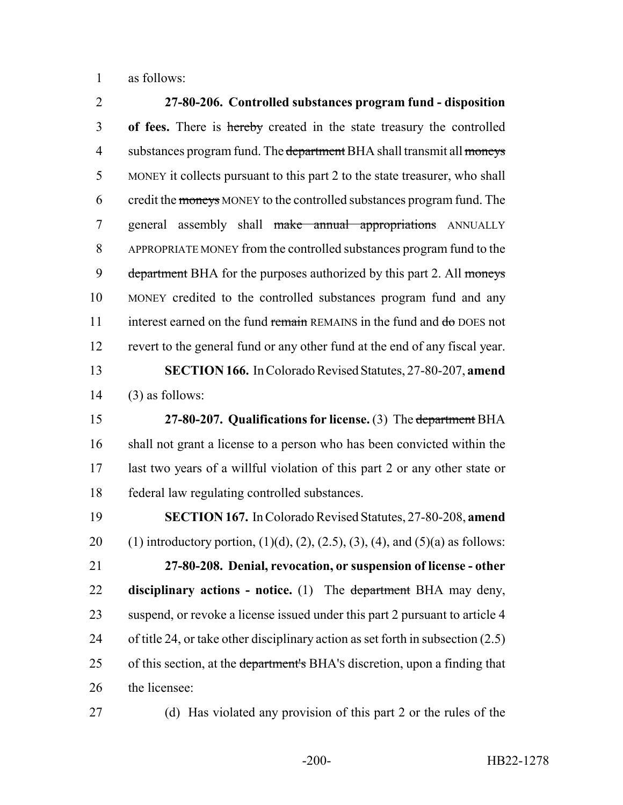as follows:

 **27-80-206. Controlled substances program fund - disposition of fees.** There is hereby created in the state treasury the controlled 4 substances program fund. The department BHA shall transmit all moneys MONEY it collects pursuant to this part 2 to the state treasurer, who shall 6 credit the moneys MONEY to the controlled substances program fund. The 7 general assembly shall make annual appropriations ANNUALLY APPROPRIATE MONEY from the controlled substances program fund to the 9 department BHA for the purposes authorized by this part 2. All moneys MONEY credited to the controlled substances program fund and any 11 interest earned on the fund remain REMAINS in the fund and do DOES not revert to the general fund or any other fund at the end of any fiscal year. **SECTION 166.** In Colorado Revised Statutes, 27-80-207, **amend** (3) as follows: **27-80-207. Qualifications for license.** (3) The department BHA shall not grant a license to a person who has been convicted within the last two years of a willful violation of this part 2 or any other state or federal law regulating controlled substances. **SECTION 167.** In Colorado Revised Statutes, 27-80-208, **amend** 20 (1) introductory portion,  $(1)(d)$ ,  $(2)$ ,  $(2.5)$ ,  $(3)$ ,  $(4)$ , and  $(5)(a)$  as follows: **27-80-208. Denial, revocation, or suspension of license - other disciplinary actions - notice.** (1) The department BHA may deny, 23 suspend, or revoke a license issued under this part 2 pursuant to article 4 of title 24, or take other disciplinary action as set forth in subsection (2.5) 25 of this section, at the department's BHA's discretion, upon a finding that the licensee:

(d) Has violated any provision of this part 2 or the rules of the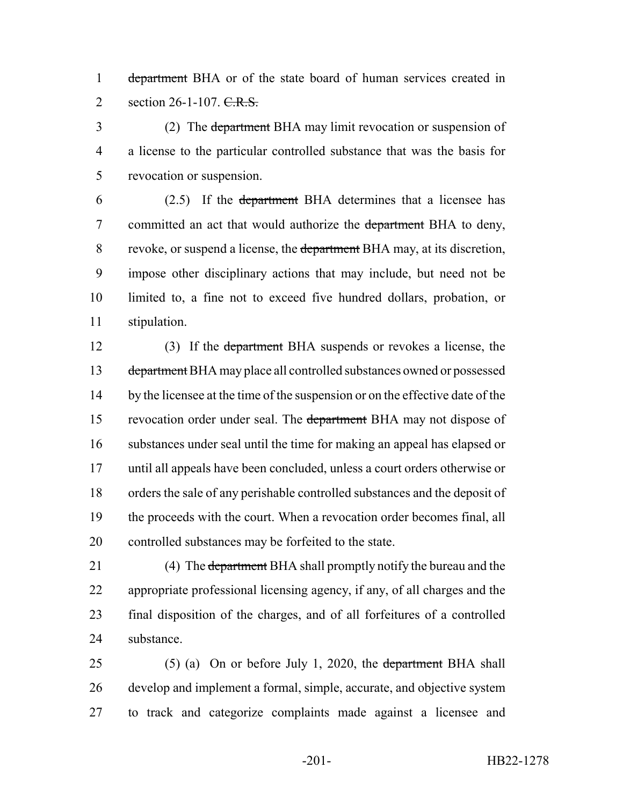1 department BHA or of the state board of human services created in 2 section 26-1-107. C.R.S.

3 (2) The department BHA may limit revocation or suspension of a license to the particular controlled substance that was the basis for revocation or suspension.

 (2.5) If the department BHA determines that a licensee has 7 committed an act that would authorize the department BHA to deny, 8 revoke, or suspend a license, the department BHA may, at its discretion, impose other disciplinary actions that may include, but need not be limited to, a fine not to exceed five hundred dollars, probation, or stipulation.

 (3) If the department BHA suspends or revokes a license, the 13 department BHA may place all controlled substances owned or possessed 14 by the licensee at the time of the suspension or on the effective date of the 15 revocation order under seal. The department BHA may not dispose of substances under seal until the time for making an appeal has elapsed or until all appeals have been concluded, unless a court orders otherwise or orders the sale of any perishable controlled substances and the deposit of the proceeds with the court. When a revocation order becomes final, all controlled substances may be forfeited to the state.

21 (4) The department BHA shall promptly notify the bureau and the appropriate professional licensing agency, if any, of all charges and the final disposition of the charges, and of all forfeitures of a controlled substance.

25 (5) (a) On or before July 1, 2020, the department BHA shall develop and implement a formal, simple, accurate, and objective system to track and categorize complaints made against a licensee and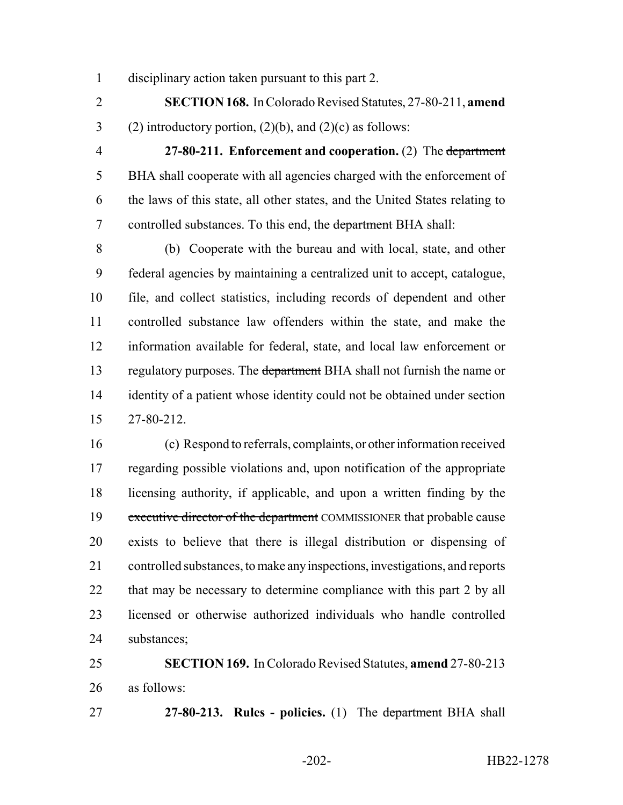disciplinary action taken pursuant to this part 2.

 **SECTION 168.** In Colorado Revised Statutes, 27-80-211, **amend** 3 (2) introductory portion,  $(2)(b)$ , and  $(2)(c)$  as follows:

 **27-80-211. Enforcement and cooperation.** (2) The department BHA shall cooperate with all agencies charged with the enforcement of the laws of this state, all other states, and the United States relating to 7 controlled substances. To this end, the department BHA shall:

 (b) Cooperate with the bureau and with local, state, and other federal agencies by maintaining a centralized unit to accept, catalogue, file, and collect statistics, including records of dependent and other controlled substance law offenders within the state, and make the information available for federal, state, and local law enforcement or 13 regulatory purposes. The department BHA shall not furnish the name or 14 identity of a patient whose identity could not be obtained under section 27-80-212.

 (c) Respond to referrals, complaints, or other information received regarding possible violations and, upon notification of the appropriate licensing authority, if applicable, and upon a written finding by the 19 executive director of the department COMMISSIONER that probable cause exists to believe that there is illegal distribution or dispensing of controlled substances, to make any inspections, investigations, and reports 22 that may be necessary to determine compliance with this part 2 by all licensed or otherwise authorized individuals who handle controlled substances;

 **SECTION 169.** In Colorado Revised Statutes, **amend** 27-80-213 as follows:

**27-80-213. Rules - policies.** (1) The department BHA shall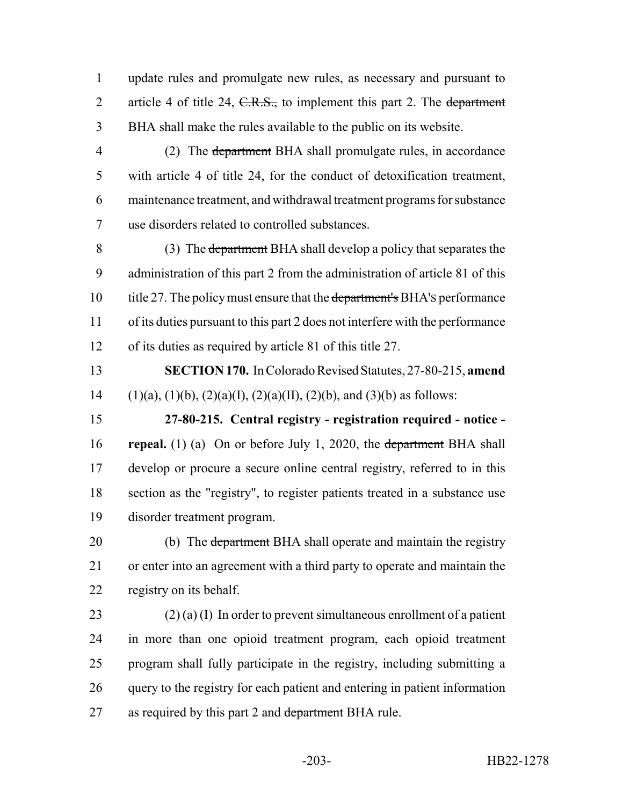update rules and promulgate new rules, as necessary and pursuant to 2 article 4 of title 24, C.R.S., to implement this part 2. The department BHA shall make the rules available to the public on its website.

4 (2) The department BHA shall promulgate rules, in accordance with article 4 of title 24, for the conduct of detoxification treatment, maintenance treatment, and withdrawal treatment programs for substance use disorders related to controlled substances.

 (3) The department BHA shall develop a policy that separates the administration of this part 2 from the administration of article 81 of this 10 title 27. The policy must ensure that the department's BHA's performance of its duties pursuant to this part 2 does not interfere with the performance of its duties as required by article 81 of this title 27.

 **SECTION 170.** In Colorado Revised Statutes, 27-80-215, **amend** 14 (1)(a), (1)(b), (2)(a)(I), (2)(a)(II), (2)(b), and (3)(b) as follows:

 **27-80-215. Central registry - registration required - notice - repeal.** (1) (a) On or before July 1, 2020, the department BHA shall develop or procure a secure online central registry, referred to in this section as the "registry", to register patients treated in a substance use disorder treatment program.

20 (b) The department BHA shall operate and maintain the registry or enter into an agreement with a third party to operate and maintain the registry on its behalf.

23 (2) (a) (I) In order to prevent simultaneous enrollment of a patient in more than one opioid treatment program, each opioid treatment program shall fully participate in the registry, including submitting a query to the registry for each patient and entering in patient information 27 as required by this part 2 and department BHA rule.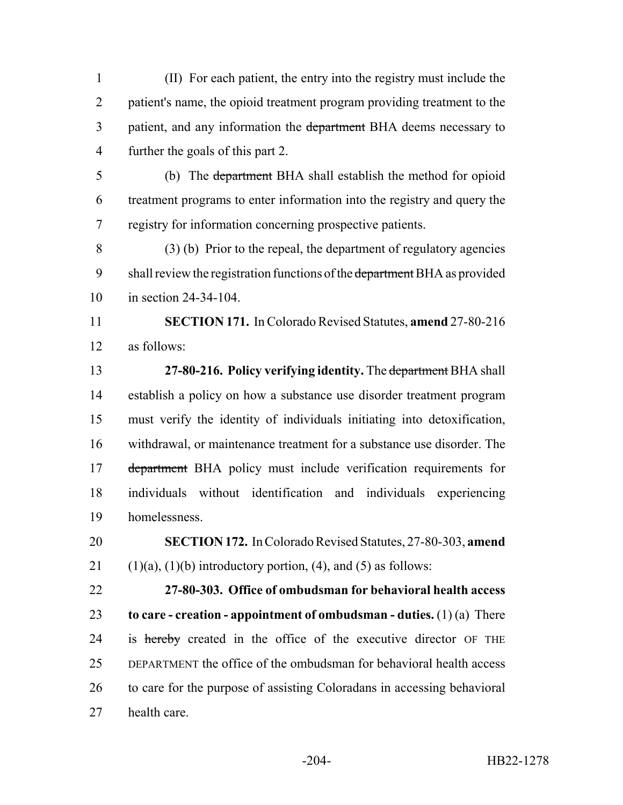(II) For each patient, the entry into the registry must include the patient's name, the opioid treatment program providing treatment to the 3 patient, and any information the department BHA deems necessary to further the goals of this part 2.

 (b) The department BHA shall establish the method for opioid treatment programs to enter information into the registry and query the registry for information concerning prospective patients.

 (3) (b) Prior to the repeal, the department of regulatory agencies 9 shall review the registration functions of the department BHA as provided in section 24-34-104.

 **SECTION 171.** In Colorado Revised Statutes, **amend** 27-80-216 as follows:

 **27-80-216. Policy verifying identity.** The department BHA shall establish a policy on how a substance use disorder treatment program must verify the identity of individuals initiating into detoxification, withdrawal, or maintenance treatment for a substance use disorder. The 17 department BHA policy must include verification requirements for individuals without identification and individuals experiencing homelessness.

 **SECTION 172.** In Colorado Revised Statutes, 27-80-303, **amend** 21  $(1)(a)$ ,  $(1)(b)$  introductory portion,  $(4)$ , and  $(5)$  as follows:

 **27-80-303. Office of ombudsman for behavioral health access to care - creation - appointment of ombudsman - duties.** (1) (a) There 24 is hereby created in the office of the executive director OF THE DEPARTMENT the office of the ombudsman for behavioral health access to care for the purpose of assisting Coloradans in accessing behavioral health care.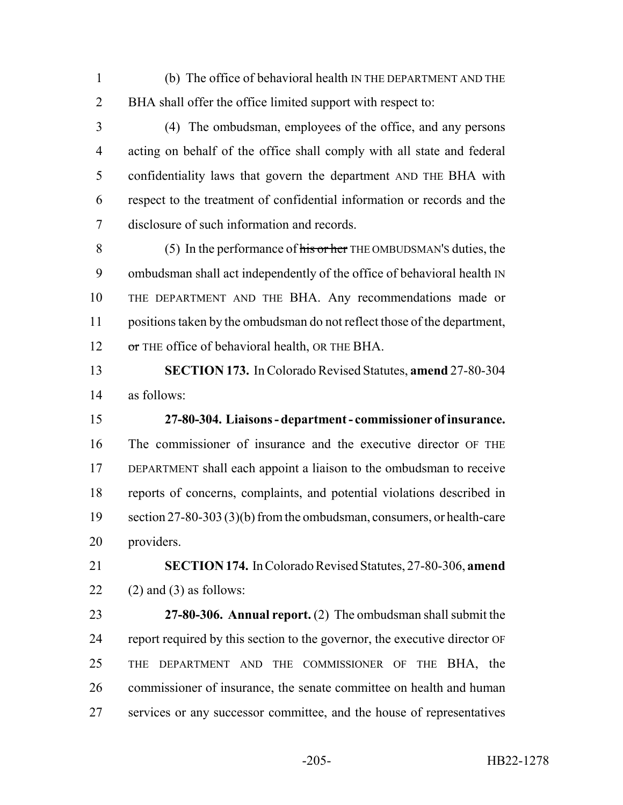- (b) The office of behavioral health IN THE DEPARTMENT AND THE BHA shall offer the office limited support with respect to:
- (4) The ombudsman, employees of the office, and any persons acting on behalf of the office shall comply with all state and federal confidentiality laws that govern the department AND THE BHA with respect to the treatment of confidential information or records and the disclosure of such information and records.

8 (5) In the performance of  $\frac{1}{10}$  is or her THE OMBUDSMAN's duties, the ombudsman shall act independently of the office of behavioral health IN THE DEPARTMENT AND THE BHA. Any recommendations made or positions taken by the ombudsman do not reflect those of the department, or THE office of behavioral health, OR THE BHA.

- **SECTION 173.** In Colorado Revised Statutes, **amend** 27-80-304 as follows:
- **27-80-304. Liaisons department commissioner of insurance.** The commissioner of insurance and the executive director OF THE DEPARTMENT shall each appoint a liaison to the ombudsman to receive reports of concerns, complaints, and potential violations described in 19 section 27-80-303 (3)(b) from the ombudsman, consumers, or health-care providers.
- **SECTION 174.** In Colorado Revised Statutes, 27-80-306, **amend** (2) and (3) as follows:
- **27-80-306. Annual report.** (2) The ombudsman shall submit the report required by this section to the governor, the executive director OF THE DEPARTMENT AND THE COMMISSIONER OF THE BHA, the commissioner of insurance, the senate committee on health and human services or any successor committee, and the house of representatives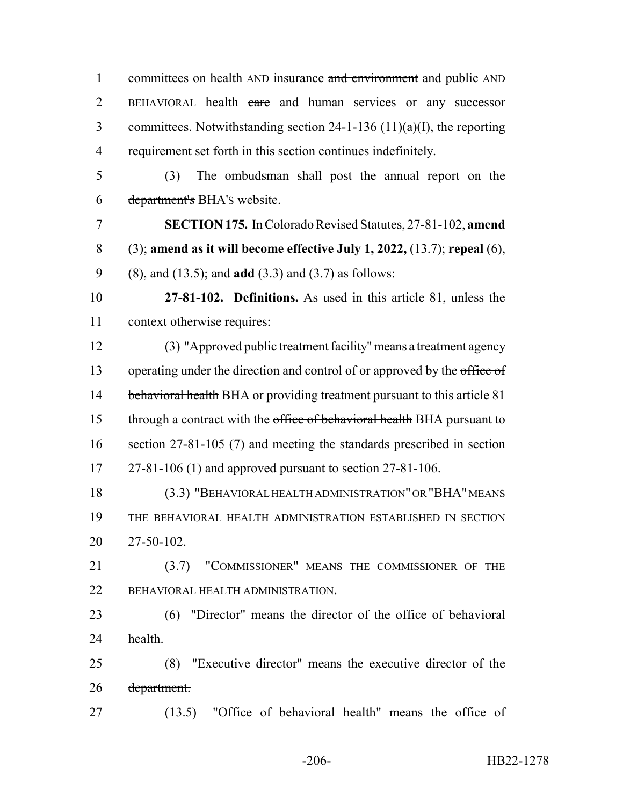1 committees on health AND insurance and environment and public AND 2 BEHAVIORAL health care and human services or any successor committees. Notwithstanding section 24-1-136 (11)(a)(I), the reporting requirement set forth in this section continues indefinitely. (3) The ombudsman shall post the annual report on the department's BHA'S website. **SECTION 175.** In Colorado Revised Statutes, 27-81-102, **amend** (3); **amend as it will become effective July 1, 2022,** (13.7); **repeal** (6), (8), and (13.5); and **add** (3.3) and (3.7) as follows: **27-81-102. Definitions.** As used in this article 81, unless the context otherwise requires: (3) "Approved public treatment facility" means a treatment agency 13 operating under the direction and control of or approved by the office of 14 behavioral health BHA or providing treatment pursuant to this article 81 15 through a contract with the office of behavioral health BHA pursuant to section 27-81-105 (7) and meeting the standards prescribed in section 27-81-106 (1) and approved pursuant to section 27-81-106. (3.3) "BEHAVIORAL HEALTH ADMINISTRATION" OR "BHA" MEANS THE BEHAVIORAL HEALTH ADMINISTRATION ESTABLISHED IN SECTION 27-50-102. (3.7) "COMMISSIONER" MEANS THE COMMISSIONER OF THE 22 BEHAVIORAL HEALTH ADMINISTRATION. (6) "Director" means the director of the office of behavioral 24 health. (8) "Executive director" means the executive director of the department. 27 (13.5) "Office of behavioral health" means the office of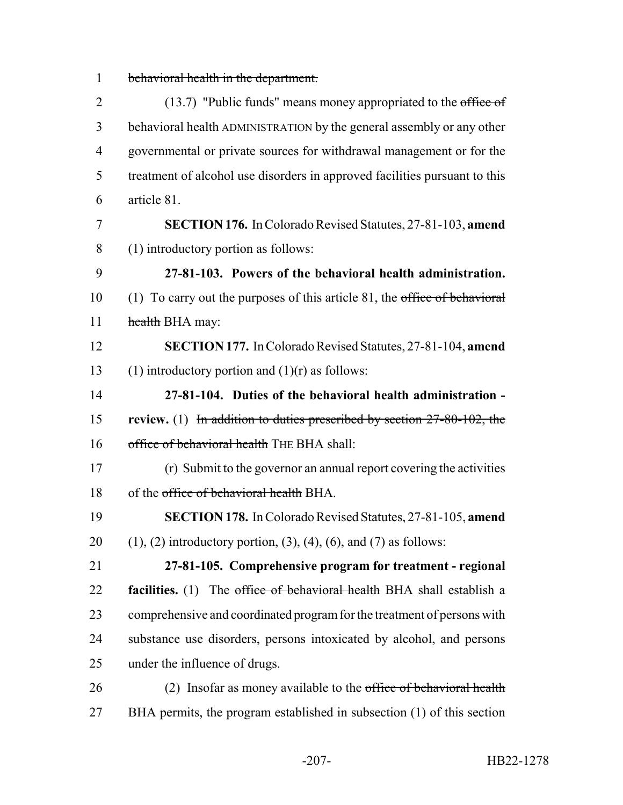behavioral health in the department.

| $\overline{2}$ | $(13.7)$ "Public funds" means money appropriated to the office of                 |
|----------------|-----------------------------------------------------------------------------------|
| 3              | behavioral health ADMINISTRATION by the general assembly or any other             |
| $\overline{4}$ | governmental or private sources for withdrawal management or for the              |
| 5              | treatment of alcohol use disorders in approved facilities pursuant to this        |
| 6              | article 81.                                                                       |
| 7              | SECTION 176. In Colorado Revised Statutes, 27-81-103, amend                       |
| 8              | (1) introductory portion as follows:                                              |
| 9              | 27-81-103. Powers of the behavioral health administration.                        |
| 10             | (1) To carry out the purposes of this article $81$ , the office of behavioral     |
| 11             | health BHA may:                                                                   |
| 12             | SECTION 177. In Colorado Revised Statutes, 27-81-104, amend                       |
| 13             | (1) introductory portion and $(1)(r)$ as follows:                                 |
| 14             | 27-81-104. Duties of the behavioral health administration -                       |
| 15             | review. (1) In addition to duties prescribed by section $27-80-102$ , the         |
| 16             | office of behavioral health THE BHA shall:                                        |
| 17             | (r) Submit to the governor an annual report covering the activities               |
| 18             | of the office of behavioral health BHA.                                           |
| 19             | <b>SECTION 178.</b> In Colorado Revised Statutes, 27-81-105, amend                |
| 20             | $(1)$ , $(2)$ introductory portion, $(3)$ , $(4)$ , $(6)$ , and $(7)$ as follows: |
| 21             | 27-81-105. Comprehensive program for treatment - regional                         |
| 22             | facilities. (1) The office of behavioral health BHA shall establish a             |
| 23             | comprehensive and coordinated program for the treatment of persons with           |
| 24             | substance use disorders, persons intoxicated by alcohol, and persons              |
| 25             | under the influence of drugs.                                                     |
| 26             | (2) Insofar as money available to the office of behavioral health                 |
| 27             | BHA permits, the program established in subsection (1) of this section            |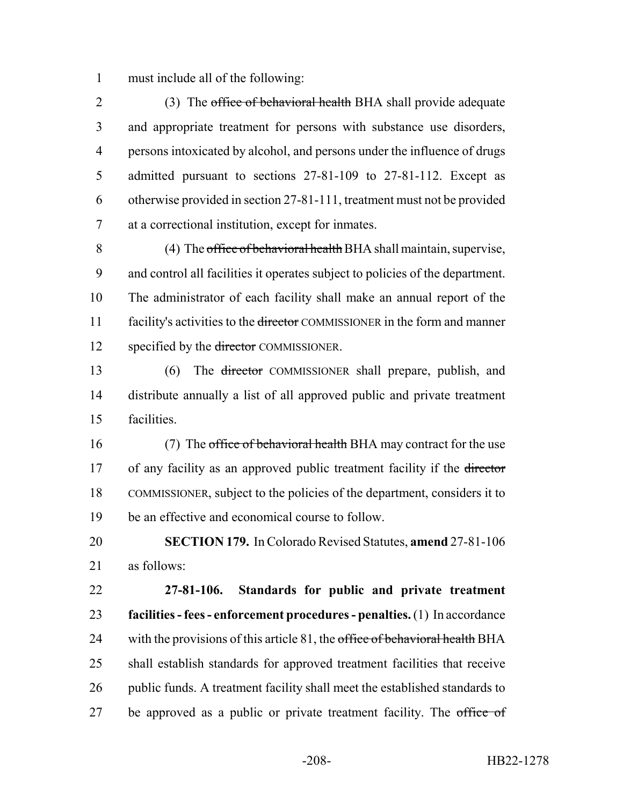must include all of the following:

2 (3) The office of behavioral health BHA shall provide adequate and appropriate treatment for persons with substance use disorders, persons intoxicated by alcohol, and persons under the influence of drugs admitted pursuant to sections 27-81-109 to 27-81-112. Except as otherwise provided in section 27-81-111, treatment must not be provided at a correctional institution, except for inmates.

 (4) The office of behavioral health BHA shall maintain, supervise, and control all facilities it operates subject to policies of the department. The administrator of each facility shall make an annual report of the 11 facility's activities to the <del>director</del> COMMISSIONER in the form and manner 12 specified by the director COMMISSIONER.

 (6) The director COMMISSIONER shall prepare, publish, and distribute annually a list of all approved public and private treatment facilities.

16 (7) The office of behavioral health BHA may contract for the use 17 of any facility as an approved public treatment facility if the director COMMISSIONER, subject to the policies of the department, considers it to be an effective and economical course to follow.

 **SECTION 179.** In Colorado Revised Statutes, **amend** 27-81-106 as follows:

 **27-81-106. Standards for public and private treatment facilities - fees - enforcement procedures - penalties.** (1) In accordance 24 with the provisions of this article , the office of behavioral health BHA shall establish standards for approved treatment facilities that receive public funds. A treatment facility shall meet the established standards to 27 be approved as a public or private treatment facility. The office of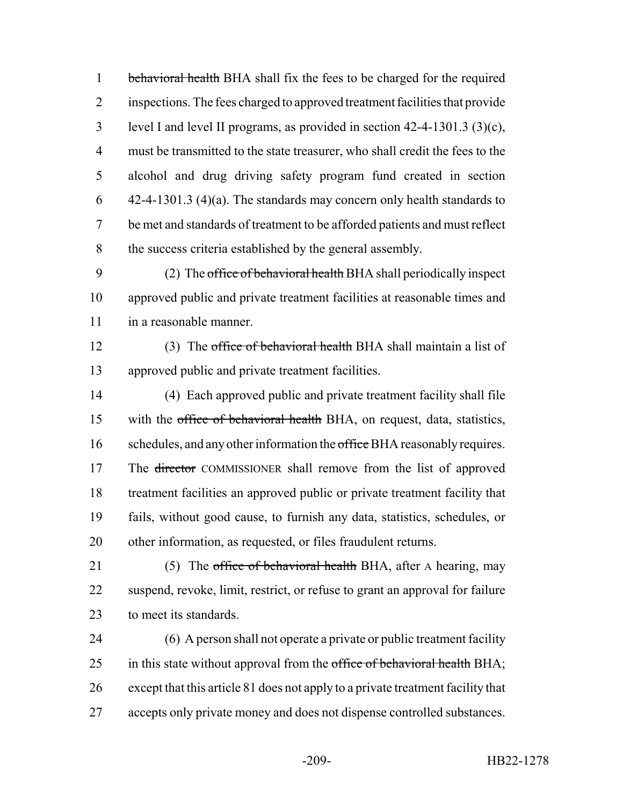1 behavioral health BHA shall fix the fees to be charged for the required inspections. The fees charged to approved treatment facilities that provide level I and level II programs, as provided in section 42-4-1301.3 (3)(c), must be transmitted to the state treasurer, who shall credit the fees to the alcohol and drug driving safety program fund created in section 42-4-1301.3 (4)(a). The standards may concern only health standards to be met and standards of treatment to be afforded patients and must reflect the success criteria established by the general assembly.

 (2) The office of behavioral health BHA shall periodically inspect approved public and private treatment facilities at reasonable times and in a reasonable manner.

12 (3) The office of behavioral health BHA shall maintain a list of approved public and private treatment facilities.

 (4) Each approved public and private treatment facility shall file 15 with the office of behavioral health BHA, on request, data, statistics, 16 schedules, and any other information the office BHA reasonably requires. 17 The director COMMISSIONER shall remove from the list of approved treatment facilities an approved public or private treatment facility that fails, without good cause, to furnish any data, statistics, schedules, or other information, as requested, or files fraudulent returns.

21 (5) The office of behavioral health BHA, after A hearing, may suspend, revoke, limit, restrict, or refuse to grant an approval for failure to meet its standards.

 (6) A person shall not operate a private or public treatment facility 25 in this state without approval from the office of behavioral health BHA; except that this article 81 does not apply to a private treatment facility that 27 accepts only private money and does not dispense controlled substances.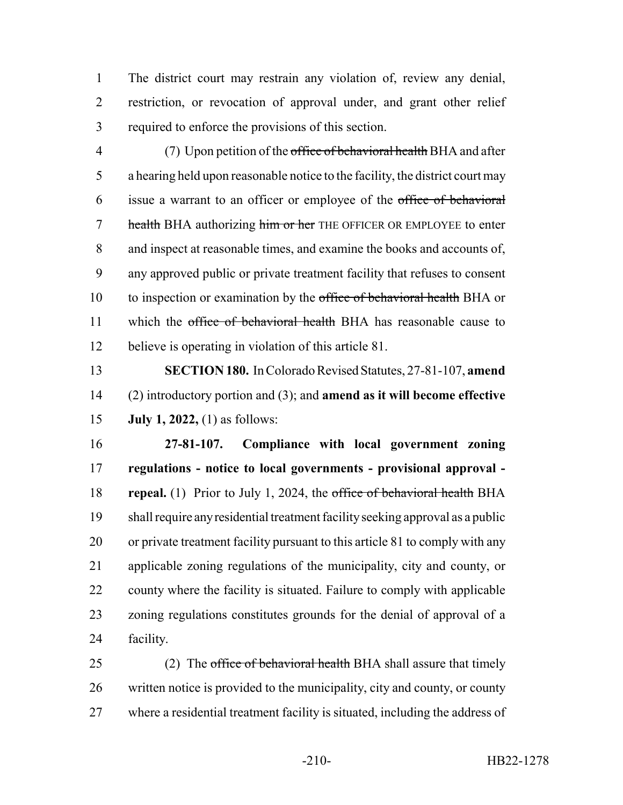The district court may restrain any violation of, review any denial, restriction, or revocation of approval under, and grant other relief required to enforce the provisions of this section.

4 (7) Upon petition of the office of behavioral health BHA and after a hearing held upon reasonable notice to the facility, the district court may issue a warrant to an officer or employee of the office of behavioral 7 health BHA authorizing him or her THE OFFICER OR EMPLOYEE to enter and inspect at reasonable times, and examine the books and accounts of, any approved public or private treatment facility that refuses to consent 10 to inspection or examination by the office of behavioral health BHA or 11 which the office of behavioral health BHA has reasonable cause to believe is operating in violation of this article 81.

 **SECTION 180.** In Colorado Revised Statutes, 27-81-107, **amend** (2) introductory portion and (3); and **amend as it will become effective July 1, 2022,** (1) as follows:

 **27-81-107. Compliance with local government zoning regulations - notice to local governments - provisional approval - repeal.** (1) Prior to July 1, 2024, the office of behavioral health BHA shall require any residential treatment facility seeking approval as a public or private treatment facility pursuant to this article 81 to comply with any applicable zoning regulations of the municipality, city and county, or county where the facility is situated. Failure to comply with applicable zoning regulations constitutes grounds for the denial of approval of a facility.

25 (2) The office of behavioral health BHA shall assure that timely written notice is provided to the municipality, city and county, or county where a residential treatment facility is situated, including the address of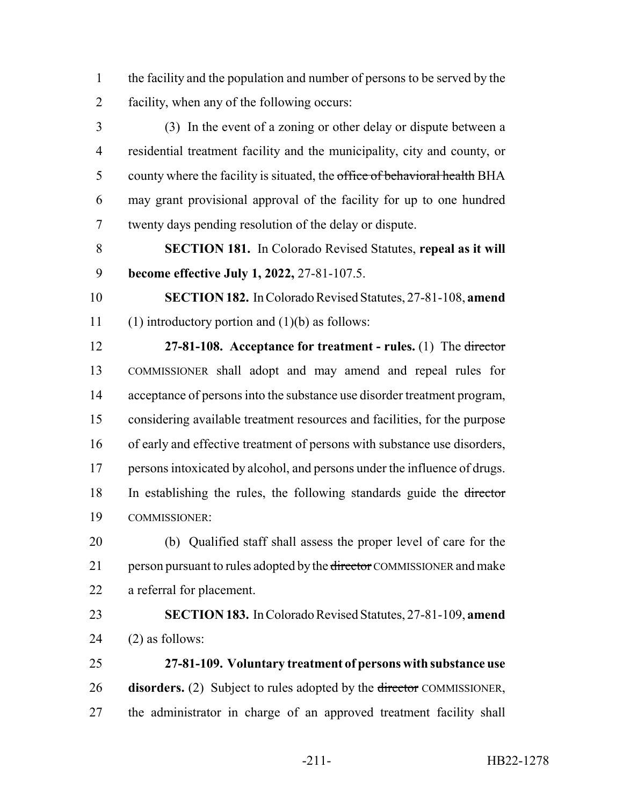the facility and the population and number of persons to be served by the facility, when any of the following occurs:

 (3) In the event of a zoning or other delay or dispute between a residential treatment facility and the municipality, city and county, or 5 county where the facility is situated, the office of behavioral health BHA may grant provisional approval of the facility for up to one hundred twenty days pending resolution of the delay or dispute.

 **SECTION 181.** In Colorado Revised Statutes, **repeal as it will become effective July 1, 2022,** 27-81-107.5.

 **SECTION 182.** In Colorado Revised Statutes, 27-81-108, **amend** 11 (1) introductory portion and  $(1)(b)$  as follows:

 **27-81-108. Acceptance for treatment - rules.** (1) The director COMMISSIONER shall adopt and may amend and repeal rules for acceptance of persons into the substance use disorder treatment program, considering available treatment resources and facilities, for the purpose of early and effective treatment of persons with substance use disorders, 17 persons intoxicated by alcohol, and persons under the influence of drugs. In establishing the rules, the following standards guide the director COMMISSIONER:

 (b) Qualified staff shall assess the proper level of care for the 21 person pursuant to rules adopted by the director COMMISSIONER and make a referral for placement.

 **SECTION 183.** In Colorado Revised Statutes, 27-81-109, **amend** (2) as follows:

 **27-81-109. Voluntary treatment of persons with substance use** 26 **disorders.** (2) Subject to rules adopted by the <del>director</del> COMMISSIONER, the administrator in charge of an approved treatment facility shall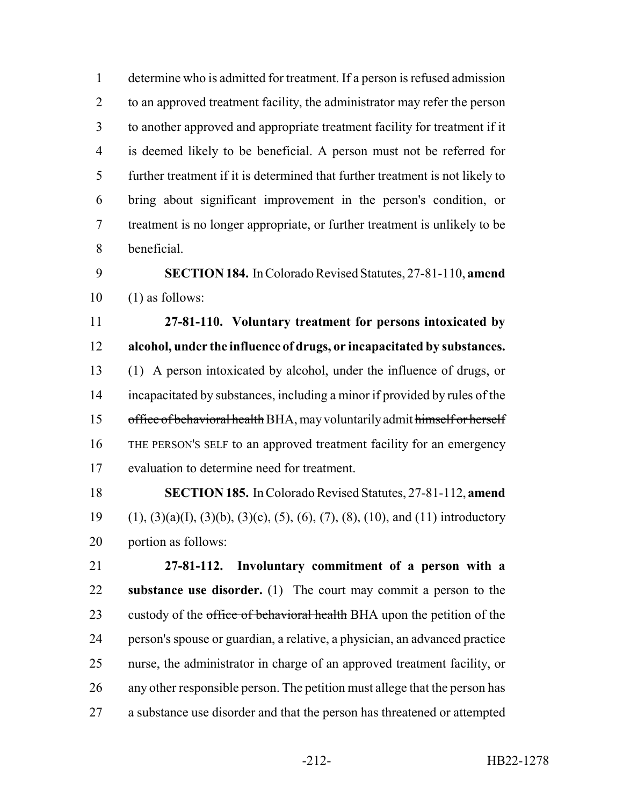determine who is admitted for treatment. If a person is refused admission to an approved treatment facility, the administrator may refer the person to another approved and appropriate treatment facility for treatment if it is deemed likely to be beneficial. A person must not be referred for further treatment if it is determined that further treatment is not likely to bring about significant improvement in the person's condition, or treatment is no longer appropriate, or further treatment is unlikely to be beneficial.

 **SECTION 184.** In Colorado Revised Statutes, 27-81-110, **amend** (1) as follows:

 **27-81-110. Voluntary treatment for persons intoxicated by alcohol, under the influence of drugs, or incapacitated by substances.** (1) A person intoxicated by alcohol, under the influence of drugs, or incapacitated by substances, including a minor if provided by rules of the office of behavioral health BHA, may voluntarily admit himself or herself THE PERSON'S SELF to an approved treatment facility for an emergency evaluation to determine need for treatment.

 **SECTION 185.** In Colorado Revised Statutes, 27-81-112, **amend** (1), (3)(a)(I), (3)(b), (3)(c), (5), (6), (7), (8), (10), and (11) introductory portion as follows:

 **27-81-112. Involuntary commitment of a person with a substance use disorder.** (1) The court may commit a person to the 23 custody of the office of behavioral health BHA upon the petition of the person's spouse or guardian, a relative, a physician, an advanced practice nurse, the administrator in charge of an approved treatment facility, or any other responsible person. The petition must allege that the person has a substance use disorder and that the person has threatened or attempted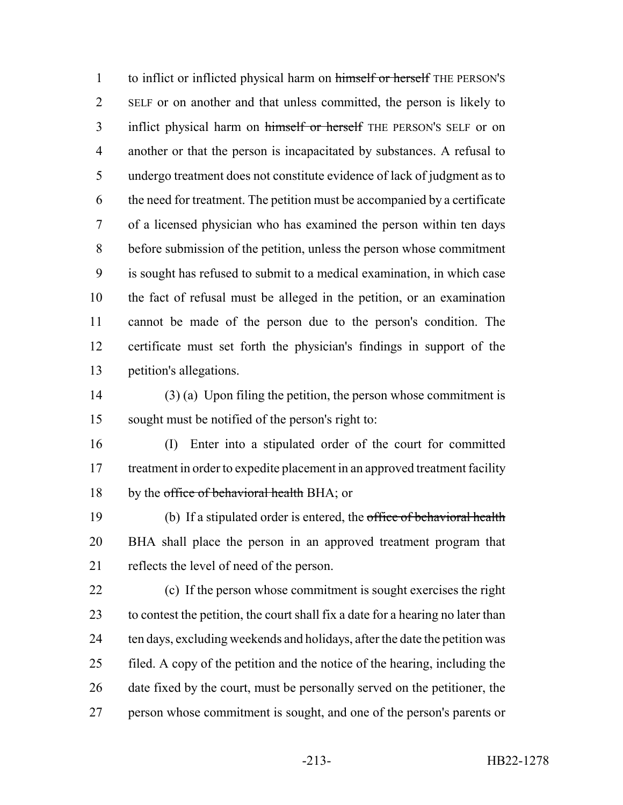1 to inflict or inflicted physical harm on himself or herself THE PERSON's SELF or on another and that unless committed, the person is likely to 3 inflict physical harm on himself or herself THE PERSON'S SELF or on another or that the person is incapacitated by substances. A refusal to undergo treatment does not constitute evidence of lack of judgment as to the need for treatment. The petition must be accompanied by a certificate of a licensed physician who has examined the person within ten days before submission of the petition, unless the person whose commitment is sought has refused to submit to a medical examination, in which case the fact of refusal must be alleged in the petition, or an examination cannot be made of the person due to the person's condition. The certificate must set forth the physician's findings in support of the petition's allegations.

 (3) (a) Upon filing the petition, the person whose commitment is sought must be notified of the person's right to:

 (I) Enter into a stipulated order of the court for committed 17 treatment in order to expedite placement in an approved treatment facility 18 by the office of behavioral health BHA; or

 (b) If a stipulated order is entered, the office of behavioral health BHA shall place the person in an approved treatment program that reflects the level of need of the person.

 (c) If the person whose commitment is sought exercises the right to contest the petition, the court shall fix a date for a hearing no later than ten days, excluding weekends and holidays, after the date the petition was filed. A copy of the petition and the notice of the hearing, including the 26 date fixed by the court, must be personally served on the petitioner, the person whose commitment is sought, and one of the person's parents or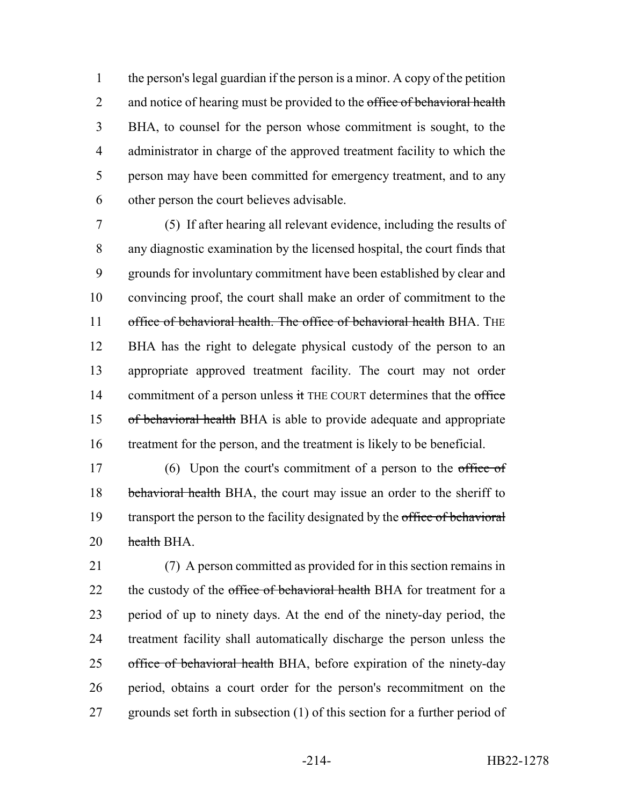the person's legal guardian if the person is a minor. A copy of the petition 2 and notice of hearing must be provided to the office of behavioral health BHA, to counsel for the person whose commitment is sought, to the administrator in charge of the approved treatment facility to which the person may have been committed for emergency treatment, and to any other person the court believes advisable.

 (5) If after hearing all relevant evidence, including the results of any diagnostic examination by the licensed hospital, the court finds that grounds for involuntary commitment have been established by clear and convincing proof, the court shall make an order of commitment to the 11 office of behavioral health. The office of behavioral health BHA. THE BHA has the right to delegate physical custody of the person to an appropriate approved treatment facility. The court may not order 14 commitment of a person unless it THE COURT determines that the office of behavioral health BHA is able to provide adequate and appropriate treatment for the person, and the treatment is likely to be beneficial.

17 (6) Upon the court's commitment of a person to the office of 18 behavioral health BHA, the court may issue an order to the sheriff to 19 transport the person to the facility designated by the office of behavioral 20 health BHA.

 (7) A person committed as provided for in this section remains in 22 the custody of the office of behavioral health BHA for treatment for a period of up to ninety days. At the end of the ninety-day period, the treatment facility shall automatically discharge the person unless the 25 office of behavioral health BHA, before expiration of the ninety-day period, obtains a court order for the person's recommitment on the grounds set forth in subsection (1) of this section for a further period of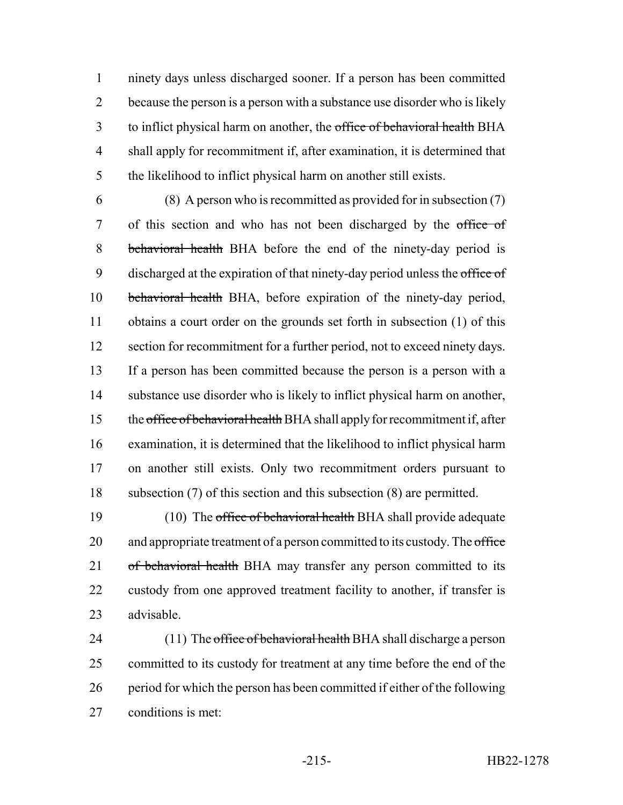ninety days unless discharged sooner. If a person has been committed because the person is a person with a substance use disorder who is likely 3 to inflict physical harm on another, the office of behavioral health BHA shall apply for recommitment if, after examination, it is determined that the likelihood to inflict physical harm on another still exists.

 (8) A person who is recommitted as provided for in subsection (7) of this section and who has not been discharged by the office of behavioral health BHA before the end of the ninety-day period is 9 discharged at the expiration of that ninety-day period unless the office of behavioral health BHA, before expiration of the ninety-day period, obtains a court order on the grounds set forth in subsection (1) of this 12 section for recommitment for a further period, not to exceed ninety days. If a person has been committed because the person is a person with a substance use disorder who is likely to inflict physical harm on another, 15 the office of behavioral health BHA shall apply for recommitment if, after examination, it is determined that the likelihood to inflict physical harm on another still exists. Only two recommitment orders pursuant to subsection (7) of this section and this subsection (8) are permitted.

19 (10) The office of behavioral health BHA shall provide adequate 20 and appropriate treatment of a person committed to its custody. The office 21 of behavioral health BHA may transfer any person committed to its custody from one approved treatment facility to another, if transfer is advisable.

24 (11) The office of behavioral health BHA shall discharge a person committed to its custody for treatment at any time before the end of the period for which the person has been committed if either of the following conditions is met: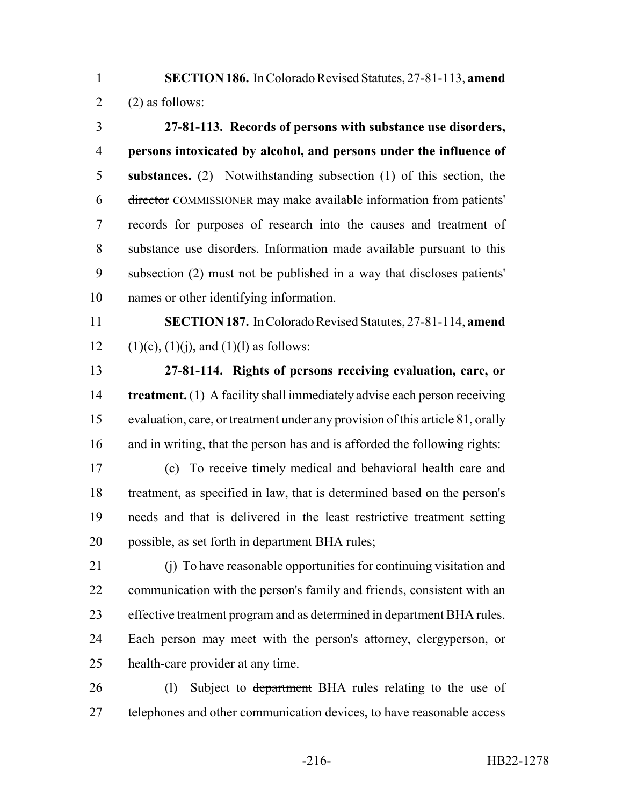**SECTION 186.** In Colorado Revised Statutes, 27-81-113, **amend** 2 (2) as follows:

 **27-81-113. Records of persons with substance use disorders, persons intoxicated by alcohol, and persons under the influence of substances.** (2) Notwithstanding subsection (1) of this section, the director COMMISSIONER may make available information from patients' records for purposes of research into the causes and treatment of substance use disorders. Information made available pursuant to this subsection (2) must not be published in a way that discloses patients' names or other identifying information.

 **SECTION 187.** In Colorado Revised Statutes, 27-81-114, **amend** 12 (1)(c), (1)(j), and (1)(l) as follows:

 **27-81-114. Rights of persons receiving evaluation, care, or treatment.** (1) A facility shall immediately advise each person receiving evaluation, care, or treatment under any provision of this article 81, orally and in writing, that the person has and is afforded the following rights:

 (c) To receive timely medical and behavioral health care and treatment, as specified in law, that is determined based on the person's needs and that is delivered in the least restrictive treatment setting 20 possible, as set forth in department BHA rules;

 (j) To have reasonable opportunities for continuing visitation and communication with the person's family and friends, consistent with an 23 effective treatment program and as determined in department BHA rules. Each person may meet with the person's attorney, clergyperson, or health-care provider at any time.

26 (l) Subject to department BHA rules relating to the use of 27 telephones and other communication devices, to have reasonable access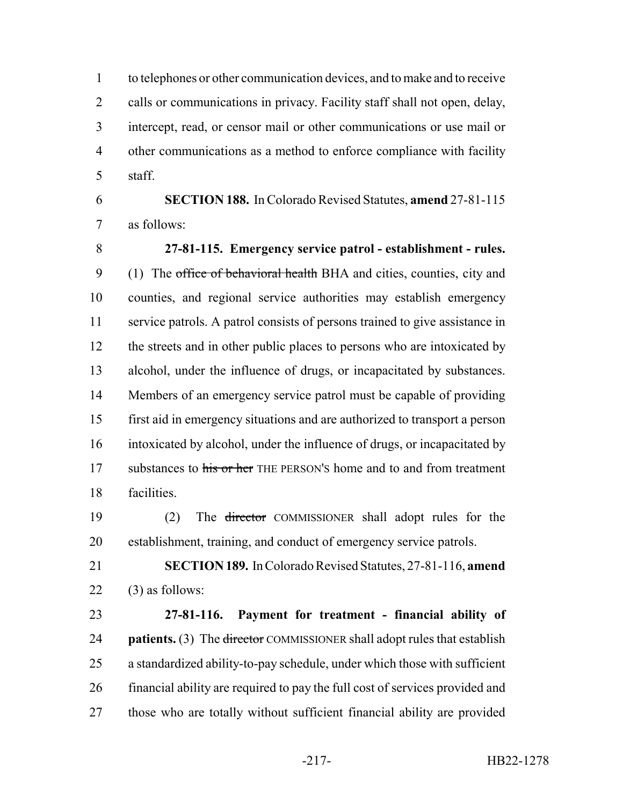to telephones or other communication devices, and to make and to receive 2 calls or communications in privacy. Facility staff shall not open, delay, intercept, read, or censor mail or other communications or use mail or other communications as a method to enforce compliance with facility staff.

 **SECTION 188.** In Colorado Revised Statutes, **amend** 27-81-115 as follows:

 **27-81-115. Emergency service patrol - establishment - rules.** 9 (1) The office of behavioral health BHA and cities, counties, city and counties, and regional service authorities may establish emergency service patrols. A patrol consists of persons trained to give assistance in 12 the streets and in other public places to persons who are intoxicated by alcohol, under the influence of drugs, or incapacitated by substances. Members of an emergency service patrol must be capable of providing first aid in emergency situations and are authorized to transport a person intoxicated by alcohol, under the influence of drugs, or incapacitated by 17 substances to his or her THE PERSON's home and to and from treatment facilities.

 (2) The director COMMISSIONER shall adopt rules for the establishment, training, and conduct of emergency service patrols.

 **SECTION 189.** In Colorado Revised Statutes, 27-81-116, **amend** (3) as follows:

 **27-81-116. Payment for treatment - financial ability of patients.** (3) The director COMMISSIONER shall adopt rules that establish a standardized ability-to-pay schedule, under which those with sufficient financial ability are required to pay the full cost of services provided and those who are totally without sufficient financial ability are provided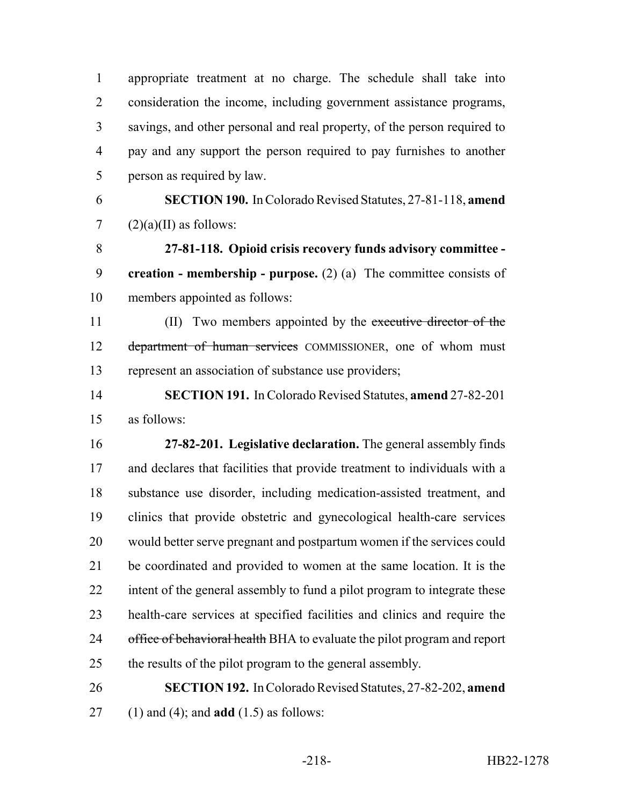appropriate treatment at no charge. The schedule shall take into consideration the income, including government assistance programs, savings, and other personal and real property, of the person required to pay and any support the person required to pay furnishes to another person as required by law. **SECTION 190.** In Colorado Revised Statutes, 27-81-118, **amend**  $(2)(a)(II)$  as follows: **27-81-118. Opioid crisis recovery funds advisory committee - creation - membership - purpose.** (2) (a) The committee consists of members appointed as follows: 11 (II) Two members appointed by the executive director of the 12 department of human services COMMISSIONER, one of whom must represent an association of substance use providers; **SECTION 191.** In Colorado Revised Statutes, **amend** 27-82-201 as follows: **27-82-201. Legislative declaration.** The general assembly finds and declares that facilities that provide treatment to individuals with a substance use disorder, including medication-assisted treatment, and clinics that provide obstetric and gynecological health-care services would better serve pregnant and postpartum women if the services could be coordinated and provided to women at the same location. It is the 22 intent of the general assembly to fund a pilot program to integrate these health-care services at specified facilities and clinics and require the 24 office of behavioral health BHA to evaluate the pilot program and report the results of the pilot program to the general assembly. **SECTION 192.** In Colorado Revised Statutes, 27-82-202, **amend** (1) and (4); and **add** (1.5) as follows:

-218- HB22-1278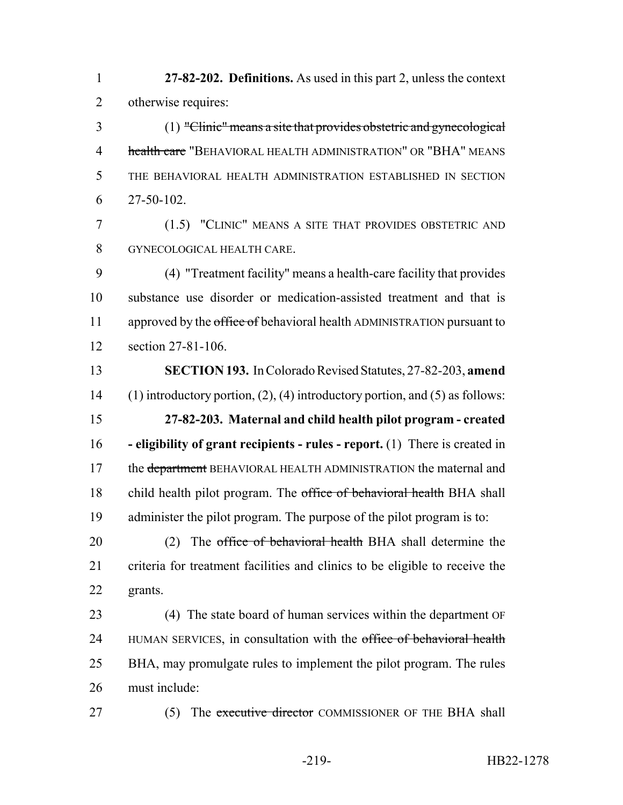**27-82-202. Definitions.** As used in this part 2, unless the context otherwise requires:

 (1) "Clinic" means a site that provides obstetric and gynecological 4 health care "BEHAVIORAL HEALTH ADMINISTRATION" OR "BHA" MEANS THE BEHAVIORAL HEALTH ADMINISTRATION ESTABLISHED IN SECTION 27-50-102.

 (1.5) "CLINIC" MEANS A SITE THAT PROVIDES OBSTETRIC AND GYNECOLOGICAL HEALTH CARE.

 (4) "Treatment facility" means a health-care facility that provides substance use disorder or medication-assisted treatment and that is 11 approved by the office of behavioral health ADMINISTRATION pursuant to section 27-81-106.

 **SECTION 193.** In Colorado Revised Statutes, 27-82-203, **amend** (1) introductory portion, (2), (4) introductory portion, and (5) as follows: **27-82-203. Maternal and child health pilot program - created - eligibility of grant recipients - rules - report.** (1) There is created in 17 the department BEHAVIORAL HEALTH ADMINISTRATION the maternal and 18 child health pilot program. The office of behavioral health BHA shall administer the pilot program. The purpose of the pilot program is to:

20 (2) The office of behavioral health BHA shall determine the criteria for treatment facilities and clinics to be eligible to receive the grants.

 (4) The state board of human services within the department OF 24 HUMAN SERVICES, in consultation with the office of behavioral health BHA, may promulgate rules to implement the pilot program. The rules must include:

27 (5) The executive director COMMISSIONER OF THE BHA shall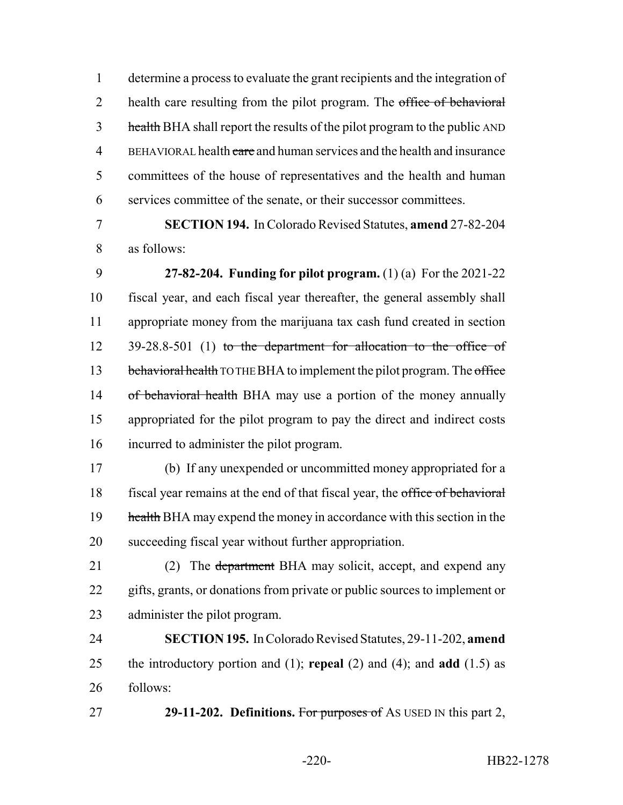determine a process to evaluate the grant recipients and the integration of 2 health care resulting from the pilot program. The office of behavioral 3 health BHA shall report the results of the pilot program to the public AND 4 BEHAVIORAL health care and human services and the health and insurance committees of the house of representatives and the health and human services committee of the senate, or their successor committees.

 **SECTION 194.** In Colorado Revised Statutes, **amend** 27-82-204 as follows:

 **27-82-204. Funding for pilot program.** (1) (a) For the 2021-22 fiscal year, and each fiscal year thereafter, the general assembly shall appropriate money from the marijuana tax cash fund created in section 12 39-28.8-501 (1) to the department for allocation to the office of 13 behavioral health TO THE BHA to implement the pilot program. The office 14 of behavioral health BHA may use a portion of the money annually appropriated for the pilot program to pay the direct and indirect costs incurred to administer the pilot program.

 (b) If any unexpended or uncommitted money appropriated for a fiscal year remains at the end of that fiscal year, the office of behavioral 19 health BHA may expend the money in accordance with this section in the succeeding fiscal year without further appropriation.

21 (2) The <del>department</del> BHA may solicit, accept, and expend any gifts, grants, or donations from private or public sources to implement or administer the pilot program.

 **SECTION 195.** In Colorado Revised Statutes, 29-11-202, **amend** the introductory portion and (1); **repeal** (2) and (4); and **add** (1.5) as follows:

**29-11-202. Definitions.** For purposes of AS USED IN this part 2,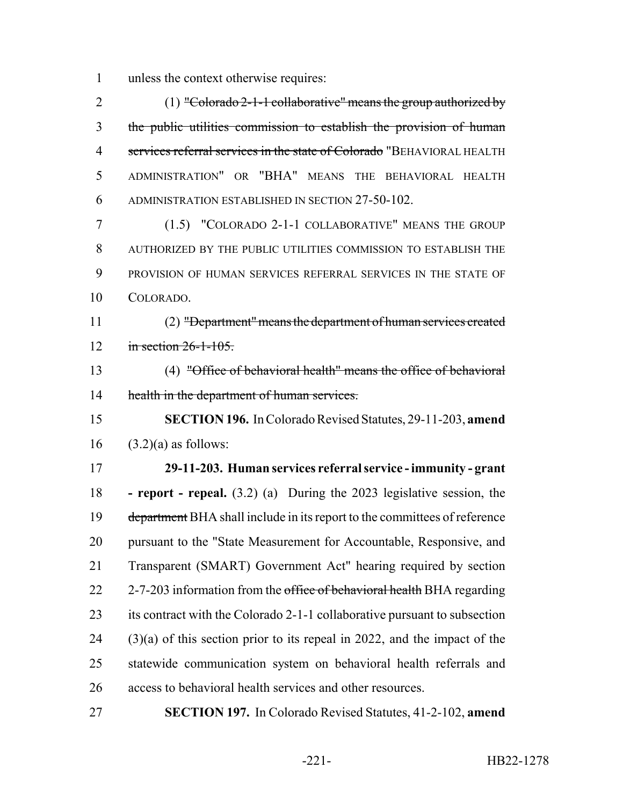unless the context otherwise requires:

2 (1) "Colorado 2-1-1 collaborative" means the group authorized by the public utilities commission to establish the provision of human 4 services referral services in the state of Colorado "BEHAVIORAL HEALTH ADMINISTRATION" OR "BHA" MEANS THE BEHAVIORAL HEALTH ADMINISTRATION ESTABLISHED IN SECTION 27-50-102.

 (1.5) "COLORADO 2-1-1 COLLABORATIVE" MEANS THE GROUP AUTHORIZED BY THE PUBLIC UTILITIES COMMISSION TO ESTABLISH THE PROVISION OF HUMAN SERVICES REFERRAL SERVICES IN THE STATE OF COLORADO.

 (2) "Department" means the department of human services created 12 in section 26-1-105.

 (4) "Office of behavioral health" means the office of behavioral 14 health in the department of human services.

 **SECTION 196.** In Colorado Revised Statutes, 29-11-203, **amend**  $(3.2)(a)$  as follows:

 **29-11-203. Human services referral service - immunity - grant - report - repeal.** (3.2) (a) During the 2023 legislative session, the 19 department BHA shall include in its report to the committees of reference pursuant to the "State Measurement for Accountable, Responsive, and Transparent (SMART) Government Act" hearing required by section 22 2-7-203 information from the office of behavioral health BHA regarding its contract with the Colorado 2-1-1 collaborative pursuant to subsection (3)(a) of this section prior to its repeal in 2022, and the impact of the statewide communication system on behavioral health referrals and access to behavioral health services and other resources.

**SECTION 197.** In Colorado Revised Statutes, 41-2-102, **amend**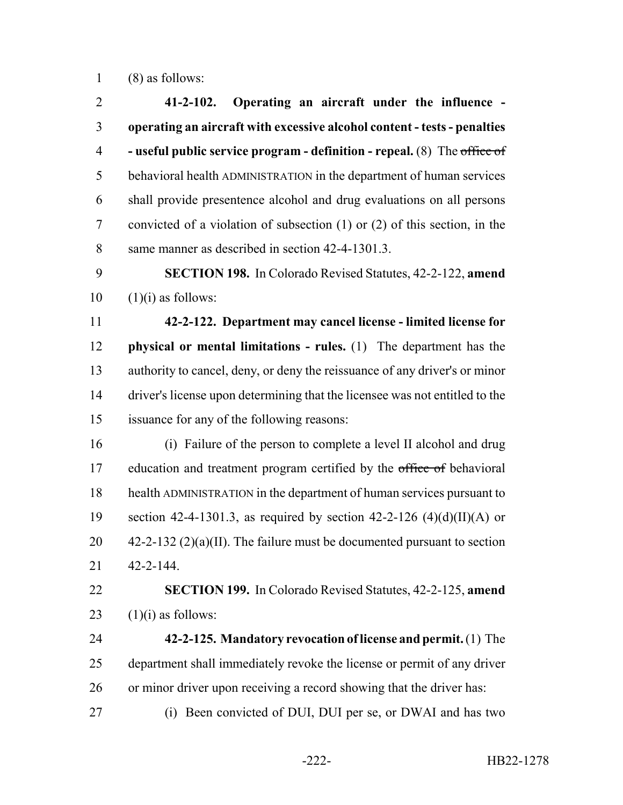(8) as follows:

 **41-2-102. Operating an aircraft under the influence - operating an aircraft with excessive alcohol content - tests - penalties - useful public service program - definition - repeal.** (8) The office of behavioral health ADMINISTRATION in the department of human services shall provide presentence alcohol and drug evaluations on all persons convicted of a violation of subsection (1) or (2) of this section, in the same manner as described in section 42-4-1301.3.

 **SECTION 198.** In Colorado Revised Statutes, 42-2-122, **amend**  $10 \quad (1)(i)$  as follows:

 **42-2-122. Department may cancel license - limited license for physical or mental limitations - rules.** (1) The department has the authority to cancel, deny, or deny the reissuance of any driver's or minor driver's license upon determining that the licensee was not entitled to the issuance for any of the following reasons:

 (i) Failure of the person to complete a level II alcohol and drug 17 education and treatment program certified by the office of behavioral health ADMINISTRATION in the department of human services pursuant to 19 section 42-4-1301.3, as required by section 42-2-126  $(4)(d)(II)(A)$  or  $42-2-132$  (2)(a)(II). The failure must be documented pursuant to section 42-2-144.

 **SECTION 199.** In Colorado Revised Statutes, 42-2-125, **amend** 23  $(1)(i)$  as follows:

 **42-2-125. Mandatory revocation of license and permit.** (1) The department shall immediately revoke the license or permit of any driver or minor driver upon receiving a record showing that the driver has:

(i) Been convicted of DUI, DUI per se, or DWAI and has two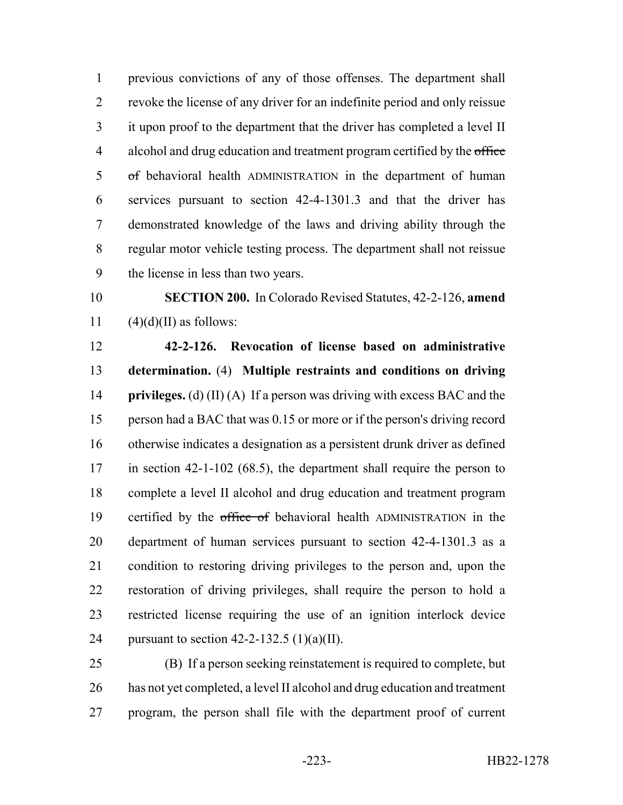previous convictions of any of those offenses. The department shall revoke the license of any driver for an indefinite period and only reissue it upon proof to the department that the driver has completed a level II 4 alcohol and drug education and treatment program certified by the office of behavioral health ADMINISTRATION in the department of human services pursuant to section 42-4-1301.3 and that the driver has demonstrated knowledge of the laws and driving ability through the regular motor vehicle testing process. The department shall not reissue the license in less than two years.

 **SECTION 200.** In Colorado Revised Statutes, 42-2-126, **amend** 11  $(4)(d)(II)$  as follows:

 **42-2-126. Revocation of license based on administrative determination.** (4) **Multiple restraints and conditions on driving privileges.** (d) (II) (A) If a person was driving with excess BAC and the person had a BAC that was 0.15 or more or if the person's driving record otherwise indicates a designation as a persistent drunk driver as defined 17 in section 42-1-102 (68.5), the department shall require the person to complete a level II alcohol and drug education and treatment program 19 certified by the office of behavioral health ADMINISTRATION in the department of human services pursuant to section 42-4-1301.3 as a condition to restoring driving privileges to the person and, upon the restoration of driving privileges, shall require the person to hold a restricted license requiring the use of an ignition interlock device 24 pursuant to section  $42-2-132.5$  (1)(a)(II).

 (B) If a person seeking reinstatement is required to complete, but 26 has not yet completed, a level II alcohol and drug education and treatment program, the person shall file with the department proof of current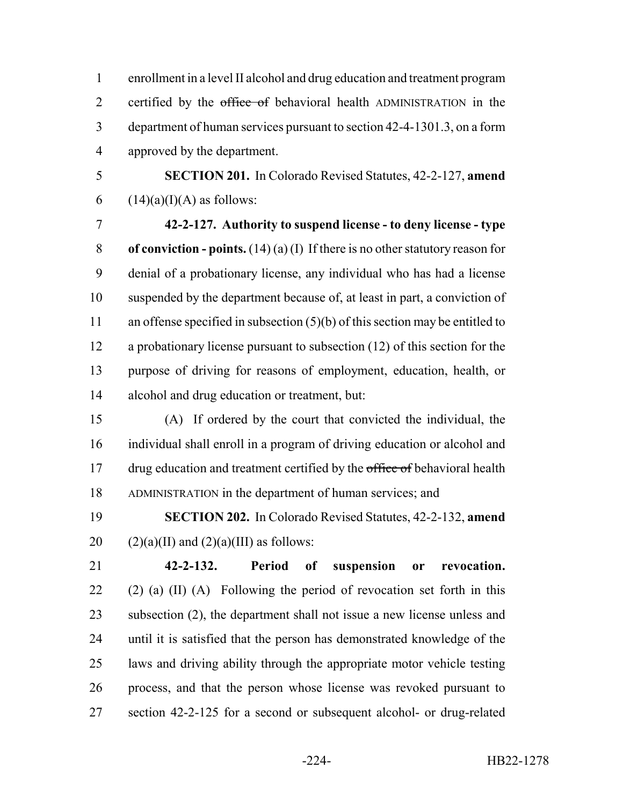enrollment in a level II alcohol and drug education and treatment program 2 certified by the office of behavioral health ADMINISTRATION in the department of human services pursuant to section 42-4-1301.3, on a form approved by the department.

 **SECTION 201.** In Colorado Revised Statutes, 42-2-127, **amend** 6  $(14)(a)(I)(A)$  as follows:

 **42-2-127. Authority to suspend license - to deny license - type of conviction - points.** (14) (a) (I) If there is no other statutory reason for denial of a probationary license, any individual who has had a license suspended by the department because of, at least in part, a conviction of 11 an offense specified in subsection (5)(b) of this section may be entitled to a probationary license pursuant to subsection (12) of this section for the purpose of driving for reasons of employment, education, health, or alcohol and drug education or treatment, but:

 (A) If ordered by the court that convicted the individual, the individual shall enroll in a program of driving education or alcohol and 17 drug education and treatment certified by the office of behavioral health ADMINISTRATION in the department of human services; and

 **SECTION 202.** In Colorado Revised Statutes, 42-2-132, **amend** 20  $(2)(a)(II)$  and  $(2)(a)(III)$  as follows:

 **42-2-132. Period of suspension or revocation.** 22 (2) (a)  $(II)$  (A) Following the period of revocation set forth in this subsection (2), the department shall not issue a new license unless and until it is satisfied that the person has demonstrated knowledge of the laws and driving ability through the appropriate motor vehicle testing process, and that the person whose license was revoked pursuant to section 42-2-125 for a second or subsequent alcohol- or drug-related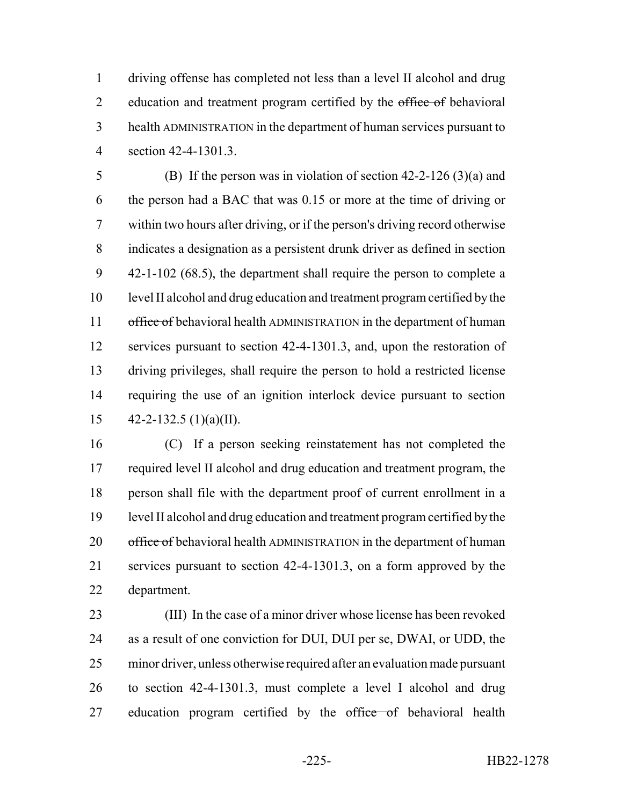driving offense has completed not less than a level II alcohol and drug 2 education and treatment program certified by the office of behavioral health ADMINISTRATION in the department of human services pursuant to section 42-4-1301.3.

 (B) If the person was in violation of section 42-2-126 (3)(a) and the person had a BAC that was 0.15 or more at the time of driving or within two hours after driving, or if the person's driving record otherwise indicates a designation as a persistent drunk driver as defined in section 42-1-102 (68.5), the department shall require the person to complete a level II alcohol and drug education and treatment program certified by the 11 office of behavioral health ADMINISTRATION in the department of human services pursuant to section 42-4-1301.3, and, upon the restoration of driving privileges, shall require the person to hold a restricted license requiring the use of an ignition interlock device pursuant to section  $42 - 2 - 132.5$  (1)(a)(II).

 (C) If a person seeking reinstatement has not completed the 17 required level II alcohol and drug education and treatment program, the person shall file with the department proof of current enrollment in a level II alcohol and drug education and treatment program certified by the 20 office of behavioral health ADMINISTRATION in the department of human services pursuant to section 42-4-1301.3, on a form approved by the department.

 (III) In the case of a minor driver whose license has been revoked as a result of one conviction for DUI, DUI per se, DWAI, or UDD, the minor driver, unless otherwise required after an evaluation made pursuant to section 42-4-1301.3, must complete a level I alcohol and drug 27 education program certified by the office of behavioral health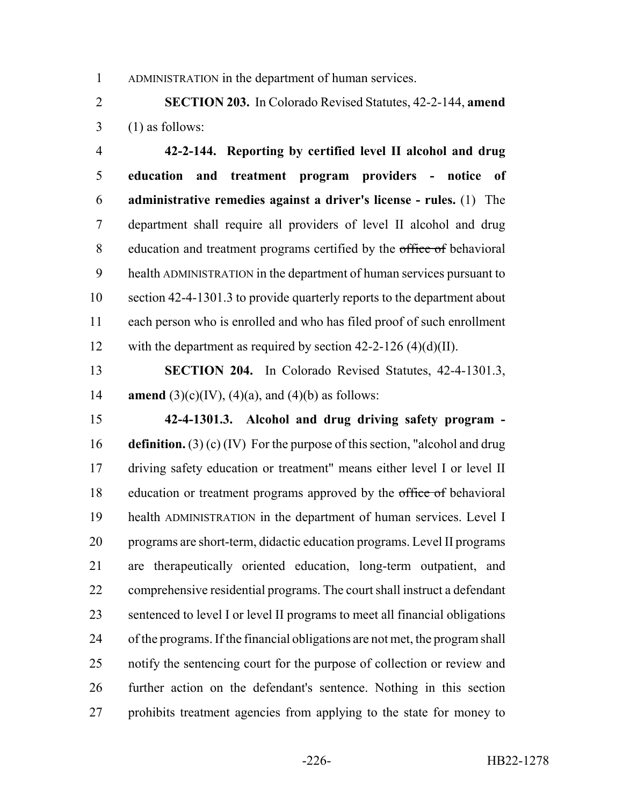ADMINISTRATION in the department of human services.

 **SECTION 203.** In Colorado Revised Statutes, 42-2-144, **amend** (1) as follows:

 **42-2-144. Reporting by certified level II alcohol and drug education and treatment program providers - notice of administrative remedies against a driver's license - rules.** (1) The department shall require all providers of level II alcohol and drug 8 education and treatment programs certified by the office of behavioral health ADMINISTRATION in the department of human services pursuant to section 42-4-1301.3 to provide quarterly reports to the department about each person who is enrolled and who has filed proof of such enrollment 12 with the department as required by section  $42-2-126$  (4)(d)(II).

 **SECTION 204.** In Colorado Revised Statutes, 42-4-1301.3, **amend** (3)(c)(IV), (4)(a), and (4)(b) as follows:

 **42-4-1301.3. Alcohol and drug driving safety program - definition.** (3) (c) (IV) For the purpose of this section, "alcohol and drug driving safety education or treatment" means either level I or level II 18 education or treatment programs approved by the office of behavioral health ADMINISTRATION in the department of human services. Level I programs are short-term, didactic education programs. Level II programs are therapeutically oriented education, long-term outpatient, and comprehensive residential programs. The court shall instruct a defendant sentenced to level I or level II programs to meet all financial obligations of the programs. If the financial obligations are not met, the program shall 25 notify the sentencing court for the purpose of collection or review and further action on the defendant's sentence. Nothing in this section prohibits treatment agencies from applying to the state for money to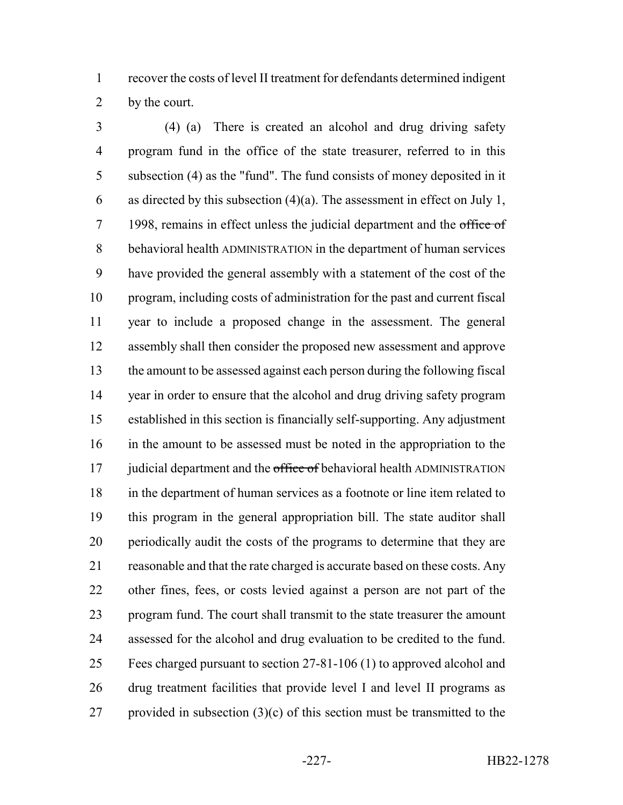recover the costs of level II treatment for defendants determined indigent by the court.

 (4) (a) There is created an alcohol and drug driving safety program fund in the office of the state treasurer, referred to in this subsection (4) as the "fund". The fund consists of money deposited in it 6 as directed by this subsection  $(4)(a)$ . The assessment in effect on July 1, 7 1998, remains in effect unless the judicial department and the office of behavioral health ADMINISTRATION in the department of human services have provided the general assembly with a statement of the cost of the program, including costs of administration for the past and current fiscal year to include a proposed change in the assessment. The general assembly shall then consider the proposed new assessment and approve the amount to be assessed against each person during the following fiscal year in order to ensure that the alcohol and drug driving safety program established in this section is financially self-supporting. Any adjustment in the amount to be assessed must be noted in the appropriation to the 17 judicial department and the office of behavioral health ADMINISTRATION in the department of human services as a footnote or line item related to this program in the general appropriation bill. The state auditor shall periodically audit the costs of the programs to determine that they are reasonable and that the rate charged is accurate based on these costs. Any other fines, fees, or costs levied against a person are not part of the program fund. The court shall transmit to the state treasurer the amount assessed for the alcohol and drug evaluation to be credited to the fund. Fees charged pursuant to section 27-81-106 (1) to approved alcohol and drug treatment facilities that provide level I and level II programs as 27 provided in subsection  $(3)(c)$  of this section must be transmitted to the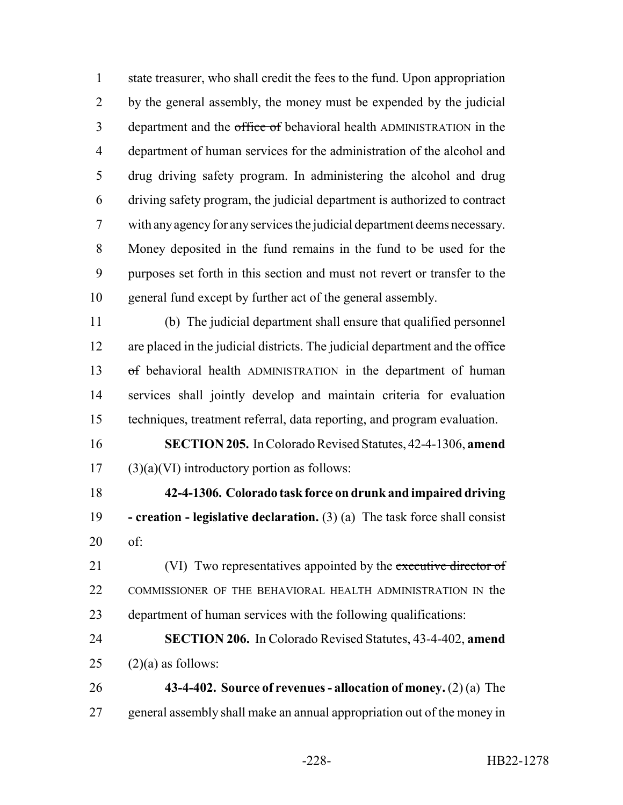state treasurer, who shall credit the fees to the fund. Upon appropriation by the general assembly, the money must be expended by the judicial 3 department and the office of behavioral health ADMINISTRATION in the department of human services for the administration of the alcohol and drug driving safety program. In administering the alcohol and drug driving safety program, the judicial department is authorized to contract with any agency for any services the judicial department deems necessary. Money deposited in the fund remains in the fund to be used for the purposes set forth in this section and must not revert or transfer to the general fund except by further act of the general assembly.

 (b) The judicial department shall ensure that qualified personnel 12 are placed in the judicial districts. The judicial department and the office of behavioral health ADMINISTRATION in the department of human services shall jointly develop and maintain criteria for evaluation techniques, treatment referral, data reporting, and program evaluation.

 **SECTION 205.** In Colorado Revised Statutes, 42-4-1306, **amend** (3)(a)(VI) introductory portion as follows:

 **42-4-1306. Colorado task force on drunk and impaired driving - creation - legislative declaration.** (3) (a) The task force shall consist of:

21 (VI) Two representatives appointed by the executive director of 22 COMMISSIONER OF THE BEHAVIORAL HEALTH ADMINISTRATION IN the department of human services with the following qualifications:

 **SECTION 206.** In Colorado Revised Statutes, 43-4-402, **amend** 25  $(2)(a)$  as follows:

 **43-4-402. Source of revenues - allocation of money.** (2) (a) The general assembly shall make an annual appropriation out of the money in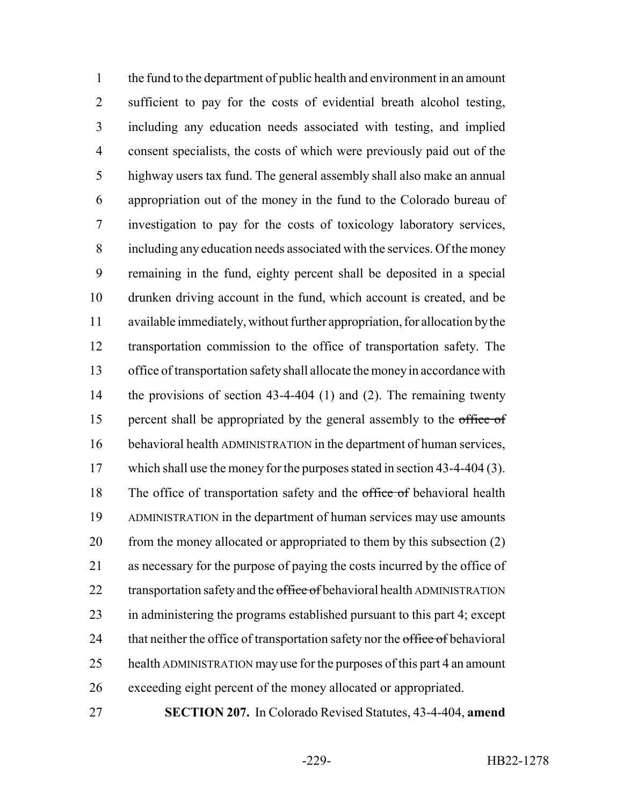the fund to the department of public health and environment in an amount sufficient to pay for the costs of evidential breath alcohol testing, including any education needs associated with testing, and implied consent specialists, the costs of which were previously paid out of the highway users tax fund. The general assembly shall also make an annual appropriation out of the money in the fund to the Colorado bureau of investigation to pay for the costs of toxicology laboratory services, including any education needs associated with the services. Of the money remaining in the fund, eighty percent shall be deposited in a special drunken driving account in the fund, which account is created, and be available immediately, without further appropriation, for allocation by the transportation commission to the office of transportation safety. The office of transportation safety shall allocate the money in accordance with 14 the provisions of section 43-4-404 (1) and (2). The remaining twenty 15 percent shall be appropriated by the general assembly to the office of behavioral health ADMINISTRATION in the department of human services, 17 which shall use the money for the purposes stated in section 43-4-404 (3). 18 The office of transportation safety and the office of behavioral health ADMINISTRATION in the department of human services may use amounts 20 from the money allocated or appropriated to them by this subsection (2) as necessary for the purpose of paying the costs incurred by the office of 22 transportation safety and the office of behavioral health ADMINISTRATION in administering the programs established pursuant to this part 4; except 24 that neither the office of transportation safety nor the office of behavioral health ADMINISTRATION may use for the purposes of this part 4 an amount exceeding eight percent of the money allocated or appropriated.

**SECTION 207.** In Colorado Revised Statutes, 43-4-404, **amend**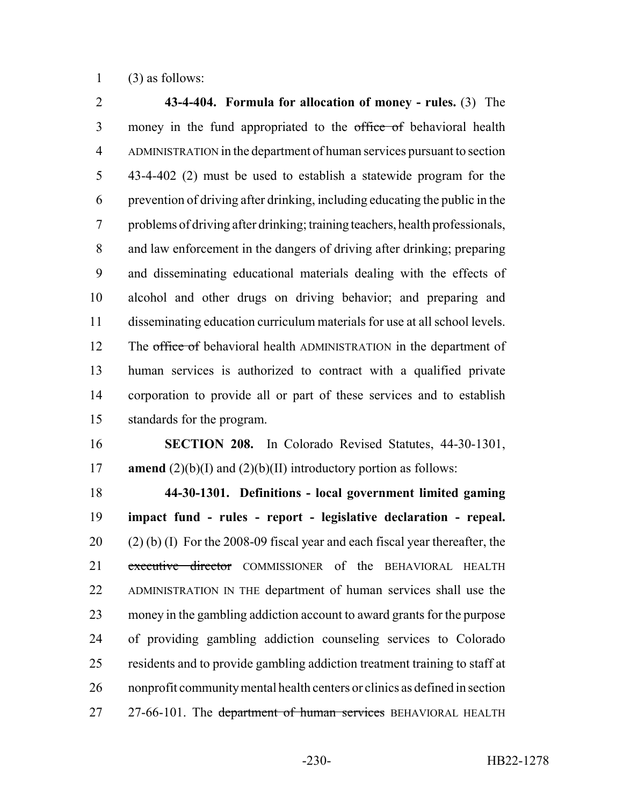(3) as follows:

 **43-4-404. Formula for allocation of money - rules.** (3) The 3 money in the fund appropriated to the office of behavioral health ADMINISTRATION in the department of human services pursuant to section 43-4-402 (2) must be used to establish a statewide program for the prevention of driving after drinking, including educating the public in the problems of driving after drinking; training teachers, health professionals, and law enforcement in the dangers of driving after drinking; preparing and disseminating educational materials dealing with the effects of alcohol and other drugs on driving behavior; and preparing and disseminating education curriculum materials for use at all school levels. 12 The office of behavioral health ADMINISTRATION in the department of human services is authorized to contract with a qualified private corporation to provide all or part of these services and to establish standards for the program.

 **SECTION 208.** In Colorado Revised Statutes, 44-30-1301, **amend** (2)(b)(I) and (2)(b)(II) introductory portion as follows:

 **44-30-1301. Definitions - local government limited gaming impact fund - rules - report - legislative declaration - repeal.** (2) (b) (I) For the 2008-09 fiscal year and each fiscal year thereafter, the 21 executive director COMMISSIONER of the BEHAVIORAL HEALTH ADMINISTRATION IN THE department of human services shall use the money in the gambling addiction account to award grants for the purpose of providing gambling addiction counseling services to Colorado residents and to provide gambling addiction treatment training to staff at nonprofit community mental health centers or clinics as defined in section 27 27-66-101. The department of human services BEHAVIORAL HEALTH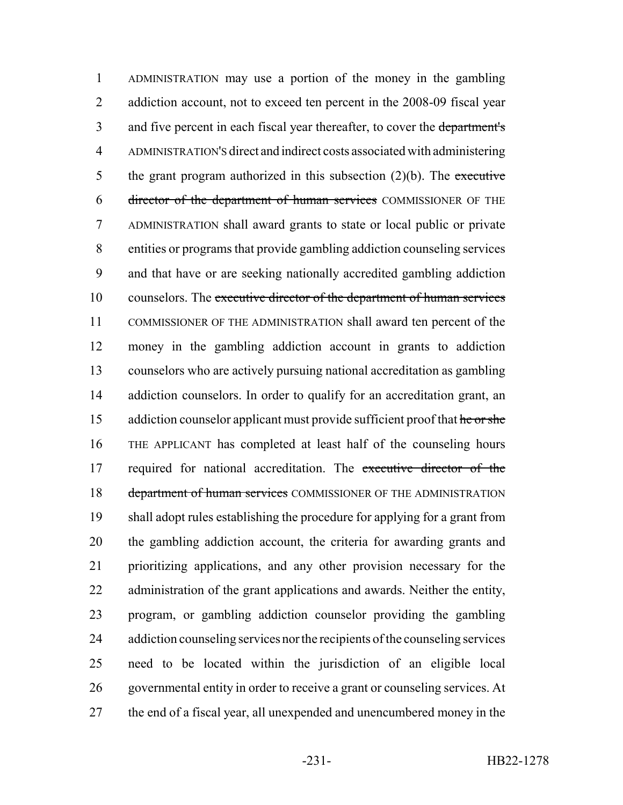ADMINISTRATION may use a portion of the money in the gambling 2 addiction account, not to exceed ten percent in the 2008-09 fiscal year 3 and five percent in each fiscal year thereafter, to cover the department's ADMINISTRATION'S direct and indirect costs associated with administering 5 the grant program authorized in this subsection  $(2)(b)$ . The executive director of the department of human services COMMISSIONER OF THE ADMINISTRATION shall award grants to state or local public or private entities or programs that provide gambling addiction counseling services and that have or are seeking nationally accredited gambling addiction 10 counselors. The executive director of the department of human services COMMISSIONER OF THE ADMINISTRATION shall award ten percent of the money in the gambling addiction account in grants to addiction counselors who are actively pursuing national accreditation as gambling 14 addiction counselors. In order to qualify for an accreditation grant, an 15 addiction counselor applicant must provide sufficient proof that he or she THE APPLICANT has completed at least half of the counseling hours 17 required for national accreditation. The executive director of the 18 department of human services COMMISSIONER OF THE ADMINISTRATION shall adopt rules establishing the procedure for applying for a grant from the gambling addiction account, the criteria for awarding grants and prioritizing applications, and any other provision necessary for the administration of the grant applications and awards. Neither the entity, program, or gambling addiction counselor providing the gambling addiction counseling services nor the recipients of the counseling services need to be located within the jurisdiction of an eligible local governmental entity in order to receive a grant or counseling services. At 27 the end of a fiscal year, all unexpended and unencumbered money in the